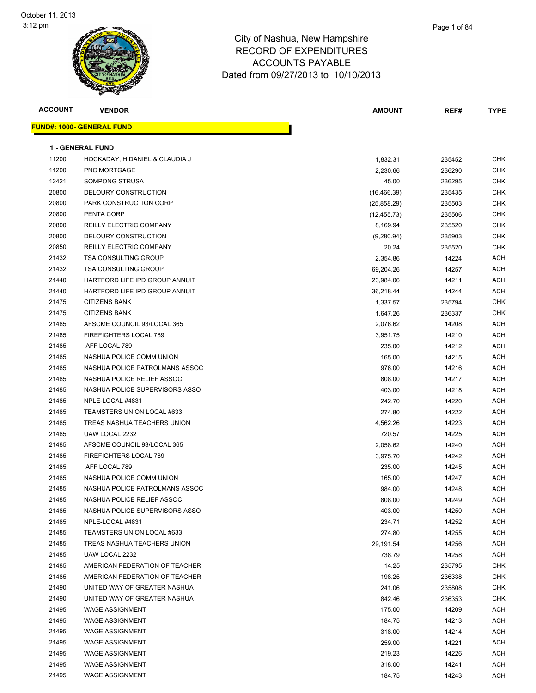**FUND#: 1000-**





| ACCOUNT        | <b>VENDOR</b>                                | AMOUNT       | REF#   | <b>TYPE</b> |
|----------------|----------------------------------------------|--------------|--------|-------------|
|                | <u> IND#: 1000- GENERAL FUND</u>             |              |        |             |
|                | <b>1 - GENERAL FUND</b>                      |              |        |             |
| 11200          | HOCKADAY, H DANIEL & CLAUDIA J               | 1,832.31     | 235452 | <b>CHK</b>  |
| 11200          | <b>PNC MORTGAGE</b>                          | 2,230.66     | 236290 | <b>CHK</b>  |
| 12421          | <b>SOMPONG STRUSA</b>                        | 45.00        | 236295 | <b>CHK</b>  |
| 20800          | DELOURY CONSTRUCTION                         | (16, 466.39) | 235435 | <b>CHK</b>  |
| 20800          | PARK CONSTRUCTION CORP                       | (25, 858.29) | 235503 | <b>CHK</b>  |
| 20800          | PENTA CORP                                   | (12, 455.73) | 235506 | <b>CHK</b>  |
| 20800          | <b>REILLY ELECTRIC COMPANY</b>               | 8,169.94     | 235520 | <b>CHK</b>  |
| 20800          | DELOURY CONSTRUCTION                         | (9,280.94)   | 235903 | CHK         |
| 20850          | REILLY ELECTRIC COMPANY                      | 20.24        | 235520 | <b>CHK</b>  |
| 21432          | <b>TSA CONSULTING GROUP</b>                  | 2,354.86     | 14224  | ACH         |
| 21432          | <b>TSA CONSULTING GROUP</b>                  | 69,204.26    | 14257  | <b>ACH</b>  |
| 21440          | HARTFORD LIFE IPD GROUP ANNUIT               | 23,984.06    | 14211  | <b>ACH</b>  |
| 21440          | HARTFORD LIFE IPD GROUP ANNUIT               |              |        | <b>ACH</b>  |
|                |                                              | 36,218.44    | 14244  | CHK         |
| 21475<br>21475 | <b>CITIZENS BANK</b><br><b>CITIZENS BANK</b> | 1,337.57     | 235794 | <b>CHK</b>  |
|                |                                              | 1,647.26     | 236337 |             |
| 21485          | AFSCME COUNCIL 93/LOCAL 365                  | 2,076.62     | 14208  | <b>ACH</b>  |
| 21485          | FIREFIGHTERS LOCAL 789                       | 3,951.75     | 14210  | <b>ACH</b>  |
| 21485          | IAFF LOCAL 789                               | 235.00       | 14212  | <b>ACH</b>  |
| 21485          | NASHUA POLICE COMM UNION                     | 165.00       | 14215  | <b>ACH</b>  |
| 21485          | NASHUA POLICE PATROLMANS ASSOC               | 976.00       | 14216  | ACH         |
| 21485          | NASHUA POLICE RELIEF ASSOC                   | 808.00       | 14217  | <b>ACH</b>  |
| 21485          | NASHUA POLICE SUPERVISORS ASSO               | 403.00       | 14218  | <b>ACH</b>  |
| 21485          | NPLE-LOCAL #4831                             | 242.70       | 14220  | <b>ACH</b>  |
| 21485          | TEAMSTERS UNION LOCAL #633                   | 274.80       | 14222  | <b>ACH</b>  |
| 21485          | TREAS NASHUA TEACHERS UNION                  | 4,562.26     | 14223  | <b>ACH</b>  |
| 21485          | UAW LOCAL 2232                               | 720.57       | 14225  | <b>ACH</b>  |
| 21485          | AFSCME COUNCIL 93/LOCAL 365                  | 2,058.62     | 14240  | <b>ACH</b>  |
| 21485          | FIREFIGHTERS LOCAL 789                       | 3,975.70     | 14242  | <b>ACH</b>  |
| 21485          | IAFF LOCAL 789                               | 235.00       | 14245  | <b>ACH</b>  |
| 21485          | NASHUA POLICE COMM UNION                     | 165.00       | 14247  | <b>ACH</b>  |
| 21485          | NASHUA POLICE PATROLMANS ASSOC               | 984.00       | 14248  | <b>ACH</b>  |
| 21485          | NASHUA POLICE RELIEF ASSOC                   | 808.00       | 14249  | <b>ACH</b>  |
| 21485          | NASHUA POLICE SUPERVISORS ASSO               | 403.00       | 14250  | ACH         |
| 21485          | NPLE-LOCAL #4831                             | 234.71       | 14252  | <b>ACH</b>  |
| 21485          | TEAMSTERS UNION LOCAL #633                   | 274.80       | 14255  | <b>ACH</b>  |
| 21485          | TREAS NASHUA TEACHERS UNION                  | 29,191.54    | 14256  | ACH         |
| 21485          | UAW LOCAL 2232                               | 738.79       | 14258  | ACH         |
| 21485          | AMERICAN FEDERATION OF TEACHER               | 14.25        | 235795 | <b>CHK</b>  |
| 21485          | AMERICAN FEDERATION OF TEACHER               | 198.25       | 236338 | <b>CHK</b>  |
| 21490          | UNITED WAY OF GREATER NASHUA                 | 241.06       | 235808 | <b>CHK</b>  |
| 21490          | UNITED WAY OF GREATER NASHUA                 | 842.46       | 236353 | <b>CHK</b>  |
| 21495          | <b>WAGE ASSIGNMENT</b>                       | 175.00       | 14209  | ACH         |
| 21495          | <b>WAGE ASSIGNMENT</b>                       | 184.75       | 14213  | ACH         |
| 21495          | <b>WAGE ASSIGNMENT</b>                       | 318.00       | 14214  | <b>ACH</b>  |
| 21495          | <b>WAGE ASSIGNMENT</b>                       | 259.00       | 14221  | <b>ACH</b>  |
| 21495          | <b>WAGE ASSIGNMENT</b>                       | 219.23       | 14226  | <b>ACH</b>  |
| 21495          | <b>WAGE ASSIGNMENT</b>                       | 318.00       | 14241  | <b>ACH</b>  |
| 21495          | <b>WAGE ASSIGNMENT</b>                       | 184.75       | 14243  | <b>ACH</b>  |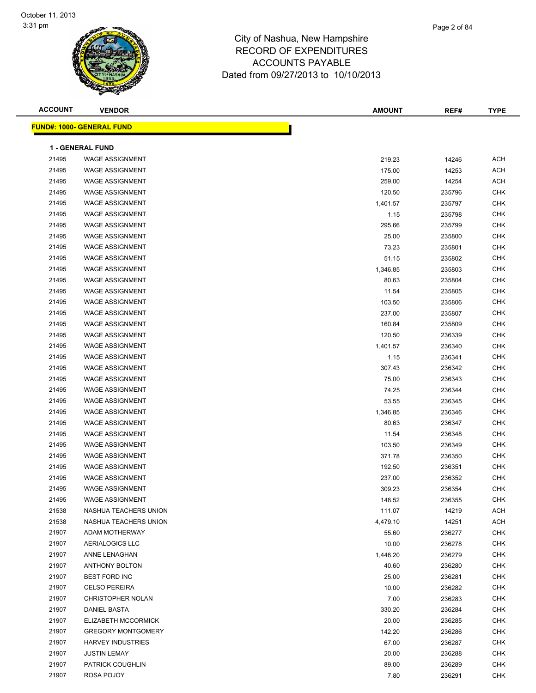

| <b>ACCOUNT</b> | <b>VENDOR</b>                    | <b>AMOUNT</b> | REF#   | <b>TYPE</b> |
|----------------|----------------------------------|---------------|--------|-------------|
|                | <b>FUND#: 1000- GENERAL FUND</b> |               |        |             |
|                | <b>1 - GENERAL FUND</b>          |               |        |             |
| 21495          | <b>WAGE ASSIGNMENT</b>           | 219.23        | 14246  | <b>ACH</b>  |
| 21495          | <b>WAGE ASSIGNMENT</b>           | 175.00        | 14253  | <b>ACH</b>  |
| 21495          | <b>WAGE ASSIGNMENT</b>           | 259.00        | 14254  | <b>ACH</b>  |
| 21495          | <b>WAGE ASSIGNMENT</b>           | 120.50        | 235796 | <b>CHK</b>  |
| 21495          | <b>WAGE ASSIGNMENT</b>           | 1,401.57      | 235797 | <b>CHK</b>  |
| 21495          | <b>WAGE ASSIGNMENT</b>           | 1.15          | 235798 | <b>CHK</b>  |
| 21495          | <b>WAGE ASSIGNMENT</b>           | 295.66        | 235799 | <b>CHK</b>  |
| 21495          | <b>WAGE ASSIGNMENT</b>           | 25.00         | 235800 | <b>CHK</b>  |
| 21495          | <b>WAGE ASSIGNMENT</b>           | 73.23         | 235801 | <b>CHK</b>  |
| 21495          | <b>WAGE ASSIGNMENT</b>           | 51.15         | 235802 | <b>CHK</b>  |
| 21495          | <b>WAGE ASSIGNMENT</b>           | 1,346.85      | 235803 | <b>CHK</b>  |
| 21495          | <b>WAGE ASSIGNMENT</b>           | 80.63         | 235804 | <b>CHK</b>  |
| 21495          | <b>WAGE ASSIGNMENT</b>           | 11.54         | 235805 | <b>CHK</b>  |
| 21495          | <b>WAGE ASSIGNMENT</b>           | 103.50        | 235806 | <b>CHK</b>  |
| 21495          | <b>WAGE ASSIGNMENT</b>           | 237.00        | 235807 | <b>CHK</b>  |
| 21495          | <b>WAGE ASSIGNMENT</b>           | 160.84        | 235809 | <b>CHK</b>  |
| 21495          | <b>WAGE ASSIGNMENT</b>           | 120.50        | 236339 | <b>CHK</b>  |
| 21495          | <b>WAGE ASSIGNMENT</b>           | 1,401.57      | 236340 | <b>CHK</b>  |
| 21495          | <b>WAGE ASSIGNMENT</b>           | 1.15          | 236341 | <b>CHK</b>  |
| 21495          | <b>WAGE ASSIGNMENT</b>           | 307.43        | 236342 | <b>CHK</b>  |
| 21495          | <b>WAGE ASSIGNMENT</b>           | 75.00         | 236343 | <b>CHK</b>  |
| 21495          | <b>WAGE ASSIGNMENT</b>           | 74.25         | 236344 | <b>CHK</b>  |
| 21495          | <b>WAGE ASSIGNMENT</b>           | 53.55         | 236345 | <b>CHK</b>  |
| 21495          | <b>WAGE ASSIGNMENT</b>           | 1,346.85      | 236346 | <b>CHK</b>  |
| 21495          | <b>WAGE ASSIGNMENT</b>           | 80.63         | 236347 | <b>CHK</b>  |
| 21495          | <b>WAGE ASSIGNMENT</b>           | 11.54         | 236348 | <b>CHK</b>  |
| 21495          | <b>WAGE ASSIGNMENT</b>           | 103.50        | 236349 | <b>CHK</b>  |
| 21495          | <b>WAGE ASSIGNMENT</b>           | 371.78        | 236350 | <b>CHK</b>  |
| 21495          | <b>WAGE ASSIGNMENT</b>           | 192.50        | 236351 | <b>CHK</b>  |
| 21495          | <b>WAGE ASSIGNMENT</b>           | 237.00        | 236352 | <b>CHK</b>  |
| 21495          | <b>WAGE ASSIGNMENT</b>           | 309.23        | 236354 | <b>CHK</b>  |
| 21495          | WAGE ASSIGNMENT                  | 148.52        | 236355 | <b>CHK</b>  |
| 21538          | NASHUA TEACHERS UNION            | 111.07        | 14219  | <b>ACH</b>  |
| 21538          | NASHUA TEACHERS UNION            | 4,479.10      | 14251  | <b>ACH</b>  |
| 21907          | ADAM MOTHERWAY                   | 55.60         | 236277 | <b>CHK</b>  |
| 21907          | <b>AERIALOGICS LLC</b>           | 10.00         | 236278 | <b>CHK</b>  |
| 21907          | ANNE LENAGHAN                    | 1,446.20      | 236279 | <b>CHK</b>  |
| 21907          | ANTHONY BOLTON                   | 40.60         | 236280 | <b>CHK</b>  |
| 21907          | <b>BEST FORD INC</b>             | 25.00         | 236281 | <b>CHK</b>  |
| 21907          | <b>CELSO PEREIRA</b>             | 10.00         | 236282 | <b>CHK</b>  |
| 21907          | <b>CHRISTOPHER NOLAN</b>         | 7.00          | 236283 | <b>CHK</b>  |
| 21907          | <b>DANIEL BASTA</b>              | 330.20        | 236284 | <b>CHK</b>  |
| 21907          | ELIZABETH MCCORMICK              | 20.00         | 236285 | <b>CHK</b>  |
| 21907          | <b>GREGORY MONTGOMERY</b>        | 142.20        | 236286 | <b>CHK</b>  |
| 21907          | <b>HARVEY INDUSTRIES</b>         | 67.00         | 236287 | <b>CHK</b>  |
| 21907          | <b>JUSTIN LEMAY</b>              | 20.00         | 236288 | <b>CHK</b>  |
| 21907          | PATRICK COUGHLIN                 | 89.00         | 236289 | <b>CHK</b>  |
| 21907          | ROSA POJOY                       | 7.80          | 236291 | <b>CHK</b>  |
|                |                                  |               |        |             |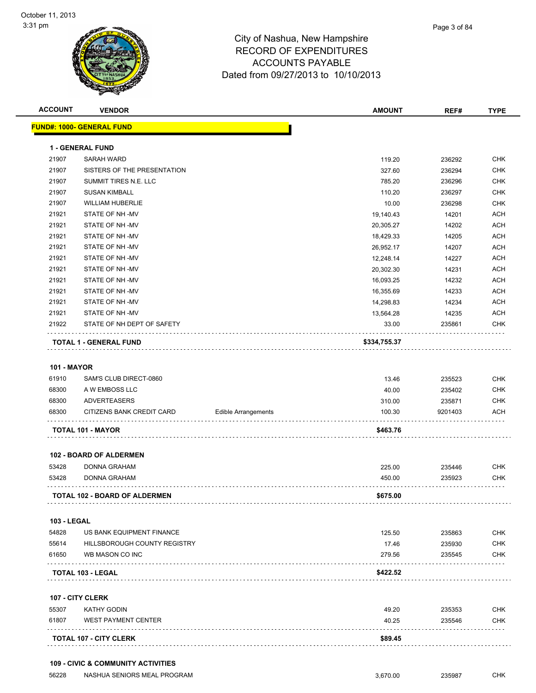

| <b>ACCOUNT</b>     | <b>VENDOR</b>                         |                            | <b>AMOUNT</b>          | REF#           | <b>TYPE</b> |
|--------------------|---------------------------------------|----------------------------|------------------------|----------------|-------------|
|                    | <b>FUND#: 1000- GENERAL FUND</b>      |                            |                        |                |             |
|                    |                                       |                            |                        |                |             |
|                    | <b>1 - GENERAL FUND</b><br>SARAH WARD |                            | 119.20                 |                | <b>CHK</b>  |
| 21907<br>21907     | SISTERS OF THE PRESENTATION           |                            | 327.60                 | 236292         | <b>CHK</b>  |
| 21907              | SUMMIT TIRES N.E. LLC                 |                            | 785.20                 | 236294         | <b>CHK</b>  |
| 21907              | <b>SUSAN KIMBALL</b>                  |                            |                        | 236296         | <b>CHK</b>  |
| 21907              | <b>WILLIAM HUBERLIE</b>               |                            | 110.20                 | 236297         | <b>CHK</b>  |
| 21921              | STATE OF NH-MV                        |                            | 10.00                  | 236298         | <b>ACH</b>  |
| 21921              | STATE OF NH-MV                        |                            | 19,140.43              | 14201<br>14202 | <b>ACH</b>  |
| 21921              | STATE OF NH-MV                        |                            | 20,305.27              | 14205          | ACH         |
| 21921              | STATE OF NH-MV                        |                            | 18,429.33<br>26,952.17 | 14207          | <b>ACH</b>  |
| 21921              | STATE OF NH-MV                        |                            | 12,248.14              | 14227          | <b>ACH</b>  |
| 21921              | STATE OF NH-MV                        |                            | 20,302.30              | 14231          | <b>ACH</b>  |
| 21921              | STATE OF NH-MV                        |                            | 16,093.25              | 14232          | <b>ACH</b>  |
| 21921              | STATE OF NH-MV                        |                            | 16,355.69              | 14233          | <b>ACH</b>  |
| 21921              | STATE OF NH-MV                        |                            | 14,298.83              | 14234          | <b>ACH</b>  |
| 21921              | STATE OF NH-MV                        |                            | 13,564.28              | 14235          | <b>ACH</b>  |
| 21922              | STATE OF NH DEPT OF SAFETY            |                            | 33.00                  | 235861         | <b>CHK</b>  |
|                    |                                       |                            |                        |                |             |
|                    | <b>TOTAL 1 - GENERAL FUND</b>         |                            | \$334,755.37           |                |             |
|                    |                                       |                            |                        |                |             |
| <b>101 - MAYOR</b> |                                       |                            |                        |                |             |
| 61910              | SAM'S CLUB DIRECT-0860                |                            | 13.46                  | 235523         | <b>CHK</b>  |
| 68300              | A W EMBOSS LLC                        |                            | 40.00                  | 235402         | <b>CHK</b>  |
| 68300              | <b>ADVERTEASERS</b>                   |                            | 310.00                 | 235871         | <b>CHK</b>  |
| 68300              | CITIZENS BANK CREDIT CARD             | <b>Edible Arrangements</b> | 100.30                 | 9201403        | ACH         |
|                    | TOTAL 101 - MAYOR                     |                            | \$463.76               |                |             |
|                    | <b>102 - BOARD OF ALDERMEN</b>        |                            |                        |                |             |
| 53428              | <b>DONNA GRAHAM</b>                   |                            | 225.00                 | 235446         | <b>CHK</b>  |
| 53428              | DONNA GRAHAM                          |                            | 450.00                 | 235923         | <b>CHK</b>  |
|                    |                                       |                            |                        |                |             |
|                    | TOTAL 102 - BOARD OF ALDERMEN         |                            | \$675.00               |                |             |
|                    |                                       |                            |                        |                |             |
|                    |                                       |                            |                        |                |             |
| <b>103 - LEGAL</b> |                                       |                            |                        |                |             |
| 54828              | US BANK EQUIPMENT FINANCE             |                            | 125.50                 | 235863         | <b>CHK</b>  |
| 55614              | HILLSBOROUGH COUNTY REGISTRY          |                            | 17.46                  | 235930         | <b>CHK</b>  |
| 61650              | WB MASON CO INC                       |                            | 279.56                 | 235545         | <b>CHK</b>  |
|                    | TOTAL 103 - LEGAL                     |                            | \$422.52               |                |             |
|                    |                                       |                            |                        |                |             |
|                    | 107 - CITY CLERK                      |                            |                        |                |             |
| 55307              | <b>KATHY GODIN</b>                    |                            | 49.20                  | 235353         | <b>CHK</b>  |
| 61807              | <b>WEST PAYMENT CENTER</b>            |                            | 40.25                  | 235546         | <b>CHK</b>  |

56228 NASHUA SENIORS MEAL PROGRAM 3,670.00 235987 CHK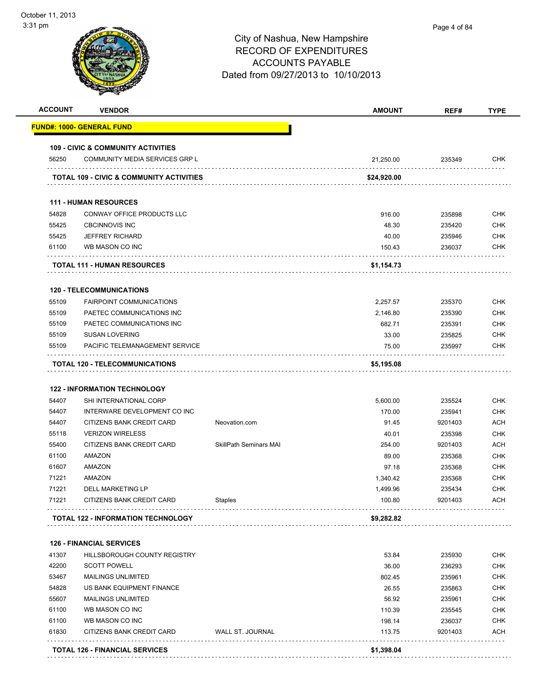|       | <b>VENDOR</b>                                 |                               | <b>AMOUNT</b> | REF#    | <b>TYPE</b>                                                                                                                                                                                                                                       |
|-------|-----------------------------------------------|-------------------------------|---------------|---------|---------------------------------------------------------------------------------------------------------------------------------------------------------------------------------------------------------------------------------------------------|
|       | <u> FUND#: 1000- GENERAL FUND</u>             |                               |               |         |                                                                                                                                                                                                                                                   |
|       | <b>109 - CIVIC &amp; COMMUNITY ACTIVITIES</b> |                               |               |         |                                                                                                                                                                                                                                                   |
| 56250 | COMMUNITY MEDIA SERVICES GRP L                |                               | 21,250.00     | 235349  | <b>CHK</b>                                                                                                                                                                                                                                        |
|       | TOTAL 109 - CIVIC & COMMUNITY ACTIVITIES      |                               | \$24,920.00   |         |                                                                                                                                                                                                                                                   |
|       | <b>111 - HUMAN RESOURCES</b>                  |                               |               |         |                                                                                                                                                                                                                                                   |
| 54828 | CONWAY OFFICE PRODUCTS LLC                    |                               | 916.00        | 235898  | <b>CHK</b>                                                                                                                                                                                                                                        |
| 55425 | <b>CBCINNOVIS INC</b>                         |                               | 48.30         | 235420  | <b>CHK</b>                                                                                                                                                                                                                                        |
| 55425 | <b>JEFFREY RICHARD</b>                        |                               | 40.00         | 235946  | <b>CHK</b>                                                                                                                                                                                                                                        |
| 61100 | WB MASON CO INC                               |                               | 150.43        | 236037  | <b>CHK</b>                                                                                                                                                                                                                                        |
|       | <b>TOTAL 111 - HUMAN RESOURCES</b>            |                               | \$1,154.73    |         |                                                                                                                                                                                                                                                   |
|       | <b>120 - TELECOMMUNICATIONS</b>               |                               |               |         |                                                                                                                                                                                                                                                   |
| 55109 | <b>FAIRPOINT COMMUNICATIONS</b>               |                               | 2,257.57      | 235370  | <b>CHK</b>                                                                                                                                                                                                                                        |
| 55109 | PAETEC COMMUNICATIONS INC                     |                               | 2,146.80      | 235390  | <b>CHK</b>                                                                                                                                                                                                                                        |
| 55109 | PAETEC COMMUNICATIONS INC                     |                               | 682.71        | 235391  | <b>CHK</b>                                                                                                                                                                                                                                        |
| 55109 | <b>SUSAN LOVERING</b>                         |                               | 33.00         | 235825  | <b>CHK</b>                                                                                                                                                                                                                                        |
| 55109 | PACIFIC TELEMANAGEMENT SERVICE                |                               | 75.00         | 235997  | <b>CHK</b>                                                                                                                                                                                                                                        |
|       |                                               |                               |               |         |                                                                                                                                                                                                                                                   |
|       | <b>122 - INFORMATION TECHNOLOGY</b>           |                               |               |         |                                                                                                                                                                                                                                                   |
| 54407 | SHI INTERNATIONAL CORP                        |                               | 5,600.00      | 235524  |                                                                                                                                                                                                                                                   |
| 54407 | INTERWARE DEVELOPMENT CO INC                  |                               | 170.00        | 235941  |                                                                                                                                                                                                                                                   |
| 54407 | CITIZENS BANK CREDIT CARD                     | Neovation.com                 | 91.45         | 9201403 |                                                                                                                                                                                                                                                   |
| 55118 | <b>VERIZON WIRELESS</b>                       |                               | 40.01         | 235398  |                                                                                                                                                                                                                                                   |
| 55400 | CITIZENS BANK CREDIT CARD                     | <b>SkillPath Seminars MAI</b> | 254.00        | 9201403 |                                                                                                                                                                                                                                                   |
| 61100 | <b>AMAZON</b>                                 |                               | 89.00         | 235368  |                                                                                                                                                                                                                                                   |
| 61607 | AMAZON                                        |                               | 97.18         | 235368  |                                                                                                                                                                                                                                                   |
| 71221 | AMAZON                                        |                               | 1,340.42      | 235368  |                                                                                                                                                                                                                                                   |
| 71221 | DELL MARKETING LP                             |                               | 1,499.96      | 235434  |                                                                                                                                                                                                                                                   |
| 71221 | CITIZENS BANK CREDIT CARD                     | Staples                       | 100.80        | 9201403 |                                                                                                                                                                                                                                                   |
|       | <b>TOTAL 122 - INFORMATION TECHNOLOGY</b>     |                               | \$9,282.82    |         |                                                                                                                                                                                                                                                   |
|       | <b>126 - FINANCIAL SERVICES</b>               |                               |               |         |                                                                                                                                                                                                                                                   |
| 41307 | HILLSBOROUGH COUNTY REGISTRY                  |                               | 53.84         | 235930  |                                                                                                                                                                                                                                                   |
| 42200 | <b>SCOTT POWELL</b>                           |                               | 36.00         | 236293  |                                                                                                                                                                                                                                                   |
| 53467 | <b>MAILINGS UNLIMITED</b>                     |                               | 802.45        | 235961  |                                                                                                                                                                                                                                                   |
| 54828 | US BANK EQUIPMENT FINANCE                     |                               | 26.55         | 235863  |                                                                                                                                                                                                                                                   |
| 55607 | <b>MAILINGS UNLIMITED</b>                     |                               | 56.92         | 235961  |                                                                                                                                                                                                                                                   |
| 61100 | WB MASON CO INC                               |                               | 110.39        | 235545  |                                                                                                                                                                                                                                                   |
| 61100 | WB MASON CO INC                               |                               | 198.14        | 236037  |                                                                                                                                                                                                                                                   |
| 61830 | CITIZENS BANK CREDIT CARD                     | WALL ST. JOURNAL              | 113.75        | 9201403 | <b>CHK</b><br><b>CHK</b><br><b>ACH</b><br><b>CHK</b><br><b>ACH</b><br><b>CHK</b><br><b>CHK</b><br><b>CHK</b><br><b>CHK</b><br><b>ACH</b><br><b>CHK</b><br>CHK<br><b>CHK</b><br><b>CHK</b><br><b>CHK</b><br><b>CHK</b><br><b>CHK</b><br><b>ACH</b> |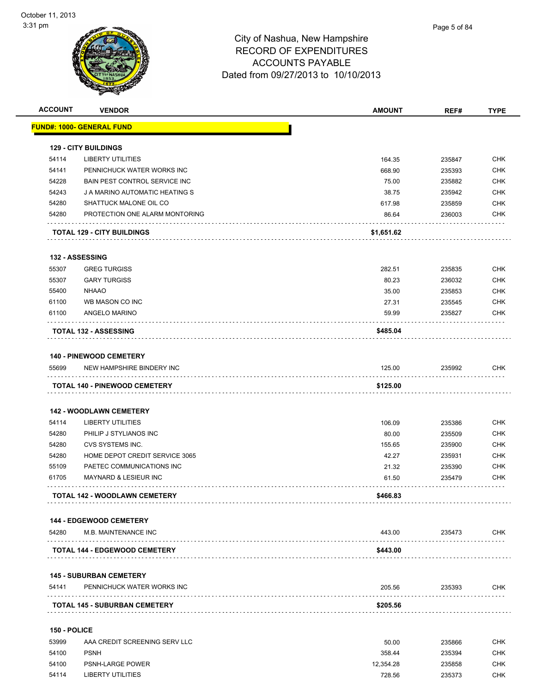

| <b>ACCOUNT</b> | <b>VENDOR</b>                                               | <b>AMOUNT</b> | REF#   | <b>TYPE</b> |
|----------------|-------------------------------------------------------------|---------------|--------|-------------|
|                | <b>FUND#: 1000- GENERAL FUND</b>                            |               |        |             |
|                | <b>129 - CITY BUILDINGS</b>                                 |               |        |             |
| 54114          | <b>LIBERTY UTILITIES</b>                                    | 164.35        | 235847 | <b>CHK</b>  |
| 54141          | PENNICHUCK WATER WORKS INC                                  | 668.90        | 235393 | <b>CHK</b>  |
| 54228          | BAIN PEST CONTROL SERVICE INC                               | 75.00         | 235882 | <b>CHK</b>  |
| 54243          | J A MARINO AUTOMATIC HEATING S                              | 38.75         | 235942 | <b>CHK</b>  |
| 54280          | SHATTUCK MALONE OIL CO                                      | 617.98        | 235859 | <b>CHK</b>  |
| 54280          | PROTECTION ONE ALARM MONTORING                              | 86.64         | 236003 | <b>CHK</b>  |
|                | <b>TOTAL 129 - CITY BUILDINGS</b>                           | \$1,651.62    |        |             |
|                | 132 - ASSESSING                                             |               |        |             |
| 55307          | <b>GREG TURGISS</b>                                         | 282.51        | 235835 | <b>CHK</b>  |
| 55307          | <b>GARY TURGISS</b>                                         | 80.23         | 236032 | <b>CHK</b>  |
| 55400          | <b>NHAAO</b>                                                | 35.00         | 235853 | <b>CHK</b>  |
| 61100          | WB MASON CO INC                                             | 27.31         | 235545 | <b>CHK</b>  |
| 61100          | ANGELO MARINO                                               | 59.99         | 235827 | <b>CHK</b>  |
|                | <b>TOTAL 132 - ASSESSING</b>                                | \$485.04      |        |             |
|                |                                                             |               |        |             |
| 55699          | <b>140 - PINEWOOD CEMETERY</b><br>NEW HAMPSHIRE BINDERY INC |               |        | <b>CHK</b>  |
|                | .                                                           | 125.00        | 235992 |             |
|                | <b>TOTAL 140 - PINEWOOD CEMETERY</b>                        | \$125.00      |        |             |
|                | <b>142 - WOODLAWN CEMETERY</b>                              |               |        |             |
| 54114          | <b>LIBERTY UTILITIES</b>                                    | 106.09        | 235386 | <b>CHK</b>  |
| 54280          | PHILIP J STYLIANOS INC                                      | 80.00         | 235509 | <b>CHK</b>  |
| 54280          | CVS SYSTEMS INC.                                            | 155.65        | 235900 | <b>CHK</b>  |
| 54280          | HOME DEPOT CREDIT SERVICE 3065                              | 42.27         | 235931 | <b>CHK</b>  |
| 55109          | PAETEC COMMUNICATIONS INC                                   | 21.32         | 235390 | <b>CHK</b>  |
| 61705          | <b>MAYNARD &amp; LESIEUR INC</b>                            | 61.50         | 235479 | <b>CHK</b>  |
|                | TOTAL 142 - WOODLAWN CEMETERY                               | \$466.83      |        |             |
|                | <b>144 - EDGEWOOD CEMETERY</b>                              |               |        |             |
| 54280          | M.B. MAINTENANCE INC                                        | 443.00        | 235473 | CHK         |
|                | <b>TOTAL 144 - EDGEWOOD CEMETERY</b>                        | \$443.00      |        |             |
|                | <b>145 - SUBURBAN CEMETERY</b>                              |               |        |             |
| 54141          | PENNICHUCK WATER WORKS INC                                  | 205.56        | 235393 | <b>CHK</b>  |
|                | <b>TOTAL 145 - SUBURBAN CEMETERY</b>                        | \$205.56      |        |             |
| 150 - POLICE   |                                                             |               |        |             |
| 53999          | AAA CREDIT SCREENING SERV LLC                               | 50.00         | 235866 | <b>CHK</b>  |
| 54100          | <b>PSNH</b>                                                 | 358.44        | 235394 | <b>CHK</b>  |
|                |                                                             |               |        |             |

54100 PSNH-LARGE POWER **POWER** 235858 CHK 54114 LIBERTY UTILITIES 728.56 235373 CHK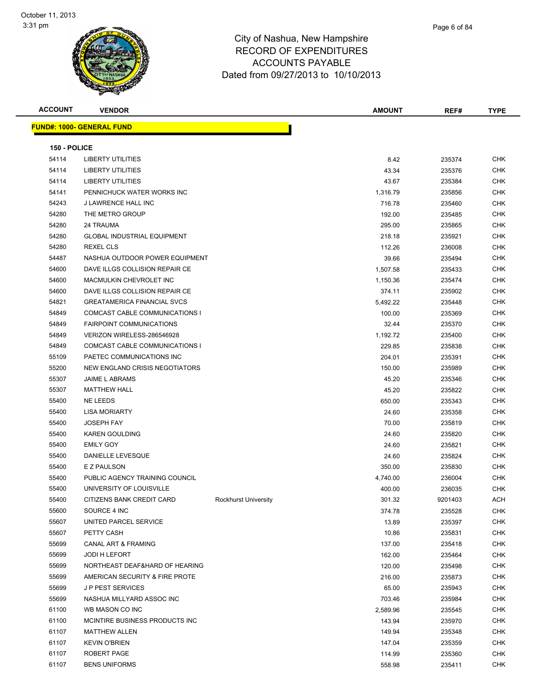

| Page 6 of 84 |
|--------------|
|              |

| <b>ACCOUNT</b> | <b>VENDOR</b>                      |                      | <b>AMOUNT</b> | REF#    | <b>TYPE</b> |
|----------------|------------------------------------|----------------------|---------------|---------|-------------|
|                | <b>FUND#: 1000- GENERAL FUND</b>   |                      |               |         |             |
| 150 - POLICE   |                                    |                      |               |         |             |
| 54114          | <b>LIBERTY UTILITIES</b>           |                      | 8.42          | 235374  | CHK         |
| 54114          | <b>LIBERTY UTILITIES</b>           |                      | 43.34         | 235376  | CHK         |
| 54114          | <b>LIBERTY UTILITIES</b>           |                      | 43.67         | 235384  | CHK         |
| 54141          | PENNICHUCK WATER WORKS INC         |                      | 1,316.79      | 235856  | CHK         |
| 54243          | J LAWRENCE HALL INC                |                      | 716.78        | 235460  | <b>CHK</b>  |
| 54280          | THE METRO GROUP                    |                      | 192.00        | 235485  | CHK         |
| 54280          | 24 TRAUMA                          |                      | 295.00        | 235865  | CHK         |
| 54280          | GLOBAL INDUSTRIAL EQUIPMENT        |                      | 218.18        | 235921  | CHK         |
| 54280          | <b>REXEL CLS</b>                   |                      | 112.26        | 236008  | CHK         |
| 54487          | NASHUA OUTDOOR POWER EQUIPMENT     |                      | 39.66         | 235494  | CHK         |
| 54600          | DAVE ILLGS COLLISION REPAIR CE     |                      | 1,507.58      | 235433  | CHK         |
| 54600          | MACMULKIN CHEVROLET INC            |                      | 1,150.36      | 235474  | CHK         |
| 54600          | DAVE ILLGS COLLISION REPAIR CE     |                      | 374.11        | 235902  | CHK         |
| 54821          | <b>GREATAMERICA FINANCIAL SVCS</b> |                      | 5,492.22      | 235448  | CHK         |
| 54849          | COMCAST CABLE COMMUNICATIONS I     |                      | 100.00        | 235369  | CHK         |
| 54849          | <b>FAIRPOINT COMMUNICATIONS</b>    |                      | 32.44         | 235370  | CHK         |
| 54849          | VERIZON WIRELESS-286546928         |                      | 1,192.72      | 235400  | CHK         |
| 54849          | COMCAST CABLE COMMUNICATIONS I     |                      | 229.85        | 235838  | CHK         |
| 55109          | PAETEC COMMUNICATIONS INC          |                      | 204.01        | 235391  | CHK         |
| 55200          | NEW ENGLAND CRISIS NEGOTIATORS     |                      | 150.00        | 235989  | <b>CHK</b>  |
| 55307          | <b>JAIME L ABRAMS</b>              |                      | 45.20         | 235346  | CHK         |
| 55307          | <b>MATTHEW HALL</b>                |                      | 45.20         | 235822  | CHK         |
| 55400          | <b>NE LEEDS</b>                    |                      | 650.00        | 235343  | CHK         |
| 55400          | <b>LISA MORIARTY</b>               |                      | 24.60         | 235358  | <b>CHK</b>  |
| 55400          | <b>JOSEPH FAY</b>                  |                      | 70.00         | 235819  | CHK         |
| 55400          | <b>KAREN GOULDING</b>              |                      | 24.60         | 235820  | CHK         |
| 55400          | <b>EMILY GOY</b>                   |                      | 24.60         | 235821  | <b>CHK</b>  |
| 55400          | DANIELLE LEVESQUE                  |                      | 24.60         | 235824  | CHK         |
| 55400          | E Z PAULSON                        |                      | 350.00        | 235830  | CHK         |
| 55400          | PUBLIC AGENCY TRAINING COUNCIL     |                      | 4,740.00      | 236004  | CHK         |
| 55400          | UNIVERSITY OF LOUISVILLE           |                      | 400.00        | 236035  | <b>CHK</b>  |
| 55400          | CITIZENS BANK CREDIT CARD          | Rockhurst University | 301.32        | 9201403 | ACH         |
| 55600          | SOURCE 4 INC                       |                      | 374.78        | 235528  | CHK         |
| 55607          | UNITED PARCEL SERVICE              |                      | 13.89         | 235397  | <b>CHK</b>  |
| 55607          | PETTY CASH                         |                      | 10.86         | 235831  | <b>CHK</b>  |
| 55699          | CANAL ART & FRAMING                |                      | 137.00        | 235418  | <b>CHK</b>  |
| 55699          | JODI H LEFORT                      |                      | 162.00        | 235464  | <b>CHK</b>  |
| 55699          | NORTHEAST DEAF&HARD OF HEARING     |                      | 120.00        | 235498  | CHK         |
| 55699          | AMERICAN SECURITY & FIRE PROTE     |                      | 216.00        | 235873  | <b>CHK</b>  |
| 55699          | <b>JP PEST SERVICES</b>            |                      | 65.00         | 235943  | <b>CHK</b>  |
| 55699          | NASHUA MILLYARD ASSOC INC          |                      | 703.46        | 235984  | <b>CHK</b>  |
| 61100          | WB MASON CO INC                    |                      | 2,589.96      | 235545  | <b>CHK</b>  |
| 61100          | MCINTIRE BUSINESS PRODUCTS INC     |                      | 143.94        | 235970  | <b>CHK</b>  |
| 61107          | <b>MATTHEW ALLEN</b>               |                      | 149.94        | 235348  | CHK         |
| 61107          | <b>KEVIN O'BRIEN</b>               |                      | 147.04        | 235359  | CHK         |
| 61107          | ROBERT PAGE                        |                      | 114.99        | 235360  | <b>CHK</b>  |
| 61107          | <b>BENS UNIFORMS</b>               |                      | 558.98        | 235411  | CHK         |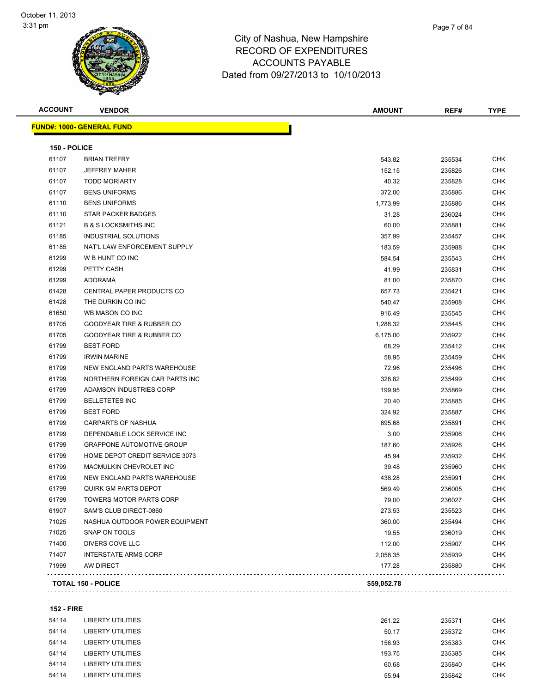

| <b>ACCOUNT</b> | <b>VENDOR</b>                        | <b>AMOUNT</b> | REF#   | <b>TYPE</b> |
|----------------|--------------------------------------|---------------|--------|-------------|
|                | <u> FUND#: 1000- GENERAL FUND</u>    |               |        |             |
| 150 - POLICE   |                                      |               |        |             |
| 61107          | <b>BRIAN TREFRY</b>                  | 543.82        | 235534 | CHK         |
| 61107          | <b>JEFFREY MAHER</b>                 | 152.15        | 235826 | <b>CHK</b>  |
| 61107          | <b>TODD MORIARTY</b>                 | 40.32         | 235828 | <b>CHK</b>  |
| 61107          | <b>BENS UNIFORMS</b>                 | 372.00        | 235886 | <b>CHK</b>  |
| 61110          | <b>BENS UNIFORMS</b>                 | 1,773.99      | 235886 | CHK         |
| 61110          | <b>STAR PACKER BADGES</b>            | 31.28         | 236024 | CHK         |
| 61121          | <b>B &amp; S LOCKSMITHS INC</b>      | 60.00         | 235881 | <b>CHK</b>  |
| 61185          | INDUSTRIAL SOLUTIONS                 | 357.99        | 235457 | <b>CHK</b>  |
| 61185          | NAT'L LAW ENFORCEMENT SUPPLY         | 183.59        | 235988 | <b>CHK</b>  |
| 61299          | W B HUNT CO INC                      | 584.54        | 235543 | <b>CHK</b>  |
| 61299          | PETTY CASH                           | 41.99         | 235831 | <b>CHK</b>  |
| 61299          | <b>ADORAMA</b>                       | 81.00         | 235870 | <b>CHK</b>  |
| 61428          | CENTRAL PAPER PRODUCTS CO            | 657.73        | 235421 | CHK         |
| 61428          | THE DURKIN CO INC                    | 540.47        | 235908 | <b>CHK</b>  |
| 61650          | WB MASON CO INC                      | 916.49        | 235545 | CHK         |
| 61705          | GOODYEAR TIRE & RUBBER CO            | 1,288.32      | 235445 | CHK         |
| 61705          | <b>GOODYEAR TIRE &amp; RUBBER CO</b> | 6,175.00      | 235922 | CHK         |
| 61799          | <b>BEST FORD</b>                     | 68.29         | 235412 | <b>CHK</b>  |
| 61799          | <b>IRWIN MARINE</b>                  | 58.95         | 235459 | CHK         |
| 61799          | NEW ENGLAND PARTS WAREHOUSE          | 72.96         | 235496 | <b>CHK</b>  |
| 61799          | NORTHERN FOREIGN CAR PARTS INC       | 328.82        | 235499 | CHK         |
| 61799          | ADAMSON INDUSTRIES CORP              | 199.95        | 235869 | <b>CHK</b>  |
| 61799          | <b>BELLETETES INC</b>                | 20.40         | 235885 | <b>CHK</b>  |
| 61799          | <b>BEST FORD</b>                     | 324.92        | 235887 | <b>CHK</b>  |
| 61799          | <b>CARPARTS OF NASHUA</b>            | 695.68        | 235891 | <b>CHK</b>  |
| 61799          | DEPENDABLE LOCK SERVICE INC          | 3.00          | 235906 | CHK         |
| 61799          | <b>GRAPPONE AUTOMOTIVE GROUP</b>     | 187.60        | 235926 | <b>CHK</b>  |
| 61799          | HOME DEPOT CREDIT SERVICE 3073       | 45.94         | 235932 | CHK         |
| 61799          | MACMULKIN CHEVROLET INC              | 39.48         | 235960 | <b>CHK</b>  |
| 61799          | NEW ENGLAND PARTS WAREHOUSE          | 438.28        | 235991 | CHK         |
| 61799          | <b>QUIRK GM PARTS DEPOT</b>          | 569.49        | 236005 | <b>CHK</b>  |
| 61799          | TOWERS MOTOR PARTS CORP              | 79.00         | 236027 | <b>CHK</b>  |
| 61907          | SAM'S CLUB DIRECT-0860               | 273.53        | 235523 | <b>CHK</b>  |
| 71025          | NASHUA OUTDOOR POWER EQUIPMENT       | 360.00        | 235494 | <b>CHK</b>  |
| 71025          | SNAP ON TOOLS                        | 19.55         | 236019 | <b>CHK</b>  |
| 71400          | DIVERS COVE LLC                      | 112.00        | 235907 | <b>CHK</b>  |
| 71407          | <b>INTERSTATE ARMS CORP</b>          | 2,058.35      | 235939 | <b>CHK</b>  |
| 71999          | AW DIRECT                            | 177.28        | 235880 | <b>CHK</b>  |
|                |                                      |               |        |             |
|                | <b>TOTAL 150 - POLICE</b>            | \$59,052.78   |        |             |

#### **152 - FIRE**

| 54114 | LIBERTY UTILITIES | 261.22 | 235371 | <b>CHK</b> |
|-------|-------------------|--------|--------|------------|
| 54114 | LIBERTY UTILITIES | 50.17  | 235372 | <b>CHK</b> |
| 54114 | LIBERTY UTILITIES | 156.93 | 235383 | <b>CHK</b> |
| 54114 | LIBERTY UTILITIES | 193.75 | 235385 | <b>CHK</b> |
| 54114 | LIBERTY UTILITIES | 60.68  | 235840 | <b>CHK</b> |
| 54114 | LIBERTY UTILITIES | 55.94  | 235842 | <b>CHK</b> |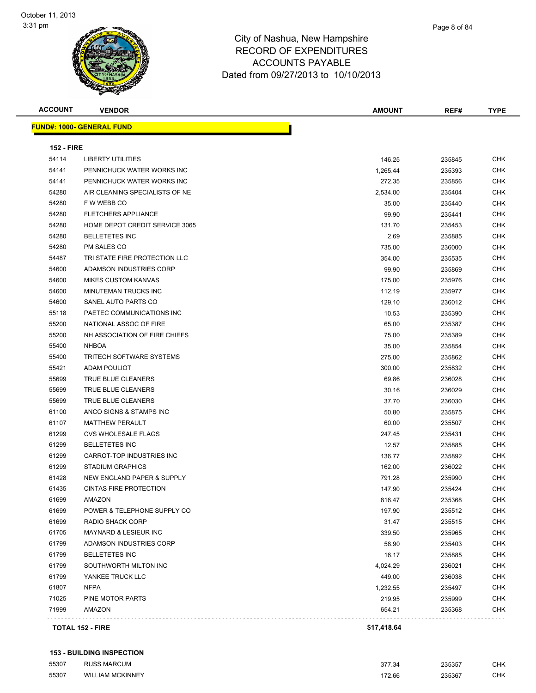| <b>ACCOUNT</b>    | <b>VENDOR</b>                     | <b>AMOUNT</b> | REF#   | TYPE       |
|-------------------|-----------------------------------|---------------|--------|------------|
|                   | <u> FUND#: 1000- GENERAL FUND</u> |               |        |            |
| <b>152 - FIRE</b> |                                   |               |        |            |
| 54114             | <b>LIBERTY UTILITIES</b>          | 146.25        | 235845 | <b>CHK</b> |
| 54141             | PENNICHUCK WATER WORKS INC        | 1,265.44      | 235393 | <b>CHK</b> |
| 54141             | PENNICHUCK WATER WORKS INC        | 272.35        | 235856 | <b>CHK</b> |
| 54280             | AIR CLEANING SPECIALISTS OF NE    | 2,534.00      | 235404 | <b>CHK</b> |
| 54280             | F W WEBB CO                       | 35.00         | 235440 | <b>CHK</b> |
| 54280             | <b>FLETCHERS APPLIANCE</b>        | 99.90         | 235441 | <b>CHK</b> |
| 54280             | HOME DEPOT CREDIT SERVICE 3065    | 131.70        | 235453 | <b>CHK</b> |
| 54280             | <b>BELLETETES INC</b>             | 2.69          | 235885 | <b>CHK</b> |
| 54280             | PM SALES CO                       | 735.00        | 236000 | <b>CHK</b> |
| 54487             | TRI STATE FIRE PROTECTION LLC     | 354.00        | 235535 | <b>CHK</b> |
| 54600             | ADAMSON INDUSTRIES CORP           | 99.90         | 235869 | <b>CHK</b> |
| 54600             | <b>MIKES CUSTOM KANVAS</b>        | 175.00        | 235976 | <b>CHK</b> |
| 54600             | <b>MINUTEMAN TRUCKS INC</b>       | 112.19        | 235977 | <b>CHK</b> |
| 54600             | SANEL AUTO PARTS CO               | 129.10        | 236012 | <b>CHK</b> |
| 55118             | PAETEC COMMUNICATIONS INC         | 10.53         | 235390 | <b>CHK</b> |
| 55200             | NATIONAL ASSOC OF FIRE            | 65.00         | 235387 | <b>CHK</b> |
| 55200             | NH ASSOCIATION OF FIRE CHIEFS     | 75.00         | 235389 | <b>CHK</b> |
| 55400             | <b>NHBOA</b>                      | 35.00         | 235854 | <b>CHK</b> |
| 55400             | <b>TRITECH SOFTWARE SYSTEMS</b>   | 275.00        | 235862 | <b>CHK</b> |
| 55421             | ADAM POULIOT                      | 300.00        | 235832 | <b>CHK</b> |
| 55699             | TRUE BLUE CLEANERS                | 69.86         | 236028 | <b>CHK</b> |
| 55699             | TRUE BLUE CLEANERS                | 30.16         | 236029 | <b>CHK</b> |
| 55699             | TRUE BLUE CLEANERS                | 37.70         | 236030 | <b>CHK</b> |
| 61100             | ANCO SIGNS & STAMPS INC           | 50.80         | 235875 | <b>CHK</b> |
| 61107             | <b>MATTHEW PERAULT</b>            | 60.00         | 235507 | <b>CHK</b> |
| 61299             | <b>CVS WHOLESALE FLAGS</b>        | 247.45        | 235431 | <b>CHK</b> |
| 61299             | <b>BELLETETES INC</b>             | 12.57         | 235885 | <b>CHK</b> |
| 61299             | CARROT-TOP INDUSTRIES INC         | 136.77        | 235892 | <b>CHK</b> |
| 61299             | <b>STADIUM GRAPHICS</b>           | 162.00        | 236022 | <b>CHK</b> |
| 61428             | NEW ENGLAND PAPER & SUPPLY        | 791.28        | 235990 | <b>CHK</b> |
| 61435             | <b>CINTAS FIRE PROTECTION</b>     | 147.90        | 235424 | <b>CHK</b> |
| 61699             | AMAZON                            | 816.47        | 235368 | CHK        |
| 61699             | POWER & TELEPHONE SUPPLY CO       | 197.90        | 235512 | <b>CHK</b> |
| 61699             | RADIO SHACK CORP                  | 31.47         | 235515 | <b>CHK</b> |
| 61705             | MAYNARD & LESIEUR INC             | 339.50        | 235965 | <b>CHK</b> |
| 61799             | ADAMSON INDUSTRIES CORP           | 58.90         | 235403 | <b>CHK</b> |
| 61799             | <b>BELLETETES INC</b>             | 16.17         | 235885 | <b>CHK</b> |
| 61799             | SOUTHWORTH MILTON INC             | 4,024.29      | 236021 | <b>CHK</b> |
| 61799             | YANKEE TRUCK LLC                  | 449.00        | 236038 | <b>CHK</b> |
| 61807             | <b>NFPA</b>                       | 1,232.55      | 235497 | <b>CHK</b> |
| 71025             | PINE MOTOR PARTS                  | 219.95        | 235999 | <b>CHK</b> |
| 71999             | AMAZON                            | 654.21        | 235368 | <b>CHK</b> |
|                   | <b>TOTAL 152 - FIRE</b>           | \$17,418.64   |        |            |

#### **153 - BUILDING INSPECTION**

| 55307 | <b>RUSS MARCUM</b><br>$  -$ | 377.34<br>- 31<br>$\sim$ $\sim$ $\sim$ | 235357<br>- JJJJ<br>. | CHK |
|-------|-----------------------------|----------------------------------------|-----------------------|-----|
| 55307 | ∟IAM MCKINNEY<br>WILI       | 72.66<br>$\sim$ $\sim$                 | 235367<br>.           | СНК |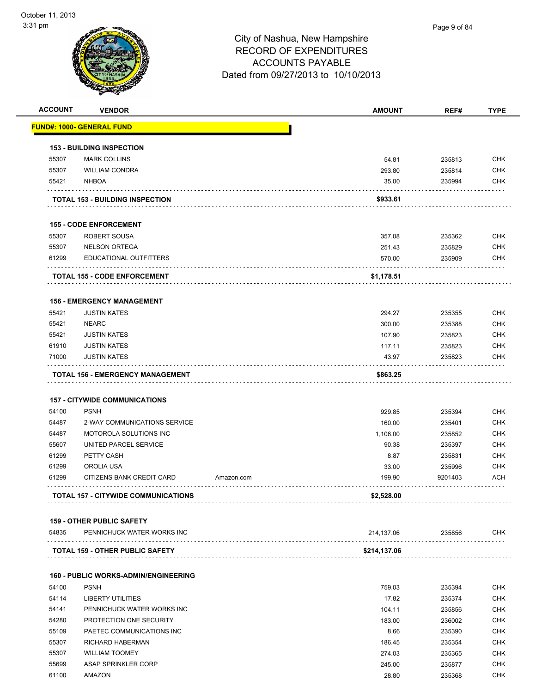| <b>ACCOUNT</b> | <b>VENDOR</b>                               |            | <b>AMOUNT</b>   | REF#             | <b>TYPE</b>              |
|----------------|---------------------------------------------|------------|-----------------|------------------|--------------------------|
|                | FUND#: 1000- GENERAL FUND                   |            |                 |                  |                          |
|                | <b>153 - BUILDING INSPECTION</b>            |            |                 |                  |                          |
| 55307          | <b>MARK COLLINS</b>                         |            | 54.81           | 235813           | <b>CHK</b>               |
| 55307          | <b>WILLIAM CONDRA</b>                       |            | 293.80          | 235814           | <b>CHK</b>               |
| 55421          | <b>NHBOA</b>                                |            | 35.00           | 235994           | <b>CHK</b>               |
|                | <b>TOTAL 153 - BUILDING INSPECTION</b>      |            | \$933.61        |                  |                          |
|                |                                             |            |                 |                  |                          |
|                | <b>155 - CODE ENFORCEMENT</b>               |            |                 |                  |                          |
| 55307          | <b>ROBERT SOUSA</b>                         |            | 357.08          | 235362           | <b>CHK</b>               |
| 55307          | <b>NELSON ORTEGA</b>                        |            | 251.43          | 235829           | <b>CHK</b>               |
| 61299          | EDUCATIONAL OUTFITTERS                      |            | 570.00          | 235909           | <b>CHK</b>               |
|                | <b>TOTAL 155 - CODE ENFORCEMENT</b>         |            | \$1,178.51      |                  |                          |
|                |                                             |            |                 |                  |                          |
|                | <b>156 - EMERGENCY MANAGEMENT</b>           |            |                 |                  |                          |
| 55421<br>55421 | <b>JUSTIN KATES</b><br><b>NEARC</b>         |            | 294.27          | 235355           | <b>CHK</b>               |
| 55421          | <b>JUSTIN KATES</b>                         |            | 300.00          | 235388           | <b>CHK</b>               |
| 61910          | <b>JUSTIN KATES</b>                         |            | 107.90          | 235823           | <b>CHK</b><br><b>CHK</b> |
| 71000          | <b>JUSTIN KATES</b>                         |            | 117.11<br>43.97 | 235823<br>235823 | <b>CHK</b>               |
|                |                                             |            |                 |                  |                          |
|                | <b>TOTAL 156 - EMERGENCY MANAGEMENT</b>     |            | \$863.25        |                  |                          |
|                | <b>157 - CITYWIDE COMMUNICATIONS</b>        |            |                 |                  |                          |
| 54100          | <b>PSNH</b>                                 |            | 929.85          | 235394           | <b>CHK</b>               |
| 54487          | 2-WAY COMMUNICATIONS SERVICE                |            | 160.00          | 235401           | <b>CHK</b>               |
| 54487          | MOTOROLA SOLUTIONS INC                      |            | 1,106.00        | 235852           | <b>CHK</b>               |
| 55607          | UNITED PARCEL SERVICE                       |            | 90.38           | 235397           | <b>CHK</b>               |
| 61299          | PETTY CASH                                  |            | 8.87            | 235831           | <b>CHK</b>               |
| 61299          | OROLIA USA                                  |            | 33.00           | 235996           | <b>CHK</b>               |
| 61299          | <b>CITIZENS BANK CREDIT CARD</b>            | Amazon.com | 199.90          | 9201403          | ACH                      |
|                | TOTAL 157 - CITYWIDE COMMUNICATIONS         |            | \$2,528.00      |                  |                          |
|                |                                             |            |                 |                  |                          |
|                | <b>159 - OTHER PUBLIC SAFETY</b>            |            |                 |                  |                          |
| 54835          | PENNICHUCK WATER WORKS INC                  |            | 214,137.06      | 235856           | <b>CHK</b>               |
|                | <b>TOTAL 159 - OTHER PUBLIC SAFETY</b>      |            | \$214,137.06    |                  |                          |
|                | <b>160 - PUBLIC WORKS-ADMIN/ENGINEERING</b> |            |                 |                  |                          |
| 54100          | <b>PSNH</b>                                 |            | 759.03          | 235394           | <b>CHK</b>               |
| 54114          | <b>LIBERTY UTILITIES</b>                    |            | 17.82           | 235374           | <b>CHK</b>               |
| 54141          | PENNICHUCK WATER WORKS INC                  |            | 104.11          | 235856           | <b>CHK</b>               |
| 54280          | PROTECTION ONE SECURITY                     |            | 183.00          | 236002           | <b>CHK</b>               |
| 55109          | PAETEC COMMUNICATIONS INC                   |            | 8.66            | 235390           | <b>CHK</b>               |
| 55307          | RICHARD HABERMAN                            |            | 186.45          | 235354           | <b>CHK</b>               |
| 55307          | <b>WILLIAM TOOMEY</b>                       |            | 274.03          | 235365           | <b>CHK</b>               |
| 55699          | ASAP SPRINKLER CORP                         |            | 245.00          | 235877           | <b>CHK</b>               |
| 61100          | AMAZON                                      |            | 28.80           | 235368           | <b>CHK</b>               |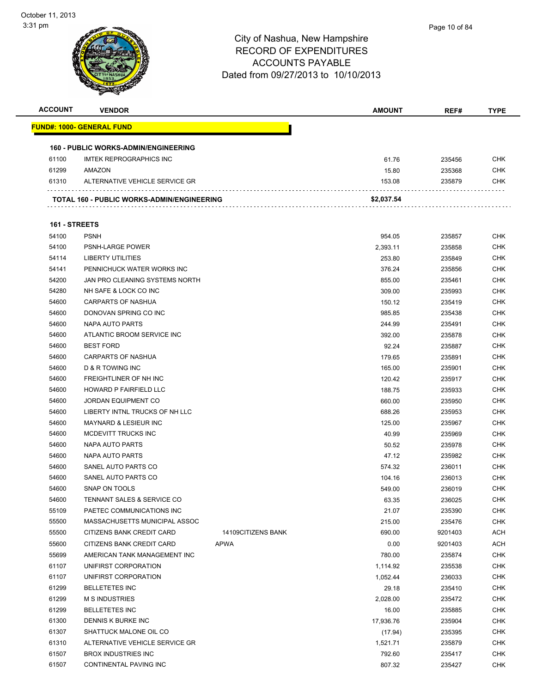| <b>ACCOUNT</b> | <b>VENDOR</b>                                    |                    | <b>AMOUNT</b>    | REF#             | <b>TYPE</b> |
|----------------|--------------------------------------------------|--------------------|------------------|------------------|-------------|
|                | <u> FUND#: 1000- GENERAL FUND</u>                |                    |                  |                  |             |
|                |                                                  |                    |                  |                  |             |
|                | <b>160 - PUBLIC WORKS-ADMIN/ENGINEERING</b>      |                    |                  |                  |             |
| 61100          | <b>IMTEK REPROGRAPHICS INC</b>                   |                    | 61.76            | 235456           | CHK         |
| 61299          | AMAZON                                           |                    | 15.80            | 235368           | CHK         |
| 61310          | ALTERNATIVE VEHICLE SERVICE GR                   |                    | 153.08           | 235879           | CHK         |
|                |                                                  |                    |                  |                  |             |
|                | TOTAL 160 - PUBLIC WORKS-ADMIN/ENGINEERING       |                    | \$2,037.54       |                  |             |
|                |                                                  |                    |                  |                  |             |
| 161 - STREETS  |                                                  |                    |                  |                  |             |
| 54100          | <b>PSNH</b>                                      |                    | 954.05           | 235857           | CHK         |
| 54100          | <b>PSNH-LARGE POWER</b>                          |                    | 2,393.11         | 235858           | <b>CHK</b>  |
| 54114          | LIBERTY UTILITIES                                |                    | 253.80           | 235849           | CHK         |
| 54141          | PENNICHUCK WATER WORKS INC                       |                    | 376.24           | 235856           | CHK         |
| 54200          | JAN PRO CLEANING SYSTEMS NORTH                   |                    | 855.00           | 235461           | CHK         |
| 54280          | NH SAFE & LOCK CO INC                            |                    | 309.00           | 235993           | CHK         |
| 54600          | <b>CARPARTS OF NASHUA</b>                        |                    | 150.12           | 235419           | <b>CHK</b>  |
| 54600          | DONOVAN SPRING CO INC                            |                    | 985.85           | 235438           | CHK         |
| 54600          | NAPA AUTO PARTS                                  |                    | 244.99           | 235491           | CHK         |
| 54600          | ATLANTIC BROOM SERVICE INC                       |                    | 392.00           | 235878           | CHK         |
| 54600          | <b>BEST FORD</b><br><b>CARPARTS OF NASHUA</b>    |                    | 92.24            | 235887           | CHK         |
| 54600<br>54600 |                                                  |                    | 179.65           | 235891           | CHK<br>CHK  |
|                | D & R TOWING INC                                 |                    | 165.00           | 235901           |             |
| 54600<br>54600 | FREIGHTLINER OF NH INC<br>HOWARD P FAIRFIELD LLC |                    | 120.42           | 235917           | CHK<br>CHK  |
| 54600          | <b>JORDAN EQUIPMENT CO</b>                       |                    | 188.75           | 235933           | CHK         |
| 54600          | LIBERTY INTNL TRUCKS OF NH LLC                   |                    | 660.00<br>688.26 | 235950<br>235953 | CHK         |
| 54600          | <b>MAYNARD &amp; LESIEUR INC</b>                 |                    | 125.00           | 235967           | <b>CHK</b>  |
| 54600          | MCDEVITT TRUCKS INC                              |                    | 40.99            | 235969           | CHK         |
| 54600          | NAPA AUTO PARTS                                  |                    | 50.52            |                  | CHK         |
| 54600          | NAPA AUTO PARTS                                  |                    |                  | 235978           | CHK         |
| 54600          | SANEL AUTO PARTS CO                              |                    | 47.12<br>574.32  | 235982<br>236011 | CHK         |
| 54600          | SANEL AUTO PARTS CO                              |                    | 104.16           | 236013           | CHK         |
| 54600          | <b>SNAP ON TOOLS</b>                             |                    | 549.00           | 236019           | CHK         |
| 54600          | TENNANT SALES & SERVICE CO                       |                    | 63.35            | 236025           | CHK         |
| 55109          | PAETEC COMMUNICATIONS INC                        |                    | 21.07            | 235390           | <b>CHK</b>  |
| 55500          | MASSACHUSETTS MUNICIPAL ASSOC                    |                    | 215.00           | 235476           | <b>CHK</b>  |
| 55500          | CITIZENS BANK CREDIT CARD                        | 14109CITIZENS BANK | 690.00           | 9201403          | <b>ACH</b>  |
| 55600          | CITIZENS BANK CREDIT CARD                        | <b>APWA</b>        | 0.00             | 9201403          | ACH         |
| 55699          | AMERICAN TANK MANAGEMENT INC                     |                    | 780.00           | 235874           | <b>CHK</b>  |
| 61107          | UNIFIRST CORPORATION                             |                    | 1,114.92         | 235538           | <b>CHK</b>  |
| 61107          | UNIFIRST CORPORATION                             |                    | 1,052.44         | 236033           | <b>CHK</b>  |
| 61299          | <b>BELLETETES INC</b>                            |                    | 29.18            | 235410           | <b>CHK</b>  |
| 61299          | <b>M S INDUSTRIES</b>                            |                    | 2,028.00         | 235472           | <b>CHK</b>  |
| 61299          | <b>BELLETETES INC</b>                            |                    | 16.00            | 235885           | <b>CHK</b>  |
| 61300          | DENNIS K BURKE INC                               |                    | 17,936.76        | 235904           | <b>CHK</b>  |
| 61307          | SHATTUCK MALONE OIL CO                           |                    | (17.94)          | 235395           | <b>CHK</b>  |
| 61310          | ALTERNATIVE VEHICLE SERVICE GR                   |                    | 1,521.71         | 235879           | <b>CHK</b>  |
| 61507          | <b>BROX INDUSTRIES INC</b>                       |                    | 792.60           | 235417           | <b>CHK</b>  |
| 61507          | CONTINENTAL PAVING INC                           |                    | 807.32           | 235427           | <b>CHK</b>  |
|                |                                                  |                    |                  |                  |             |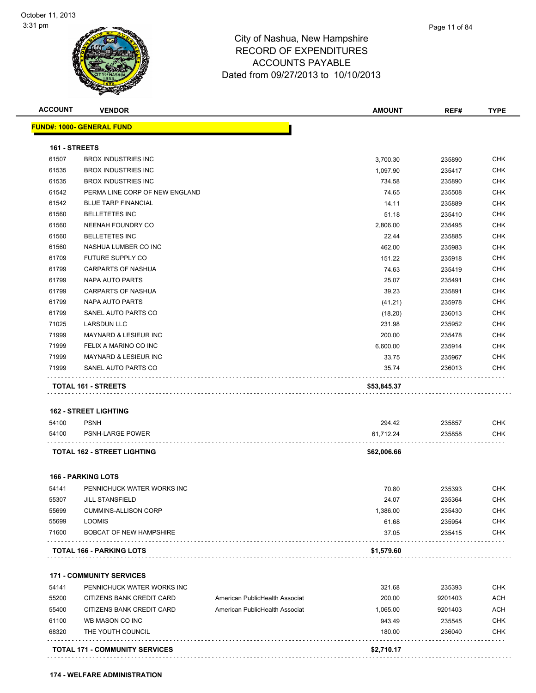#### City of Nashua, New Hampshire RECORD OF EXPENDITURES ACCOUNTS PAYABLE Dated from 09/27/2013 to 10/10/2013

| 161 - STREETS<br>61507<br>61535<br>61535<br>61542<br>61542<br>61560<br>61560<br>61560<br>61560<br>61709<br>61799 | FUND#: 1000- GENERAL FUND<br><b>BROX INDUSTRIES INC</b><br><b>BROX INDUSTRIES INC</b><br><b>BROX INDUSTRIES INC</b><br>PERMA LINE CORP OF NEW ENGLAND<br><b>BLUE TARP FINANCIAL</b><br><b>BELLETETES INC</b><br><b>NEENAH FOUNDRY CO</b><br><b>BELLETETES INC</b><br>NASHUA LUMBER CO INC |                                | 3,700.30<br>1,097.90<br>734.58<br>74.65<br>14.11<br>51.18 | 235890<br>235417<br>235890<br>235508<br>235889 | <b>CHK</b><br><b>CHK</b><br>CHK<br><b>CHK</b><br><b>CHK</b> |
|------------------------------------------------------------------------------------------------------------------|-------------------------------------------------------------------------------------------------------------------------------------------------------------------------------------------------------------------------------------------------------------------------------------------|--------------------------------|-----------------------------------------------------------|------------------------------------------------|-------------------------------------------------------------|
|                                                                                                                  |                                                                                                                                                                                                                                                                                           |                                |                                                           |                                                |                                                             |
|                                                                                                                  |                                                                                                                                                                                                                                                                                           |                                |                                                           |                                                |                                                             |
|                                                                                                                  |                                                                                                                                                                                                                                                                                           |                                |                                                           |                                                |                                                             |
|                                                                                                                  |                                                                                                                                                                                                                                                                                           |                                |                                                           |                                                |                                                             |
|                                                                                                                  |                                                                                                                                                                                                                                                                                           |                                |                                                           |                                                |                                                             |
|                                                                                                                  |                                                                                                                                                                                                                                                                                           |                                |                                                           |                                                |                                                             |
|                                                                                                                  |                                                                                                                                                                                                                                                                                           |                                |                                                           |                                                |                                                             |
|                                                                                                                  |                                                                                                                                                                                                                                                                                           |                                |                                                           | 235410                                         | <b>CHK</b>                                                  |
|                                                                                                                  |                                                                                                                                                                                                                                                                                           |                                | 2,806.00                                                  | 235495                                         | <b>CHK</b>                                                  |
|                                                                                                                  |                                                                                                                                                                                                                                                                                           |                                | 22.44                                                     | 235885                                         | CHK                                                         |
|                                                                                                                  |                                                                                                                                                                                                                                                                                           |                                | 462.00                                                    | 235983                                         | <b>CHK</b>                                                  |
|                                                                                                                  | FUTURE SUPPLY CO                                                                                                                                                                                                                                                                          |                                | 151.22                                                    | 235918                                         | CHK                                                         |
|                                                                                                                  | CARPARTS OF NASHUA                                                                                                                                                                                                                                                                        |                                | 74.63                                                     | 235419                                         | CHK                                                         |
| 61799                                                                                                            | NAPA AUTO PARTS                                                                                                                                                                                                                                                                           |                                | 25.07                                                     | 235491                                         | <b>CHK</b>                                                  |
| 61799                                                                                                            | <b>CARPARTS OF NASHUA</b>                                                                                                                                                                                                                                                                 |                                | 39.23                                                     | 235891                                         | <b>CHK</b>                                                  |
| 61799                                                                                                            | NAPA AUTO PARTS                                                                                                                                                                                                                                                                           |                                | (41.21)                                                   | 235978                                         | CHK                                                         |
| 61799                                                                                                            | SANEL AUTO PARTS CO                                                                                                                                                                                                                                                                       |                                | (18.20)                                                   | 236013                                         | <b>CHK</b>                                                  |
| 71025                                                                                                            | <b>LARSDUN LLC</b>                                                                                                                                                                                                                                                                        |                                | 231.98                                                    | 235952                                         | CHK                                                         |
| 71999                                                                                                            | <b>MAYNARD &amp; LESIEUR INC</b>                                                                                                                                                                                                                                                          |                                | 200.00                                                    | 235478                                         | CHK                                                         |
| 71999                                                                                                            | FELIX A MARINO CO INC                                                                                                                                                                                                                                                                     |                                | 6,600.00                                                  | 235914                                         | CHK                                                         |
| 71999                                                                                                            | MAYNARD & LESIEUR INC                                                                                                                                                                                                                                                                     |                                | 33.75                                                     | 235967                                         | <b>CHK</b>                                                  |
| 71999                                                                                                            | SANEL AUTO PARTS CO                                                                                                                                                                                                                                                                       |                                | 35.74                                                     | 236013                                         | CHK                                                         |
|                                                                                                                  | TOTAL 161 - STREETS                                                                                                                                                                                                                                                                       |                                | \$53,845.37                                               |                                                |                                                             |
|                                                                                                                  |                                                                                                                                                                                                                                                                                           |                                |                                                           |                                                |                                                             |
|                                                                                                                  | <b>162 - STREET LIGHTING</b>                                                                                                                                                                                                                                                              |                                |                                                           |                                                |                                                             |
| 54100                                                                                                            | <b>PSNH</b>                                                                                                                                                                                                                                                                               |                                | 294.42                                                    | 235857                                         | <b>CHK</b>                                                  |
| 54100                                                                                                            | <b>PSNH-LARGE POWER</b>                                                                                                                                                                                                                                                                   |                                | 61,712.24                                                 | 235858                                         | CHK                                                         |
|                                                                                                                  | TOTAL 162 - STREET LIGHTING                                                                                                                                                                                                                                                               |                                | \$62,006.66                                               |                                                |                                                             |
|                                                                                                                  | <b>166 - PARKING LOTS</b>                                                                                                                                                                                                                                                                 |                                |                                                           |                                                |                                                             |
|                                                                                                                  | PENNICHUCK WATER WORKS INC                                                                                                                                                                                                                                                                |                                |                                                           |                                                | <b>CHK</b>                                                  |
|                                                                                                                  | <b>JILL STANSFIELD</b>                                                                                                                                                                                                                                                                    |                                |                                                           |                                                | <b>CHK</b>                                                  |
|                                                                                                                  |                                                                                                                                                                                                                                                                                           |                                |                                                           |                                                | <b>CHK</b>                                                  |
| 55699                                                                                                            | <b>LOOMIS</b>                                                                                                                                                                                                                                                                             |                                |                                                           |                                                | <b>CHK</b>                                                  |
| 71600                                                                                                            | <b>BOBCAT OF NEW HAMPSHIRE</b>                                                                                                                                                                                                                                                            |                                | 37.05                                                     | 235415                                         | <b>CHK</b>                                                  |
|                                                                                                                  | <b>TOTAL 166 - PARKING LOTS</b>                                                                                                                                                                                                                                                           |                                | \$1,579.60                                                |                                                |                                                             |
|                                                                                                                  |                                                                                                                                                                                                                                                                                           |                                |                                                           |                                                |                                                             |
|                                                                                                                  | <b>171 - COMMUNITY SERVICES</b>                                                                                                                                                                                                                                                           |                                |                                                           |                                                |                                                             |
| 54141                                                                                                            | PENNICHUCK WATER WORKS INC                                                                                                                                                                                                                                                                |                                | 321.68                                                    | 235393                                         | <b>CHK</b>                                                  |
| 55200                                                                                                            | CITIZENS BANK CREDIT CARD                                                                                                                                                                                                                                                                 | American PublicHealth Associat | 200.00                                                    | 9201403                                        | <b>ACH</b>                                                  |
|                                                                                                                  | CITIZENS BANK CREDIT CARD                                                                                                                                                                                                                                                                 | American PublicHealth Associat | 1,065.00                                                  | 9201403                                        | ACH                                                         |
| 55400                                                                                                            | WB MASON CO INC                                                                                                                                                                                                                                                                           |                                | 943.49                                                    | 235545                                         | <b>CHK</b>                                                  |
| 61100                                                                                                            | THE YOUTH COUNCIL                                                                                                                                                                                                                                                                         |                                | 180.00                                                    | 236040                                         | <b>CHK</b>                                                  |
| 54141<br>55307<br>55699                                                                                          | <b>CUMMINS-ALLISON CORP</b>                                                                                                                                                                                                                                                               |                                | 70.80<br>24.07<br>1,386.00<br>61.68                       | 235393<br>235364<br>235430<br>235954           |                                                             |

**TOTAL 171 - COMMUNITY SERVICES \$2,710.17**

**174 - WELFARE ADMINISTRATION**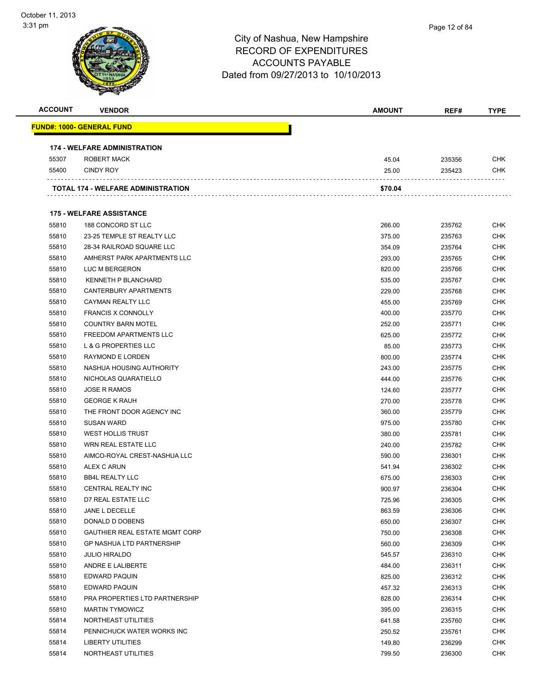| <b>ACCOUNT</b> | <b>VENDOR</b>                       | <b>AMOUNT</b> | REF#   | <b>TYPE</b> |
|----------------|-------------------------------------|---------------|--------|-------------|
|                | FUND#: 1000- GENERAL FUND           |               |        |             |
|                | <b>174 - WELFARE ADMINISTRATION</b> |               |        |             |
| 55307          | ROBERT MACK                         | 45.04         | 235356 | <b>CHK</b>  |
| 55400          | <b>CINDY ROY</b>                    | 25.00         | 235423 | <b>CHK</b>  |
|                | TOTAL 174 - WELFARE ADMINISTRATION  | \$70.04       |        |             |
|                | <b>175 - WELFARE ASSISTANCE</b>     |               |        |             |
| 55810          | 188 CONCORD ST LLC                  | 266.00        | 235762 | <b>CHK</b>  |
| 55810          | 23-25 TEMPLE ST REALTY LLC          | 375.00        | 235763 | <b>CHK</b>  |
| 55810          | 28-34 RAILROAD SQUARE LLC           | 354.09        | 235764 | <b>CHK</b>  |
| 55810          | AMHERST PARK APARTMENTS LLC         | 293.00        | 235765 | <b>CHK</b>  |
| 55810          | LUC M BERGERON                      | 820.00        | 235766 | <b>CHK</b>  |
| 55810          | KENNETH P BLANCHARD                 | 535.00        | 235767 | <b>CHK</b>  |
| 55810          | CANTERBURY APARTMENTS               | 229.00        | 235768 | <b>CHK</b>  |
| 55810          | CAYMAN REALTY LLC                   | 455.00        | 235769 | <b>CHK</b>  |
| 55810          | <b>FRANCIS X CONNOLLY</b>           | 400.00        | 235770 | <b>CHK</b>  |
| 55810          | <b>COUNTRY BARN MOTEL</b>           | 252.00        | 235771 | <b>CHK</b>  |
| 55810          | FREEDOM APARTMENTS LLC              | 625.00        | 235772 | <b>CHK</b>  |
| 55810          | <b>L &amp; G PROPERTIES LLC</b>     | 85.00         | 235773 | CHK         |
| 55810          | <b>RAYMOND E LORDEN</b>             | 800.00        | 235774 | <b>CHK</b>  |
| 55810          | NASHUA HOUSING AUTHORITY            | 243.00        | 235775 | <b>CHK</b>  |
| 55810          | NICHOLAS QUARATIELLO                | 444.00        | 235776 | <b>CHK</b>  |
| 55810          | <b>JOSE R RAMOS</b>                 | 124.60        | 235777 | <b>CHK</b>  |
| 55810          | <b>GEORGE K RAUH</b>                | 270.00        | 235778 | <b>CHK</b>  |
| 55810          | THE FRONT DOOR AGENCY INC           | 360.00        | 235779 | <b>CHK</b>  |
| 55810          | <b>SUSAN WARD</b>                   | 975.00        | 235780 | <b>CHK</b>  |
| 55810          | <b>WEST HOLLIS TRUST</b>            | 380.00        | 235781 | <b>CHK</b>  |
| 55810          | WRN REAL ESTATE LLC                 | 240.00        | 235782 | <b>CHK</b>  |
| 55810          | AIMCO-ROYAL CREST-NASHUA LLC        | 590.00        | 236301 | <b>CHK</b>  |
| 55810          | ALEX C ARUN                         | 541.94        | 236302 | <b>CHK</b>  |
| 55810          | <b>BB4L REALTY LLC</b>              | 675.00        | 236303 | <b>CHK</b>  |
| 55810          | CENTRAL REALTY INC                  | 900.97        | 236304 | <b>CHK</b>  |
| 55810          | D7 REAL ESTATE LLC                  | 725.96        | 236305 | <b>CHK</b>  |
| 55810          | JANE L DECELLE                      | 863.59        | 236306 | <b>CHK</b>  |
| 55810          | DONALD D DOBENS                     | 650.00        | 236307 | <b>CHK</b>  |
| 55810          | GAUTHIER REAL ESTATE MGMT CORP      | 750.00        | 236308 | <b>CHK</b>  |
| 55810          | <b>GP NASHUA LTD PARTNERSHIP</b>    | 560.00        | 236309 | <b>CHK</b>  |
| 55810          | <b>JULIO HIRALDO</b>                | 545.57        | 236310 | <b>CHK</b>  |
| 55810          | ANDRE E LALIBERTE                   | 484.00        | 236311 | <b>CHK</b>  |
| 55810          | EDWARD PAQUIN                       | 825.00        | 236312 | <b>CHK</b>  |
| 55810          | EDWARD PAQUIN                       | 457.32        | 236313 | <b>CHK</b>  |
| 55810          | PRA PROPERTIES LTD PARTNERSHIP      | 828.00        | 236314 | <b>CHK</b>  |
| 55810          | <b>MARTIN TYMOWICZ</b>              | 395.00        | 236315 | <b>CHK</b>  |
| 55814          | NORTHEAST UTILITIES                 | 641.58        | 235760 | <b>CHK</b>  |
| 55814          | PENNICHUCK WATER WORKS INC          | 250.52        | 235761 | CHK         |
| 55814          | <b>LIBERTY UTILITIES</b>            | 149.80        | 236299 | <b>CHK</b>  |
| 55814          | NORTHEAST UTILITIES                 | 799.50        | 236300 | <b>CHK</b>  |
|                |                                     |               |        |             |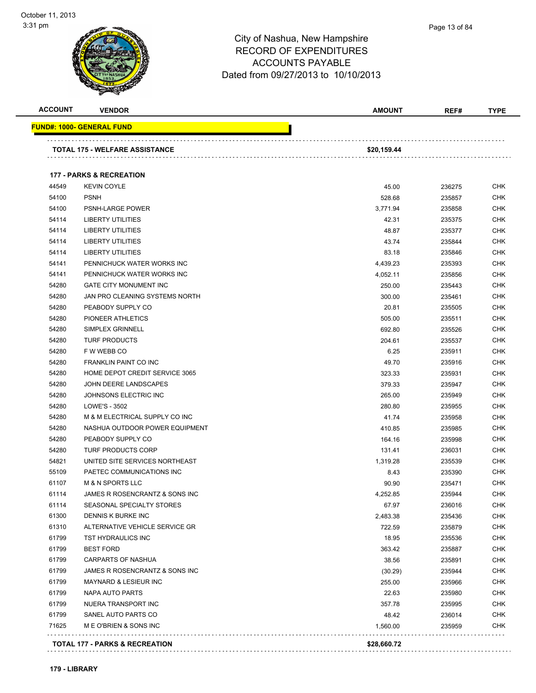| <b>ACCOUNT</b> | <b>VENDOR</b>                       | <b>AMOUNT</b> | REF#   | <b>TYPE</b>              |
|----------------|-------------------------------------|---------------|--------|--------------------------|
|                | FUND#: 1000- GENERAL FUND           |               |        |                          |
|                | TOTAL 175 - WELFARE ASSISTANCE      | \$20,159.44   |        |                          |
|                |                                     |               |        |                          |
|                | <b>177 - PARKS &amp; RECREATION</b> |               |        |                          |
| 44549          | <b>KEVIN COYLE</b>                  | 45.00         | 236275 | <b>CHK</b>               |
| 54100          | <b>PSNH</b>                         | 528.68        | 235857 | <b>CHK</b>               |
| 54100          | PSNH-LARGE POWER                    | 3,771.94      | 235858 | <b>CHK</b>               |
| 54114          | LIBERTY UTILITIES                   | 42.31         | 235375 | <b>CHK</b>               |
| 54114          | <b>LIBERTY UTILITIES</b>            | 48.87         | 235377 | <b>CHK</b>               |
| 54114          | <b>LIBERTY UTILITIES</b>            | 43.74         | 235844 | <b>CHK</b>               |
| 54114          | <b>LIBERTY UTILITIES</b>            | 83.18         | 235846 | CHK                      |
| 54141          | PENNICHUCK WATER WORKS INC          | 4,439.23      | 235393 | <b>CHK</b>               |
| 54141          | PENNICHUCK WATER WORKS INC          | 4,052.11      | 235856 | <b>CHK</b>               |
| 54280          | <b>GATE CITY MONUMENT INC</b>       | 250.00        | 235443 | CHK                      |
| 54280          | JAN PRO CLEANING SYSTEMS NORTH      | 300.00        | 235461 | CHK                      |
| 54280          | PEABODY SUPPLY CO                   | 20.81         | 235505 | <b>CHK</b>               |
| 54280          | PIONEER ATHLETICS                   | 505.00        | 235511 | CHK                      |
| 54280          | <b>SIMPLEX GRINNELL</b>             | 692.80        | 235526 | CHK                      |
| 54280          | <b>TURF PRODUCTS</b>                | 204.61        | 235537 | <b>CHK</b>               |
| 54280          | F W WEBB CO                         | 6.25          | 235911 | <b>CHK</b>               |
| 54280          | FRANKLIN PAINT CO INC               | 49.70         | 235916 | <b>CHK</b>               |
| 54280          | HOME DEPOT CREDIT SERVICE 3065      | 323.33        | 235931 | <b>CHK</b>               |
| 54280          | JOHN DEERE LANDSCAPES               | 379.33        | 235947 | <b>CHK</b>               |
| 54280          | JOHNSONS ELECTRIC INC               | 265.00        | 235949 | <b>CHK</b>               |
| 54280          | LOWE'S - 3502                       | 280.80        | 235955 | CHK                      |
| 54280          | M & M ELECTRICAL SUPPLY CO INC      | 41.74         | 235958 | CHK                      |
| 54280          | NASHUA OUTDOOR POWER EQUIPMENT      | 410.85        | 235985 | <b>CHK</b>               |
| 54280          | PEABODY SUPPLY CO                   | 164.16        | 235998 | CHK                      |
| 54280          | <b>TURF PRODUCTS CORP</b>           | 131.41        | 236031 | <b>CHK</b>               |
| 54821          | UNITED SITE SERVICES NORTHEAST      | 1,319.28      | 235539 | <b>CHK</b>               |
| 55109          | PAETEC COMMUNICATIONS INC           | 8.43          | 235390 | <b>CHK</b>               |
| 61107          | <b>M &amp; N SPORTS LLC</b>         | 90.90         | 235471 | <b>CHK</b>               |
| 61114          | JAMES R ROSENCRANTZ & SONS INC      | 4,252.85      | 235944 | <b>CHK</b>               |
| 61114          | SEASONAL SPECIALTY STORES           | 67.97         | 236016 | <b>CHK</b>               |
| 61300          | DENNIS K BURKE INC                  | 2,483.38      | 235436 | <b>CHK</b>               |
| 61310          | ALTERNATIVE VEHICLE SERVICE GR      | 722.59        | 235879 | <b>CHK</b>               |
| 61799          | TST HYDRAULICS INC                  | 18.95         | 235536 | <b>CHK</b>               |
| 61799          | <b>BEST FORD</b>                    | 363.42        | 235887 | <b>CHK</b>               |
| 61799          | <b>CARPARTS OF NASHUA</b>           | 38.56         |        |                          |
| 61799          | JAMES R ROSENCRANTZ & SONS INC      |               | 235891 | <b>CHK</b><br><b>CHK</b> |
|                | <b>MAYNARD &amp; LESIEUR INC</b>    | (30.29)       | 235944 |                          |
| 61799          |                                     | 255.00        | 235966 | <b>CHK</b>               |
| 61799          | NAPA AUTO PARTS                     | 22.63         | 235980 | <b>CHK</b>               |
| 61799          | NUERA TRANSPORT INC                 | 357.78        | 235995 | <b>CHK</b>               |
| 61799          | SANEL AUTO PARTS CO                 | 48.42         | 236014 | <b>CHK</b>               |
| 71625          | M E O'BRIEN & SONS INC              | 1,560.00      | 235959 | <b>CHK</b>               |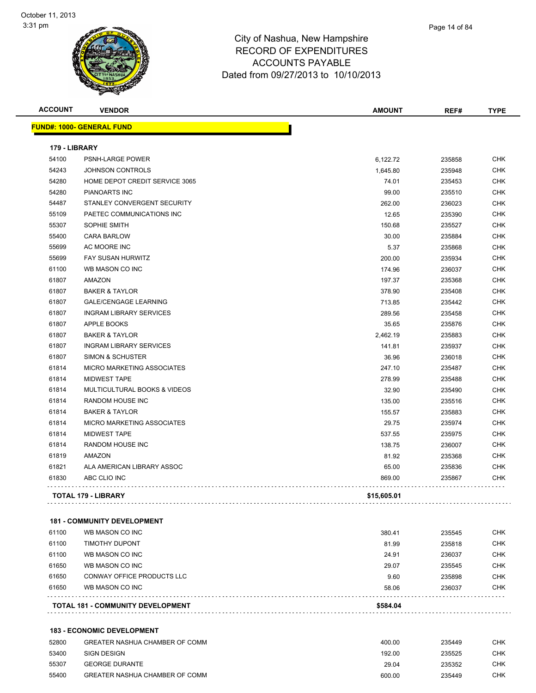| <b>ACCOUNT</b> | <b>VENDOR</b>                           | <b>AMOUNT</b> | REF#   | <b>TYPE</b> |
|----------------|-----------------------------------------|---------------|--------|-------------|
|                | <u> FUND#: 1000- GENERAL FUND</u>       |               |        |             |
| 179 - LIBRARY  |                                         |               |        |             |
| 54100          | <b>PSNH-LARGE POWER</b>                 | 6,122.72      | 235858 | CHK         |
| 54243          | JOHNSON CONTROLS                        | 1,645.80      | 235948 | <b>CHK</b>  |
| 54280          | HOME DEPOT CREDIT SERVICE 3065          | 74.01         | 235453 | CHK         |
| 54280          | PIANOARTS INC                           | 99.00         | 235510 | <b>CHK</b>  |
| 54487          | STANLEY CONVERGENT SECURITY             | 262.00        | 236023 | CHK         |
| 55109          | PAETEC COMMUNICATIONS INC               | 12.65         | 235390 | <b>CHK</b>  |
| 55307          | SOPHIE SMITH                            | 150.68        | 235527 | <b>CHK</b>  |
| 55400          | <b>CARA BARLOW</b>                      | 30.00         | 235884 | <b>CHK</b>  |
| 55699          | AC MOORE INC                            | 5.37          | 235868 | <b>CHK</b>  |
| 55699          | <b>FAY SUSAN HURWITZ</b>                | 200.00        | 235934 | <b>CHK</b>  |
| 61100          | WB MASON CO INC                         | 174.96        | 236037 | <b>CHK</b>  |
| 61807          | <b>AMAZON</b>                           | 197.37        | 235368 | <b>CHK</b>  |
| 61807          | <b>BAKER &amp; TAYLOR</b>               | 378.90        | 235408 | <b>CHK</b>  |
| 61807          | <b>GALE/CENGAGE LEARNING</b>            | 713.85        | 235442 | <b>CHK</b>  |
| 61807          | <b>INGRAM LIBRARY SERVICES</b>          | 289.56        | 235458 | <b>CHK</b>  |
| 61807          | <b>APPLE BOOKS</b>                      | 35.65         | 235876 | <b>CHK</b>  |
| 61807          | <b>BAKER &amp; TAYLOR</b>               | 2,462.19      | 235883 | CHK         |
| 61807          | <b>INGRAM LIBRARY SERVICES</b>          | 141.81        | 235937 | <b>CHK</b>  |
| 61807          | <b>SIMON &amp; SCHUSTER</b>             | 36.96         | 236018 | CHK         |
| 61814          | <b>MICRO MARKETING ASSOCIATES</b>       | 247.10        | 235487 | <b>CHK</b>  |
| 61814          | <b>MIDWEST TAPE</b>                     | 278.99        | 235488 | <b>CHK</b>  |
| 61814          | <b>MULTICULTURAL BOOKS &amp; VIDEOS</b> | 32.90         | 235490 | <b>CHK</b>  |
| 61814          | <b>RANDOM HOUSE INC</b>                 | 135.00        | 235516 | <b>CHK</b>  |
| 61814          | <b>BAKER &amp; TAYLOR</b>               | 155.57        | 235883 | <b>CHK</b>  |
| 61814          | <b>MICRO MARKETING ASSOCIATES</b>       | 29.75         | 235974 | <b>CHK</b>  |
| 61814          | <b>MIDWEST TAPE</b>                     | 537.55        | 235975 | <b>CHK</b>  |
| 61814          | <b>RANDOM HOUSE INC</b>                 | 138.75        | 236007 | <b>CHK</b>  |
| 61819          | <b>AMAZON</b>                           | 81.92         | 235368 | <b>CHK</b>  |
| 61821          | ALA AMERICAN LIBRARY ASSOC              | 65.00         | 235836 | CHK         |
| 61830          | ABC CLIO INC                            | 869.00        | 235867 | <b>CHK</b>  |
|                | <b>TOTAL 179 - LIBRARY</b>              | \$15,605.01   |        |             |
|                |                                         |               |        |             |

#### **181 - COMMUNITY DEVELOPMENT**

|       | <b>TOTAL 181 - COMMUNITY DEVELOPMENT</b> | \$584.04 |        |            |
|-------|------------------------------------------|----------|--------|------------|
| 61650 | WB MASON CO INC                          | 58.06    | 236037 | <b>CHK</b> |
| 61650 | CONWAY OFFICE PRODUCTS LLC               | 9.60     | 235898 | <b>CHK</b> |
| 61650 | WB MASON CO INC                          | 29.07    | 235545 | <b>CHK</b> |
| 61100 | WB MASON CO INC                          | 24.91    | 236037 | <b>CHK</b> |
| 61100 | TIMOTHY DUPONT                           | 81.99    | 235818 | <b>CHK</b> |
| 61100 | WB MASON CO INC                          | 380.41   | 235545 | <b>CHK</b> |

#### **183 - ECONOMIC DEVELOPMENT**

| 52800 | GREATER NASHUA CHAMBER OF COMM | 400.00 | 235449 | снк |
|-------|--------------------------------|--------|--------|-----|
| 53400 | SIGN DESIGN                    | 192.00 | 235525 | снк |
| 55307 | <b>GEORGE DURANTE</b>          | 29.04  | 235352 | СНК |
| 55400 | GREATER NASHUA CHAMBER OF COMM | 600.00 | 235449 | СНК |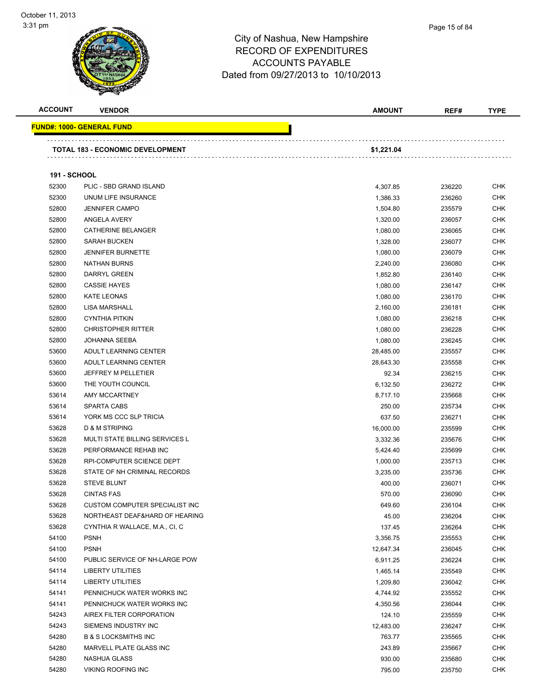**FUND#:** 



| ACCOUNT             | <b>VENDOR</b>                           | <b>AMOUNT</b> | REF#   | <b>TYPE</b> |
|---------------------|-----------------------------------------|---------------|--------|-------------|
|                     | <u> IND#: 1000- GENERAL FUND</u>        |               |        |             |
|                     |                                         |               |        |             |
|                     | <b>TOTAL 183 - ECONOMIC DEVELOPMENT</b> | \$1,221.04    |        |             |
| <b>191 - SCHOOL</b> |                                         |               |        |             |
| 52300               | PLIC - SBD GRAND ISLAND                 | 4,307.85      | 236220 | <b>CHK</b>  |
| 52300               | UNUM LIFE INSURANCE                     | 1,386.33      | 236260 | <b>CHK</b>  |
| 52800               | <b>JENNIFER CAMPO</b>                   | 1,504.80      | 235579 | CHK         |
| 52800               | ANGELA AVERY                            | 1,320.00      | 236057 | CHK         |
| 52800               | CATHERINE BELANGER                      | 1,080.00      | 236065 | CHK         |
| 52800               | <b>SARAH BUCKEN</b>                     | 1,328.00      | 236077 | CHK         |
| 52800               | <b>JENNIFER BURNETTE</b>                | 1,080.00      | 236079 | CHK         |
| 52800               | <b>NATHAN BURNS</b>                     | 2,240.00      | 236080 | CHK         |
| 52800               | DARRYL GREEN                            | 1,852.80      | 236140 | <b>CHK</b>  |
| 52800               | <b>CASSIE HAYES</b>                     | 1,080.00      | 236147 | <b>CHK</b>  |
| 52800               | KATE LEONAS                             | 1,080.00      | 236170 | <b>CHK</b>  |
| 52800               | <b>LISA MARSHALL</b>                    | 2,160.00      | 236181 | <b>CHK</b>  |
| 52800               | <b>CYNTHIA PITKIN</b>                   | 1,080.00      | 236218 | <b>CHK</b>  |
| 52800               | <b>CHRISTOPHER RITTER</b>               | 1,080.00      | 236228 | <b>CHK</b>  |
| 52800               | <b>JOHANNA SEEBA</b>                    | 1,080.00      | 236245 | <b>CHK</b>  |
| 53600               | ADULT LEARNING CENTER                   | 28,485.00     | 235557 | <b>CHK</b>  |
| 53600               | ADULT LEARNING CENTER                   | 28,643.30     | 235558 | <b>CHK</b>  |
| 53600               | <b>JEFFREY M PELLETIER</b>              | 92.34         | 236215 | <b>CHK</b>  |
| 53600               | THE YOUTH COUNCIL                       | 6,132.50      | 236272 | <b>CHK</b>  |
| 53614               | <b>AMY MCCARTNEY</b>                    | 8,717.10      | 235668 | <b>CHK</b>  |
| 53614               | <b>SPARTA CABS</b>                      | 250.00        | 235734 | <b>CHK</b>  |
| 53614               | YORK MS CCC SLP TRICIA                  | 637.50        | 236271 | <b>CHK</b>  |
| 53628               | <b>D &amp; M STRIPING</b>               | 16,000.00     | 235599 | <b>CHK</b>  |
| 53628               | <b>MULTI STATE BILLING SERVICES L</b>   | 3,332.36      | 235676 | <b>CHK</b>  |
| 53628               | PERFORMANCE REHAB INC                   | 5,424.40      | 235699 | <b>CHK</b>  |
| 53628               | RPI-COMPUTER SCIENCE DEPT               | 1,000.00      | 235713 | CHK         |
| 53628               | STATE OF NH CRIMINAL RECORDS            | 3,235.00      | 235736 | CHK         |
| 53628               | <b>STEVE BLUNT</b>                      | 400.00        | 236071 | <b>CHK</b>  |
| 53628               | <b>CINTAS FAS</b>                       | 570.00        | 236090 | <b>CHK</b>  |
| 53628               | CUSTOM COMPUTER SPECIALIST INC          | 649.60        | 236104 | <b>CHK</b>  |
| 53628               | NORTHEAST DEAF&HARD OF HEARING          | 45.00         | 236204 | <b>CHK</b>  |
| 53628               | CYNTHIA R WALLACE, M.A., CI, C          | 137.45        | 236264 | <b>CHK</b>  |
| 54100               | <b>PSNH</b>                             | 3,356.75      | 235553 | <b>CHK</b>  |
| 54100               | <b>PSNH</b>                             | 12,647.34     | 236045 | <b>CHK</b>  |
| 54100               | PUBLIC SERVICE OF NH-LARGE POW          | 6,911.25      | 236224 | <b>CHK</b>  |
| 54114               | <b>LIBERTY UTILITIES</b>                | 1,465.14      | 235549 | <b>CHK</b>  |
| 54114               | <b>LIBERTY UTILITIES</b>                | 1,209.80      | 236042 | <b>CHK</b>  |
| 54141               | PENNICHUCK WATER WORKS INC              | 4,744.92      | 235552 | <b>CHK</b>  |
| 54141               | PENNICHUCK WATER WORKS INC              | 4,350.56      | 236044 | <b>CHK</b>  |
| 54243               | AIREX FILTER CORPORATION                | 124.10        | 235559 | <b>CHK</b>  |
| 54243               | SIEMENS INDUSTRY INC                    | 12,483.00     | 236247 | <b>CHK</b>  |
| 54280               | <b>B &amp; S LOCKSMITHS INC</b>         | 763.77        | 235565 | <b>CHK</b>  |
| 54280               | MARVELL PLATE GLASS INC                 | 243.89        | 235667 | <b>CHK</b>  |
| 54280               | NASHUA GLASS                            | 930.00        | 235680 | <b>CHK</b>  |
| 54280               | VIKING ROOFING INC                      | 795.00        | 235750 | <b>CHK</b>  |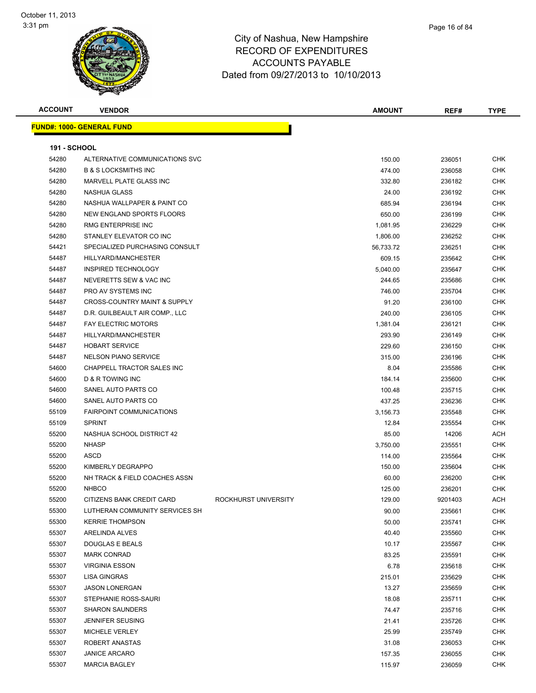| <b>ACCOUNT</b>      | <b>VENDOR</b>                           |                      | <b>AMOUNT</b> | REF#    | <b>TYPE</b> |
|---------------------|-----------------------------------------|----------------------|---------------|---------|-------------|
|                     | <b>FUND#: 1000- GENERAL FUND</b>        |                      |               |         |             |
|                     |                                         |                      |               |         |             |
| <b>191 - SCHOOL</b> |                                         |                      |               |         |             |
| 54280               | ALTERNATIVE COMMUNICATIONS SVC          |                      | 150.00        | 236051  | <b>CHK</b>  |
| 54280               | <b>B &amp; S LOCKSMITHS INC</b>         |                      | 474.00        | 236058  | <b>CHK</b>  |
| 54280               | MARVELL PLATE GLASS INC                 |                      | 332.80        | 236182  | <b>CHK</b>  |
| 54280               | NASHUA GLASS                            |                      | 24.00         | 236192  | <b>CHK</b>  |
| 54280               | NASHUA WALLPAPER & PAINT CO             |                      | 685.94        | 236194  | <b>CHK</b>  |
| 54280               | NEW ENGLAND SPORTS FLOORS               |                      | 650.00        | 236199  | <b>CHK</b>  |
| 54280               | RMG ENTERPRISE INC                      |                      | 1,081.95      | 236229  | <b>CHK</b>  |
| 54280               | STANLEY ELEVATOR CO INC                 |                      | 1,806.00      | 236252  | <b>CHK</b>  |
| 54421               | SPECIALIZED PURCHASING CONSULT          |                      | 56,733.72     | 236251  | <b>CHK</b>  |
| 54487               | HILLYARD/MANCHESTER                     |                      | 609.15        | 235642  | <b>CHK</b>  |
| 54487               | <b>INSPIRED TECHNOLOGY</b>              |                      | 5,040.00      | 235647  | <b>CHK</b>  |
| 54487               | NEVERETTS SEW & VAC INC                 |                      | 244.65        | 235686  | <b>CHK</b>  |
| 54487               | PRO AV SYSTEMS INC                      |                      | 746.00        | 235704  | <b>CHK</b>  |
| 54487               | <b>CROSS-COUNTRY MAINT &amp; SUPPLY</b> |                      | 91.20         | 236100  | <b>CHK</b>  |
| 54487               | D.R. GUILBEAULT AIR COMP., LLC          |                      | 240.00        | 236105  | <b>CHK</b>  |
| 54487               | <b>FAY ELECTRIC MOTORS</b>              |                      | 1,381.04      | 236121  | <b>CHK</b>  |
| 54487               | HILLYARD/MANCHESTER                     |                      | 293.90        | 236149  | <b>CHK</b>  |
| 54487               | <b>HOBART SERVICE</b>                   |                      | 229.60        | 236150  | <b>CHK</b>  |
| 54487               | <b>NELSON PIANO SERVICE</b>             |                      | 315.00        | 236196  | <b>CHK</b>  |
| 54600               | CHAPPELL TRACTOR SALES INC              |                      | 8.04          | 235586  | CHK         |
| 54600               | D & R TOWING INC                        |                      | 184.14        | 235600  | <b>CHK</b>  |
| 54600               | SANEL AUTO PARTS CO                     |                      | 100.48        | 235715  | <b>CHK</b>  |
| 54600               | SANEL AUTO PARTS CO                     |                      | 437.25        | 236236  | <b>CHK</b>  |
| 55109               | <b>FAIRPOINT COMMUNICATIONS</b>         |                      | 3,156.73      | 235548  | <b>CHK</b>  |
| 55109               | <b>SPRINT</b>                           |                      | 12.84         | 235554  | <b>CHK</b>  |
| 55200               | NASHUA SCHOOL DISTRICT 42               |                      | 85.00         | 14206   | <b>ACH</b>  |
| 55200               | <b>NHASP</b>                            |                      | 3,750.00      | 235551  | <b>CHK</b>  |
| 55200               | ASCD                                    |                      | 114.00        | 235564  | <b>CHK</b>  |
| 55200               | KIMBERLY DEGRAPPO                       |                      | 150.00        | 235604  | <b>CHK</b>  |
| 55200               | NH TRACK & FIELD COACHES ASSN           |                      | 60.00         | 236200  | <b>CHK</b>  |
| 55200               | <b>NHBCO</b>                            |                      | 125.00        | 236201  | <b>CHK</b>  |
| 55200               | CITIZENS BANK CREDIT CARD               | ROCKHURST UNIVERSITY | 129.00        | 9201403 | <b>ACH</b>  |
| 55300               | LUTHERAN COMMUNITY SERVICES SH          |                      | 90.00         | 235661  | <b>CHK</b>  |
| 55300               | <b>KERRIE THOMPSON</b>                  |                      | 50.00         | 235741  | <b>CHK</b>  |
| 55307               | ARELINDA ALVES                          |                      | 40.40         | 235560  | <b>CHK</b>  |
| 55307               | DOUGLAS E BEALS                         |                      | 10.17         | 235567  | <b>CHK</b>  |
| 55307               | <b>MARK CONRAD</b>                      |                      | 83.25         | 235591  | <b>CHK</b>  |
| 55307               | <b>VIRGINIA ESSON</b>                   |                      | 6.78          | 235618  | <b>CHK</b>  |
| 55307               | <b>LISA GINGRAS</b>                     |                      | 215.01        | 235629  | <b>CHK</b>  |
| 55307               | <b>JASON LONERGAN</b>                   |                      | 13.27         | 235659  | <b>CHK</b>  |
| 55307               | STEPHANIE ROSS-SAURI                    |                      | 18.08         | 235711  | <b>CHK</b>  |
| 55307               | <b>SHARON SAUNDERS</b>                  |                      | 74.47         | 235716  | <b>CHK</b>  |
| 55307               | <b>JENNIFER SEUSING</b>                 |                      | 21.41         | 235726  | <b>CHK</b>  |
| 55307               | MICHELE VERLEY                          |                      | 25.99         | 235749  | <b>CHK</b>  |
| 55307               | ROBERT ANASTAS                          |                      | 31.08         | 236053  | <b>CHK</b>  |
| 55307               | <b>JANICE ARCARO</b>                    |                      | 157.35        | 236055  | <b>CHK</b>  |
| 55307               | <b>MARCIA BAGLEY</b>                    |                      | 115.97        | 236059  | <b>CHK</b>  |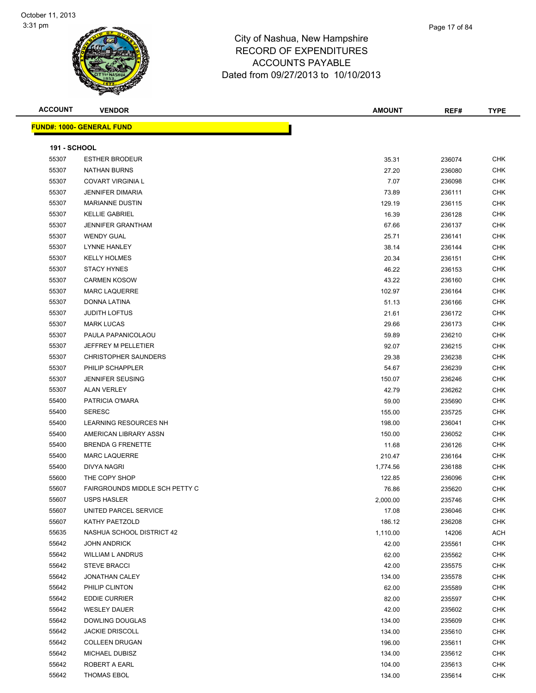

**ACCOUNT VENDOR AMOUNT REF# TYPE**

| Page 17 of 84 |  |
|---------------|--|
|               |  |

|                     | <b>FUND#: 1000- GENERAL FUND</b> |          |        |            |
|---------------------|----------------------------------|----------|--------|------------|
| <b>191 - SCHOOL</b> |                                  |          |        |            |
| 55307               | <b>ESTHER BRODEUR</b>            | 35.31    | 236074 | <b>CHK</b> |
| 55307               | NATHAN BURNS                     | 27.20    | 236080 | <b>CHK</b> |
| 55307               | <b>COVART VIRGINIA L</b>         | 7.07     | 236098 | <b>CHK</b> |
| 55307               | <b>JENNIFER DIMARIA</b>          | 73.89    | 236111 | CHK        |
| 55307               | <b>MARIANNE DUSTIN</b>           | 129.19   | 236115 | CHK        |
| 55307               | <b>KELLIE GABRIEL</b>            | 16.39    | 236128 | <b>CHK</b> |
| 55307               | <b>JENNIFER GRANTHAM</b>         | 67.66    | 236137 | <b>CHK</b> |
| 55307               | <b>WENDY GUAL</b>                | 25.71    | 236141 | <b>CHK</b> |
| 55307               | LYNNE HANLEY                     | 38.14    | 236144 | <b>CHK</b> |
| 55307               | <b>KELLY HOLMES</b>              | 20.34    | 236151 | <b>CHK</b> |
| 55307               | <b>STACY HYNES</b>               | 46.22    | 236153 | CHK        |
| 55307               | <b>CARMEN KOSOW</b>              | 43.22    | 236160 | <b>CHK</b> |
| 55307               | <b>MARC LAQUERRE</b>             | 102.97   | 236164 | <b>CHK</b> |
| 55307               | DONNA LATINA                     | 51.13    | 236166 | CHK        |
| 55307               | <b>JUDITH LOFTUS</b>             | 21.61    | 236172 | CHK        |
| 55307               | <b>MARK LUCAS</b>                | 29.66    | 236173 | <b>CHK</b> |
| 55307               | PAULA PAPANICOLAOU               | 59.89    | 236210 | <b>CHK</b> |
| 55307               | JEFFREY M PELLETIER              | 92.07    | 236215 | <b>CHK</b> |
| 55307               | <b>CHRISTOPHER SAUNDERS</b>      | 29.38    | 236238 | <b>CHK</b> |
| 55307               | PHILIP SCHAPPLER                 | 54.67    | 236239 | <b>CHK</b> |
| 55307               | JENNIFER SEUSING                 | 150.07   | 236246 | <b>CHK</b> |
| 55307               | <b>ALAN VERLEY</b>               | 42.79    | 236262 | <b>CHK</b> |
| 55400               | PATRICIA O'MARA                  | 59.00    | 235690 | <b>CHK</b> |
| 55400               | <b>SERESC</b>                    | 155.00   | 235725 | CHK        |
| 55400               | LEARNING RESOURCES NH            | 198.00   | 236041 | CHK        |
| 55400               | AMERICAN LIBRARY ASSN            | 150.00   | 236052 | CHK        |
| 55400               | BRENDA G FRENETTE                | 11.68    | 236126 | CHK        |
| 55400               | <b>MARC LAQUERRE</b>             | 210.47   | 236164 | CHK        |
| 55400               | DIVYA NAGRI                      | 1,774.56 | 236188 | <b>CHK</b> |
| 55600               | THE COPY SHOP                    | 122.85   | 236096 | CHK        |
| 55607               | FAIRGROUNDS MIDDLE SCH PETTY C   | 76.86    | 235620 | <b>CHK</b> |
| 55607               | <b>USPS HASLER</b>               | 2,000.00 | 235746 | <b>CHK</b> |
| 55607               | UNITED PARCEL SERVICE            | 17.08    | 236046 | <b>CHK</b> |
| 55607               | KATHY PAETZOLD                   | 186.12   | 236208 | <b>CHK</b> |
| 55635               | NASHUA SCHOOL DISTRICT 42        | 1,110.00 | 14206  | ACH        |
| 55642               | JOHN ANDRICK                     | 42.00    | 235561 | CHK        |
| 55642               | <b>WILLIAM L ANDRUS</b>          | 62.00    | 235562 | <b>CHK</b> |
| 55642               | <b>STEVE BRACCI</b>              | 42.00    | 235575 | <b>CHK</b> |
| 55642               | JONATHAN CALEY                   | 134.00   | 235578 | <b>CHK</b> |

 PHILIP CLINTON 62.00 235589 CHK EDDIE CURRIER 82.00 235597 CHK WESLEY DAUER 42.00 235602 CHK DOWLING DOUGLAS 134.00 235609 CHK JACKIE DRISCOLL 134.00 235610 CHK

 COLLEEN DRUGAN 196.00 235611 CHK MICHAEL DUBISZ 134.00 235612 CHK ROBERT A EARL 104.00 235613 CHK THOMAS EBOL 134.00 235614 CHK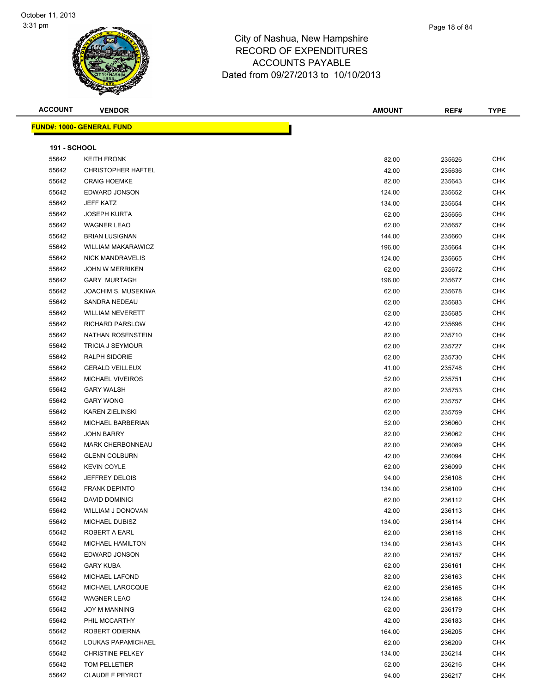

| Page 18 of 84 |
|---------------|
|               |

| <b>ACCOUNT</b>      | <b>VENDOR</b>                    | <b>AMOUNT</b> | REF#   | <b>TYPE</b> |
|---------------------|----------------------------------|---------------|--------|-------------|
|                     | <b>FUND#: 1000- GENERAL FUND</b> |               |        |             |
|                     |                                  |               |        |             |
| <b>191 - SCHOOL</b> |                                  |               |        |             |
| 55642               | <b>KEITH FRONK</b>               | 82.00         | 235626 | <b>CHK</b>  |
| 55642               | <b>CHRISTOPHER HAFTEL</b>        | 42.00         | 235636 | <b>CHK</b>  |
| 55642               | <b>CRAIG HOEMKE</b>              | 82.00         | 235643 | CHK         |
| 55642               | EDWARD JONSON                    | 124.00        | 235652 | CHK         |
| 55642               | <b>JEFF KATZ</b>                 | 134.00        | 235654 | CHK         |
| 55642               | <b>JOSEPH KURTA</b>              | 62.00         | 235656 | CHK         |
| 55642               | <b>WAGNER LEAO</b>               | 62.00         | 235657 | CHK         |
| 55642               | <b>BRIAN LUSIGNAN</b>            | 144.00        | 235660 | <b>CHK</b>  |
| 55642               | <b>WILLIAM MAKARAWICZ</b>        | 196.00        | 235664 | CHK         |
| 55642               | <b>NICK MANDRAVELIS</b>          | 124.00        | 235665 | CHK         |
| 55642               | <b>JOHN W MERRIKEN</b>           | 62.00         | 235672 | CHK         |
| 55642               | <b>GARY MURTAGH</b>              | 196.00        | 235677 | CHK         |
| 55642               | JOACHIM S. MUSEKIWA              | 62.00         | 235678 | CHK         |
| 55642               | SANDRA NEDEAU                    | 62.00         | 235683 | CHK         |
| 55642               | <b>WILLIAM NEVERETT</b>          | 62.00         | 235685 | CHK         |
| 55642               | <b>RICHARD PARSLOW</b>           | 42.00         | 235696 | CHK         |
| 55642               | NATHAN ROSENSTEIN                | 82.00         | 235710 | CHK         |
| 55642               | <b>TRICIA J SEYMOUR</b>          | 62.00         | 235727 | CHK         |
| 55642               | <b>RALPH SIDORIE</b>             | 62.00         | 235730 | <b>CHK</b>  |
| 55642               | <b>GERALD VEILLEUX</b>           | 41.00         | 235748 | CHK         |
| 55642               | <b>MICHAEL VIVEIROS</b>          | 52.00         | 235751 | CHK         |
| 55642               | <b>GARY WALSH</b>                | 82.00         | 235753 | CHK         |
| 55642               | <b>GARY WONG</b>                 | 62.00         | 235757 | CHK         |
| 55642               | <b>KAREN ZIELINSKI</b>           | 62.00         | 235759 | <b>CHK</b>  |
| 55642               | MICHAEL BARBERIAN                | 52.00         | 236060 | CHK         |
| 55642               | <b>JOHN BARRY</b>                | 82.00         | 236062 | CHK         |
| 55642               | <b>MARK CHERBONNEAU</b>          | 82.00         | 236089 | CHK         |
| 55642               | <b>GLENN COLBURN</b>             | 42.00         | 236094 | CHK         |
| 55642               | <b>KEVIN COYLE</b>               | 62.00         | 236099 | CHK         |
| 55642               | JEFFREY DELOIS                   | 94.00         | 236108 | CHK         |
| 55642               | <b>FRANK DEPINTO</b>             | 134.00        | 236109 | <b>CHK</b>  |
| 55642               | <b>DAVID DOMINICI</b>            | 62.00         | 236112 | <b>CHK</b>  |
| 55642               | WILLIAM J DONOVAN                | 42.00         | 236113 | CHK         |
| 55642               | MICHAEL DUBISZ                   | 134.00        | 236114 | <b>CHK</b>  |
| 55642               | ROBERT A EARL                    | 62.00         | 236116 | <b>CHK</b>  |
| 55642               | <b>MICHAEL HAMILTON</b>          | 134.00        | 236143 | <b>CHK</b>  |
| 55642               | EDWARD JONSON                    | 82.00         |        |             |
| 55642               | <b>GARY KUBA</b>                 | 62.00         | 236157 | CHK<br>CHK  |
| 55642               | MICHAEL LAFOND                   | 82.00         | 236161 |             |
|                     |                                  |               | 236163 | CHK         |
| 55642               | MICHAEL LAROCQUE                 | 62.00         | 236165 | <b>CHK</b>  |
| 55642               | <b>WAGNER LEAO</b>               | 124.00        | 236168 | <b>CHK</b>  |
| 55642               | <b>JOY M MANNING</b>             | 62.00         | 236179 | CHK         |
| 55642               | PHIL MCCARTHY                    | 42.00         | 236183 | CHK         |
| 55642               | ROBERT ODIERNA                   | 164.00        | 236205 | CHK         |
| 55642               | LOUKAS PAPAMICHAEL               | 62.00         | 236209 | CHK         |
| 55642               | <b>CHRISTINE PELKEY</b>          | 134.00        | 236214 | <b>CHK</b>  |
| 55642               | TOM PELLETIER                    | 52.00         | 236216 | <b>CHK</b>  |
| 55642               | CLAUDE F PEYROT                  | 94.00         | 236217 | <b>CHK</b>  |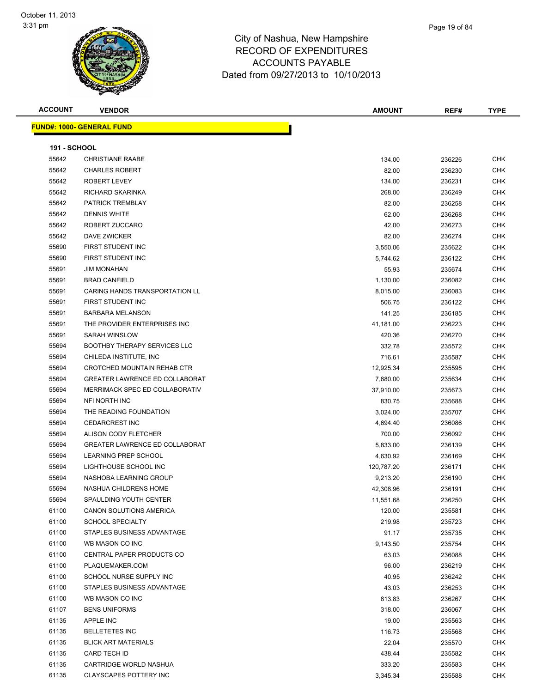

| Page 19 of 84 |
|---------------|
|               |

| <b>ACCOUNT</b>      | <b>VENDOR</b>                         | <b>AMOUNT</b> | REF#   | <b>TYPE</b> |
|---------------------|---------------------------------------|---------------|--------|-------------|
|                     | <b>FUND#: 1000- GENERAL FUND</b>      |               |        |             |
|                     |                                       |               |        |             |
| <b>191 - SCHOOL</b> |                                       |               |        |             |
| 55642               | <b>CHRISTIANE RAABE</b>               | 134.00        | 236226 | <b>CHK</b>  |
| 55642               | <b>CHARLES ROBERT</b>                 | 82.00         | 236230 | <b>CHK</b>  |
| 55642               | ROBERT LEVEY                          | 134.00        | 236231 | <b>CHK</b>  |
| 55642               | RICHARD SKARINKA                      | 268.00        | 236249 | <b>CHK</b>  |
| 55642               | PATRICK TREMBLAY                      | 82.00         | 236258 | <b>CHK</b>  |
| 55642               | <b>DENNIS WHITE</b>                   | 62.00         | 236268 | <b>CHK</b>  |
| 55642               | ROBERT ZUCCARO                        | 42.00         | 236273 | <b>CHK</b>  |
| 55642               | DAVE ZWICKER                          | 82.00         | 236274 | <b>CHK</b>  |
| 55690               | FIRST STUDENT INC                     | 3,550.06      | 235622 | <b>CHK</b>  |
| 55690               | FIRST STUDENT INC                     | 5,744.62      | 236122 | <b>CHK</b>  |
| 55691               | <b>JIM MONAHAN</b>                    | 55.93         | 235674 | <b>CHK</b>  |
| 55691               | <b>BRAD CANFIELD</b>                  | 1,130.00      | 236082 | <b>CHK</b>  |
| 55691               | <b>CARING HANDS TRANSPORTATION LL</b> | 8,015.00      | 236083 | <b>CHK</b>  |
| 55691               | FIRST STUDENT INC                     | 506.75        | 236122 | <b>CHK</b>  |
| 55691               | <b>BARBARA MELANSON</b>               | 141.25        | 236185 | <b>CHK</b>  |
| 55691               | THE PROVIDER ENTERPRISES INC.         | 41,181.00     | 236223 | <b>CHK</b>  |
| 55691               | SARAH WINSLOW                         | 420.36        | 236270 | <b>CHK</b>  |
| 55694               | <b>BOOTHBY THERAPY SERVICES LLC</b>   | 332.78        | 235572 | <b>CHK</b>  |
| 55694               | CHILEDA INSTITUTE, INC                | 716.61        | 235587 | <b>CHK</b>  |
| 55694               | CROTCHED MOUNTAIN REHAB CTR           | 12,925.34     | 235595 | <b>CHK</b>  |
| 55694               | <b>GREATER LAWRENCE ED COLLABORAT</b> | 7,680.00      | 235634 | <b>CHK</b>  |
| 55694               | MERRIMACK SPEC ED COLLABORATIV        | 37,910.00     | 235673 | <b>CHK</b>  |
| 55694               | NFI NORTH INC                         | 830.75        | 235688 | <b>CHK</b>  |
| 55694               | THE READING FOUNDATION                | 3,024.00      | 235707 | <b>CHK</b>  |
| 55694               | <b>CEDARCREST INC</b>                 | 4,694.40      | 236086 | <b>CHK</b>  |
| 55694               | ALISON CODY FLETCHER                  | 700.00        | 236092 | <b>CHK</b>  |
| 55694               | <b>GREATER LAWRENCE ED COLLABORAT</b> | 5,833.00      | 236139 | <b>CHK</b>  |
| 55694               | LEARNING PREP SCHOOL                  | 4,630.92      | 236169 | <b>CHK</b>  |
| 55694               | LIGHTHOUSE SCHOOL INC                 | 120,787.20    | 236171 | <b>CHK</b>  |
| 55694               | NASHOBA LEARNING GROUP                | 9,213.20      | 236190 | <b>CHK</b>  |
| 55694               | NASHUA CHILDRENS HOME                 | 42,308.96     | 236191 | <b>CHK</b>  |
| 55694               | SPAULDING YOUTH CENTER                | 11,551.68     | 236250 | CHK         |
| 61100               | CANON SOLUTIONS AMERICA               | 120.00        | 235581 | <b>CHK</b>  |
| 61100               | SCHOOL SPECIALTY                      | 219.98        | 235723 | <b>CHK</b>  |
| 61100               | STAPLES BUSINESS ADVANTAGE            | 91.17         | 235735 | <b>CHK</b>  |
| 61100               | WB MASON CO INC                       | 9,143.50      | 235754 | <b>CHK</b>  |
| 61100               | CENTRAL PAPER PRODUCTS CO             | 63.03         | 236088 | <b>CHK</b>  |
| 61100               | PLAQUEMAKER.COM                       | 96.00         | 236219 | <b>CHK</b>  |
| 61100               | SCHOOL NURSE SUPPLY INC               | 40.95         | 236242 | <b>CHK</b>  |
| 61100               | STAPLES BUSINESS ADVANTAGE            | 43.03         | 236253 | <b>CHK</b>  |
| 61100               | WB MASON CO INC                       | 813.83        | 236267 | <b>CHK</b>  |
| 61107               | <b>BENS UNIFORMS</b>                  | 318.00        | 236067 | <b>CHK</b>  |
| 61135               | APPLE INC                             | 19.00         | 235563 | <b>CHK</b>  |

61135 BELLETETES INC 61135 BELLETETES INC BLICK ART MATERIALS 22.04 235570 CHK CARD TECH ID 438.44 235582 CHK CARTRIDGE WORLD NASHUA 333.20 235583 CHK CLAYSCAPES POTTERY INC 3,345.34 235588 CHK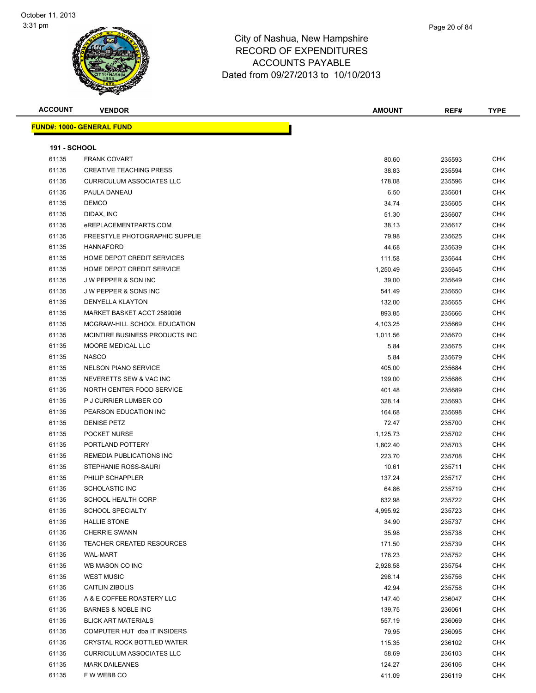| <b>ACCOUNT</b>               | <b>VENDOR</b>                    | <b>AMOUNT</b> | REF#   | <b>TYPE</b> |
|------------------------------|----------------------------------|---------------|--------|-------------|
|                              | <b>FUND#: 1000- GENERAL FUND</b> |               |        |             |
|                              |                                  |               |        |             |
| <b>191 - SCHOOL</b><br>61135 | <b>FRANK COVART</b>              | 80.60         | 235593 | <b>CHK</b>  |
| 61135                        | <b>CREATIVE TEACHING PRESS</b>   | 38.83         | 235594 | <b>CHK</b>  |
| 61135                        | <b>CURRICULUM ASSOCIATES LLC</b> |               |        |             |
|                              |                                  | 178.08        | 235596 | <b>CHK</b>  |
| 61135                        | PAULA DANEAU                     | 6.50          | 235601 | <b>CHK</b>  |
| 61135                        | <b>DEMCO</b>                     | 34.74         | 235605 | <b>CHK</b>  |
| 61135                        | DIDAX, INC                       | 51.30         | 235607 | <b>CHK</b>  |
| 61135                        | eREPLACEMENTPARTS.COM            | 38.13         | 235617 | <b>CHK</b>  |
| 61135                        | FREESTYLE PHOTOGRAPHIC SUPPLIE   | 79.98         | 235625 | <b>CHK</b>  |
| 61135                        | <b>HANNAFORD</b>                 | 44.68         | 235639 | <b>CHK</b>  |
| 61135                        | HOME DEPOT CREDIT SERVICES       | 111.58        | 235644 | <b>CHK</b>  |
| 61135                        | HOME DEPOT CREDIT SERVICE        | 1,250.49      | 235645 | <b>CHK</b>  |
| 61135                        | <b>JW PEPPER &amp; SON INC</b>   | 39.00         | 235649 | <b>CHK</b>  |
| 61135                        | <b>JW PEPPER &amp; SONS INC</b>  | 541.49        | 235650 | <b>CHK</b>  |
| 61135                        | <b>DENYELLA KLAYTON</b>          | 132.00        | 235655 | <b>CHK</b>  |
| 61135                        | MARKET BASKET ACCT 2589096       | 893.85        | 235666 | <b>CHK</b>  |
| 61135                        | MCGRAW-HILL SCHOOL EDUCATION     | 4,103.25      | 235669 | <b>CHK</b>  |
| 61135                        | MCINTIRE BUSINESS PRODUCTS INC.  | 1,011.56      | 235670 | <b>CHK</b>  |
| 61135                        | MOORE MEDICAL LLC                | 5.84          | 235675 | <b>CHK</b>  |
| 61135                        | <b>NASCO</b>                     | 5.84          | 235679 | <b>CHK</b>  |
| 61135                        | <b>NELSON PIANO SERVICE</b>      | 405.00        | 235684 | <b>CHK</b>  |
| 61135                        | NEVERETTS SEW & VAC INC          | 199.00        | 235686 | <b>CHK</b>  |
| 61135                        | NORTH CENTER FOOD SERVICE        | 401.48        | 235689 | <b>CHK</b>  |
| 61135                        | P J CURRIER LUMBER CO            | 328.14        | 235693 | <b>CHK</b>  |
| 61135                        | PEARSON EDUCATION INC            | 164.68        | 235698 | <b>CHK</b>  |
| 61135                        | <b>DENISE PETZ</b>               | 72.47         | 235700 | <b>CHK</b>  |
| 61135                        | POCKET NURSE                     | 1,125.73      | 235702 | <b>CHK</b>  |
| 61135                        | PORTLAND POTTERY                 | 1,802.40      | 235703 | <b>CHK</b>  |
| 61135                        | REMEDIA PUBLICATIONS INC         | 223.70        | 235708 | <b>CHK</b>  |
| 61135                        | STEPHANIE ROSS-SAURI             | 10.61         | 235711 | <b>CHK</b>  |
| 61135                        | PHILIP SCHAPPLER                 | 137.24        | 235717 | <b>CHK</b>  |
| 61135                        | <b>SCHOLASTIC INC</b>            | 64.86         | 235719 | <b>CHK</b>  |
| 61135                        | SCHOOL HEALTH CORP               | 632.98        | 235722 | <b>CHK</b>  |
| 61135                        | <b>SCHOOL SPECIALTY</b>          | 4,995.92      | 235723 | <b>CHK</b>  |
| 61135                        | <b>HALLIE STONE</b>              | 34.90         | 235737 | <b>CHK</b>  |
| 61135                        | <b>CHERRIE SWANN</b>             | 35.98         | 235738 | <b>CHK</b>  |
| 61135                        | <b>TEACHER CREATED RESOURCES</b> | 171.50        | 235739 | <b>CHK</b>  |
| 61135                        | <b>WAL-MART</b>                  | 176.23        | 235752 | <b>CHK</b>  |
| 61135                        | WB MASON CO INC                  | 2,928.58      | 235754 | <b>CHK</b>  |
| 61135                        | <b>WEST MUSIC</b>                | 298.14        | 235756 | <b>CHK</b>  |
| 61135                        | CAITLIN ZIBOLIS                  | 42.94         | 235758 | <b>CHK</b>  |
| 61135                        | A & E COFFEE ROASTERY LLC        | 147.40        | 236047 | <b>CHK</b>  |
| 61135                        | <b>BARNES &amp; NOBLE INC</b>    | 139.75        | 236061 | <b>CHK</b>  |
| 61135                        | <b>BLICK ART MATERIALS</b>       | 557.19        | 236069 | <b>CHK</b>  |
| 61135                        | COMPUTER HUT dba IT INSIDERS     | 79.95         | 236095 | <b>CHK</b>  |
| 61135                        | CRYSTAL ROCK BOTTLED WATER       | 115.35        | 236102 | <b>CHK</b>  |
| 61135                        | <b>CURRICULUM ASSOCIATES LLC</b> | 58.69         | 236103 | <b>CHK</b>  |
| 61135                        | <b>MARK DAILEANES</b>            | 124.27        | 236106 | <b>CHK</b>  |
| 61135                        | F W WEBB CO                      | 411.09        | 236119 | <b>CHK</b>  |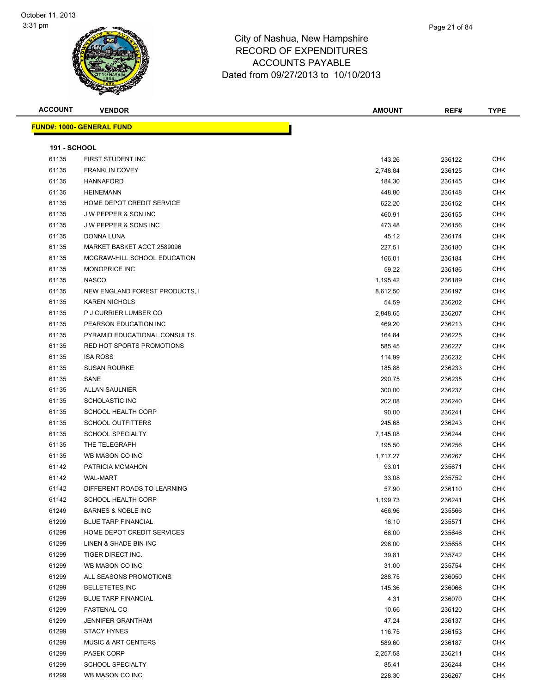| <u> FUND#: 1000- GENERAL FUND</u><br><b>191 - SCHOOL</b><br>61135<br>FIRST STUDENT INC<br>143.26<br><b>CHK</b><br>236122<br><b>CHK</b><br>61135<br><b>FRANKLIN COVEY</b><br>2,748.84<br>236125<br>61135<br><b>HANNAFORD</b><br><b>CHK</b><br>184.30<br>236145<br><b>CHK</b><br>61135<br><b>HEINEMANN</b><br>448.80<br>236148<br>61135<br>HOME DEPOT CREDIT SERVICE<br>622.20<br>236152<br>CHK<br><b>CHK</b><br>61135<br><b>JW PEPPER &amp; SON INC</b><br>460.91<br>236155<br>61135<br><b>JW PEPPER &amp; SONS INC</b><br>473.48<br><b>CHK</b><br>236156<br><b>CHK</b><br>61135<br>DONNA LUNA<br>45.12<br>236174<br>61135<br>MARKET BASKET ACCT 2589096<br>227.51<br><b>CHK</b><br>236180<br><b>CHK</b><br>61135<br>MCGRAW-HILL SCHOOL EDUCATION<br>166.01<br>236184<br>61135<br><b>MONOPRICE INC</b><br>CHK<br>59.22<br>236186<br>61135<br><b>NASCO</b><br><b>CHK</b><br>1,195.42<br>236189<br>61135<br>NEW ENGLAND FOREST PRODUCTS, I<br>CHK<br>8,612.50<br>236197<br><b>CHK</b><br>61135<br><b>KAREN NICHOLS</b><br>54.59<br>236202<br><b>CHK</b><br>61135<br>P J CURRIER LUMBER CO<br>2,848.65<br>236207<br>61135<br>PEARSON EDUCATION INC<br>469.20<br>236213<br>CHK<br><b>CHK</b><br>61135<br>PYRAMID EDUCATIONAL CONSULTS.<br>164.84<br>236225<br>61135<br><b>RED HOT SPORTS PROMOTIONS</b><br><b>CHK</b><br>585.45<br>236227<br><b>CHK</b><br>61135<br><b>ISA ROSS</b><br>114.99<br>236232<br>61135<br><b>SUSAN ROURKE</b><br>185.88<br><b>CHK</b><br>236233<br><b>CHK</b><br>61135<br>SANE<br>290.75<br>236235<br>61135<br><b>ALLAN SAULNIER</b><br>300.00<br><b>CHK</b><br>236237<br>61135<br><b>SCHOLASTIC INC</b><br><b>CHK</b><br>202.08<br>236240<br>61135<br><b>SCHOOL HEALTH CORP</b><br><b>CHK</b><br>90.00<br>236241<br><b>CHK</b><br>61135<br><b>SCHOOL OUTFITTERS</b><br>245.68<br>236243<br><b>CHK</b><br>61135<br><b>SCHOOL SPECIALTY</b><br>236244<br>7,145.08<br>61135<br>THE TELEGRAPH<br>195.50<br>236256<br>CHK<br>61135<br>WB MASON CO INC<br>CHK<br>1,717.27<br>236267<br><b>CHK</b><br>61142<br>PATRICIA MCMAHON<br>93.01<br>235671<br><b>CHK</b><br>61142<br><b>WAL-MART</b><br>33.08<br>235752<br>61142<br><b>CHK</b><br>DIFFERENT ROADS TO LEARNING<br>57.90<br>236110<br>61142<br>CHK<br>SCHOOL HEALTH CORP<br>1,199.73<br>236241<br>61249<br><b>BARNES &amp; NOBLE INC</b><br><b>CHK</b><br>466.96<br>235566<br>61299<br><b>BLUE TARP FINANCIAL</b><br><b>CHK</b><br>16.10<br>235571<br>61299<br>HOME DEPOT CREDIT SERVICES<br>66.00<br>235646<br><b>CHK</b><br>61299<br><b>CHK</b><br>LINEN & SHADE BIN INC<br>296.00<br>235658<br>61299<br><b>CHK</b><br>TIGER DIRECT INC.<br>39.81<br>235742<br>61299<br>WB MASON CO INC<br><b>CHK</b><br>31.00<br>235754<br>61299<br>ALL SEASONS PROMOTIONS<br>288.75<br><b>CHK</b><br>236050<br>61299<br><b>CHK</b><br><b>BELLETETES INC</b><br>145.36<br>236066<br>61299<br><b>BLUE TARP FINANCIAL</b><br>4.31<br>CHK<br>236070<br>61299<br><b>CHK</b><br><b>FASTENAL CO</b><br>10.66<br>236120<br>61299<br><b>CHK</b><br><b>JENNIFER GRANTHAM</b><br>47.24<br>236137<br>61299<br><b>CHK</b><br><b>STACY HYNES</b><br>116.75<br>236153<br>61299<br><b>CHK</b><br><b>MUSIC &amp; ART CENTERS</b><br>589.60<br>236187<br>61299<br>PASEK CORP<br>2,257.58<br>236211<br>CHK<br>61299<br><b>SCHOOL SPECIALTY</b><br>CHK<br>85.41<br>236244<br>61299<br>WB MASON CO INC<br><b>CHK</b><br>228.30<br>236267 | <b>ACCOUNT</b> | <b>VENDOR</b> | <b>AMOUNT</b> | REF# | <b>TYPE</b> |
|------------------------------------------------------------------------------------------------------------------------------------------------------------------------------------------------------------------------------------------------------------------------------------------------------------------------------------------------------------------------------------------------------------------------------------------------------------------------------------------------------------------------------------------------------------------------------------------------------------------------------------------------------------------------------------------------------------------------------------------------------------------------------------------------------------------------------------------------------------------------------------------------------------------------------------------------------------------------------------------------------------------------------------------------------------------------------------------------------------------------------------------------------------------------------------------------------------------------------------------------------------------------------------------------------------------------------------------------------------------------------------------------------------------------------------------------------------------------------------------------------------------------------------------------------------------------------------------------------------------------------------------------------------------------------------------------------------------------------------------------------------------------------------------------------------------------------------------------------------------------------------------------------------------------------------------------------------------------------------------------------------------------------------------------------------------------------------------------------------------------------------------------------------------------------------------------------------------------------------------------------------------------------------------------------------------------------------------------------------------------------------------------------------------------------------------------------------------------------------------------------------------------------------------------------------------------------------------------------------------------------------------------------------------------------------------------------------------------------------------------------------------------------------------------------------------------------------------------------------------------------------------------------------------------------------------------------------------------------------------------------------------------------------------------------------------------------------------------------------------------------------------------------------------------------------------------------------------------------------------------------------------------------------------------------------------------------------------------------------------------------|----------------|---------------|---------------|------|-------------|
|                                                                                                                                                                                                                                                                                                                                                                                                                                                                                                                                                                                                                                                                                                                                                                                                                                                                                                                                                                                                                                                                                                                                                                                                                                                                                                                                                                                                                                                                                                                                                                                                                                                                                                                                                                                                                                                                                                                                                                                                                                                                                                                                                                                                                                                                                                                                                                                                                                                                                                                                                                                                                                                                                                                                                                                                                                                                                                                                                                                                                                                                                                                                                                                                                                                                                                                                                                              |                |               |               |      |             |
|                                                                                                                                                                                                                                                                                                                                                                                                                                                                                                                                                                                                                                                                                                                                                                                                                                                                                                                                                                                                                                                                                                                                                                                                                                                                                                                                                                                                                                                                                                                                                                                                                                                                                                                                                                                                                                                                                                                                                                                                                                                                                                                                                                                                                                                                                                                                                                                                                                                                                                                                                                                                                                                                                                                                                                                                                                                                                                                                                                                                                                                                                                                                                                                                                                                                                                                                                                              |                |               |               |      |             |
|                                                                                                                                                                                                                                                                                                                                                                                                                                                                                                                                                                                                                                                                                                                                                                                                                                                                                                                                                                                                                                                                                                                                                                                                                                                                                                                                                                                                                                                                                                                                                                                                                                                                                                                                                                                                                                                                                                                                                                                                                                                                                                                                                                                                                                                                                                                                                                                                                                                                                                                                                                                                                                                                                                                                                                                                                                                                                                                                                                                                                                                                                                                                                                                                                                                                                                                                                                              |                |               |               |      |             |
|                                                                                                                                                                                                                                                                                                                                                                                                                                                                                                                                                                                                                                                                                                                                                                                                                                                                                                                                                                                                                                                                                                                                                                                                                                                                                                                                                                                                                                                                                                                                                                                                                                                                                                                                                                                                                                                                                                                                                                                                                                                                                                                                                                                                                                                                                                                                                                                                                                                                                                                                                                                                                                                                                                                                                                                                                                                                                                                                                                                                                                                                                                                                                                                                                                                                                                                                                                              |                |               |               |      |             |
|                                                                                                                                                                                                                                                                                                                                                                                                                                                                                                                                                                                                                                                                                                                                                                                                                                                                                                                                                                                                                                                                                                                                                                                                                                                                                                                                                                                                                                                                                                                                                                                                                                                                                                                                                                                                                                                                                                                                                                                                                                                                                                                                                                                                                                                                                                                                                                                                                                                                                                                                                                                                                                                                                                                                                                                                                                                                                                                                                                                                                                                                                                                                                                                                                                                                                                                                                                              |                |               |               |      |             |
|                                                                                                                                                                                                                                                                                                                                                                                                                                                                                                                                                                                                                                                                                                                                                                                                                                                                                                                                                                                                                                                                                                                                                                                                                                                                                                                                                                                                                                                                                                                                                                                                                                                                                                                                                                                                                                                                                                                                                                                                                                                                                                                                                                                                                                                                                                                                                                                                                                                                                                                                                                                                                                                                                                                                                                                                                                                                                                                                                                                                                                                                                                                                                                                                                                                                                                                                                                              |                |               |               |      |             |
|                                                                                                                                                                                                                                                                                                                                                                                                                                                                                                                                                                                                                                                                                                                                                                                                                                                                                                                                                                                                                                                                                                                                                                                                                                                                                                                                                                                                                                                                                                                                                                                                                                                                                                                                                                                                                                                                                                                                                                                                                                                                                                                                                                                                                                                                                                                                                                                                                                                                                                                                                                                                                                                                                                                                                                                                                                                                                                                                                                                                                                                                                                                                                                                                                                                                                                                                                                              |                |               |               |      |             |
|                                                                                                                                                                                                                                                                                                                                                                                                                                                                                                                                                                                                                                                                                                                                                                                                                                                                                                                                                                                                                                                                                                                                                                                                                                                                                                                                                                                                                                                                                                                                                                                                                                                                                                                                                                                                                                                                                                                                                                                                                                                                                                                                                                                                                                                                                                                                                                                                                                                                                                                                                                                                                                                                                                                                                                                                                                                                                                                                                                                                                                                                                                                                                                                                                                                                                                                                                                              |                |               |               |      |             |
|                                                                                                                                                                                                                                                                                                                                                                                                                                                                                                                                                                                                                                                                                                                                                                                                                                                                                                                                                                                                                                                                                                                                                                                                                                                                                                                                                                                                                                                                                                                                                                                                                                                                                                                                                                                                                                                                                                                                                                                                                                                                                                                                                                                                                                                                                                                                                                                                                                                                                                                                                                                                                                                                                                                                                                                                                                                                                                                                                                                                                                                                                                                                                                                                                                                                                                                                                                              |                |               |               |      |             |
|                                                                                                                                                                                                                                                                                                                                                                                                                                                                                                                                                                                                                                                                                                                                                                                                                                                                                                                                                                                                                                                                                                                                                                                                                                                                                                                                                                                                                                                                                                                                                                                                                                                                                                                                                                                                                                                                                                                                                                                                                                                                                                                                                                                                                                                                                                                                                                                                                                                                                                                                                                                                                                                                                                                                                                                                                                                                                                                                                                                                                                                                                                                                                                                                                                                                                                                                                                              |                |               |               |      |             |
|                                                                                                                                                                                                                                                                                                                                                                                                                                                                                                                                                                                                                                                                                                                                                                                                                                                                                                                                                                                                                                                                                                                                                                                                                                                                                                                                                                                                                                                                                                                                                                                                                                                                                                                                                                                                                                                                                                                                                                                                                                                                                                                                                                                                                                                                                                                                                                                                                                                                                                                                                                                                                                                                                                                                                                                                                                                                                                                                                                                                                                                                                                                                                                                                                                                                                                                                                                              |                |               |               |      |             |
|                                                                                                                                                                                                                                                                                                                                                                                                                                                                                                                                                                                                                                                                                                                                                                                                                                                                                                                                                                                                                                                                                                                                                                                                                                                                                                                                                                                                                                                                                                                                                                                                                                                                                                                                                                                                                                                                                                                                                                                                                                                                                                                                                                                                                                                                                                                                                                                                                                                                                                                                                                                                                                                                                                                                                                                                                                                                                                                                                                                                                                                                                                                                                                                                                                                                                                                                                                              |                |               |               |      |             |
|                                                                                                                                                                                                                                                                                                                                                                                                                                                                                                                                                                                                                                                                                                                                                                                                                                                                                                                                                                                                                                                                                                                                                                                                                                                                                                                                                                                                                                                                                                                                                                                                                                                                                                                                                                                                                                                                                                                                                                                                                                                                                                                                                                                                                                                                                                                                                                                                                                                                                                                                                                                                                                                                                                                                                                                                                                                                                                                                                                                                                                                                                                                                                                                                                                                                                                                                                                              |                |               |               |      |             |
|                                                                                                                                                                                                                                                                                                                                                                                                                                                                                                                                                                                                                                                                                                                                                                                                                                                                                                                                                                                                                                                                                                                                                                                                                                                                                                                                                                                                                                                                                                                                                                                                                                                                                                                                                                                                                                                                                                                                                                                                                                                                                                                                                                                                                                                                                                                                                                                                                                                                                                                                                                                                                                                                                                                                                                                                                                                                                                                                                                                                                                                                                                                                                                                                                                                                                                                                                                              |                |               |               |      |             |
|                                                                                                                                                                                                                                                                                                                                                                                                                                                                                                                                                                                                                                                                                                                                                                                                                                                                                                                                                                                                                                                                                                                                                                                                                                                                                                                                                                                                                                                                                                                                                                                                                                                                                                                                                                                                                                                                                                                                                                                                                                                                                                                                                                                                                                                                                                                                                                                                                                                                                                                                                                                                                                                                                                                                                                                                                                                                                                                                                                                                                                                                                                                                                                                                                                                                                                                                                                              |                |               |               |      |             |
|                                                                                                                                                                                                                                                                                                                                                                                                                                                                                                                                                                                                                                                                                                                                                                                                                                                                                                                                                                                                                                                                                                                                                                                                                                                                                                                                                                                                                                                                                                                                                                                                                                                                                                                                                                                                                                                                                                                                                                                                                                                                                                                                                                                                                                                                                                                                                                                                                                                                                                                                                                                                                                                                                                                                                                                                                                                                                                                                                                                                                                                                                                                                                                                                                                                                                                                                                                              |                |               |               |      |             |
|                                                                                                                                                                                                                                                                                                                                                                                                                                                                                                                                                                                                                                                                                                                                                                                                                                                                                                                                                                                                                                                                                                                                                                                                                                                                                                                                                                                                                                                                                                                                                                                                                                                                                                                                                                                                                                                                                                                                                                                                                                                                                                                                                                                                                                                                                                                                                                                                                                                                                                                                                                                                                                                                                                                                                                                                                                                                                                                                                                                                                                                                                                                                                                                                                                                                                                                                                                              |                |               |               |      |             |
|                                                                                                                                                                                                                                                                                                                                                                                                                                                                                                                                                                                                                                                                                                                                                                                                                                                                                                                                                                                                                                                                                                                                                                                                                                                                                                                                                                                                                                                                                                                                                                                                                                                                                                                                                                                                                                                                                                                                                                                                                                                                                                                                                                                                                                                                                                                                                                                                                                                                                                                                                                                                                                                                                                                                                                                                                                                                                                                                                                                                                                                                                                                                                                                                                                                                                                                                                                              |                |               |               |      |             |
|                                                                                                                                                                                                                                                                                                                                                                                                                                                                                                                                                                                                                                                                                                                                                                                                                                                                                                                                                                                                                                                                                                                                                                                                                                                                                                                                                                                                                                                                                                                                                                                                                                                                                                                                                                                                                                                                                                                                                                                                                                                                                                                                                                                                                                                                                                                                                                                                                                                                                                                                                                                                                                                                                                                                                                                                                                                                                                                                                                                                                                                                                                                                                                                                                                                                                                                                                                              |                |               |               |      |             |
|                                                                                                                                                                                                                                                                                                                                                                                                                                                                                                                                                                                                                                                                                                                                                                                                                                                                                                                                                                                                                                                                                                                                                                                                                                                                                                                                                                                                                                                                                                                                                                                                                                                                                                                                                                                                                                                                                                                                                                                                                                                                                                                                                                                                                                                                                                                                                                                                                                                                                                                                                                                                                                                                                                                                                                                                                                                                                                                                                                                                                                                                                                                                                                                                                                                                                                                                                                              |                |               |               |      |             |
|                                                                                                                                                                                                                                                                                                                                                                                                                                                                                                                                                                                                                                                                                                                                                                                                                                                                                                                                                                                                                                                                                                                                                                                                                                                                                                                                                                                                                                                                                                                                                                                                                                                                                                                                                                                                                                                                                                                                                                                                                                                                                                                                                                                                                                                                                                                                                                                                                                                                                                                                                                                                                                                                                                                                                                                                                                                                                                                                                                                                                                                                                                                                                                                                                                                                                                                                                                              |                |               |               |      |             |
|                                                                                                                                                                                                                                                                                                                                                                                                                                                                                                                                                                                                                                                                                                                                                                                                                                                                                                                                                                                                                                                                                                                                                                                                                                                                                                                                                                                                                                                                                                                                                                                                                                                                                                                                                                                                                                                                                                                                                                                                                                                                                                                                                                                                                                                                                                                                                                                                                                                                                                                                                                                                                                                                                                                                                                                                                                                                                                                                                                                                                                                                                                                                                                                                                                                                                                                                                                              |                |               |               |      |             |
|                                                                                                                                                                                                                                                                                                                                                                                                                                                                                                                                                                                                                                                                                                                                                                                                                                                                                                                                                                                                                                                                                                                                                                                                                                                                                                                                                                                                                                                                                                                                                                                                                                                                                                                                                                                                                                                                                                                                                                                                                                                                                                                                                                                                                                                                                                                                                                                                                                                                                                                                                                                                                                                                                                                                                                                                                                                                                                                                                                                                                                                                                                                                                                                                                                                                                                                                                                              |                |               |               |      |             |
|                                                                                                                                                                                                                                                                                                                                                                                                                                                                                                                                                                                                                                                                                                                                                                                                                                                                                                                                                                                                                                                                                                                                                                                                                                                                                                                                                                                                                                                                                                                                                                                                                                                                                                                                                                                                                                                                                                                                                                                                                                                                                                                                                                                                                                                                                                                                                                                                                                                                                                                                                                                                                                                                                                                                                                                                                                                                                                                                                                                                                                                                                                                                                                                                                                                                                                                                                                              |                |               |               |      |             |
|                                                                                                                                                                                                                                                                                                                                                                                                                                                                                                                                                                                                                                                                                                                                                                                                                                                                                                                                                                                                                                                                                                                                                                                                                                                                                                                                                                                                                                                                                                                                                                                                                                                                                                                                                                                                                                                                                                                                                                                                                                                                                                                                                                                                                                                                                                                                                                                                                                                                                                                                                                                                                                                                                                                                                                                                                                                                                                                                                                                                                                                                                                                                                                                                                                                                                                                                                                              |                |               |               |      |             |
|                                                                                                                                                                                                                                                                                                                                                                                                                                                                                                                                                                                                                                                                                                                                                                                                                                                                                                                                                                                                                                                                                                                                                                                                                                                                                                                                                                                                                                                                                                                                                                                                                                                                                                                                                                                                                                                                                                                                                                                                                                                                                                                                                                                                                                                                                                                                                                                                                                                                                                                                                                                                                                                                                                                                                                                                                                                                                                                                                                                                                                                                                                                                                                                                                                                                                                                                                                              |                |               |               |      |             |
|                                                                                                                                                                                                                                                                                                                                                                                                                                                                                                                                                                                                                                                                                                                                                                                                                                                                                                                                                                                                                                                                                                                                                                                                                                                                                                                                                                                                                                                                                                                                                                                                                                                                                                                                                                                                                                                                                                                                                                                                                                                                                                                                                                                                                                                                                                                                                                                                                                                                                                                                                                                                                                                                                                                                                                                                                                                                                                                                                                                                                                                                                                                                                                                                                                                                                                                                                                              |                |               |               |      |             |
|                                                                                                                                                                                                                                                                                                                                                                                                                                                                                                                                                                                                                                                                                                                                                                                                                                                                                                                                                                                                                                                                                                                                                                                                                                                                                                                                                                                                                                                                                                                                                                                                                                                                                                                                                                                                                                                                                                                                                                                                                                                                                                                                                                                                                                                                                                                                                                                                                                                                                                                                                                                                                                                                                                                                                                                                                                                                                                                                                                                                                                                                                                                                                                                                                                                                                                                                                                              |                |               |               |      |             |
|                                                                                                                                                                                                                                                                                                                                                                                                                                                                                                                                                                                                                                                                                                                                                                                                                                                                                                                                                                                                                                                                                                                                                                                                                                                                                                                                                                                                                                                                                                                                                                                                                                                                                                                                                                                                                                                                                                                                                                                                                                                                                                                                                                                                                                                                                                                                                                                                                                                                                                                                                                                                                                                                                                                                                                                                                                                                                                                                                                                                                                                                                                                                                                                                                                                                                                                                                                              |                |               |               |      |             |
|                                                                                                                                                                                                                                                                                                                                                                                                                                                                                                                                                                                                                                                                                                                                                                                                                                                                                                                                                                                                                                                                                                                                                                                                                                                                                                                                                                                                                                                                                                                                                                                                                                                                                                                                                                                                                                                                                                                                                                                                                                                                                                                                                                                                                                                                                                                                                                                                                                                                                                                                                                                                                                                                                                                                                                                                                                                                                                                                                                                                                                                                                                                                                                                                                                                                                                                                                                              |                |               |               |      |             |
|                                                                                                                                                                                                                                                                                                                                                                                                                                                                                                                                                                                                                                                                                                                                                                                                                                                                                                                                                                                                                                                                                                                                                                                                                                                                                                                                                                                                                                                                                                                                                                                                                                                                                                                                                                                                                                                                                                                                                                                                                                                                                                                                                                                                                                                                                                                                                                                                                                                                                                                                                                                                                                                                                                                                                                                                                                                                                                                                                                                                                                                                                                                                                                                                                                                                                                                                                                              |                |               |               |      |             |
|                                                                                                                                                                                                                                                                                                                                                                                                                                                                                                                                                                                                                                                                                                                                                                                                                                                                                                                                                                                                                                                                                                                                                                                                                                                                                                                                                                                                                                                                                                                                                                                                                                                                                                                                                                                                                                                                                                                                                                                                                                                                                                                                                                                                                                                                                                                                                                                                                                                                                                                                                                                                                                                                                                                                                                                                                                                                                                                                                                                                                                                                                                                                                                                                                                                                                                                                                                              |                |               |               |      |             |
|                                                                                                                                                                                                                                                                                                                                                                                                                                                                                                                                                                                                                                                                                                                                                                                                                                                                                                                                                                                                                                                                                                                                                                                                                                                                                                                                                                                                                                                                                                                                                                                                                                                                                                                                                                                                                                                                                                                                                                                                                                                                                                                                                                                                                                                                                                                                                                                                                                                                                                                                                                                                                                                                                                                                                                                                                                                                                                                                                                                                                                                                                                                                                                                                                                                                                                                                                                              |                |               |               |      |             |
|                                                                                                                                                                                                                                                                                                                                                                                                                                                                                                                                                                                                                                                                                                                                                                                                                                                                                                                                                                                                                                                                                                                                                                                                                                                                                                                                                                                                                                                                                                                                                                                                                                                                                                                                                                                                                                                                                                                                                                                                                                                                                                                                                                                                                                                                                                                                                                                                                                                                                                                                                                                                                                                                                                                                                                                                                                                                                                                                                                                                                                                                                                                                                                                                                                                                                                                                                                              |                |               |               |      |             |
|                                                                                                                                                                                                                                                                                                                                                                                                                                                                                                                                                                                                                                                                                                                                                                                                                                                                                                                                                                                                                                                                                                                                                                                                                                                                                                                                                                                                                                                                                                                                                                                                                                                                                                                                                                                                                                                                                                                                                                                                                                                                                                                                                                                                                                                                                                                                                                                                                                                                                                                                                                                                                                                                                                                                                                                                                                                                                                                                                                                                                                                                                                                                                                                                                                                                                                                                                                              |                |               |               |      |             |
|                                                                                                                                                                                                                                                                                                                                                                                                                                                                                                                                                                                                                                                                                                                                                                                                                                                                                                                                                                                                                                                                                                                                                                                                                                                                                                                                                                                                                                                                                                                                                                                                                                                                                                                                                                                                                                                                                                                                                                                                                                                                                                                                                                                                                                                                                                                                                                                                                                                                                                                                                                                                                                                                                                                                                                                                                                                                                                                                                                                                                                                                                                                                                                                                                                                                                                                                                                              |                |               |               |      |             |
|                                                                                                                                                                                                                                                                                                                                                                                                                                                                                                                                                                                                                                                                                                                                                                                                                                                                                                                                                                                                                                                                                                                                                                                                                                                                                                                                                                                                                                                                                                                                                                                                                                                                                                                                                                                                                                                                                                                                                                                                                                                                                                                                                                                                                                                                                                                                                                                                                                                                                                                                                                                                                                                                                                                                                                                                                                                                                                                                                                                                                                                                                                                                                                                                                                                                                                                                                                              |                |               |               |      |             |
|                                                                                                                                                                                                                                                                                                                                                                                                                                                                                                                                                                                                                                                                                                                                                                                                                                                                                                                                                                                                                                                                                                                                                                                                                                                                                                                                                                                                                                                                                                                                                                                                                                                                                                                                                                                                                                                                                                                                                                                                                                                                                                                                                                                                                                                                                                                                                                                                                                                                                                                                                                                                                                                                                                                                                                                                                                                                                                                                                                                                                                                                                                                                                                                                                                                                                                                                                                              |                |               |               |      |             |
|                                                                                                                                                                                                                                                                                                                                                                                                                                                                                                                                                                                                                                                                                                                                                                                                                                                                                                                                                                                                                                                                                                                                                                                                                                                                                                                                                                                                                                                                                                                                                                                                                                                                                                                                                                                                                                                                                                                                                                                                                                                                                                                                                                                                                                                                                                                                                                                                                                                                                                                                                                                                                                                                                                                                                                                                                                                                                                                                                                                                                                                                                                                                                                                                                                                                                                                                                                              |                |               |               |      |             |
|                                                                                                                                                                                                                                                                                                                                                                                                                                                                                                                                                                                                                                                                                                                                                                                                                                                                                                                                                                                                                                                                                                                                                                                                                                                                                                                                                                                                                                                                                                                                                                                                                                                                                                                                                                                                                                                                                                                                                                                                                                                                                                                                                                                                                                                                                                                                                                                                                                                                                                                                                                                                                                                                                                                                                                                                                                                                                                                                                                                                                                                                                                                                                                                                                                                                                                                                                                              |                |               |               |      |             |
|                                                                                                                                                                                                                                                                                                                                                                                                                                                                                                                                                                                                                                                                                                                                                                                                                                                                                                                                                                                                                                                                                                                                                                                                                                                                                                                                                                                                                                                                                                                                                                                                                                                                                                                                                                                                                                                                                                                                                                                                                                                                                                                                                                                                                                                                                                                                                                                                                                                                                                                                                                                                                                                                                                                                                                                                                                                                                                                                                                                                                                                                                                                                                                                                                                                                                                                                                                              |                |               |               |      |             |
|                                                                                                                                                                                                                                                                                                                                                                                                                                                                                                                                                                                                                                                                                                                                                                                                                                                                                                                                                                                                                                                                                                                                                                                                                                                                                                                                                                                                                                                                                                                                                                                                                                                                                                                                                                                                                                                                                                                                                                                                                                                                                                                                                                                                                                                                                                                                                                                                                                                                                                                                                                                                                                                                                                                                                                                                                                                                                                                                                                                                                                                                                                                                                                                                                                                                                                                                                                              |                |               |               |      |             |
|                                                                                                                                                                                                                                                                                                                                                                                                                                                                                                                                                                                                                                                                                                                                                                                                                                                                                                                                                                                                                                                                                                                                                                                                                                                                                                                                                                                                                                                                                                                                                                                                                                                                                                                                                                                                                                                                                                                                                                                                                                                                                                                                                                                                                                                                                                                                                                                                                                                                                                                                                                                                                                                                                                                                                                                                                                                                                                                                                                                                                                                                                                                                                                                                                                                                                                                                                                              |                |               |               |      |             |
|                                                                                                                                                                                                                                                                                                                                                                                                                                                                                                                                                                                                                                                                                                                                                                                                                                                                                                                                                                                                                                                                                                                                                                                                                                                                                                                                                                                                                                                                                                                                                                                                                                                                                                                                                                                                                                                                                                                                                                                                                                                                                                                                                                                                                                                                                                                                                                                                                                                                                                                                                                                                                                                                                                                                                                                                                                                                                                                                                                                                                                                                                                                                                                                                                                                                                                                                                                              |                |               |               |      |             |
|                                                                                                                                                                                                                                                                                                                                                                                                                                                                                                                                                                                                                                                                                                                                                                                                                                                                                                                                                                                                                                                                                                                                                                                                                                                                                                                                                                                                                                                                                                                                                                                                                                                                                                                                                                                                                                                                                                                                                                                                                                                                                                                                                                                                                                                                                                                                                                                                                                                                                                                                                                                                                                                                                                                                                                                                                                                                                                                                                                                                                                                                                                                                                                                                                                                                                                                                                                              |                |               |               |      |             |
|                                                                                                                                                                                                                                                                                                                                                                                                                                                                                                                                                                                                                                                                                                                                                                                                                                                                                                                                                                                                                                                                                                                                                                                                                                                                                                                                                                                                                                                                                                                                                                                                                                                                                                                                                                                                                                                                                                                                                                                                                                                                                                                                                                                                                                                                                                                                                                                                                                                                                                                                                                                                                                                                                                                                                                                                                                                                                                                                                                                                                                                                                                                                                                                                                                                                                                                                                                              |                |               |               |      |             |
|                                                                                                                                                                                                                                                                                                                                                                                                                                                                                                                                                                                                                                                                                                                                                                                                                                                                                                                                                                                                                                                                                                                                                                                                                                                                                                                                                                                                                                                                                                                                                                                                                                                                                                                                                                                                                                                                                                                                                                                                                                                                                                                                                                                                                                                                                                                                                                                                                                                                                                                                                                                                                                                                                                                                                                                                                                                                                                                                                                                                                                                                                                                                                                                                                                                                                                                                                                              |                |               |               |      |             |
|                                                                                                                                                                                                                                                                                                                                                                                                                                                                                                                                                                                                                                                                                                                                                                                                                                                                                                                                                                                                                                                                                                                                                                                                                                                                                                                                                                                                                                                                                                                                                                                                                                                                                                                                                                                                                                                                                                                                                                                                                                                                                                                                                                                                                                                                                                                                                                                                                                                                                                                                                                                                                                                                                                                                                                                                                                                                                                                                                                                                                                                                                                                                                                                                                                                                                                                                                                              |                |               |               |      |             |
|                                                                                                                                                                                                                                                                                                                                                                                                                                                                                                                                                                                                                                                                                                                                                                                                                                                                                                                                                                                                                                                                                                                                                                                                                                                                                                                                                                                                                                                                                                                                                                                                                                                                                                                                                                                                                                                                                                                                                                                                                                                                                                                                                                                                                                                                                                                                                                                                                                                                                                                                                                                                                                                                                                                                                                                                                                                                                                                                                                                                                                                                                                                                                                                                                                                                                                                                                                              |                |               |               |      |             |
|                                                                                                                                                                                                                                                                                                                                                                                                                                                                                                                                                                                                                                                                                                                                                                                                                                                                                                                                                                                                                                                                                                                                                                                                                                                                                                                                                                                                                                                                                                                                                                                                                                                                                                                                                                                                                                                                                                                                                                                                                                                                                                                                                                                                                                                                                                                                                                                                                                                                                                                                                                                                                                                                                                                                                                                                                                                                                                                                                                                                                                                                                                                                                                                                                                                                                                                                                                              |                |               |               |      |             |
|                                                                                                                                                                                                                                                                                                                                                                                                                                                                                                                                                                                                                                                                                                                                                                                                                                                                                                                                                                                                                                                                                                                                                                                                                                                                                                                                                                                                                                                                                                                                                                                                                                                                                                                                                                                                                                                                                                                                                                                                                                                                                                                                                                                                                                                                                                                                                                                                                                                                                                                                                                                                                                                                                                                                                                                                                                                                                                                                                                                                                                                                                                                                                                                                                                                                                                                                                                              |                |               |               |      |             |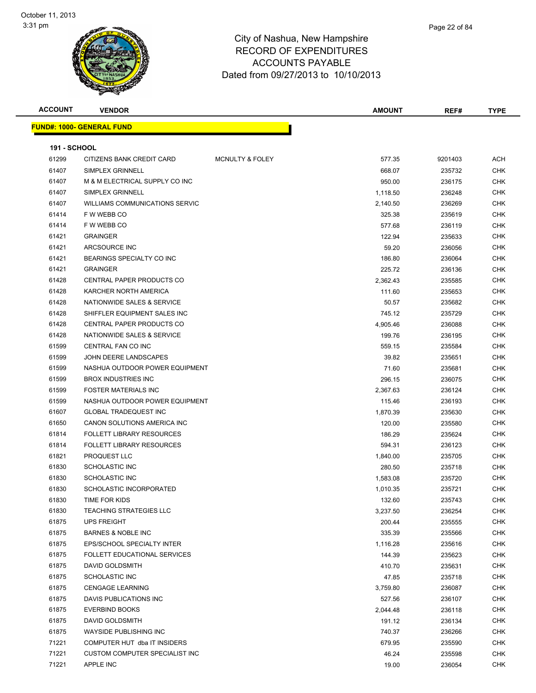



| <b>VENDOR</b>                     |                            | <b>AMOUNT</b> | REF#    | <b>TYPE</b> |
|-----------------------------------|----------------------------|---------------|---------|-------------|
| <u> FUND#: 1000- GENERAL FUND</u> |                            |               |         |             |
|                                   |                            |               |         |             |
| <b>191 - SCHOOL</b>               |                            |               |         |             |
| CITIZENS BANK CREDIT CARD         | <b>MCNULTY &amp; FOLEY</b> | 577.35        | 9201403 | <b>ACH</b>  |
| SIMPLEX GRINNELL                  |                            | 668.07        | 235732  | <b>CHK</b>  |
| M & M ELECTRICAL SUPPLY CO INC    |                            | 950.00        | 236175  | <b>CHK</b>  |
| SIMPLEX GRINNELL                  |                            | 1,118.50      | 236248  | <b>CHK</b>  |
| WILLIAMS COMMUNICATIONS SERVIC    |                            | 2,140.50      | 236269  | CHK         |
| F W WEBB CO                       |                            | 325.38        | 235619  | <b>CHK</b>  |
| F W WEBB CO                       |                            | 577.68        | 236119  | <b>CHK</b>  |
| <b>GRAINGER</b>                   |                            | 122.94        | 235633  | CHK         |
| ARCSOURCE INC                     |                            | 59.20         | 236056  | CHK         |
| BEARINGS SPECIALTY CO INC         |                            | 186.80        | 236064  | CHK         |
| <b>GRAINGER</b>                   |                            | 225.72        | 236136  | CHK         |
| <b>CENTRAL PAPER PRODUCTS CO</b>  |                            | 2,362.43      | 235585  | <b>CHK</b>  |
| KARCHER NORTH AMERICA             |                            | 111.60        | 235653  | CHK         |
| NATIONWIDE SALES & SERVICE        |                            | 50.57         | 235682  | CHK         |
| SHIFFLER EQUIPMENT SALES INC      |                            | 745.12        | 235729  | <b>CHK</b>  |
| CENTRAL PAPER PRODUCTS CO         |                            | 4,905.46      | 236088  | CHK         |
| NATIONWIDE SALES & SERVICE        |                            | 199.76        | 236195  | <b>CHK</b>  |
| CENTRAL FAN CO INC                |                            | 559.15        | 235584  | <b>CHK</b>  |
| JOHN DEERE LANDSCAPES             |                            | 39.82         | 235651  | CHK         |
| NASHUA OUTDOOR POWER EQUIPMENT    |                            | 71.60         | 235681  | CHK         |
| <b>BROX INDUSTRIES INC</b>        |                            | 296.15        | 236075  | CHK         |
| <b>FOSTER MATERIALS INC</b>       |                            | 2,367.63      | 236124  | CHK         |
| NASHUA OUTDOOR POWER EQUIPMENT    |                            | 115.46        | 236193  | <b>CHK</b>  |
| <b>GLOBAL TRADEQUEST INC</b>      |                            | 1,870.39      | 235630  | CHK         |
| CANON SOLUTIONS AMERICA INC       |                            | 120.00        | 235580  | CHK         |
| <b>FOLLETT LIBRARY RESOURCES</b>  |                            | 186.29        | 235624  | <b>CHK</b>  |
| <b>FOLLETT LIBRARY RESOURCES</b>  |                            | 594.31        | 236123  | CHK         |
| PROQUEST LLC                      |                            | 1,840.00      | 235705  | CHK         |
| <b>SCHOLASTIC INC</b>             |                            | 280.50        | 235718  | CHK         |
| <b>SCHOLASTIC INC</b>             |                            | 1,583.08      | 235720  | CHK         |
| SCHOLASTIC INCORPORATED           |                            | 1,010.35      | 235721  | CHK         |
| TIME FOR KIDS                     |                            | 132.60        | 235743  | <b>CHK</b>  |
| <b>TEACHING STRATEGIES LLC</b>    |                            | 3,237.50      | 236254  | CHK         |
| <b>UPS FREIGHT</b>                |                            | 200.44        | 235555  | <b>CHK</b>  |
| <b>BARNES &amp; NOBLE INC</b>     |                            | 335.39        | 235566  | <b>CHK</b>  |
| EPS/SCHOOL SPECIALTY INTER        |                            | 1,116.28      | 235616  | <b>CHK</b>  |
| FOLLETT EDUCATIONAL SERVICES      |                            | 144.39        | 235623  | <b>CHK</b>  |
| DAVID GOLDSMITH                   |                            | 410.70        | 235631  | CHK         |
| <b>SCHOLASTIC INC</b>             |                            | 47.85         | 235718  | <b>CHK</b>  |
| <b>CENGAGE LEARNING</b>           |                            | 3,759.80      | 236087  | <b>CHK</b>  |
| DAVIS PUBLICATIONS INC            |                            | 527.56        | 236107  | CHK         |
| <b>EVERBIND BOOKS</b>             |                            | 2,044.48      | 236118  | <b>CHK</b>  |
| DAVID GOLDSMITH                   |                            | 191.12        | 236134  | CHK         |
| WAYSIDE PUBLISHING INC            |                            | 740.37        | 236266  | CHK         |
| COMPUTER HUT dba IT INSIDERS      |                            | 679.95        | 235590  | <b>CHK</b>  |
| CUSTOM COMPUTER SPECIALIST INC    |                            | 46.24         | 235598  | <b>CHK</b>  |
| APPLE INC                         |                            |               | 236054  | <b>CHK</b>  |
|                                   |                            |               | 19.00   |             |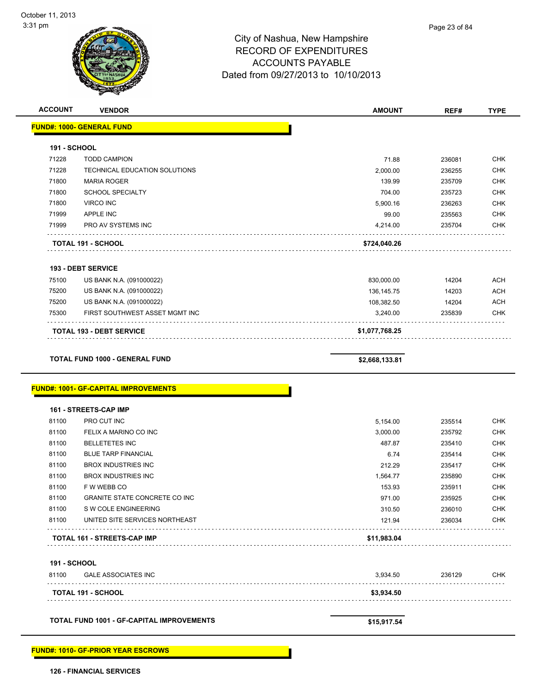| <b>ACCOUNT</b>               | <b>VENDOR</b>                                                                 | <b>AMOUNT</b>      | REF#             | <b>TYPE</b>                                                                                                                              |
|------------------------------|-------------------------------------------------------------------------------|--------------------|------------------|------------------------------------------------------------------------------------------------------------------------------------------|
|                              | <b>FUND#: 1000- GENERAL FUND</b>                                              |                    |                  |                                                                                                                                          |
| <b>191 - SCHOOL</b>          |                                                                               |                    |                  |                                                                                                                                          |
| 71228                        | <b>TODD CAMPION</b>                                                           | 71.88              | 236081           | <b>CHK</b>                                                                                                                               |
| 71228                        | TECHNICAL EDUCATION SOLUTIONS                                                 | 2,000.00           | 236255           | <b>CHK</b>                                                                                                                               |
| 71800                        | <b>MARIA ROGER</b>                                                            | 139.99             | 235709           | <b>CHK</b>                                                                                                                               |
| 71800                        | <b>SCHOOL SPECIALTY</b>                                                       | 704.00             | 235723           | <b>CHK</b>                                                                                                                               |
| 71800                        | <b>VIRCO INC</b>                                                              | 5,900.16           | 236263           | <b>CHK</b>                                                                                                                               |
| 71999                        | APPLE INC                                                                     | 99.00              | 235563           | <b>CHK</b>                                                                                                                               |
| 71999                        | PRO AV SYSTEMS INC                                                            | 4,214.00           | 235704           | <b>CHK</b>                                                                                                                               |
|                              | TOTAL 191 - SCHOOL                                                            | \$724,040.26       |                  |                                                                                                                                          |
|                              | <b>193 - DEBT SERVICE</b>                                                     |                    |                  |                                                                                                                                          |
| 75100                        | US BANK N.A. (091000022)                                                      | 830,000.00         | 14204            | <b>ACH</b>                                                                                                                               |
| 75200                        | US BANK N.A. (091000022)                                                      | 136, 145. 75       | 14203            | <b>ACH</b>                                                                                                                               |
| 75200                        | US BANK N.A. (091000022)                                                      | 108,382.50         | 14204            | <b>ACH</b>                                                                                                                               |
| 75300                        | FIRST SOUTHWEST ASSET MGMT INC                                                | 3,240.00           | 235839           | <b>CHK</b>                                                                                                                               |
|                              |                                                                               |                    |                  |                                                                                                                                          |
|                              | <b>TOTAL 193 - DEBT SERVICE</b>                                               | \$1,077,768.25     |                  |                                                                                                                                          |
|                              |                                                                               |                    |                  |                                                                                                                                          |
|                              | TOTAL FUND 1000 - GENERAL FUND<br><b>FUND#: 1001- GF-CAPITAL IMPROVEMENTS</b> | \$2,668,133.81     |                  |                                                                                                                                          |
|                              |                                                                               |                    |                  |                                                                                                                                          |
| 81100                        | 161 - STREETS-CAP IMP<br>PRO CUT INC                                          | 5,154.00           | 235514           |                                                                                                                                          |
| 81100                        | FELIX A MARINO CO INC                                                         |                    | 235792           |                                                                                                                                          |
| 81100                        | <b>BELLETETES INC</b>                                                         | 3,000.00<br>487.87 | 235410           |                                                                                                                                          |
| 81100                        | <b>BLUE TARP FINANCIAL</b>                                                    | 6.74               | 235414           |                                                                                                                                          |
| 81100                        | <b>BROX INDUSTRIES INC</b>                                                    | 212.29             |                  |                                                                                                                                          |
| 81100                        | <b>BROX INDUSTRIES INC</b>                                                    |                    | 235417           |                                                                                                                                          |
| 81100                        | F W WEBB CO                                                                   | 1,564.77           | 235890<br>235911 |                                                                                                                                          |
|                              |                                                                               | 153.93             |                  |                                                                                                                                          |
| 81100                        | GRANITE STATE CONCRETE CO INC                                                 | 971.00             | 235925           |                                                                                                                                          |
| 81100<br>81100               | S W COLE ENGINEERING<br>UNITED SITE SERVICES NORTHEAST                        | 310.50<br>121.94   | 236010<br>236034 |                                                                                                                                          |
|                              | <b>TOTAL 161 - STREETS-CAP IMP</b>                                            | \$11,983.04        |                  | <b>CHK</b><br><b>CHK</b><br><b>CHK</b><br><b>CHK</b><br><b>CHK</b><br><b>CHK</b><br><b>CHK</b><br><b>CHK</b><br><b>CHK</b><br><b>CHK</b> |
|                              |                                                                               |                    |                  |                                                                                                                                          |
| <b>191 - SCHOOL</b><br>81100 | <b>GALE ASSOCIATES INC</b>                                                    | 3,934.50           | 236129           | <b>CHK</b>                                                                                                                               |
|                              | <b>TOTAL 191 - SCHOOL</b>                                                     | \$3,934.50         |                  |                                                                                                                                          |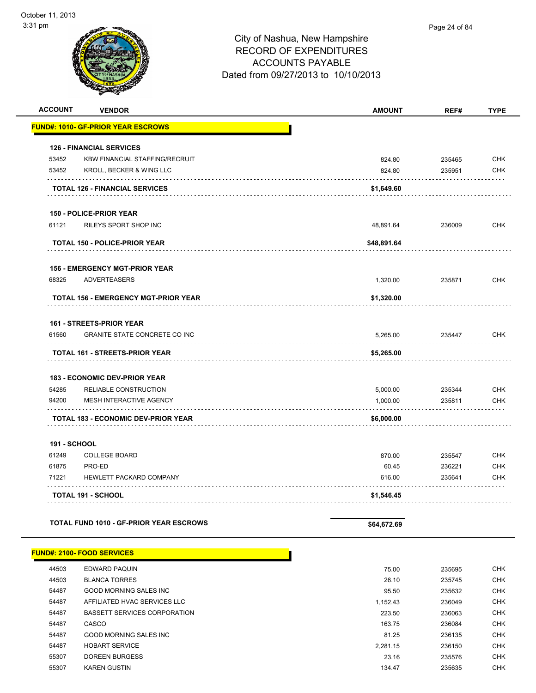| <b>ACCOUNT</b>      | <b>VENDOR</b>                                    | <b>AMOUNT</b>        | REF#             | <b>TYPE</b>              |
|---------------------|--------------------------------------------------|----------------------|------------------|--------------------------|
|                     | <b>FUND#: 1010- GF-PRIOR YEAR ESCROWS</b>        |                      |                  |                          |
|                     | <b>126 - FINANCIAL SERVICES</b>                  |                      |                  |                          |
| 53452               | <b>KBW FINANCIAL STAFFING/RECRUIT</b>            | 824.80               | 235465           | <b>CHK</b>               |
| 53452               | KROLL, BECKER & WING LLC                         | 824.80               | 235951           | <b>CHK</b>               |
|                     | TOTAL 126 - FINANCIAL SERVICES                   | \$1,649.60           |                  |                          |
|                     |                                                  |                      |                  |                          |
|                     | 150 - POLICE-PRIOR YEAR                          |                      |                  |                          |
| 61121               | RILEYS SPORT SHOP INC                            | 48,891.64            | 236009           | <b>CHK</b>               |
|                     | <b>TOTAL 150 - POLICE-PRIOR YEAR</b>             | \$48,891.64          |                  |                          |
|                     | <b>156 - EMERGENCY MGT-PRIOR YEAR</b>            |                      |                  |                          |
| 68325               | <b>ADVERTEASERS</b>                              | 1,320.00             | 235871           | <b>CHK</b>               |
|                     | <b>TOTAL 156 - EMERGENCY MGT-PRIOR YEAR</b>      | \$1,320.00           |                  |                          |
|                     | <b>161 - STREETS-PRIOR YEAR</b>                  |                      |                  |                          |
| 61560               | <b>GRANITE STATE CONCRETE CO INC</b>             | 5.265.00             | 235447           | <b>CHK</b>               |
|                     | TOTAL 161 - STREETS-PRIOR YEAR                   | \$5,265.00           |                  |                          |
|                     |                                                  |                      |                  |                          |
|                     | <b>183 - ECONOMIC DEV-PRIOR YEAR</b>             |                      |                  |                          |
| 54285<br>94200      | RELIABLE CONSTRUCTION<br>MESH INTERACTIVE AGENCY | 5,000.00<br>1,000.00 | 235344<br>235811 | <b>CHK</b><br><b>CHK</b> |
|                     |                                                  |                      |                  |                          |
|                     | <b>TOTAL 183 - ECONOMIC DEV-PRIOR YEAR</b>       | \$6,000.00           |                  |                          |
| <b>191 - SCHOOL</b> |                                                  |                      |                  |                          |
| 61249               | <b>COLLEGE BOARD</b>                             | 870.00               | 235547           | <b>CHK</b>               |
| 61875               | PRO-ED                                           | 60.45                | 236221           | <b>CHK</b>               |
| 71221               | HEWLETT PACKARD COMPANY                          | 616.00               | 235641           | <b>CHK</b>               |
|                     | <b>TOTAL 191 - SCHOOL</b>                        | \$1,546.45           |                  |                          |
|                     | <b>TOTAL FUND 1010 - GF-PRIOR YEAR ESCROWS</b>   |                      |                  |                          |
|                     |                                                  | \$64,672.69          |                  |                          |
|                     | <b>FUND#: 2100- FOOD SERVICES</b>                |                      |                  |                          |
| 44503               | <b>EDWARD PAQUIN</b>                             | 75.00                | 235695           | CHK                      |
| 44503               | <b>BLANCA TORRES</b>                             | 26.10                | 235745           | CHK                      |
| 54487               | GOOD MORNING SALES INC                           | 95.50                | 235632           | <b>CHK</b>               |
| 54487               | AFFILIATED HVAC SERVICES LLC                     | 1,152.43             | 236049           | <b>CHK</b>               |
| 54487               | <b>BASSETT SERVICES CORPORATION</b>              | 223.50               | 236063           | <b>CHK</b>               |
| 54487               | CASCO                                            | 163.75               | 236084           | <b>CHK</b>               |
| 54487               | GOOD MORNING SALES INC                           | 81.25                | 236135           | <b>CHK</b>               |
| 54487               | <b>HOBART SERVICE</b>                            | 2,281.15             | 236150           | <b>CHK</b>               |
| 55307               | <b>DOREEN BURGESS</b>                            | 23.16                | 235576           | <b>CHK</b>               |

55307 KAREN GUSTIN 134.47 235635 CHK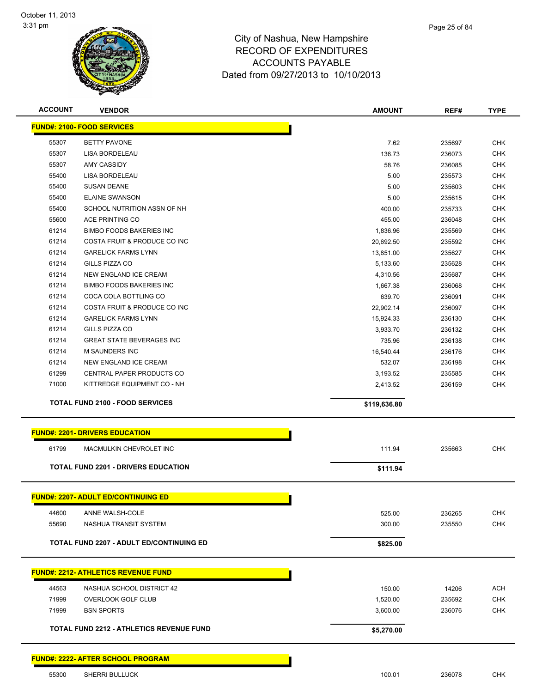

| <b>ACCOUNT</b> | <b>VENDOR</b>                                   | <b>AMOUNT</b> | REF#   | <b>TYPE</b> |
|----------------|-------------------------------------------------|---------------|--------|-------------|
|                | <b>FUND#: 2100- FOOD SERVICES</b>               |               |        |             |
| 55307          | <b>BETTY PAVONE</b>                             | 7.62          | 235697 | <b>CHK</b>  |
| 55307          | LISA BORDELEAU                                  | 136.73        | 236073 | <b>CHK</b>  |
| 55307          | <b>AMY CASSIDY</b>                              | 58.76         | 236085 | <b>CHK</b>  |
| 55400          | LISA BORDELEAU                                  | 5.00          | 235573 | <b>CHK</b>  |
| 55400          | <b>SUSAN DEANE</b>                              | 5.00          | 235603 | <b>CHK</b>  |
| 55400          | <b>ELAINE SWANSON</b>                           | 5.00          | 235615 | <b>CHK</b>  |
| 55400          | SCHOOL NUTRITION ASSN OF NH                     | 400.00        | 235733 | <b>CHK</b>  |
| 55600          | ACE PRINTING CO                                 | 455.00        | 236048 | <b>CHK</b>  |
| 61214          | <b>BIMBO FOODS BAKERIES INC</b>                 | 1,836.96      | 235569 | <b>CHK</b>  |
| 61214          | COSTA FRUIT & PRODUCE CO INC                    | 20,692.50     | 235592 | <b>CHK</b>  |
| 61214          | <b>GARELICK FARMS LYNN</b>                      | 13,851.00     | 235627 | <b>CHK</b>  |
| 61214          | GILLS PIZZA CO                                  | 5,133.60      | 235628 | <b>CHK</b>  |
| 61214          | NEW ENGLAND ICE CREAM                           | 4,310.56      | 235687 | <b>CHK</b>  |
| 61214          | <b>BIMBO FOODS BAKERIES INC</b>                 | 1,667.38      | 236068 | <b>CHK</b>  |
| 61214          | COCA COLA BOTTLING CO                           | 639.70        | 236091 | <b>CHK</b>  |
| 61214          | COSTA FRUIT & PRODUCE CO INC                    | 22,902.14     | 236097 | <b>CHK</b>  |
| 61214          | <b>GARELICK FARMS LYNN</b>                      | 15,924.33     | 236130 | <b>CHK</b>  |
| 61214          | GILLS PIZZA CO                                  | 3,933.70      | 236132 | <b>CHK</b>  |
| 61214          | <b>GREAT STATE BEVERAGES INC</b>                | 735.96        | 236138 | <b>CHK</b>  |
| 61214          | M SAUNDERS INC                                  | 16,540.44     | 236176 | <b>CHK</b>  |
| 61214          | NEW ENGLAND ICE CREAM                           | 532.07        | 236198 | <b>CHK</b>  |
| 61299          | CENTRAL PAPER PRODUCTS CO                       | 3,193.52      | 235585 | <b>CHK</b>  |
| 71000          | KITTREDGE EQUIPMENT CO - NH                     | 2,413.52      | 236159 | <b>CHK</b>  |
|                | <b>TOTAL FUND 2100 - FOOD SERVICES</b>          | \$119,636.80  |        |             |
|                |                                                 |               |        |             |
|                | <b>FUND#: 2201- DRIVERS EDUCATION</b>           |               |        |             |
| 61799          | MACMULKIN CHEVROLET INC                         | 111.94        | 235663 | <b>CHK</b>  |
|                | <b>TOTAL FUND 2201 - DRIVERS EDUCATION</b>      | \$111.94      |        |             |
|                |                                                 |               |        |             |
|                | <u>FUND#: 2207- ADULT ED/CONTINUING ED</u>      |               |        |             |
| 44600          | ANNE WALSH-COLE                                 | 525.00        | 236265 | <b>CHK</b>  |
| 55690          | NASHUA TRANSIT SYSTEM                           | 300.00        | 235550 | <b>CHK</b>  |
|                | <b>TOTAL FUND 2207 - ADULT ED/CONTINUING ED</b> | \$825.00      |        |             |
|                |                                                 |               |        |             |
|                | <b>FUND#: 2212- ATHLETICS REVENUE FUND</b>      |               |        |             |
| 44563          | NASHUA SCHOOL DISTRICT 42                       | 150.00        | 14206  | <b>ACH</b>  |
| 71999          | <b>OVERLOOK GOLF CLUB</b>                       | 1,520.00      | 235692 | <b>CHK</b>  |
| 71999          | <b>BSN SPORTS</b>                               | 3,600.00      | 236076 | <b>CHK</b>  |
|                | <b>TOTAL FUND 2212 - ATHLETICS REVENUE FUND</b> | \$5,270.00    |        |             |
|                |                                                 |               |        |             |
|                | <b>FUND#: 2222- AFTER SCHOOL PROGRAM</b>        |               |        |             |
|                |                                                 |               |        |             |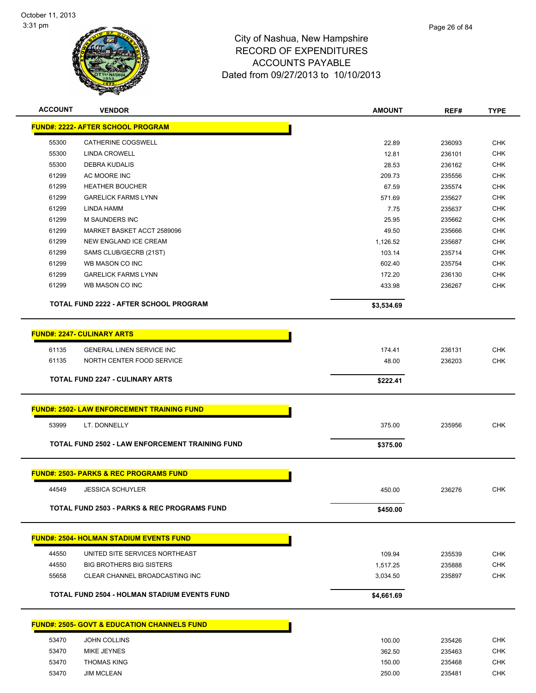

| <b>ACCOUNT</b> | <b>VENDOR</b>                                           | <b>AMOUNT</b> | REF#             | <b>TYPE</b> |
|----------------|---------------------------------------------------------|---------------|------------------|-------------|
|                | <b>FUND#: 2222- AFTER SCHOOL PROGRAM</b>                |               |                  |             |
| 55300          | <b>CATHERINE COGSWELL</b>                               | 22.89         |                  | <b>CHK</b>  |
| 55300          | LINDA CROWELL                                           | 12.81         | 236093<br>236101 | <b>CHK</b>  |
| 55300          | <b>DEBRA KUDALIS</b>                                    | 28.53         | 236162           | <b>CHK</b>  |
| 61299          | AC MOORE INC                                            | 209.73        | 235556           | <b>CHK</b>  |
| 61299          | <b>HEATHER BOUCHER</b>                                  | 67.59         | 235574           | <b>CHK</b>  |
| 61299          | <b>GARELICK FARMS LYNN</b>                              | 571.69        | 235627           | <b>CHK</b>  |
| 61299          | LINDA HAMM                                              | 7.75          | 235637           | <b>CHK</b>  |
| 61299          | <b>M SAUNDERS INC</b>                                   | 25.95         | 235662           | <b>CHK</b>  |
| 61299          | MARKET BASKET ACCT 2589096                              | 49.50         | 235666           | <b>CHK</b>  |
| 61299          | NEW ENGLAND ICE CREAM                                   | 1,126.52      | 235687           | <b>CHK</b>  |
| 61299          | SAMS CLUB/GECRB (21ST)                                  | 103.14        | 235714           | <b>CHK</b>  |
| 61299          | WB MASON CO INC                                         | 602.40        | 235754           | <b>CHK</b>  |
| 61299          | <b>GARELICK FARMS LYNN</b>                              | 172.20        | 236130           | <b>CHK</b>  |
| 61299          | WB MASON CO INC                                         | 433.98        | 236267           | <b>CHK</b>  |
|                |                                                         |               |                  |             |
|                | TOTAL FUND 2222 - AFTER SCHOOL PROGRAM                  | \$3,534.69    |                  |             |
|                |                                                         |               |                  |             |
|                | <b>FUND#: 2247- CULINARY ARTS</b>                       |               |                  |             |
| 61135          | <b>GENERAL LINEN SERVICE INC</b>                        | 174.41        | 236131           | <b>CHK</b>  |
| 61135          | NORTH CENTER FOOD SERVICE                               | 48.00         | 236203           | <b>CHK</b>  |
|                | <b>TOTAL FUND 2247 - CULINARY ARTS</b>                  | \$222.41      |                  |             |
|                |                                                         |               |                  |             |
|                | <b>FUND#: 2502- LAW ENFORCEMENT TRAINING FUND</b>       |               |                  |             |
| 53999          | LT. DONNELLY                                            | 375.00        | 235956           | <b>CHK</b>  |
|                | TOTAL FUND 2502 - LAW ENFORCEMENT TRAINING FUND         | \$375.00      |                  |             |
|                |                                                         |               |                  |             |
|                | <b>FUND#: 2503- PARKS &amp; REC PROGRAMS FUND</b>       |               |                  |             |
| 44549          | <b>JESSICA SCHUYLER</b>                                 | 450.00        | 236276           | <b>CHK</b>  |
|                |                                                         |               |                  |             |
|                | TOTAL FUND 2503 - PARKS & REC PROGRAMS FUND             | \$450.00      |                  |             |
|                | <b>FUND#: 2504- HOLMAN STADIUM EVENTS FUND</b>          |               |                  |             |
|                |                                                         |               |                  |             |
| 44550          | UNITED SITE SERVICES NORTHEAST                          | 109.94        | 235539           | <b>CHK</b>  |
| 44550          | <b>BIG BROTHERS BIG SISTERS</b>                         | 1,517.25      | 235888           | <b>CHK</b>  |
| 55658          | CLEAR CHANNEL BROADCASTING INC                          | 3,034.50      | 235897           | <b>CHK</b>  |
|                | TOTAL FUND 2504 - HOLMAN STADIUM EVENTS FUND            | \$4,661.69    |                  |             |
|                |                                                         |               |                  |             |
|                | <u> FUND#: 2505- GOVT &amp; EDUCATION CHANNELS FUND</u> |               |                  |             |
| 53470          | <b>JOHN COLLINS</b>                                     | 100.00        | 235426           | <b>CHK</b>  |
| 53470          | MIKE JEYNES                                             | 362.50        | 235463           | <b>CHK</b>  |
| 53470          | <b>THOMAS KING</b>                                      | 150.00        | 235468           | <b>CHK</b>  |

53470 JIM MCLEAN 250.00 235481 CHK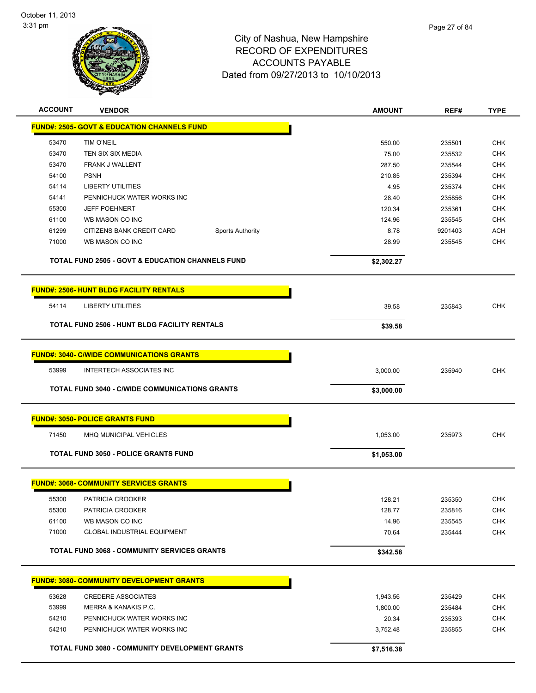

| <b>ACCOUNT</b> | <b>VENDOR</b>                                               | <b>AMOUNT</b> | REF#    | <b>TYPE</b> |
|----------------|-------------------------------------------------------------|---------------|---------|-------------|
|                | <b>FUND#: 2505- GOVT &amp; EDUCATION CHANNELS FUND</b>      |               |         |             |
| 53470          | <b>TIM O'NEIL</b>                                           | 550.00        | 235501  | <b>CHK</b>  |
| 53470          | TEN SIX SIX MEDIA                                           | 75.00         | 235532  | <b>CHK</b>  |
| 53470          | FRANK J WALLENT                                             | 287.50        | 235544  | <b>CHK</b>  |
| 54100          | <b>PSNH</b>                                                 | 210.85        | 235394  | <b>CHK</b>  |
| 54114          | <b>LIBERTY UTILITIES</b>                                    | 4.95          | 235374  | <b>CHK</b>  |
| 54141          | PENNICHUCK WATER WORKS INC                                  | 28.40         | 235856  | CHK         |
| 55300          | <b>JEFF POEHNERT</b>                                        | 120.34        | 235361  | CHK         |
| 61100          | WB MASON CO INC                                             | 124.96        | 235545  | <b>CHK</b>  |
| 61299          | CITIZENS BANK CREDIT CARD<br><b>Sports Authority</b>        | 8.78          | 9201403 | ACH         |
| 71000          | WB MASON CO INC                                             | 28.99         | 235545  | <b>CHK</b>  |
|                | <b>TOTAL FUND 2505 - GOVT &amp; EDUCATION CHANNELS FUND</b> | \$2,302.27    |         |             |
|                | <b>FUND#: 2506- HUNT BLDG FACILITY RENTALS</b>              |               |         |             |
| 54114          | <b>LIBERTY UTILITIES</b>                                    | 39.58         | 235843  | <b>CHK</b>  |
|                | <b>TOTAL FUND 2506 - HUNT BLDG FACILITY RENTALS</b>         |               |         |             |
|                |                                                             | \$39.58       |         |             |
|                | <b>FUND#: 3040- C/WIDE COMMUNICATIONS GRANTS</b>            |               |         |             |
| 53999          | <b>INTERTECH ASSOCIATES INC</b>                             | 3,000.00      | 235940  | <b>CHK</b>  |
|                | <b>TOTAL FUND 3040 - C/WIDE COMMUNICATIONS GRANTS</b>       | \$3,000.00    |         |             |
|                | <b>FUND#: 3050- POLICE GRANTS FUND</b>                      |               |         |             |
| 71450          | MHQ MUNICIPAL VEHICLES                                      | 1,053.00      | 235973  | <b>CHK</b>  |
|                |                                                             |               |         |             |
|                | <b>TOTAL FUND 3050 - POLICE GRANTS FUND</b>                 | \$1,053.00    |         |             |
|                | <b>FUND#: 3068- COMMUNITY SERVICES GRANTS</b>               |               |         |             |
| 55300          | PATRICIA CROOKER                                            | 128.21        | 235350  | <b>CHK</b>  |
| 55300          | PATRICIA CROOKER                                            | 128.77        | 235816  | <b>CHK</b>  |
| 61100          | WB MASON CO INC                                             | 14.96         | 235545  | <b>CHK</b>  |
| 71000          | <b>GLOBAL INDUSTRIAL EQUIPMENT</b>                          | 70.64         | 235444  | <b>CHK</b>  |
|                | <b>TOTAL FUND 3068 - COMMUNITY SERVICES GRANTS</b>          | \$342.58      |         |             |
|                | <b>FUND#: 3080- COMMUNITY DEVELOPMENT GRANTS</b>            |               |         |             |
| 53628          | <b>CREDERE ASSOCIATES</b>                                   | 1,943.56      | 235429  | <b>CHK</b>  |
| 53999          | MERRA & KANAKIS P.C.                                        | 1,800.00      | 235484  | <b>CHK</b>  |
| 54210          | PENNICHUCK WATER WORKS INC                                  | 20.34         | 235393  | <b>CHK</b>  |
| 54210          | PENNICHUCK WATER WORKS INC                                  | 3,752.48      | 235855  | <b>CHK</b>  |
|                | <b>TOTAL FUND 3080 - COMMUNITY DEVELOPMENT GRANTS</b>       | \$7,516.38    |         |             |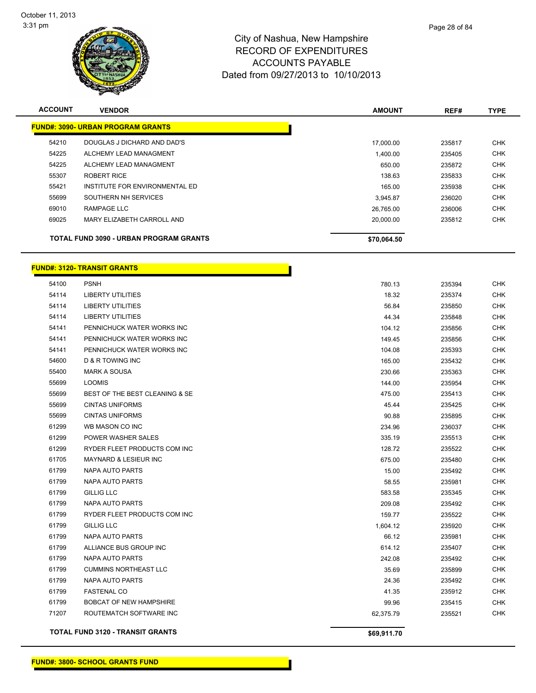

| Page 28 of 84 |  |
|---------------|--|
|               |  |

| <b>ACCOUNT</b> | <b>VENDOR</b>                                 | <b>AMOUNT</b> | REF#   | <b>TYPE</b> |
|----------------|-----------------------------------------------|---------------|--------|-------------|
|                | <b>FUND#: 3090- URBAN PROGRAM GRANTS</b>      |               |        |             |
| 54210          | DOUGLAS J DICHARD AND DAD'S                   | 17,000.00     | 235817 | <b>CHK</b>  |
| 54225          | ALCHEMY LEAD MANAGMENT                        | 1,400.00      | 235405 | <b>CHK</b>  |
| 54225          | ALCHEMY LEAD MANAGMENT                        | 650.00        | 235872 | <b>CHK</b>  |
| 55307          | ROBERT RICE                                   | 138.63        | 235833 | <b>CHK</b>  |
| 55421          | INSTITUTE FOR ENVIRONMENTAL ED                | 165.00        | 235938 | <b>CHK</b>  |
| 55699          | SOUTHERN NH SERVICES                          | 3.945.87      | 236020 | <b>CHK</b>  |
| 69010          | RAMPAGE LLC                                   | 26.765.00     | 236006 | <b>CHK</b>  |
| 69025          | MARY ELIZABETH CARROLL AND                    | 20.000.00     | 235812 | <b>CHK</b>  |
|                | <b>TOTAL FUND 3090 - URBAN PROGRAM GRANTS</b> | \$70,064.50   |        |             |

#### **FUND#: 3120- TRANSIT GRANTS**

|                | TOTAL FUND 3120 - TRANSIT GRANTS        | \$69,911.70      |                  |                          |
|----------------|-----------------------------------------|------------------|------------------|--------------------------|
| 71207          | ROUTEMATCH SOFTWARE INC                 | 62,375.79        | 235521           | <b>CHK</b>               |
| 61799          | <b>BOBCAT OF NEW HAMPSHIRE</b>          | 99.96            | 235415           | <b>CHK</b>               |
| 61799          | <b>FASTENAL CO</b>                      | 41.35            | 235912           | <b>CHK</b>               |
| 61799          | NAPA AUTO PARTS                         | 24.36            | 235492           | <b>CHK</b>               |
| 61799          | <b>CUMMINS NORTHEAST LLC</b>            | 35.69            | 235899           | <b>CHK</b>               |
| 61799          | <b>NAPA AUTO PARTS</b>                  | 242.08           | 235492           | <b>CHK</b>               |
| 61799          | ALLIANCE BUS GROUP INC                  | 614.12           | 235407           | <b>CHK</b>               |
| 61799          | NAPA AUTO PARTS                         | 66.12            | 235981           | <b>CHK</b>               |
| 61799          | <b>GILLIG LLC</b>                       | 1,604.12         | 235920           | <b>CHK</b>               |
| 61799          | RYDER FLEET PRODUCTS COM INC            | 159.77           | 235522           | <b>CHK</b>               |
| 61799          | <b>NAPA AUTO PARTS</b>                  | 209.08           | 235492           | <b>CHK</b>               |
| 61799          | <b>GILLIG LLC</b>                       | 583.58           | 235345           | <b>CHK</b>               |
| 61799          | NAPA AUTO PARTS                         | 58.55            | 235981           | <b>CHK</b>               |
| 61799          | <b>NAPA AUTO PARTS</b>                  | 15.00            | 235492           | <b>CHK</b>               |
| 61705          | <b>MAYNARD &amp; LESIEUR INC</b>        | 675.00           | 235480           | <b>CHK</b>               |
| 61299          | RYDER FLEET PRODUCTS COM INC            | 128.72           | 235522           | <b>CHK</b>               |
| 61299          | POWER WASHER SALES                      | 335.19           | 235513           | <b>CHK</b>               |
| 61299          | WB MASON CO INC                         | 234.96           | 236037           | <b>CHK</b>               |
| 55699          | <b>CINTAS UNIFORMS</b>                  | 90.88            | 235895           | <b>CHK</b>               |
| 55699          | <b>CINTAS UNIFORMS</b>                  | 45.44            | 235425           | <b>CHK</b>               |
| 55699          | BEST OF THE BEST CLEANING & SE          | 475.00           | 235413           | <b>CHK</b>               |
| 55699          | <b>LOOMIS</b>                           | 144.00           | 235954           | <b>CHK</b>               |
| 54600<br>55400 | D & R TOWING INC<br><b>MARK A SOUSA</b> | 165.00<br>230.66 | 235432<br>235363 | <b>CHK</b>               |
| 54141          | PENNICHUCK WATER WORKS INC              | 104.08           | 235393           | <b>CHK</b><br><b>CHK</b> |
| 54141          | PENNICHUCK WATER WORKS INC              | 149.45           | 235856           | <b>CHK</b>               |
| 54141          | PENNICHUCK WATER WORKS INC              | 104.12           | 235856           | <b>CHK</b>               |
| 54114          | <b>LIBERTY UTILITIES</b>                | 44.34            | 235848           | <b>CHK</b>               |
| 54114          | <b>LIBERTY UTILITIES</b>                | 56.84            | 235850           | <b>CHK</b>               |
| 54114          | <b>LIBERTY UTILITIES</b>                | 18.32            | 235374           | <b>CHK</b>               |
| 54100          | <b>PSNH</b>                             | 780.13           | 235394           | <b>CHK</b>               |
|                |                                         |                  |                  |                          |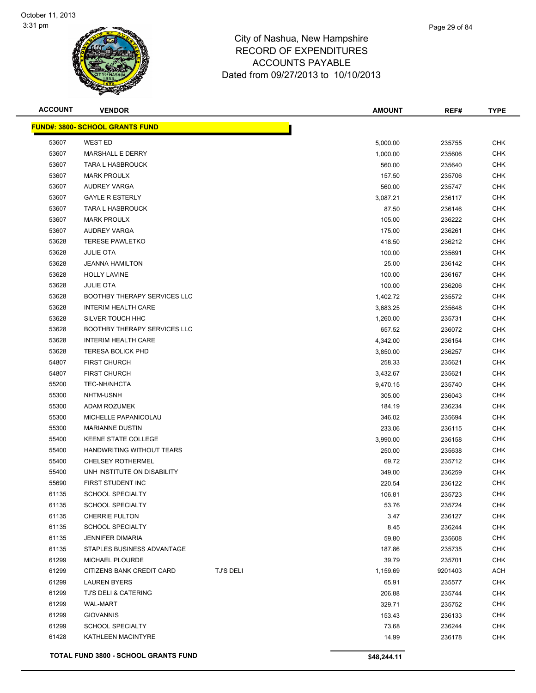

| <b>ACCOUNT</b> | <b>VENDOR</b>                               |                  | <b>AMOUNT</b> | REF#    | <b>TYPE</b> |
|----------------|---------------------------------------------|------------------|---------------|---------|-------------|
|                | <u> FUND#: 3800- SCHOOL GRANTS FUND</u>     |                  |               |         |             |
| 53607          | <b>WEST ED</b>                              |                  | 5,000.00      | 235755  | <b>CHK</b>  |
| 53607          | <b>MARSHALL E DERRY</b>                     |                  | 1,000.00      | 235606  | CHK         |
| 53607          | <b>TARA L HASBROUCK</b>                     |                  | 560.00        | 235640  | CHK         |
| 53607          | <b>MARK PROULX</b>                          |                  | 157.50        | 235706  | CHK         |
| 53607          | <b>AUDREY VARGA</b>                         |                  | 560.00        | 235747  | <b>CHK</b>  |
| 53607          | <b>GAYLE R ESTERLY</b>                      |                  | 3,087.21      | 236117  | <b>CHK</b>  |
| 53607          | TARA L HASBROUCK                            |                  | 87.50         | 236146  | CHK         |
| 53607          | <b>MARK PROULX</b>                          |                  | 105.00        | 236222  | CHK         |
| 53607          | <b>AUDREY VARGA</b>                         |                  | 175.00        | 236261  | <b>CHK</b>  |
| 53628          | <b>TERESE PAWLETKO</b>                      |                  | 418.50        | 236212  | CHK         |
| 53628          | <b>JULIE OTA</b>                            |                  | 100.00        | 235691  | CHK         |
| 53628          | <b>JEANNA HAMILTON</b>                      |                  | 25.00         | 236142  | CHK         |
| 53628          | <b>HOLLY LAVINE</b>                         |                  | 100.00        | 236167  | CHK         |
| 53628          | <b>JULIE OTA</b>                            |                  | 100.00        | 236206  | CHK         |
| 53628          | <b>BOOTHBY THERAPY SERVICES LLC</b>         |                  | 1,402.72      | 235572  | CHK         |
| 53628          | <b>INTERIM HEALTH CARE</b>                  |                  | 3,683.25      | 235648  | CHK         |
| 53628          | SILVER TOUCH HHC                            |                  | 1,260.00      | 235731  | <b>CHK</b>  |
| 53628          | <b>BOOTHBY THERAPY SERVICES LLC</b>         |                  | 657.52        | 236072  | CHK         |
| 53628          | <b>INTERIM HEALTH CARE</b>                  |                  | 4,342.00      | 236154  | <b>CHK</b>  |
| 53628          | <b>TERESA BOLICK PHD</b>                    |                  | 3,850.00      | 236257  | <b>CHK</b>  |
| 54807          | <b>FIRST CHURCH</b>                         |                  | 258.33        | 235621  | <b>CHK</b>  |
| 54807          | <b>FIRST CHURCH</b>                         |                  | 3,432.67      | 235621  | <b>CHK</b>  |
| 55200          | <b>TEC-NH/NHCTA</b>                         |                  | 9,470.15      | 235740  | CHK         |
| 55300          | NHTM-USNH                                   |                  | 305.00        | 236043  | CHK         |
| 55300          | ADAM ROZUMEK                                |                  | 184.19        | 236234  | CHK         |
| 55300          | MICHELLE PAPANICOLAU                        |                  | 346.02        | 235694  | CHK         |
| 55300          | <b>MARIANNE DUSTIN</b>                      |                  | 233.06        | 236115  | <b>CHK</b>  |
| 55400          | <b>KEENE STATE COLLEGE</b>                  |                  | 3,990.00      | 236158  | <b>CHK</b>  |
| 55400          | HANDWRITING WITHOUT TEARS                   |                  | 250.00        | 235638  | CHK         |
| 55400          | <b>CHELSEY ROTHERMEL</b>                    |                  | 69.72         | 235712  | <b>CHK</b>  |
| 55400          | UNH INSTITUTE ON DISABILITY                 |                  | 349.00        | 236259  | CHK         |
| 55690          | FIRST STUDENT INC                           |                  | 220.54        | 236122  | CHK         |
| 61135          | <b>SCHOOL SPECIALTY</b>                     |                  | 106.81        | 235723  | <b>CHK</b>  |
| 61135          | <b>SCHOOL SPECIALTY</b>                     |                  | 53.76         | 235724  | CHK         |
| 61135          | <b>CHERRIE FULTON</b>                       |                  | 3.47          | 236127  | CHK         |
| 61135          | <b>SCHOOL SPECIALTY</b>                     |                  | 8.45          | 236244  | <b>CHK</b>  |
| 61135          | <b>JENNIFER DIMARIA</b>                     |                  | 59.80         | 235608  | <b>CHK</b>  |
| 61135          | STAPLES BUSINESS ADVANTAGE                  |                  | 187.86        | 235735  | <b>CHK</b>  |
| 61299          | MICHAEL PLOURDE                             |                  | 39.79         | 235701  | <b>CHK</b>  |
| 61299          | CITIZENS BANK CREDIT CARD                   | <b>TJ'S DELI</b> | 1,159.69      | 9201403 | ACH         |
| 61299          | <b>LAUREN BYERS</b>                         |                  | 65.91         | 235577  | <b>CHK</b>  |
| 61299          | TJ'S DELI & CATERING                        |                  | 206.88        | 235744  | CHK         |
| 61299          | <b>WAL-MART</b>                             |                  | 329.71        | 235752  | <b>CHK</b>  |
| 61299          | <b>GIOVANNIS</b>                            |                  | 153.43        | 236133  | <b>CHK</b>  |
| 61299          | <b>SCHOOL SPECIALTY</b>                     |                  | 73.68         | 236244  | CHK         |
| 61428          | KATHLEEN MACINTYRE                          |                  | 14.99         | 236178  | CHK         |
|                | <b>TOTAL FUND 3800 - SCHOOL GRANTS FUND</b> |                  | \$48,244.11   |         |             |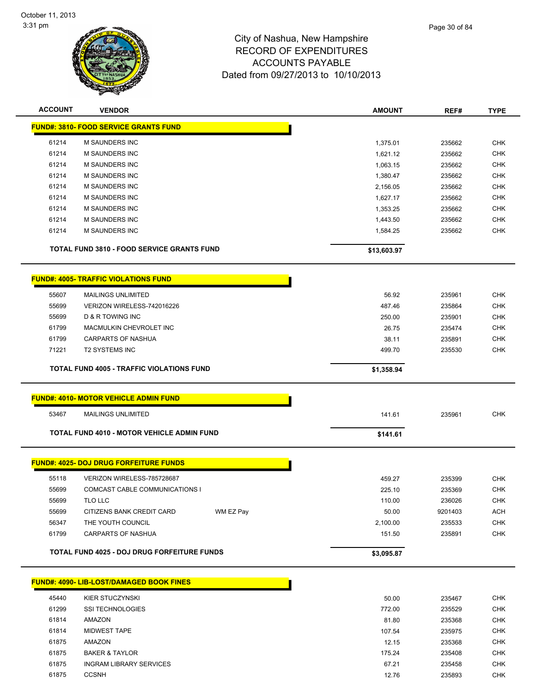

| <b>ACCOUNT</b> | <b>VENDOR</b>                                      |           | <b>AMOUNT</b>      | REF#             | <b>TYPE</b>              |
|----------------|----------------------------------------------------|-----------|--------------------|------------------|--------------------------|
|                | <b>FUND#: 3810- FOOD SERVICE GRANTS FUND</b>       |           |                    |                  |                          |
| 61214          | <b>M SAUNDERS INC</b>                              |           | 1,375.01           | 235662           | <b>CHK</b>               |
| 61214          | M SAUNDERS INC                                     |           | 1,621.12           | 235662           | <b>CHK</b>               |
| 61214          | M SAUNDERS INC                                     |           | 1,063.15           | 235662           | <b>CHK</b>               |
| 61214          | M SAUNDERS INC                                     |           | 1,380.47           | 235662           | <b>CHK</b>               |
| 61214          | M SAUNDERS INC                                     |           | 2,156.05           | 235662           | <b>CHK</b>               |
| 61214          | <b>M SAUNDERS INC</b>                              |           | 1,627.17           | 235662           | <b>CHK</b>               |
| 61214          | <b>M SAUNDERS INC</b>                              |           | 1,353.25           | 235662           | <b>CHK</b>               |
| 61214          | M SAUNDERS INC                                     |           | 1,443.50           | 235662           | <b>CHK</b>               |
| 61214          | M SAUNDERS INC                                     |           | 1,584.25           | 235662           | <b>CHK</b>               |
|                | <b>TOTAL FUND 3810 - FOOD SERVICE GRANTS FUND</b>  |           | \$13,603.97        |                  |                          |
|                | <b>FUND#: 4005- TRAFFIC VIOLATIONS FUND</b>        |           |                    |                  |                          |
| 55607          | <b>MAILINGS UNLIMITED</b>                          |           | 56.92              | 235961           | <b>CHK</b>               |
| 55699          | VERIZON WIRELESS-742016226                         |           | 487.46             | 235864           | <b>CHK</b>               |
| 55699          | <b>D &amp; R TOWING INC</b>                        |           | 250.00             | 235901           | <b>CHK</b>               |
| 61799          | MACMULKIN CHEVROLET INC                            |           | 26.75              | 235474           | <b>CHK</b>               |
| 61799          | CARPARTS OF NASHUA                                 |           | 38.11              | 235891           | <b>CHK</b>               |
| 71221          | <b>T2 SYSTEMS INC</b>                              |           | 499.70             | 235530           | <b>CHK</b>               |
|                |                                                    |           |                    |                  |                          |
|                | <b>TOTAL FUND 4005 - TRAFFIC VIOLATIONS FUND</b>   |           | \$1,358.94         |                  |                          |
|                | <b>FUND#: 4010- MOTOR VEHICLE ADMIN FUND</b>       |           |                    |                  |                          |
| 53467          | <b>MAILINGS UNLIMITED</b>                          |           | 141.61             | 235961           | <b>CHK</b>               |
|                | <b>TOTAL FUND 4010 - MOTOR VEHICLE ADMIN FUND</b>  |           | \$141.61           |                  |                          |
|                | <b>FUND#: 4025- DOJ DRUG FORFEITURE FUNDS</b>      |           |                    |                  |                          |
|                |                                                    |           |                    |                  |                          |
| 55118          | VERIZON WIRELESS-785728687                         |           | 459.27             | 235399           | <b>CHK</b>               |
| 55699          | COMCAST CABLE COMMUNICATIONS I                     |           | 225.10             | 235369           | <b>CHK</b>               |
| 55699          | TLO LLC                                            |           | 110.00             | 236026           | <b>CHK</b>               |
| 55699          | CITIZENS BANK CREDIT CARD                          | WM EZ Pay | 50.00              | 9201403          | <b>ACH</b>               |
| 56347<br>61799 | THE YOUTH COUNCIL<br>CARPARTS OF NASHUA            |           | 2,100.00<br>151.50 | 235533<br>235891 | <b>CHK</b><br><b>CHK</b> |
|                |                                                    |           |                    |                  |                          |
|                | <b>TOTAL FUND 4025 - DOJ DRUG FORFEITURE FUNDS</b> |           | \$3,095.87         |                  |                          |
|                | <b>FUND#: 4090- LIB-LOST/DAMAGED BOOK FINES</b>    |           |                    |                  |                          |
| 45440          | <b>KIER STUCZYNSKI</b>                             |           | 50.00              | 235467           | <b>CHK</b>               |
| 61299          | SSI TECHNOLOGIES                                   |           | 772.00             | 235529           | <b>CHK</b>               |
| 61814          | AMAZON                                             |           | 81.80              | 235368           | <b>CHK</b>               |
| 61814          | <b>MIDWEST TAPE</b>                                |           | 107.54             | 235975           | <b>CHK</b>               |
| 61875          | AMAZON                                             |           | 12.15              | 235368           | <b>CHK</b>               |
|                | <b>BAKER &amp; TAYLOR</b>                          |           | 175.24             | 235408           | <b>CHK</b>               |

61875 INGRAM LIBRARY SERVICES **Example 235458** CHK 61875 CCSNH 12.76 235893 CHK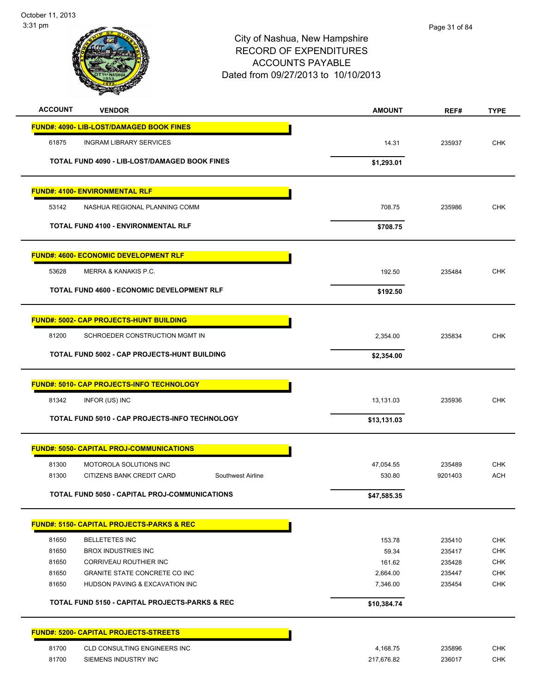

| <b>ACCOUNT</b><br><b>VENDOR</b>                           | <b>AMOUNT</b> | REF#    | <b>TYPE</b> |
|-----------------------------------------------------------|---------------|---------|-------------|
| <b>FUND#: 4090- LIB-LOST/DAMAGED BOOK FINES</b>           |               |         |             |
| 61875<br><b>INGRAM LIBRARY SERVICES</b>                   | 14.31         | 235937  | <b>CHK</b>  |
| TOTAL FUND 4090 - LIB-LOST/DAMAGED BOOK FINES             | \$1,293.01    |         |             |
|                                                           |               |         |             |
| <b>FUND#: 4100- ENVIRONMENTAL RLF</b>                     |               |         |             |
| 53142<br>NASHUA REGIONAL PLANNING COMM                    | 708.75        | 235986  | <b>CHK</b>  |
| <b>TOTAL FUND 4100 - ENVIRONMENTAL RLF</b>                | \$708.75      |         |             |
| <b>FUND#: 4600- ECONOMIC DEVELOPMENT RLF</b>              |               |         |             |
| 53628<br>MERRA & KANAKIS P.C.                             | 192.50        | 235484  | <b>CHK</b>  |
| <b>TOTAL FUND 4600 - ECONOMIC DEVELOPMENT RLF</b>         | \$192.50      |         |             |
| <b>FUND#: 5002- CAP PROJECTS-HUNT BUILDING</b>            |               |         |             |
| 81200<br>SCHROEDER CONSTRUCTION MGMT IN                   | 2,354.00      | 235834  | <b>CHK</b>  |
| TOTAL FUND 5002 - CAP PROJECTS-HUNT BUILDING              | \$2,354.00    |         |             |
| <b>FUND#: 5010- CAP PROJECTS-INFO TECHNOLOGY</b>          |               |         |             |
| 81342<br>INFOR (US) INC                                   | 13,131.03     | 235936  | <b>CHK</b>  |
| TOTAL FUND 5010 - CAP PROJECTS-INFO TECHNOLOGY            | \$13,131.03   |         |             |
| <b>FUND#: 5050- CAPITAL PROJ-COMMUNICATIONS</b>           |               |         |             |
| 81300<br>MOTOROLA SOLUTIONS INC                           | 47,054.55     | 235489  | <b>CHK</b>  |
| 81300<br>CITIZENS BANK CREDIT CARD<br>Southwest Airline   | 530.80        | 9201403 | <b>ACH</b>  |
| <b>TOTAL FUND 5050 - CAPITAL PROJ-COMMUNICATIONS</b>      | \$47,585.35   |         |             |
| <b>FUND#: 5150- CAPITAL PROJECTS-PARKS &amp; REC</b>      |               |         |             |
| 81650<br><b>BELLETETES INC</b>                            | 153.78        | 235410  | <b>CHK</b>  |
| 81650<br><b>BROX INDUSTRIES INC</b>                       | 59.34         | 235417  | CHK         |
| 81650<br>CORRIVEAU ROUTHIER INC                           | 161.62        | 235428  | <b>CHK</b>  |
| 81650<br>GRANITE STATE CONCRETE CO INC                    | 2,664.00      | 235447  | CHK         |
| 81650<br>HUDSON PAVING & EXCAVATION INC                   | 7,346.00      | 235454  | CHK         |
| <b>TOTAL FUND 5150 - CAPITAL PROJECTS-PARKS &amp; REC</b> | \$10,384.74   |         |             |
| <b>FUND#: 5200- CAPITAL PROJECTS-STREETS</b>              |               |         |             |
| 81700<br>CLD CONSULTING ENGINEERS INC                     | 4,168.75      | 235896  | CHK         |
| 81700<br>SIEMENS INDUSTRY INC                             | 217,676.82    | 236017  | <b>CHK</b>  |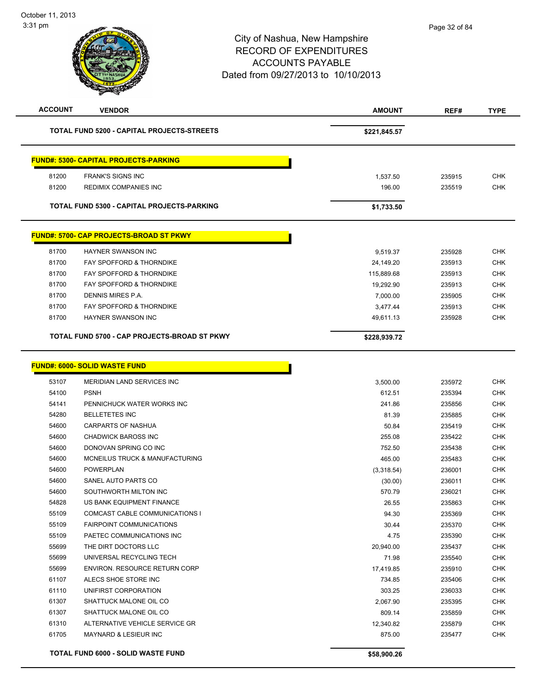| <b>ACCOUNT</b> | <b>VENDOR</b>                                  | <b>AMOUNT</b> | REF#   | <b>TYPE</b> |
|----------------|------------------------------------------------|---------------|--------|-------------|
|                | TOTAL FUND 5200 - CAPITAL PROJECTS-STREETS     | \$221,845.57  |        |             |
|                | <b>FUND#: 5300- CAPITAL PROJECTS-PARKING</b>   |               |        |             |
| 81200          | <b>FRANK'S SIGNS INC</b>                       | 1,537.50      | 235915 | <b>CHK</b>  |
| 81200          | <b>REDIMIX COMPANIES INC</b>                   | 196.00        | 235519 | <b>CHK</b>  |
|                |                                                |               |        |             |
|                | TOTAL FUND 5300 - CAPITAL PROJECTS-PARKING     | \$1,733.50    |        |             |
|                | <b>FUND#: 5700- CAP PROJECTS-BROAD ST PKWY</b> |               |        |             |
| 81700          | HAYNER SWANSON INC                             | 9,519.37      | 235928 | <b>CHK</b>  |
| 81700          | FAY SPOFFORD & THORNDIKE                       | 24,149.20     | 235913 | <b>CHK</b>  |
| 81700          | FAY SPOFFORD & THORNDIKE                       | 115,889.68    | 235913 | <b>CHK</b>  |
| 81700          | FAY SPOFFORD & THORNDIKE                       | 19.292.90     | 235913 | <b>CHK</b>  |
| 81700          | DENNIS MIRES P.A.                              | 7,000.00      | 235905 | <b>CHK</b>  |
| 81700          | FAY SPOFFORD & THORNDIKE                       | 3,477.44      | 235913 | <b>CHK</b>  |
| 81700          | HAYNER SWANSON INC                             | 49,611.13     | 235928 | <b>CHK</b>  |
|                | TOTAL FUND 5700 - CAP PROJECTS-BROAD ST PKWY   | \$228,939.72  |        |             |
|                | <b>FUND#: 6000- SOLID WASTE FUND</b>           |               |        |             |
| 53107          | MERIDIAN LAND SERVICES INC                     | 3,500.00      | 235972 | <b>CHK</b>  |
| 54100          | <b>PSNH</b>                                    | 612.51        | 235394 | <b>CHK</b>  |
| 54141          | PENNICHUCK WATER WORKS INC                     | 241.86        | 235856 | <b>CHK</b>  |
| 54280          | <b>BELLETETES INC</b>                          | 81.39         | 235885 | <b>CHK</b>  |
| 54600          | <b>CARPARTS OF NASHUA</b>                      | 50.84         | 235419 | <b>CHK</b>  |
| 54600          | <b>CHADWICK BAROSS INC</b>                     | 255.08        | 235422 | <b>CHK</b>  |
| 54600          | DONOVAN SPRING CO INC                          | 752.50        | 235438 | <b>CHK</b>  |
| 54600          | MCNEILUS TRUCK & MANUFACTURING                 | 465.00        | 235483 | <b>CHK</b>  |
| 54600          | <b>POWERPLAN</b>                               | (3,318.54)    | 236001 | <b>CHK</b>  |
| 54600          | SANEL AUTO PARTS CO                            | (30.00)       | 236011 | <b>CHK</b>  |
| 54600          | SOUTHWORTH MILTON INC                          | 570.79        | 236021 | <b>CHK</b>  |
| 54828          | US BANK EQUIPMENT FINANCE                      | 26.55         | 235863 | <b>CHK</b>  |
| 55109          | <b>COMCAST CABLE COMMUNICATIONS I</b>          | 94.30         | 235369 | <b>CHK</b>  |
| 55109          | <b>FAIRPOINT COMMUNICATIONS</b>                | 30.44         | 235370 | <b>CHK</b>  |
| 55109          | PAETEC COMMUNICATIONS INC                      | 4.75          | 235390 | <b>CHK</b>  |
| 55699          | THE DIRT DOCTORS LLC                           | 20,940.00     | 235437 | CHK         |
| 55699          | UNIVERSAL RECYCLING TECH                       | 71.98         | 235540 | <b>CHK</b>  |
| 55699          | <b>ENVIRON, RESOURCE RETURN CORP</b>           | 17,419.85     | 235910 | <b>CHK</b>  |
| 61107          | ALECS SHOE STORE INC                           | 734.85        | 235406 | <b>CHK</b>  |
| 61110          | UNIFIRST CORPORATION                           | 303.25        | 236033 | <b>CHK</b>  |
| 61307          | SHATTUCK MALONE OIL CO                         | 2,067.90      | 235395 | <b>CHK</b>  |
| 61307          | SHATTUCK MALONE OIL CO                         | 809.14        | 235859 | <b>CHK</b>  |
| 61310          | ALTERNATIVE VEHICLE SERVICE GR                 | 12,340.82     | 235879 | <b>CHK</b>  |
| 61705          | MAYNARD & LESIEUR INC                          | 875.00        | 235477 | <b>CHK</b>  |
|                | TOTAL FUND 6000 - SOLID WASTE FUND             | \$58,900.26   |        |             |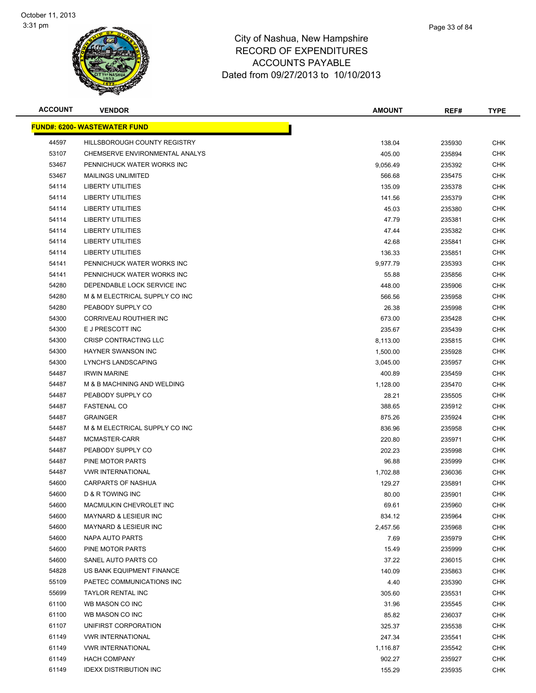

| <b>ACCOUNT</b> | <b>VENDOR</b>                        | <b>AMOUNT</b> | REF#   | <b>TYPE</b> |
|----------------|--------------------------------------|---------------|--------|-------------|
|                | <u> FUND#: 6200- WASTEWATER FUND</u> |               |        |             |
| 44597          | HILLSBOROUGH COUNTY REGISTRY         | 138.04        | 235930 | <b>CHK</b>  |
| 53107          | CHEMSERVE ENVIRONMENTAL ANALYS       | 405.00        | 235894 | <b>CHK</b>  |
| 53467          | PENNICHUCK WATER WORKS INC           | 9,056.49      | 235392 | <b>CHK</b>  |
| 53467          | <b>MAILINGS UNLIMITED</b>            | 566.68        | 235475 | <b>CHK</b>  |
| 54114          | <b>LIBERTY UTILITIES</b>             | 135.09        | 235378 | <b>CHK</b>  |
| 54114          | <b>LIBERTY UTILITIES</b>             | 141.56        | 235379 | <b>CHK</b>  |
| 54114          | <b>LIBERTY UTILITIES</b>             | 45.03         | 235380 | <b>CHK</b>  |
| 54114          | <b>LIBERTY UTILITIES</b>             | 47.79         | 235381 | <b>CHK</b>  |
| 54114          | <b>LIBERTY UTILITIES</b>             | 47.44         | 235382 | <b>CHK</b>  |
| 54114          | <b>LIBERTY UTILITIES</b>             | 42.68         | 235841 | <b>CHK</b>  |
| 54114          | <b>LIBERTY UTILITIES</b>             | 136.33        | 235851 | CHK         |
| 54141          | PENNICHUCK WATER WORKS INC           | 9,977.79      | 235393 | <b>CHK</b>  |
| 54141          | PENNICHUCK WATER WORKS INC           | 55.88         | 235856 | <b>CHK</b>  |
| 54280          | DEPENDABLE LOCK SERVICE INC          | 448.00        | 235906 | CHK         |
| 54280          | M & M ELECTRICAL SUPPLY CO INC       | 566.56        | 235958 | <b>CHK</b>  |
| 54280          | PEABODY SUPPLY CO                    | 26.38         | 235998 | <b>CHK</b>  |
| 54300          | <b>CORRIVEAU ROUTHIER INC</b>        | 673.00        | 235428 | <b>CHK</b>  |
| 54300          | E J PRESCOTT INC                     | 235.67        | 235439 | CHK         |
| 54300          | CRISP CONTRACTING LLC                | 8,113.00      | 235815 | <b>CHK</b>  |
| 54300          | <b>HAYNER SWANSON INC</b>            | 1,500.00      | 235928 | <b>CHK</b>  |
| 54300          | LYNCH'S LANDSCAPING                  | 3,045.00      | 235957 | CHK         |
| 54487          | <b>IRWIN MARINE</b>                  | 400.89        | 235459 | <b>CHK</b>  |
| 54487          | M & B MACHINING AND WELDING          | 1,128.00      | 235470 | CHK         |
| 54487          | PEABODY SUPPLY CO                    | 28.21         | 235505 | <b>CHK</b>  |
| 54487          | <b>FASTENAL CO</b>                   | 388.65        | 235912 | CHK         |
| 54487          | <b>GRAINGER</b>                      | 875.26        | 235924 | <b>CHK</b>  |
| 54487          | M & M ELECTRICAL SUPPLY CO INC       | 836.96        | 235958 | <b>CHK</b>  |
| 54487          | MCMASTER-CARR                        | 220.80        | 235971 | <b>CHK</b>  |
| 54487          | PEABODY SUPPLY CO                    | 202.23        | 235998 | <b>CHK</b>  |
| 54487          | PINE MOTOR PARTS                     | 96.88         | 235999 | <b>CHK</b>  |
| 54487          | <b>VWR INTERNATIONAL</b>             | 1,702.88      | 236036 | <b>CHK</b>  |
| 54600          | CARPARTS OF NASHUA                   | 129.27        | 235891 | <b>CHK</b>  |
| 54600          | D & R TOWING INC                     | 80.00         | 235901 | <b>CHK</b>  |
| 54600          | MACMULKIN CHEVROLET INC              | 69.61         | 235960 | <b>CHK</b>  |
| 54600          | <b>MAYNARD &amp; LESIEUR INC</b>     | 834.12        | 235964 | <b>CHK</b>  |
| 54600          | <b>MAYNARD &amp; LESIEUR INC</b>     | 2,457.56      | 235968 | <b>CHK</b>  |
| 54600          | <b>NAPA AUTO PARTS</b>               | 7.69          | 235979 | <b>CHK</b>  |
| 54600          | PINE MOTOR PARTS                     | 15.49         | 235999 | <b>CHK</b>  |
| 54600          | SANEL AUTO PARTS CO                  | 37.22         | 236015 | <b>CHK</b>  |
| 54828          | US BANK EQUIPMENT FINANCE            | 140.09        | 235863 | <b>CHK</b>  |
| 55109          | PAETEC COMMUNICATIONS INC            | 4.40          | 235390 | <b>CHK</b>  |
| 55699          | <b>TAYLOR RENTAL INC</b>             | 305.60        | 235531 | <b>CHK</b>  |
| 61100          | WB MASON CO INC                      | 31.96         | 235545 | <b>CHK</b>  |
| 61100          | WB MASON CO INC                      | 85.82         | 236037 | <b>CHK</b>  |
| 61107          | UNIFIRST CORPORATION                 | 325.37        | 235538 | <b>CHK</b>  |
| 61149          | <b>VWR INTERNATIONAL</b>             | 247.34        | 235541 | <b>CHK</b>  |
| 61149          | <b>VWR INTERNATIONAL</b>             | 1,116.87      | 235542 | <b>CHK</b>  |
| 61149          | <b>HACH COMPANY</b>                  | 902.27        | 235927 | <b>CHK</b>  |
| 61149          | <b>IDEXX DISTRIBUTION INC</b>        | 155.29        | 235935 | <b>CHK</b>  |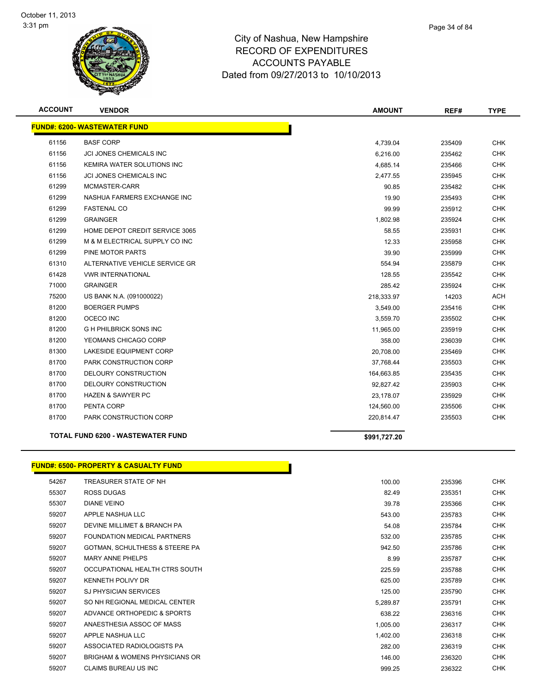

| <b>ACCOUNT</b> | <b>VENDOR</b>                            | <b>AMOUNT</b> | REF#   | <b>TYPE</b> |
|----------------|------------------------------------------|---------------|--------|-------------|
|                | <b>FUND#: 6200- WASTEWATER FUND</b>      |               |        |             |
| 61156          | <b>BASF CORP</b>                         | 4,739.04      | 235409 | <b>CHK</b>  |
| 61156          | JCI JONES CHEMICALS INC                  | 6,216.00      | 235462 | <b>CHK</b>  |
| 61156          | KEMIRA WATER SOLUTIONS INC               | 4,685.14      | 235466 | <b>CHK</b>  |
| 61156          | <b>JCI JONES CHEMICALS INC</b>           | 2,477.55      | 235945 | <b>CHK</b>  |
| 61299          | MCMASTER-CARR                            | 90.85         | 235482 | <b>CHK</b>  |
| 61299          | NASHUA FARMERS EXCHANGE INC              | 19.90         | 235493 | <b>CHK</b>  |
| 61299          | <b>FASTENAL CO</b>                       | 99.99         | 235912 | <b>CHK</b>  |
| 61299          | <b>GRAINGER</b>                          | 1,802.98      | 235924 | <b>CHK</b>  |
| 61299          | HOME DEPOT CREDIT SERVICE 3065           | 58.55         | 235931 | <b>CHK</b>  |
| 61299          | M & M ELECTRICAL SUPPLY CO INC           | 12.33         | 235958 | <b>CHK</b>  |
| 61299          | <b>PINE MOTOR PARTS</b>                  | 39.90         | 235999 | <b>CHK</b>  |
| 61310          | ALTERNATIVE VEHICLE SERVICE GR           | 554.94        | 235879 | <b>CHK</b>  |
| 61428          | <b>VWR INTERNATIONAL</b>                 | 128.55        | 235542 | <b>CHK</b>  |
| 71000          | <b>GRAINGER</b>                          | 285.42        | 235924 | <b>CHK</b>  |
| 75200          | US BANK N.A. (091000022)                 | 218,333.97    | 14203  | ACH         |
| 81200          | <b>BOERGER PUMPS</b>                     | 3,549.00      | 235416 | <b>CHK</b>  |
| 81200          | OCECO INC                                | 3,559.70      | 235502 | <b>CHK</b>  |
| 81200          | <b>GH PHILBRICK SONS INC</b>             | 11,965.00     | 235919 | <b>CHK</b>  |
| 81200          | YEOMANS CHICAGO CORP                     | 358.00        | 236039 | <b>CHK</b>  |
| 81300          | <b>LAKESIDE EQUIPMENT CORP</b>           | 20,708.00     | 235469 | <b>CHK</b>  |
| 81700          | PARK CONSTRUCTION CORP                   | 37,768.44     | 235503 | <b>CHK</b>  |
| 81700          | DELOURY CONSTRUCTION                     | 164,663.85    | 235435 | <b>CHK</b>  |
| 81700          | DELOURY CONSTRUCTION                     | 92,827.42     | 235903 | <b>CHK</b>  |
| 81700          | <b>HAZEN &amp; SAWYER PC</b>             | 23,178.07     | 235929 | <b>CHK</b>  |
| 81700          | PENTA CORP                               | 124,560.00    | 235506 | <b>CHK</b>  |
| 81700          | PARK CONSTRUCTION CORP                   | 220,814.47    | 235503 | <b>CHK</b>  |
|                | <b>TOTAL FUND 6200 - WASTEWATER FUND</b> | \$991.727.20  |        |             |

#### **FUND#: 6500- PROPERTY & CASUALTY FUND**

| 54267 | TREASURER STATE OF NH          | 100.00   | 235396 | <b>CHK</b> |
|-------|--------------------------------|----------|--------|------------|
| 55307 | <b>ROSS DUGAS</b>              | 82.49    | 235351 | <b>CHK</b> |
| 55307 | <b>DIANE VEINO</b>             | 39.78    | 235366 | <b>CHK</b> |
| 59207 | APPLE NASHUA LLC               | 543.00   | 235783 | <b>CHK</b> |
| 59207 | DEVINE MILLIMET & BRANCH PA    | 54.08    | 235784 | <b>CHK</b> |
| 59207 | FOUNDATION MEDICAL PARTNERS    | 532.00   | 235785 | <b>CHK</b> |
| 59207 | GOTMAN, SCHULTHESS & STEERE PA | 942.50   | 235786 | <b>CHK</b> |
| 59207 | <b>MARY ANNE PHELPS</b>        | 8.99     | 235787 | <b>CHK</b> |
| 59207 | OCCUPATIONAL HEALTH CTRS SOUTH | 225.59   | 235788 | <b>CHK</b> |
| 59207 | <b>KENNETH POLIVY DR</b>       | 625.00   | 235789 | <b>CHK</b> |
| 59207 | <b>SJ PHYSICIAN SERVICES</b>   | 125.00   | 235790 | <b>CHK</b> |
| 59207 | SO NH REGIONAL MEDICAL CENTER  | 5,289.87 | 235791 | CHK        |
| 59207 | ADVANCE ORTHOPEDIC & SPORTS    | 638.22   | 236316 | <b>CHK</b> |
| 59207 | ANAESTHESIA ASSOC OF MASS      | 1,005.00 | 236317 | <b>CHK</b> |
| 59207 | APPLE NASHUA LLC               | 1,402.00 | 236318 | <b>CHK</b> |
| 59207 | ASSOCIATED RADIOLOGISTS PA     | 282.00   | 236319 | <b>CHK</b> |
| 59207 | BRIGHAM & WOMENS PHYSICIANS OR | 146.00   | 236320 | CHK        |
| 59207 | <b>CLAIMS BUREAU US INC</b>    | 999.25   | 236322 | <b>CHK</b> |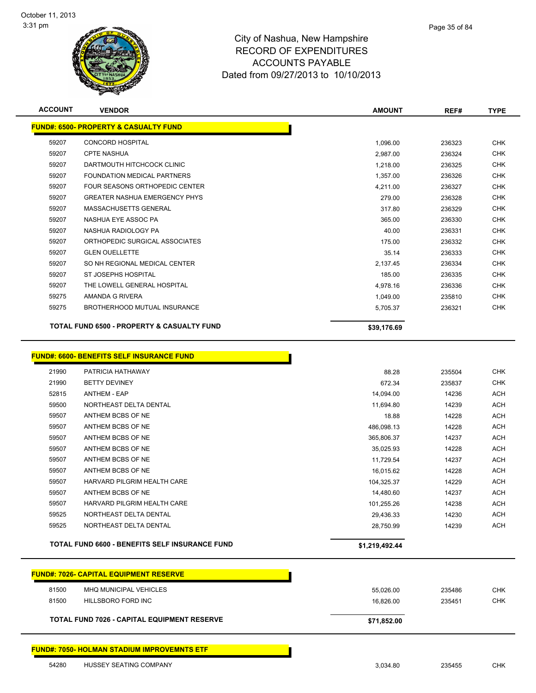

| w Hampshire |  |
|-------------|--|
| ENDITURES   |  |

Page 35 of 84

| <b>ACCOUNT</b> | <b>VENDOR</b>                                                         | <b>AMOUNT</b>  | REF#   | <b>TYPE</b> |  |
|----------------|-----------------------------------------------------------------------|----------------|--------|-------------|--|
|                | <b>FUND#: 6500- PROPERTY &amp; CASUALTY FUND</b>                      |                |        |             |  |
| 59207          | <b>CONCORD HOSPITAL</b>                                               | 1,096.00       | 236323 | <b>CHK</b>  |  |
| 59207          | <b>CPTE NASHUA</b>                                                    | 2,987.00       | 236324 | <b>CHK</b>  |  |
| 59207          | DARTMOUTH HITCHCOCK CLINIC                                            | 1,218.00       | 236325 | <b>CHK</b>  |  |
| 59207          | FOUNDATION MEDICAL PARTNERS                                           | 1,357.00       | 236326 | <b>CHK</b>  |  |
| 59207          | FOUR SEASONS ORTHOPEDIC CENTER                                        | 4,211.00       | 236327 | <b>CHK</b>  |  |
| 59207          | <b>GREATER NASHUA EMERGENCY PHYS</b>                                  | 279.00         | 236328 | <b>CHK</b>  |  |
| 59207          | MASSACHUSETTS GENERAL                                                 | 317.80         | 236329 | <b>CHK</b>  |  |
| 59207          | NASHUA EYE ASSOC PA                                                   | 365.00         | 236330 | <b>CHK</b>  |  |
| 59207          | NASHUA RADIOLOGY PA                                                   | 40.00          | 236331 | <b>CHK</b>  |  |
| 59207          | ORTHOPEDIC SURGICAL ASSOCIATES                                        | 175.00         | 236332 | <b>CHK</b>  |  |
| 59207          | <b>GLEN OUELLETTE</b>                                                 | 35.14          | 236333 | <b>CHK</b>  |  |
| 59207          | SO NH REGIONAL MEDICAL CENTER                                         | 2,137.45       | 236334 | <b>CHK</b>  |  |
| 59207          | ST JOSEPHS HOSPITAL                                                   | 185.00         | 236335 | CHK         |  |
| 59207          | THE LOWELL GENERAL HOSPITAL                                           | 4,978.16       | 236336 | <b>CHK</b>  |  |
| 59275          | AMANDA G RIVERA                                                       | 1,049.00       | 235810 | <b>CHK</b>  |  |
| 59275          | BROTHERHOOD MUTUAL INSURANCE                                          | 5,705.37       | 236321 | <b>CHK</b>  |  |
|                | <b>TOTAL FUND 6500 - PROPERTY &amp; CASUALTY FUND</b>                 | \$39,176.69    |        |             |  |
| 21990          | <b>FUND#: 6600- BENEFITS SELF INSURANCE FUND</b><br>PATRICIA HATHAWAY | 88.28          | 235504 | <b>CHK</b>  |  |
| 21990          | <b>BETTY DEVINEY</b>                                                  | 672.34         | 235837 | <b>CHK</b>  |  |
| 52815          | <b>ANTHEM - EAP</b>                                                   | 14,094.00      | 14236  | <b>ACH</b>  |  |
| 59500          | NORTHEAST DELTA DENTAL                                                | 11,694.80      | 14239  | <b>ACH</b>  |  |
| 59507          | ANTHEM BCBS OF NE                                                     | 18.88          | 14228  | <b>ACH</b>  |  |
| 59507          | ANTHEM BCBS OF NE                                                     | 486,098.13     | 14228  | <b>ACH</b>  |  |
| 59507          | ANTHEM BCBS OF NE                                                     | 365,806.37     | 14237  | <b>ACH</b>  |  |
| 59507          | ANTHEM BCBS OF NE                                                     | 35,025.93      | 14228  | <b>ACH</b>  |  |
| 59507          | ANTHEM BCBS OF NE                                                     | 11,729.54      | 14237  | ACH         |  |
| 59507          | ANTHEM BCBS OF NE                                                     | 16,015.62      | 14228  | <b>ACH</b>  |  |
| 59507          | HARVARD PILGRIM HEALTH CARE                                           | 104,325.37     | 14229  | <b>ACH</b>  |  |
| 59507          | ANTHEM BCBS OF NE                                                     | 14,480.60      | 14237  | <b>ACH</b>  |  |
| 59507          | HARVARD PILGRIM HEALTH CARE                                           | 101,255.26     | 14238  | <b>ACH</b>  |  |
| 59525          | NORTHEAST DELTA DENTAL                                                | 29,436.33      | 14230  | <b>ACH</b>  |  |
| 59525          | NORTHEAST DELTA DENTAL                                                | 28,750.99      | 14239  | <b>ACH</b>  |  |
|                | <b>TOTAL FUND 6600 - BENEFITS SELF INSURANCE FUND</b>                 | \$1,219,492.44 |        |             |  |
|                | <b>FUND#: 7026- CAPITAL EQUIPMENT RESERVE</b>                         |                |        |             |  |
| 81500          | MHQ MUNICIPAL VEHICLES                                                | 55,026.00      | 235486 | <b>CHK</b>  |  |
| 81500          | <b>HILLSBORO FORD INC</b>                                             | 16,826.00      | 235451 | CHK         |  |
|                | TOTAL FUND 7026 - CAPITAL EQUIPMENT RESERVE                           | \$71,852.00    |        |             |  |
|                | <b>FUND#: 7050- HOLMAN STADIUM IMPROVEMNTS ETF</b>                    |                |        |             |  |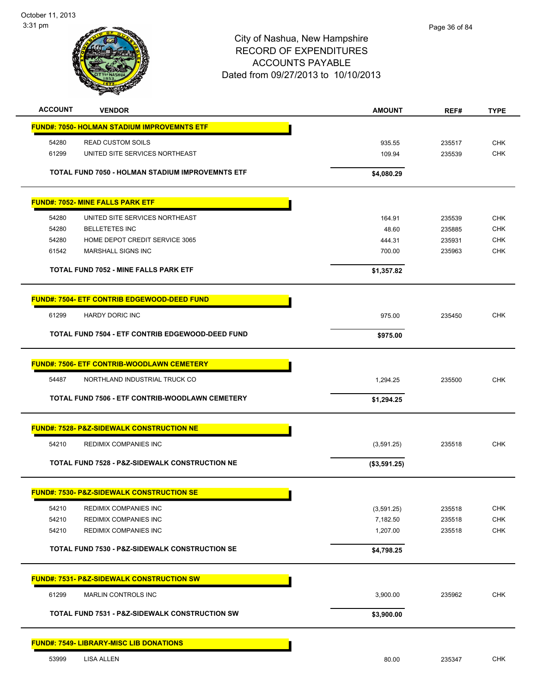

| <b>ACCOUNT</b> | <b>VENDOR</b>                                             | <b>AMOUNT</b> | REF#   | <b>TYPE</b> |
|----------------|-----------------------------------------------------------|---------------|--------|-------------|
|                | <b>FUND#: 7050- HOLMAN STADIUM IMPROVEMNTS ETF</b>        |               |        |             |
| 54280          | <b>READ CUSTOM SOILS</b>                                  | 935.55        | 235517 | <b>CHK</b>  |
| 61299          | UNITED SITE SERVICES NORTHEAST                            | 109.94        | 235539 | CHK         |
|                |                                                           |               |        |             |
|                | <b>TOTAL FUND 7050 - HOLMAN STADIUM IMPROVEMNTS ETF</b>   | \$4,080.29    |        |             |
|                | <b>FUND#: 7052- MINE FALLS PARK ETF</b>                   |               |        |             |
|                |                                                           |               |        |             |
| 54280          | UNITED SITE SERVICES NORTHEAST                            | 164.91        | 235539 | <b>CHK</b>  |
| 54280          | <b>BELLETETES INC</b>                                     | 48.60         | 235885 | <b>CHK</b>  |
| 54280          | HOME DEPOT CREDIT SERVICE 3065                            | 444.31        | 235931 | <b>CHK</b>  |
| 61542          | MARSHALL SIGNS INC                                        | 700.00        | 235963 | <b>CHK</b>  |
|                | <b>TOTAL FUND 7052 - MINE FALLS PARK ETF</b>              | \$1,357.82    |        |             |
|                | <b>FUND#: 7504- ETF CONTRIB EDGEWOOD-DEED FUND</b>        |               |        |             |
|                |                                                           |               |        |             |
| 61299          | <b>HARDY DORIC INC</b>                                    | 975.00        | 235450 | <b>CHK</b>  |
|                | TOTAL FUND 7504 - ETF CONTRIB EDGEWOOD-DEED FUND          | \$975.00      |        |             |
|                |                                                           |               |        |             |
|                | <b>FUND#: 7506- ETF CONTRIB-WOODLAWN CEMETERY</b>         |               |        |             |
| 54487          | NORTHLAND INDUSTRIAL TRUCK CO                             | 1,294.25      | 235500 | <b>CHK</b>  |
|                | TOTAL FUND 7506 - ETF CONTRIB-WOODLAWN CEMETERY           | \$1,294.25    |        |             |
|                | <b>FUND#: 7528- P&amp;Z-SIDEWALK CONSTRUCTION NE</b>      |               |        |             |
| 54210          | REDIMIX COMPANIES INC                                     |               | 235518 | <b>CHK</b>  |
|                |                                                           | (3,591.25)    |        |             |
|                | <b>TOTAL FUND 7528 - P&amp;Z-SIDEWALK CONSTRUCTION NE</b> | (\$3,591.25)  |        |             |
|                | <b>FUND#: 7530- P&amp;Z-SIDEWALK CONSTRUCTION SE</b>      |               |        |             |
|                | REDIMIX COMPANIES INC                                     |               |        | <b>CHK</b>  |
| 54210          |                                                           | (3,591.25)    | 235518 |             |
| 54210          | REDIMIX COMPANIES INC                                     | 7,182.50      | 235518 | <b>CHK</b>  |
| 54210          | REDIMIX COMPANIES INC                                     | 1,207.00      | 235518 | <b>CHK</b>  |
|                | <b>TOTAL FUND 7530 - P&amp;Z-SIDEWALK CONSTRUCTION SE</b> | \$4,798.25    |        |             |
|                | <b>FUND#: 7531- P&amp;Z-SIDEWALK CONSTRUCTION SW</b>      |               |        |             |
|                |                                                           |               |        |             |
| 61299          | <b>MARLIN CONTROLS INC</b>                                | 3,900.00      | 235962 | <b>CHK</b>  |
|                | <b>TOTAL FUND 7531 - P&amp;Z-SIDEWALK CONSTRUCTION SW</b> | \$3,900.00    |        |             |
|                | <b>FUND#: 7549- LIBRARY-MISC LIB DONATIONS</b>            |               |        |             |
|                |                                                           |               |        |             |
| 53999          | <b>LISA ALLEN</b>                                         | 80.00         | 235347 | CHK         |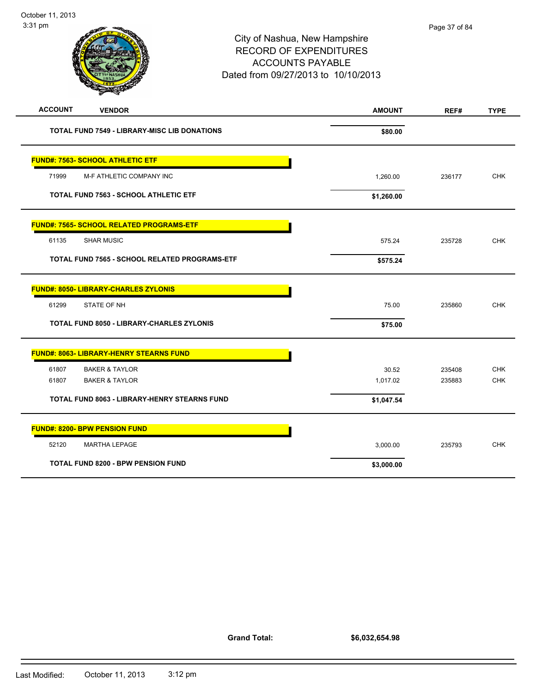| 3:31 pm                                             | City of Nashua, New Hampshire<br><b>RECORD OF EXPENDITURES</b><br><b>ACCOUNTS PAYABLE</b><br>Dated from 09/27/2013 to 10/10/2013 | Page 37 of 84 |             |
|-----------------------------------------------------|----------------------------------------------------------------------------------------------------------------------------------|---------------|-------------|
| <b>ACCOUNT</b><br><b>VENDOR</b>                     | <b>AMOUNT</b>                                                                                                                    | REF#          | <b>TYPE</b> |
| <b>TOTAL FUND 7549 - LIBRARY-MISC LIB DONATIONS</b> | \$80.00                                                                                                                          |               |             |
| <b>FUND#: 7563- SCHOOL ATHLETIC ETF</b>             |                                                                                                                                  |               |             |
| 71999<br>M-F ATHLETIC COMPANY INC                   | 1,260.00                                                                                                                         | 236177        | <b>CHK</b>  |
| <b>TOTAL FUND 7563 - SCHOOL ATHLETIC ETF</b>        | \$1,260.00                                                                                                                       |               |             |
| <b>FUND#: 7565- SCHOOL RELATED PROGRAMS-ETF</b>     |                                                                                                                                  |               |             |
| <b>SHAR MUSIC</b><br>61135                          | 575.24                                                                                                                           | 235728        | <b>CHK</b>  |
| TOTAL FUND 7565 - SCHOOL RELATED PROGRAMS-ETF       | \$575.24                                                                                                                         |               |             |
| <b>FUND#: 8050- LIBRARY-CHARLES ZYLONIS</b>         |                                                                                                                                  |               |             |
| 61299<br>STATE OF NH                                | 75.00                                                                                                                            | 235860        | <b>CHK</b>  |
| <b>TOTAL FUND 8050 - LIBRARY-CHARLES ZYLONIS</b>    | \$75.00                                                                                                                          |               |             |
| <b>FUND#: 8063- LIBRARY-HENRY STEARNS FUND</b>      |                                                                                                                                  |               |             |
| 61807<br><b>BAKER &amp; TAYLOR</b>                  | 30.52                                                                                                                            | 235408        | <b>CHK</b>  |
| 61807<br><b>BAKER &amp; TAYLOR</b>                  | 1,017.02                                                                                                                         | 235883        | <b>CHK</b>  |
| <b>TOTAL FUND 8063 - LIBRARY-HENRY STEARNS FUND</b> | \$1,047.54                                                                                                                       |               |             |

|       | <b>FUND#: 8200- BPW PENSION FUND</b>      |            |        |            |
|-------|-------------------------------------------|------------|--------|------------|
| 52120 | MARTHA LEPAGE                             | 3,000.00   | 235793 | <b>CHK</b> |
|       | <b>TOTAL FUND 8200 - BPW PENSION FUND</b> | \$3,000.00 |        |            |

**Grand Total:**

**\$6,032,654.98**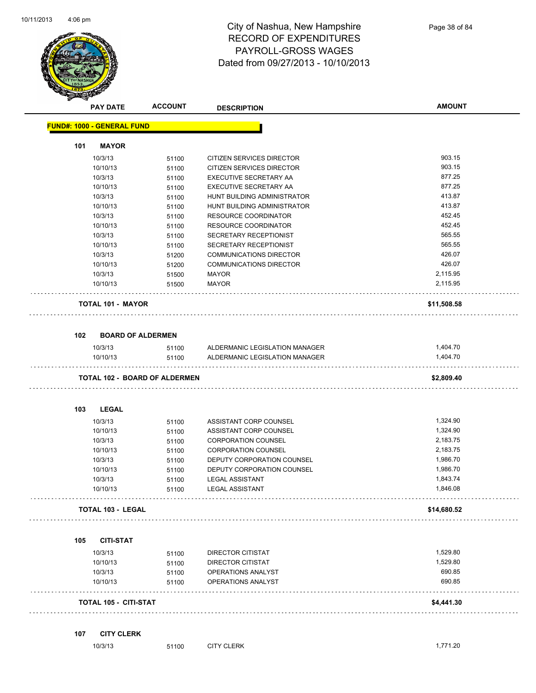

|     | <b>PAY DATE</b>                   | <b>ACCOUNT</b>                       | <b>DESCRIPTION</b>             | <b>AMOUNT</b> |
|-----|-----------------------------------|--------------------------------------|--------------------------------|---------------|
|     | <b>FUND#: 1000 - GENERAL FUND</b> |                                      |                                |               |
| 101 | <b>MAYOR</b>                      |                                      |                                |               |
|     | 10/3/13                           | 51100                                | CITIZEN SERVICES DIRECTOR      | 903.15        |
|     | 10/10/13                          | 51100                                | CITIZEN SERVICES DIRECTOR      | 903.15        |
|     | 10/3/13                           | 51100                                | EXECUTIVE SECRETARY AA         | 877.25        |
|     | 10/10/13                          | 51100                                | EXECUTIVE SECRETARY AA         | 877.25        |
|     | 10/3/13                           | 51100                                | HUNT BUILDING ADMINISTRATOR    | 413.87        |
|     | 10/10/13                          | 51100                                | HUNT BUILDING ADMINISTRATOR    | 413.87        |
|     | 10/3/13                           | 51100                                | <b>RESOURCE COORDINATOR</b>    | 452.45        |
|     | 10/10/13                          | 51100                                | RESOURCE COORDINATOR           | 452.45        |
|     | 10/3/13                           | 51100                                | SECRETARY RECEPTIONIST         | 565.55        |
|     | 10/10/13                          | 51100                                | SECRETARY RECEPTIONIST         | 565.55        |
|     | 10/3/13                           | 51200                                | COMMUNICATIONS DIRECTOR        | 426.07        |
|     | 10/10/13                          | 51200                                | <b>COMMUNICATIONS DIRECTOR</b> | 426.07        |
|     | 10/3/13                           | 51500                                | <b>MAYOR</b>                   | 2,115.95      |
|     | 10/10/13                          | 51500                                | MAYOR                          | 2,115.95      |
|     | <b>TOTAL 101 - MAYOR</b>          |                                      |                                | \$11,508.58   |
| 102 | <b>BOARD OF ALDERMEN</b>          |                                      |                                |               |
|     | 10/3/13                           | 51100                                | ALDERMANIC LEGISLATION MANAGER | 1,404.70      |
|     | 10/10/13                          | 51100                                | ALDERMANIC LEGISLATION MANAGER | 1,404.70      |
|     |                                   | <b>TOTAL 102 - BOARD OF ALDERMEN</b> |                                | \$2,809.40    |
| 103 | <b>LEGAL</b>                      |                                      |                                |               |
|     | 10/3/13                           | 51100                                | ASSISTANT CORP COUNSEL         | 1,324.90      |
|     | 10/10/13                          | 51100                                | ASSISTANT CORP COUNSEL         | 1,324.90      |
|     | 10/3/13                           | 51100                                | <b>CORPORATION COUNSEL</b>     | 2,183.75      |
|     | 10/10/13                          | 51100                                | <b>CORPORATION COUNSEL</b>     | 2,183.75      |
|     | 10/3/13                           | 51100                                | DEPUTY CORPORATION COUNSEL     | 1,986.70      |
|     | 10/10/13                          | 51100                                | DEPUTY CORPORATION COUNSEL     | 1,986.70      |
|     | 10/3/13                           | 51100                                | <b>LEGAL ASSISTANT</b>         | 1,843.74      |
|     | 10/10/13                          | 51100                                | <b>LEGAL ASSISTANT</b>         | 1,846.08      |
|     | <b>TOTAL 103 - LEGAL</b>          |                                      |                                | \$14,680.52   |
| 105 | <b>CITI-STAT</b>                  |                                      |                                |               |
|     | 10/3/13                           | 51100                                | DIRECTOR CITISTAT              | 1,529.80      |
|     | 10/10/13                          | 51100                                | <b>DIRECTOR CITISTAT</b>       | 1,529.80      |
|     | 10/3/13                           | 51100                                | OPERATIONS ANALYST             | 690.85        |
|     | 10/10/13                          | 51100                                | OPERATIONS ANALYST             | 690.85        |
|     | <b>TOTAL 105 - CITI-STAT</b>      |                                      |                                | \$4,441.30    |
|     |                                   |                                      |                                |               |

10/3/13 51100 CITY CLERK 1,771.20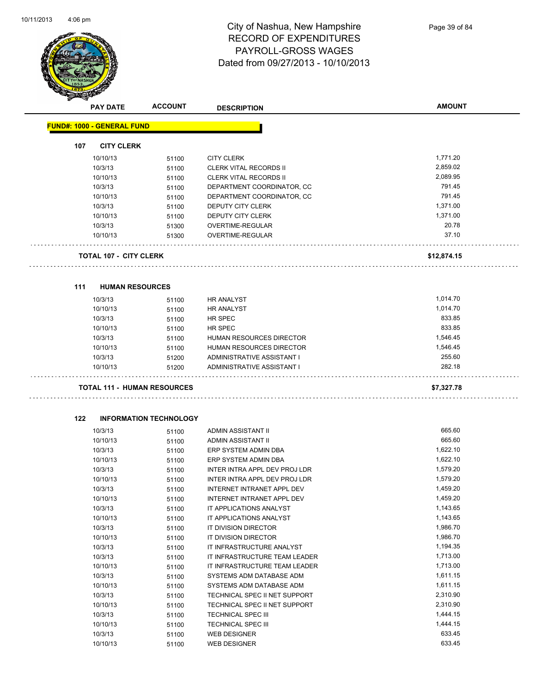

|     | <b>PAY DATE</b>                   | <b>ACCOUNT</b>                     | <b>DESCRIPTION</b>              | <b>AMOUNT</b> |
|-----|-----------------------------------|------------------------------------|---------------------------------|---------------|
|     | <b>FUND#: 1000 - GENERAL FUND</b> |                                    |                                 |               |
| 107 | <b>CITY CLERK</b>                 |                                    |                                 |               |
|     | 10/10/13                          | 51100                              | <b>CITY CLERK</b>               | 1,771.20      |
|     | 10/3/13                           | 51100                              | <b>CLERK VITAL RECORDS II</b>   | 2,859.02      |
|     | 10/10/13                          | 51100                              | <b>CLERK VITAL RECORDS II</b>   | 2,089.95      |
|     | 10/3/13                           | 51100                              | DEPARTMENT COORDINATOR, CC      | 791.45        |
|     | 10/10/13                          | 51100                              | DEPARTMENT COORDINATOR, CC      | 791.45        |
|     | 10/3/13                           | 51100                              | <b>DEPUTY CITY CLERK</b>        | 1,371.00      |
|     | 10/10/13                          | 51100                              | DEPUTY CITY CLERK               | 1,371.00      |
|     | 10/3/13                           | 51300                              | OVERTIME-REGULAR                | 20.78         |
|     | 10/10/13                          | 51300                              | OVERTIME-REGULAR                | 37.10         |
|     | TOTAL 107 - CITY CLERK            |                                    |                                 | \$12,874.15   |
|     |                                   |                                    |                                 |               |
| 111 | <b>HUMAN RESOURCES</b>            |                                    |                                 |               |
|     | 10/3/13                           | 51100                              | <b>HR ANALYST</b>               | 1,014.70      |
|     | 10/10/13                          | 51100                              | <b>HR ANALYST</b>               | 1,014.70      |
|     | 10/3/13                           | 51100                              | HR SPEC                         | 833.85        |
|     | 10/10/13                          | 51100                              | HR SPEC                         | 833.85        |
|     | 10/3/13                           | 51100                              | <b>HUMAN RESOURCES DIRECTOR</b> | 1,546.45      |
|     | 10/10/13                          | 51100                              | HUMAN RESOURCES DIRECTOR        | 1,546.45      |
|     | 10/3/13                           | 51200                              | ADMINISTRATIVE ASSISTANT I      | 255.60        |
|     | 10/10/13                          | 51200                              | ADMINISTRATIVE ASSISTANT I      | 282.18        |
|     |                                   | <b>TOTAL 111 - HUMAN RESOURCES</b> |                                 | \$7,327.78    |
|     |                                   |                                    |                                 |               |
| 122 |                                   | <b>INFORMATION TECHNOLOGY</b>      |                                 |               |
|     | 10/3/13                           | 51100                              | ADMIN ASSISTANT II              | 665.60        |
|     | 10/10/13                          | 51100                              | ADMIN ASSISTANT II              | 665.60        |
|     | 10/3/13                           | 51100                              | ERP SYSTEM ADMIN DBA            | 1,622.10      |
|     | 10/10/13                          | 51100                              | ERP SYSTEM ADMIN DBA            | 1,622.10      |
|     | 10/3/13                           | 51100                              | INTER INTRA APPL DEV PROJ LDR   | 1,579.20      |
|     | 10/10/13                          | 51100                              | INTER INTRA APPL DEV PROJ LDR   | 1,579.20      |
|     | 10/3/13                           | 51100                              | INTERNET INTRANET APPL DEV      | 1,459.20      |
|     | 10/10/13                          | 51100                              | INTERNET INTRANET APPL DEV      | 1,459.20      |
|     | 10/3/13                           | 51100                              | IT APPLICATIONS ANALYST         | 1,143.65      |
|     | 10/10/13                          | 51100                              | IT APPLICATIONS ANALYST         | 1,143.65      |
|     | 10/3/13                           | 51100                              | IT DIVISION DIRECTOR            | 1,986.70      |
|     | 10/10/13                          | 51100                              | IT DIVISION DIRECTOR            | 1,986.70      |
|     | 10/3/13                           | 51100                              | IT INFRASTRUCTURE ANALYST       | 1,194.35      |
|     | 10/3/13                           | 51100                              | IT INFRASTRUCTURE TEAM LEADER   | 1,713.00      |
|     | 10/10/13                          | 51100                              | IT INFRASTRUCTURE TEAM LEADER   | 1,713.00      |
|     | 10/3/13                           | 51100                              | SYSTEMS ADM DATABASE ADM        | 1,611.15      |
|     | 10/10/13                          | 51100                              | SYSTEMS ADM DATABASE ADM        | 1,611.15      |
|     | 10/3/13                           | 51100                              | TECHNICAL SPEC II NET SUPPORT   | 2,310.90      |
|     | 10/10/13                          | 51100                              | TECHNICAL SPEC II NET SUPPORT   | 2,310.90      |
|     | 10/3/13                           | 51100                              | TECHNICAL SPEC III              | 1,444.15      |
|     | 10/10/13                          | 51100                              | TECHNICAL SPEC III              | 1,444.15      |
|     | 10/3/13                           | 51100                              | <b>WEB DESIGNER</b>             | 633.45        |

10/10/13 51100 WEB DESIGNER 633.45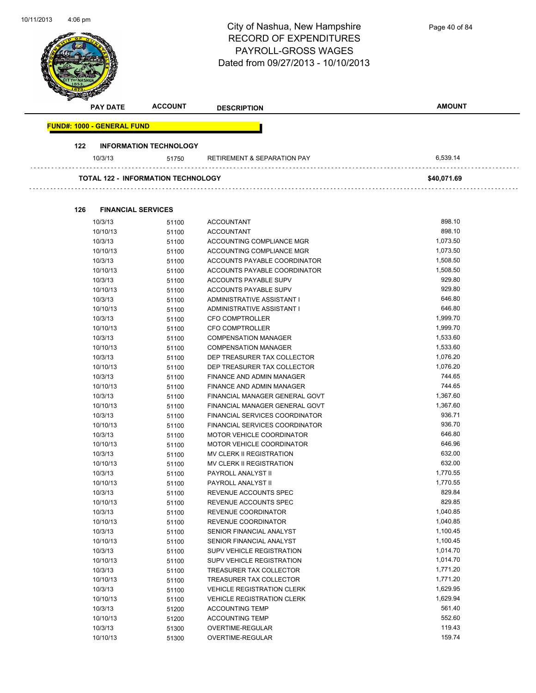| 10/11/2013 | $4:06 \text{ pm}$                 |                                           | City of Nashua, New Hampshire<br><b>RECORD OF EXPENDITURES</b><br><b>PAYROLL-GROSS WAGES</b><br>Dated from 09/27/2013 - 10/10/2013 | Page 40 of 84        |
|------------|-----------------------------------|-------------------------------------------|------------------------------------------------------------------------------------------------------------------------------------|----------------------|
|            | <b>PAY DATE</b>                   | <b>ACCOUNT</b>                            | <b>DESCRIPTION</b>                                                                                                                 | <b>AMOUNT</b>        |
|            | <b>FUND#: 1000 - GENERAL FUND</b> |                                           |                                                                                                                                    |                      |
|            | 122                               | <b>INFORMATION TECHNOLOGY</b>             |                                                                                                                                    |                      |
|            | 10/3/13                           | 51750                                     | <b>RETIREMENT &amp; SEPARATION PAY</b>                                                                                             | 6,539.14             |
|            |                                   | <b>TOTAL 122 - INFORMATION TECHNOLOGY</b> |                                                                                                                                    | \$40,071.69          |
|            |                                   |                                           |                                                                                                                                    |                      |
|            | 126                               | <b>FINANCIAL SERVICES</b>                 |                                                                                                                                    |                      |
|            | 10/3/13                           | 51100                                     | <b>ACCOUNTANT</b>                                                                                                                  | 898.10<br>898.10     |
|            | 10/10/13<br>10/3/13               | 51100                                     | <b>ACCOUNTANT</b><br>ACCOUNTING COMPLIANCE MGR                                                                                     | 1,073.50             |
|            | 10/10/13                          | 51100<br>51100                            | ACCOUNTING COMPLIANCE MGR                                                                                                          | 1,073.50             |
|            | 10/3/13                           | 51100                                     | ACCOUNTS PAYABLE COORDINATOR                                                                                                       | 1,508.50             |
|            | 10/10/13                          | 51100                                     | ACCOUNTS PAYABLE COORDINATOR                                                                                                       | 1,508.50             |
|            | 10/3/13                           | 51100                                     | ACCOUNTS PAYABLE SUPV                                                                                                              | 929.80               |
|            | 10/10/13                          | 51100                                     | ACCOUNTS PAYABLE SUPV                                                                                                              | 929.80               |
|            | 10/3/13                           | 51100                                     | ADMINISTRATIVE ASSISTANT I                                                                                                         | 646.80               |
|            | 10/10/13                          | 51100                                     | ADMINISTRATIVE ASSISTANT I                                                                                                         | 646.80               |
|            | 10/3/13                           | 51100                                     | CFO COMPTROLLER                                                                                                                    | 1,999.70             |
|            | 10/10/13                          | 51100                                     | <b>CFO COMPTROLLER</b>                                                                                                             | 1,999.70             |
|            | 10/3/13                           | 51100                                     | <b>COMPENSATION MANAGER</b>                                                                                                        | 1,533.60             |
|            | 10/10/13                          | 51100                                     | <b>COMPENSATION MANAGER</b>                                                                                                        | 1,533.60             |
|            | 10/3/13                           | 51100                                     | DEP TREASURER TAX COLLECTOR                                                                                                        | 1,076.20             |
|            | 10/10/13                          | 51100                                     | DEP TREASURER TAX COLLECTOR                                                                                                        | 1,076.20             |
|            | 10/3/13                           | 51100                                     | <b>FINANCE AND ADMIN MANAGER</b>                                                                                                   | 744.65               |
|            | 10/10/13                          | 51100                                     | FINANCE AND ADMIN MANAGER                                                                                                          | 744.65               |
|            | 10/3/13                           | 51100                                     | FINANCIAL MANAGER GENERAL GOVT                                                                                                     | 1,367.60             |
|            | 10/10/13                          | 51100                                     | FINANCIAL MANAGER GENERAL GOVT                                                                                                     | 1,367.60             |
|            | 10/3/13                           | 51100                                     | FINANCIAL SERVICES COORDINATOR                                                                                                     | 936.71               |
|            | 10/10/13                          | 51100                                     | FINANCIAL SERVICES COORDINATOR                                                                                                     | 936.70               |
|            | 10/3/13                           | 51100                                     | MOTOR VEHICLE COORDINATOR                                                                                                          | 646.80               |
|            | 10/10/13                          | 51100                                     | MOTOR VEHICLE COORDINATOR                                                                                                          | 646.96               |
|            | 10/3/13                           | 51100                                     | MV CLERK II REGISTRATION                                                                                                           | 632.00               |
|            | 10/10/13                          | 51100                                     | MV CLERK II REGISTRATION                                                                                                           | 632.00               |
|            | 10/3/13                           | 51100                                     | PAYROLL ANALYST II                                                                                                                 | 1,770.55             |
|            | 10/10/13                          | 51100                                     | PAYROLL ANALYST II                                                                                                                 | 1,770.55             |
|            | 10/3/13                           | 51100                                     | REVENUE ACCOUNTS SPEC                                                                                                              | 829.84               |
|            | 10/10/13                          | 51100                                     | REVENUE ACCOUNTS SPEC                                                                                                              | 829.85               |
|            | 10/3/13                           | 51100                                     | REVENUE COORDINATOR                                                                                                                | 1,040.85             |
|            | 10/10/13                          | 51100                                     | REVENUE COORDINATOR                                                                                                                | 1,040.85             |
|            | 10/3/13                           | 51100                                     | SENIOR FINANCIAL ANALYST                                                                                                           | 1,100.45             |
|            | 10/10/13                          | 51100                                     | SENIOR FINANCIAL ANALYST                                                                                                           | 1,100.45             |
|            | 10/3/13<br>10/10/13               | 51100                                     | SUPV VEHICLE REGISTRATION<br>SUPV VEHICLE REGISTRATION                                                                             | 1,014.70<br>1,014.70 |
|            |                                   | 51100                                     |                                                                                                                                    | 1,771.20             |
|            | 10/3/13<br>10/10/13               | 51100                                     | TREASURER TAX COLLECTOR<br>TREASURER TAX COLLECTOR                                                                                 | 1,771.20             |
|            | 10/3/13                           | 51100                                     | <b>VEHICLE REGISTRATION CLERK</b>                                                                                                  | 1,629.95             |
|            | 10/10/13                          | 51100                                     | <b>VEHICLE REGISTRATION CLERK</b>                                                                                                  | 1,629.94             |
|            | 10/3/13                           | 51100                                     | <b>ACCOUNTING TEMP</b>                                                                                                             | 561.40               |
|            | 10/10/13                          | 51200                                     | <b>ACCOUNTING TEMP</b>                                                                                                             | 552.60               |
|            | 10/3/13                           | 51200                                     | OVERTIME-REGULAR                                                                                                                   | 119.43               |
|            | 10/10/13                          | 51300<br>51300                            | OVERTIME-REGULAR                                                                                                                   | 159.74               |
|            |                                   |                                           |                                                                                                                                    |                      |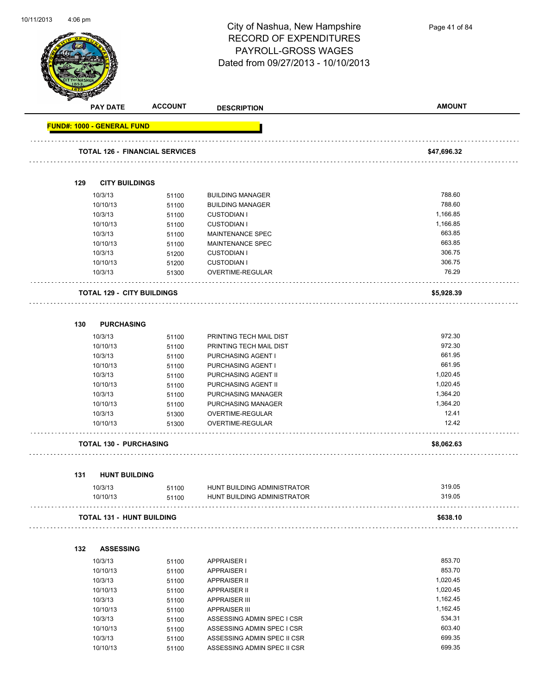

Page 41 of 84

| B.                                | <b>PAY DATE</b>     | <b>ACCOUNT</b>                        | <b>DESCRIPTION</b>                       | <b>AMOUNT</b>        |
|-----------------------------------|---------------------|---------------------------------------|------------------------------------------|----------------------|
| <b>FUND#: 1000 - GENERAL FUND</b> |                     |                                       |                                          |                      |
|                                   |                     |                                       |                                          |                      |
|                                   |                     | <b>TOTAL 126 - FINANCIAL SERVICES</b> |                                          | \$47,696.32          |
|                                   |                     |                                       |                                          |                      |
| 129                               |                     | <b>CITY BUILDINGS</b>                 |                                          |                      |
|                                   | 10/3/13             | 51100                                 | <b>BUILDING MANAGER</b>                  | 788.60               |
|                                   | 10/10/13            | 51100                                 | <b>BUILDING MANAGER</b>                  | 788.60               |
|                                   | 10/3/13             | 51100                                 | <b>CUSTODIAN I</b>                       | 1,166.85             |
|                                   | 10/10/13            | 51100                                 | <b>CUSTODIAN I</b>                       | 1,166.85             |
|                                   | 10/3/13             | 51100                                 | MAINTENANCE SPEC                         | 663.85               |
|                                   | 10/10/13            | 51100                                 | MAINTENANCE SPEC                         | 663.85               |
|                                   | 10/3/13             | 51200                                 | <b>CUSTODIAN I</b>                       | 306.75               |
|                                   | 10/10/13            | 51200                                 | <b>CUSTODIAN I</b>                       | 306.75               |
|                                   | 10/3/13             | 51300                                 | OVERTIME-REGULAR                         | 76.29                |
|                                   |                     | <b>TOTAL 129 - CITY BUILDINGS</b>     |                                          | \$5,928.39           |
| 130                               |                     | <b>PURCHASING</b>                     |                                          |                      |
|                                   |                     |                                       |                                          |                      |
|                                   | 10/3/13             | 51100                                 | PRINTING TECH MAIL DIST                  | 972.30               |
|                                   | 10/10/13            | 51100                                 | PRINTING TECH MAIL DIST                  | 972.30               |
|                                   | 10/3/13             | 51100                                 | PURCHASING AGENT I                       | 661.95               |
|                                   | 10/10/13            | 51100                                 | PURCHASING AGENT I                       | 661.95               |
|                                   | 10/3/13             | 51100                                 | PURCHASING AGENT II                      | 1,020.45             |
|                                   | 10/10/13            | 51100                                 | PURCHASING AGENT II                      | 1,020.45             |
|                                   | 10/3/13             | 51100                                 | PURCHASING MANAGER                       | 1,364.20<br>1,364.20 |
|                                   | 10/10/13<br>10/3/13 | 51100                                 | PURCHASING MANAGER<br>OVERTIME-REGULAR   | 12.41                |
|                                   | 10/10/13            | 51300<br>51300                        | OVERTIME-REGULAR                         | 12.42                |
|                                   |                     | <b>TOTAL 130 - PURCHASING</b>         |                                          | \$8,062.63           |
|                                   |                     |                                       |                                          |                      |
| 131                               |                     | <b>HUNT BUILDING</b>                  |                                          |                      |
|                                   | 10/3/13             | 51100                                 | HUNT BUILDING ADMINISTRATOR              | 319.05               |
|                                   | 10/10/13            | 51100                                 | HUNT BUILDING ADMINISTRATOR              | 319.05               |
|                                   |                     | <b>TOTAL 131 - HUNT BUILDING</b>      |                                          | \$638.10             |
| 132                               | <b>ASSESSING</b>    |                                       |                                          |                      |
|                                   |                     |                                       |                                          | 853.70               |
|                                   | 10/3/13<br>10/10/13 | 51100                                 | <b>APPRAISER I</b><br><b>APPRAISER I</b> | 853.70               |
|                                   | 10/3/13             | 51100<br>51100                        | <b>APPRAISER II</b>                      | 1,020.45             |
|                                   | 10/10/13            | 51100                                 | <b>APPRAISER II</b>                      | 1,020.45             |
|                                   | 10/3/13             | 51100                                 | <b>APPRAISER III</b>                     | 1,162.45             |
|                                   |                     |                                       |                                          |                      |

10/10/13 51100 APPRAISER III 1,162.45 10/3/13 51100 ASSESSING ADMIN SPEC I CSR 534.31 10/10/13 51100 ASSESSING ADMIN SPEC I CSR 603.40 10/3/13 51100 ASSESSING ADMIN SPEC II CSR 699.35 10/10/13 51100 ASSESSING ADMIN SPEC II CSR 699.35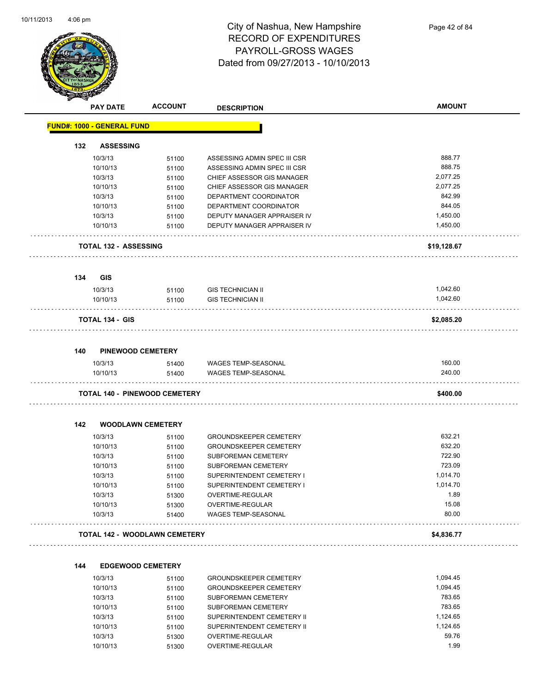

|     | <b>PAY DATE</b>                      | <b>ACCOUNT</b> | <b>DESCRIPTION</b>            | <b>AMOUNT</b> |
|-----|--------------------------------------|----------------|-------------------------------|---------------|
|     | <b>FUND#: 1000 - GENERAL FUND</b>    |                |                               |               |
| 132 | <b>ASSESSING</b>                     |                |                               |               |
|     | 10/3/13                              | 51100          | ASSESSING ADMIN SPEC III CSR  | 888.77        |
|     | 10/10/13                             | 51100          | ASSESSING ADMIN SPEC III CSR  | 888.75        |
|     | 10/3/13                              | 51100          | CHIEF ASSESSOR GIS MANAGER    | 2,077.25      |
|     | 10/10/13                             | 51100          | CHIEF ASSESSOR GIS MANAGER    | 2,077.25      |
|     | 10/3/13                              | 51100          | DEPARTMENT COORDINATOR        | 842.99        |
|     | 10/10/13                             | 51100          | DEPARTMENT COORDINATOR        | 844.05        |
|     | 10/3/13                              | 51100          | DEPUTY MANAGER APPRAISER IV   | 1,450.00      |
|     | 10/10/13                             | 51100          | DEPUTY MANAGER APPRAISER IV   | 1,450.00      |
|     | TOTAL 132 - ASSESSING                |                |                               | \$19,128.67   |
| 134 | <b>GIS</b>                           |                |                               |               |
|     | 10/3/13                              | 51100          | <b>GIS TECHNICIAN II</b>      | 1,042.60      |
|     | 10/10/13                             | 51100          | <b>GIS TECHNICIAN II</b>      | 1,042.60      |
|     | <b>TOTAL 134 - GIS</b>               |                |                               | \$2,085.20    |
|     |                                      |                |                               |               |
| 140 | <b>PINEWOOD CEMETERY</b>             |                |                               |               |
|     | 10/3/13                              | 51400          | WAGES TEMP-SEASONAL           | 160.00        |
|     | 10/10/13                             | 51400          | <b>WAGES TEMP-SEASONAL</b>    | 240.00        |
|     | <b>TOTAL 140 - PINEWOOD CEMETERY</b> |                |                               | \$400.00      |
| 142 | <b>WOODLAWN CEMETERY</b>             |                |                               |               |
|     | 10/3/13                              | 51100          | <b>GROUNDSKEEPER CEMETERY</b> | 632.21        |
|     | 10/10/13                             | 51100          | <b>GROUNDSKEEPER CEMETERY</b> | 632.20        |
|     | 10/3/13                              | 51100          | SUBFOREMAN CEMETERY           | 722.90        |
|     | 10/10/13                             | 51100          | SUBFOREMAN CEMETERY           | 723.09        |
|     | 10/3/13                              | 51100          | SUPERINTENDENT CEMETERY I     | 1,014.70      |
|     | 10/10/13                             | 51100          | SUPERINTENDENT CEMETERY I     | 1,014.70      |
|     | 10/3/13                              | 51300          | OVERTIME-REGULAR              | 1.89          |
|     | 10/10/13                             | 51300          | OVERTIME-REGULAR              | 15.08         |
|     | 10/3/13                              | 51400          | <b>WAGES TEMP-SEASONAL</b>    | 80.00         |
|     | TOTAL 142 - WOODLAWN CEMETERY        |                |                               | \$4,836.77    |
| 144 | <b>EDGEWOOD CEMETERY</b>             |                |                               |               |
|     | 10/3/13                              | 51100          | <b>GROUNDSKEEPER CEMETERY</b> | 1,094.45      |
|     | 10/10/13                             | 51100          | GROUNDSKEEPER CEMETERY        | 1 0 9 4 4 5   |

| 10/3/13  | 51100 | <b>GROUNDSKEEPER CEMETERY</b> | 1.094.45 |
|----------|-------|-------------------------------|----------|
| 10/10/13 | 51100 | <b>GROUNDSKEEPER CEMETERY</b> | 1.094.45 |
| 10/3/13  | 51100 | SUBFOREMAN CEMETERY           | 783.65   |
| 10/10/13 | 51100 | SUBFOREMAN CEMETERY           | 783.65   |
| 10/3/13  | 51100 | SUPERINTENDENT CEMETERY II    | 1.124.65 |
| 10/10/13 | 51100 | SUPERINTENDENT CEMETERY II    | 1.124.65 |
| 10/3/13  | 51300 | OVERTIME-REGULAR              | 59.76    |
| 10/10/13 | 51300 | OVERTIME-REGULAR              | 1.99     |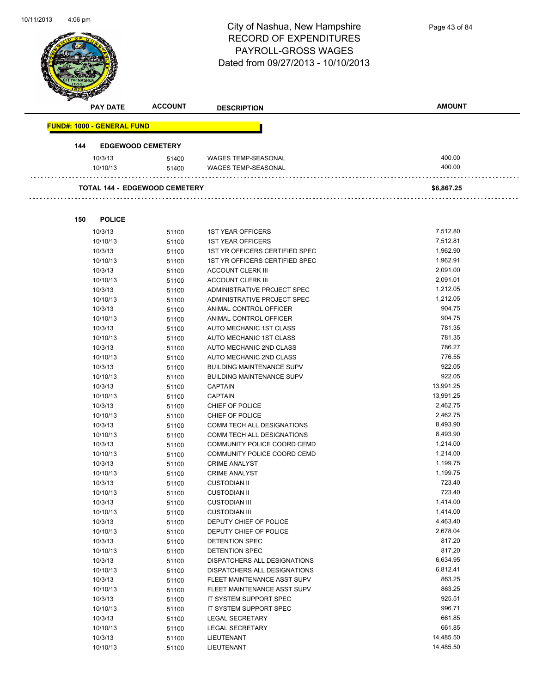

|     | <b>PAY DATE</b>                   | <b>ACCOUNT</b>                       | <b>DESCRIPTION</b>         | <b>AMOUNT</b> |
|-----|-----------------------------------|--------------------------------------|----------------------------|---------------|
|     | <b>FUND#: 1000 - GENERAL FUND</b> |                                      |                            |               |
| 144 | <b>EDGEWOOD CEMETERY</b>          |                                      |                            |               |
|     | 10/3/13                           | 51400                                | WAGES TEMP-SEASONAL        | 400.00        |
|     | 10/10/13                          | 51400                                | <b>WAGES TEMP-SEASONAL</b> | 400.00        |
|     |                                   | <b>TOTAL 144 - EDGEWOOD CEMETERY</b> |                            | \$6,867.25    |

| 150 | <b>POLICE</b> |       |                                     |           |
|-----|---------------|-------|-------------------------------------|-----------|
|     | 10/3/13       | 51100 | <b>1ST YEAR OFFICERS</b>            | 7,512.80  |
|     | 10/10/13      | 51100 | <b>1ST YEAR OFFICERS</b>            | 7,512.81  |
|     | 10/3/13       | 51100 | 1ST YR OFFICERS CERTIFIED SPEC      | 1,962.90  |
|     | 10/10/13      | 51100 | 1ST YR OFFICERS CERTIFIED SPEC      | 1,962.91  |
|     | 10/3/13       | 51100 | <b>ACCOUNT CLERK III</b>            | 2,091.00  |
|     | 10/10/13      | 51100 | <b>ACCOUNT CLERK III</b>            | 2,091.01  |
|     | 10/3/13       | 51100 | ADMINISTRATIVE PROJECT SPEC         | 1,212.05  |
|     | 10/10/13      | 51100 | ADMINISTRATIVE PROJECT SPEC         | 1,212.05  |
|     | 10/3/13       | 51100 | ANIMAL CONTROL OFFICER              | 904.75    |
|     | 10/10/13      | 51100 | ANIMAL CONTROL OFFICER              | 904.75    |
|     | 10/3/13       | 51100 | <b>AUTO MECHANIC 1ST CLASS</b>      | 781.35    |
|     | 10/10/13      | 51100 | AUTO MECHANIC 1ST CLASS             | 781.35    |
|     | 10/3/13       | 51100 | <b>AUTO MECHANIC 2ND CLASS</b>      | 786.27    |
|     | 10/10/13      | 51100 | AUTO MECHANIC 2ND CLASS             | 776.55    |
|     | 10/3/13       | 51100 | <b>BUILDING MAINTENANCE SUPV</b>    | 922.05    |
|     | 10/10/13      | 51100 | <b>BUILDING MAINTENANCE SUPV</b>    | 922.05    |
|     | 10/3/13       | 51100 | <b>CAPTAIN</b>                      | 13,991.25 |
|     | 10/10/13      | 51100 | <b>CAPTAIN</b>                      | 13,991.25 |
|     | 10/3/13       | 51100 | CHIEF OF POLICE                     | 2,462.75  |
|     | 10/10/13      | 51100 | CHIEF OF POLICE                     | 2,462.75  |
|     | 10/3/13       | 51100 | COMM TECH ALL DESIGNATIONS          | 8,493.90  |
|     | 10/10/13      | 51100 | COMM TECH ALL DESIGNATIONS          | 8,493.90  |
|     | 10/3/13       | 51100 | COMMUNITY POLICE COORD CEMD         | 1,214.00  |
|     | 10/10/13      | 51100 | COMMUNITY POLICE COORD CEMD         | 1,214.00  |
|     | 10/3/13       | 51100 | <b>CRIME ANALYST</b>                | 1,199.75  |
|     | 10/10/13      | 51100 | <b>CRIME ANALYST</b>                | 1,199.75  |
|     | 10/3/13       | 51100 | <b>CUSTODIAN II</b>                 | 723.40    |
|     | 10/10/13      | 51100 | <b>CUSTODIAN II</b>                 | 723.40    |
|     | 10/3/13       | 51100 | <b>CUSTODIAN III</b>                | 1,414.00  |
|     | 10/10/13      | 51100 | <b>CUSTODIAN III</b>                | 1,414.00  |
|     | 10/3/13       | 51100 | DEPUTY CHIEF OF POLICE              | 4,463.40  |
|     | 10/10/13      | 51100 | DEPUTY CHIEF OF POLICE              | 2,678.04  |
|     | 10/3/13       | 51100 | <b>DETENTION SPEC</b>               | 817.20    |
|     | 10/10/13      | 51100 | <b>DETENTION SPEC</b>               | 817.20    |
|     | 10/3/13       | 51100 | DISPATCHERS ALL DESIGNATIONS        | 6,634.95  |
|     | 10/10/13      | 51100 | <b>DISPATCHERS ALL DESIGNATIONS</b> | 6,812.41  |
|     | 10/3/13       | 51100 | FLEET MAINTENANCE ASST SUPV         | 863.25    |
|     | 10/10/13      | 51100 | FLEET MAINTENANCE ASST SUPV         | 863.25    |
|     | 10/3/13       | 51100 | IT SYSTEM SUPPORT SPEC              | 925.51    |
|     | 10/10/13      | 51100 | IT SYSTEM SUPPORT SPEC              | 996.71    |
|     | 10/3/13       | 51100 | <b>LEGAL SECRETARY</b>              | 661.85    |
|     | 10/10/13      | 51100 | <b>LEGAL SECRETARY</b>              | 661.85    |
|     | 10/3/13       | 51100 | <b>LIEUTENANT</b>                   | 14,485.50 |
|     | 10/10/13      | 51100 | LIEUTENANT                          | 14,485.50 |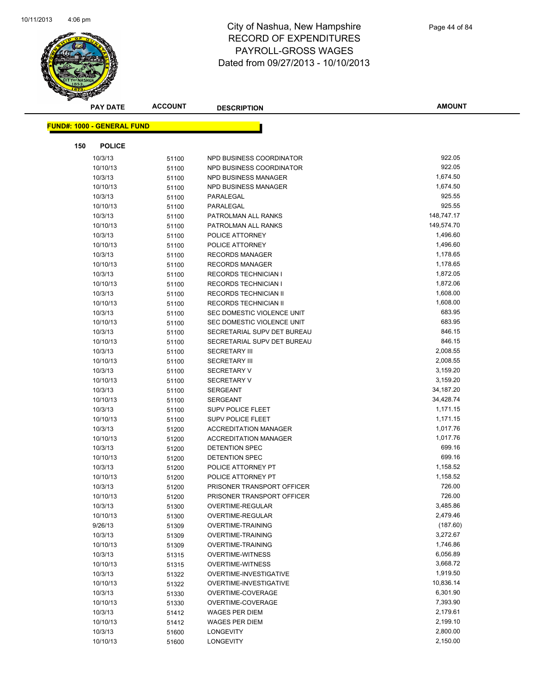

|     | <b>PAY DATE</b>                   | <b>ACCOUNT</b> | <b>DESCRIPTION</b>                      | <b>AMOUNT</b>        |
|-----|-----------------------------------|----------------|-----------------------------------------|----------------------|
|     | <b>FUND#: 1000 - GENERAL FUND</b> |                |                                         |                      |
|     |                                   |                |                                         |                      |
| 150 | <b>POLICE</b>                     |                |                                         |                      |
|     | 10/3/13                           | 51100          | NPD BUSINESS COORDINATOR                | 922.05               |
|     | 10/10/13                          | 51100          | NPD BUSINESS COORDINATOR                | 922.05               |
|     | 10/3/13                           | 51100          | NPD BUSINESS MANAGER                    | 1,674.50             |
|     | 10/10/13                          | 51100          | NPD BUSINESS MANAGER                    | 1,674.50             |
|     | 10/3/13                           | 51100          | PARALEGAL                               | 925.55               |
|     | 10/10/13                          | 51100          | PARALEGAL                               | 925.55               |
|     | 10/3/13                           | 51100          | PATROLMAN ALL RANKS                     | 148,747.17           |
|     | 10/10/13                          | 51100          | PATROLMAN ALL RANKS                     | 149,574.70           |
|     | 10/3/13                           | 51100          | POLICE ATTORNEY                         | 1,496.60             |
|     | 10/10/13                          | 51100          | POLICE ATTORNEY                         | 1,496.60             |
|     | 10/3/13                           | 51100          | <b>RECORDS MANAGER</b>                  | 1,178.65             |
|     | 10/10/13                          | 51100          | <b>RECORDS MANAGER</b>                  | 1,178.65             |
|     | 10/3/13                           | 51100          | <b>RECORDS TECHNICIAN I</b>             | 1,872.05             |
|     | 10/10/13                          | 51100          | <b>RECORDS TECHNICIAN I</b>             | 1,872.06             |
|     | 10/3/13                           | 51100          | RECORDS TECHNICIAN II                   | 1,608.00             |
|     | 10/10/13                          | 51100          | <b>RECORDS TECHNICIAN II</b>            | 1,608.00             |
|     | 10/3/13                           | 51100          | SEC DOMESTIC VIOLENCE UNIT              | 683.95               |
|     | 10/10/13                          | 51100          | SEC DOMESTIC VIOLENCE UNIT              | 683.95               |
|     | 10/3/13                           | 51100          | SECRETARIAL SUPV DET BUREAU             | 846.15               |
|     | 10/10/13                          | 51100          | SECRETARIAL SUPV DET BUREAU             | 846.15               |
|     | 10/3/13                           | 51100          | <b>SECRETARY III</b>                    | 2,008.55             |
|     | 10/10/13                          | 51100          | <b>SECRETARY III</b>                    | 2,008.55             |
|     | 10/3/13                           | 51100          | <b>SECRETARY V</b>                      | 3,159.20             |
|     | 10/10/13                          | 51100          | <b>SECRETARY V</b>                      | 3,159.20             |
|     | 10/3/13                           | 51100          | <b>SERGEANT</b>                         | 34,187.20            |
|     | 10/10/13                          | 51100          | <b>SERGEANT</b>                         | 34,428.74            |
|     | 10/3/13                           | 51100          | <b>SUPV POLICE FLEET</b>                | 1,171.15             |
|     | 10/10/13                          | 51100          | <b>SUPV POLICE FLEET</b>                | 1,171.15             |
|     | 10/3/13                           | 51200          | <b>ACCREDITATION MANAGER</b>            | 1,017.76             |
|     | 10/10/13                          | 51200          | <b>ACCREDITATION MANAGER</b>            | 1,017.76             |
|     | 10/3/13                           | 51200          | DETENTION SPEC                          | 699.16               |
|     | 10/10/13                          | 51200          | DETENTION SPEC                          | 699.16               |
|     | 10/3/13                           | 51200          | POLICE ATTORNEY PT                      | 1,158.52             |
|     | 10/10/13                          | 51200          | POLICE ATTORNEY PT                      | 1,158.52             |
|     | 10/3/13                           | 51200          | PRISONER TRANSPORT OFFICER              | 726.00               |
|     | 10/10/13                          | 51200          | PRISONER TRANSPORT OFFICER              | 726.00               |
|     | 10/3/13                           | 51300          | OVERTIME-REGULAR                        | 3,485.86             |
|     | 10/10/13                          | 51300          | OVERTIME-REGULAR                        | 2,479.46             |
|     | 9/26/13                           | 51309          | <b>OVERTIME-TRAINING</b>                | (187.60)             |
|     | 10/3/13                           | 51309          | <b>OVERTIME-TRAINING</b>                | 3,272.67             |
|     | 10/10/13                          | 51309          | <b>OVERTIME-TRAINING</b>                | 1,746.86             |
|     | 10/3/13                           | 51315          | <b>OVERTIME-WITNESS</b>                 | 6,056.89             |
|     | 10/10/13                          | 51315          | <b>OVERTIME-WITNESS</b>                 | 3,668.72             |
|     | 10/3/13                           | 51322          | OVERTIME-INVESTIGATIVE                  | 1,919.50             |
|     | 10/10/13                          | 51322          | OVERTIME-INVESTIGATIVE                  | 10,836.14            |
|     | 10/3/13<br>10/10/13               | 51330          | OVERTIME-COVERAGE<br>OVERTIME-COVERAGE  | 6,301.90             |
|     |                                   | 51330          |                                         | 7,393.90<br>2,179.61 |
|     | 10/3/13                           | 51412          | <b>WAGES PER DIEM</b><br>WAGES PER DIEM | 2,199.10             |
|     | 10/10/13                          | 51412          |                                         | 2,800.00             |
|     | 10/3/13<br>10/10/13               | 51600<br>51600 | LONGEVITY<br>LONGEVITY                  | 2,150.00             |
|     |                                   |                |                                         |                      |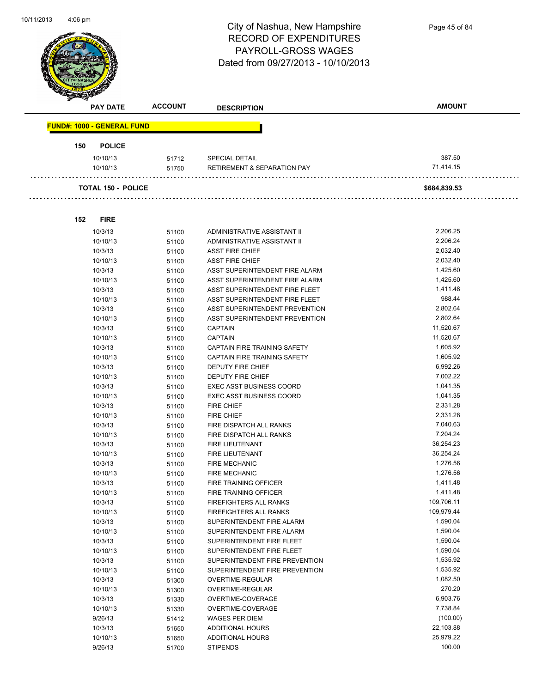

|     | <b>PAY DATE</b>                   | <b>ACCOUNT</b> | <b>DESCRIPTION</b>                     | <b>AMOUNT</b> |
|-----|-----------------------------------|----------------|----------------------------------------|---------------|
|     | <b>FUND#: 1000 - GENERAL FUND</b> |                |                                        |               |
| 150 | <b>POLICE</b>                     |                |                                        |               |
|     | 10/10/13                          | 51712          | SPECIAL DETAIL                         | 387.50        |
|     | 10/10/13                          | 51750          | <b>RETIREMENT &amp; SEPARATION PAY</b> | 71,414.15     |
|     | <b>TOTAL 150 - POLICE</b>         |                |                                        | \$684,839.53  |
| 152 | <b>FIRE</b>                       |                |                                        |               |
|     | 10/3/13                           | 51100          | ADMINISTRATIVE ASSISTANT II            | 2,206.25      |
|     | 10/10/13                          | 51100          | ADMINISTRATIVE ASSISTANT II            | 2,206.24      |
|     | 10/3/13                           | 51100          | <b>ASST FIRE CHIEF</b>                 | 2,032.40      |
|     | 10/10/13                          | 51100          | <b>ASST FIRE CHIEF</b>                 | 2,032.40      |
|     | 10/3/13                           | 51100          | ASST SUPERINTENDENT FIRE ALARM         | 1,425.60      |
|     | 10/10/13                          | 51100          | ASST SUPERINTENDENT FIRE ALARM         | 1,425.60      |
|     | 10/3/13                           | 51100          | ASST SUPERINTENDENT FIRE FLEET         | 1,411.48      |
|     | 10/10/13                          | 51100          | ASST SUPERINTENDENT FIRE FLEET         | 988.44        |
|     | 10/3/13                           | 51100          | ASST SUPERINTENDENT PREVENTION         | 2,802.64      |
|     | 10/10/13                          | 51100          | ASST SUPERINTENDENT PREVENTION         | 2,802.64      |
|     | 10/3/13                           | 51100          | <b>CAPTAIN</b>                         | 11,520.67     |
|     | 10/10/13                          | 51100          | <b>CAPTAIN</b>                         | 11,520.67     |
|     | 10/3/13                           | 51100          | CAPTAIN FIRE TRAINING SAFETY           | 1,605.92      |
|     | 10/10/13                          | 51100          | <b>CAPTAIN FIRE TRAINING SAFETY</b>    | 1,605.92      |
|     | 10/3/13                           | 51100          | <b>DEPUTY FIRE CHIEF</b>               | 6,992.26      |
|     | 10/10/13                          | 51100          | <b>DEPUTY FIRE CHIEF</b>               | 7,002.22      |
|     | 10/3/13                           | 51100          | <b>EXEC ASST BUSINESS COORD</b>        | 1,041.35      |
|     | 10/10/13                          | 51100          | <b>EXEC ASST BUSINESS COORD</b>        | 1,041.35      |
|     | 10/3/13                           | 51100          | <b>FIRE CHIEF</b>                      | 2,331.28      |
|     | 10/10/13                          | 51100          | <b>FIRE CHIEF</b>                      | 2,331.28      |
|     | 10/3/13                           | 51100          | FIRE DISPATCH ALL RANKS                | 7,040.63      |
|     | 10/10/13                          | 51100          | FIRE DISPATCH ALL RANKS                | 7,204.24      |
|     | 10/3/13                           | 51100          | <b>FIRE LIEUTENANT</b>                 | 36.254.23     |

10/10/13 51100 FIRE LIEUTENANT 36,254.24 10/3/13 51100 FIRE MECHANIC **1,276.56** 1,276.56 10/10/13 51100 FIRE MECHANIC **10/10/13** 1,276.56 10/3/13 51100 FIRE TRAINING OFFICER 1,411.48 10/10/13 51100 FIRE TRAINING OFFICER 1,411.48

10/10/13 51100 FIREFIGHTERS ALL RANKS 109,979.44 10/3/13 51100 SUPERINTENDENT FIRE ALARM 1590.04 10/10/13 51100 SUPERINTENDENT FIRE ALARM 16 1.590.04 10/3/13 51100 SUPERINTENDENT FIRE FLEET 500.04 10/10/13 51100 SUPERINTENDENT FIRE FLEET 5 1,590.04 10/3/13 51100 SUPERINTENDENT FIRE PREVENTION 51585.92 10/10/13 51100 SUPERINTENDENT FIRE PREVENTION 51555.92 10/3/13 51300 OVERTIME-REGULAR 1.082.50 10/10/13 51300 OVERTIME-REGULAR 270.20 10/3/13 51330 OVERTIME-COVERAGE 6,903.76 10/10/13 51330 OVERTIME-COVERAGE 7,738.84 9/26/13 51412 WAGES PER DIEM (100.00) 10/3/13 51650 ADDITIONAL HOURS 22,103.88 10/10/13 51650 ADDITIONAL HOURS 25,979.22 9/26/13 51700 STIPENDS 100.00

10/3/13 51100 FIREFIGHTERS ALL RANKS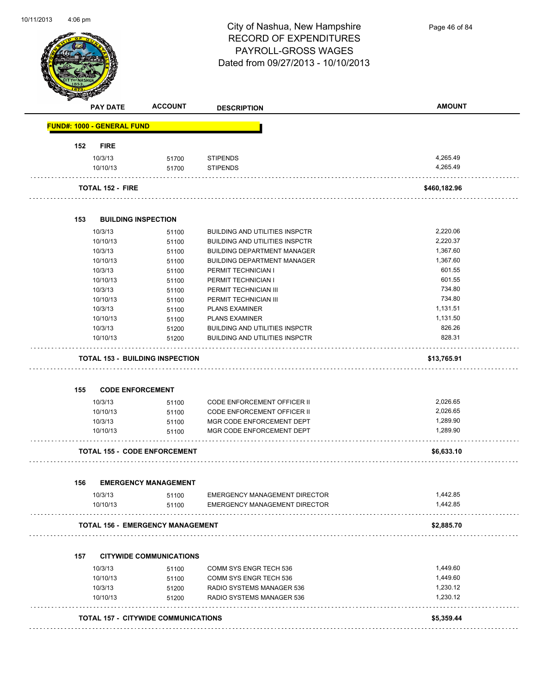

Page 46 of 84

|     | <b>PAY DATE</b>                   | <b>ACCOUNT</b>                             | <b>DESCRIPTION</b>                    | <b>AMOUNT</b> |
|-----|-----------------------------------|--------------------------------------------|---------------------------------------|---------------|
|     | <b>FUND#: 1000 - GENERAL FUND</b> |                                            |                                       |               |
| 152 | <b>FIRE</b>                       |                                            |                                       |               |
|     | 10/3/13                           | 51700                                      | <b>STIPENDS</b>                       | 4,265.49      |
|     | 10/10/13                          | 51700                                      | <b>STIPENDS</b>                       | 4,265.49      |
|     | <b>TOTAL 152 - FIRE</b>           |                                            |                                       | \$460,182.96  |
| 153 |                                   | <b>BUILDING INSPECTION</b>                 |                                       |               |
|     | 10/3/13                           | 51100                                      | <b>BUILDING AND UTILITIES INSPCTR</b> | 2,220.06      |
|     | 10/10/13                          | 51100                                      | <b>BUILDING AND UTILITIES INSPCTR</b> | 2,220.37      |
|     | 10/3/13                           | 51100                                      | <b>BUILDING DEPARTMENT MANAGER</b>    | 1,367.60      |
|     | 10/10/13                          | 51100                                      | <b>BUILDING DEPARTMENT MANAGER</b>    | 1,367.60      |
|     | 10/3/13                           | 51100                                      | PERMIT TECHNICIAN I                   | 601.55        |
|     | 10/10/13                          | 51100                                      | PERMIT TECHNICIAN I                   | 601.55        |
|     | 10/3/13                           | 51100                                      | PERMIT TECHNICIAN III                 | 734.80        |
|     | 10/10/13                          | 51100                                      | PERMIT TECHNICIAN III                 | 734.80        |
|     | 10/3/13                           | 51100                                      | <b>PLANS EXAMINER</b>                 | 1,131.51      |
|     | 10/10/13                          | 51100                                      | <b>PLANS EXAMINER</b>                 | 1,131.50      |
|     | 10/3/13                           | 51200                                      | <b>BUILDING AND UTILITIES INSPCTR</b> | 826.26        |
|     | 10/10/13                          | 51200                                      | <b>BUILDING AND UTILITIES INSPCTR</b> | 828.31        |
|     |                                   | <b>TOTAL 153 - BUILDING INSPECTION</b>     |                                       | \$13,765.91   |
| 155 | <b>CODE ENFORCEMENT</b>           |                                            |                                       |               |
|     | 10/3/13                           | 51100                                      | <b>CODE ENFORCEMENT OFFICER II</b>    | 2,026.65      |
|     | 10/10/13                          | 51100                                      | <b>CODE ENFORCEMENT OFFICER II</b>    | 2,026.65      |
|     | 10/3/13                           | 51100                                      | MGR CODE ENFORCEMENT DEPT             | 1,289.90      |
|     | 10/10/13                          | 51100                                      | MGR CODE ENFORCEMENT DEPT             | 1,289.90      |
|     |                                   | <b>TOTAL 155 - CODE ENFORCEMENT</b>        |                                       | \$6,633.10    |
| 156 |                                   | <b>EMERGENCY MANAGEMENT</b>                |                                       |               |
|     | 10/3/13                           | 51100                                      | <b>EMERGENCY MANAGEMENT DIRECTOR</b>  | 1,442.85      |
|     | 10/10/13                          | 51100                                      | <b>EMERGENCY MANAGEMENT DIRECTOR</b>  | 1,442.85      |
|     |                                   | <b>TOTAL 156 - EMERGENCY MANAGEMENT</b>    |                                       | \$2,885.70    |
| 157 |                                   | <b>CITYWIDE COMMUNICATIONS</b>             |                                       |               |
|     | 10/3/13                           | 51100                                      | COMM SYS ENGR TECH 536                | 1,449.60      |
|     | 10/10/13                          | 51100                                      | COMM SYS ENGR TECH 536                | 1,449.60      |
|     | 10/3/13                           | 51200                                      | RADIO SYSTEMS MANAGER 536             | 1,230.12      |
|     | 10/10/13                          | 51200                                      | RADIO SYSTEMS MANAGER 536             | 1,230.12      |
|     |                                   |                                            |                                       |               |
|     |                                   | <b>TOTAL 157 - CITYWIDE COMMUNICATIONS</b> |                                       | \$5,359.44    |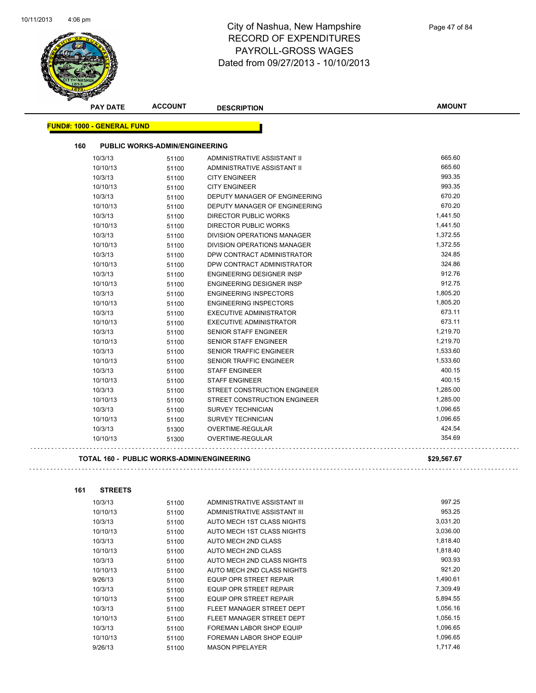

| <b>PAY DATE</b>                                   | <b>ACCOUNT</b>                        | <b>DESCRIPTION</b>                 | <b>AMOUNT</b> |
|---------------------------------------------------|---------------------------------------|------------------------------------|---------------|
| <b>FUND#: 1000 - GENERAL FUND</b>                 |                                       |                                    |               |
| 160                                               | <b>PUBLIC WORKS-ADMIN/ENGINEERING</b> |                                    |               |
| 10/3/13                                           |                                       | ADMINISTRATIVE ASSISTANT II        | 665.60        |
| 10/10/13                                          | 51100                                 | ADMINISTRATIVE ASSISTANT II        | 665.60        |
| 10/3/13                                           | 51100<br>51100                        | <b>CITY ENGINEER</b>               | 993.35        |
| 10/10/13                                          | 51100                                 | <b>CITY ENGINEER</b>               | 993.35        |
| 10/3/13                                           | 51100                                 | DEPUTY MANAGER OF ENGINEERING      | 670.20        |
| 10/10/13                                          | 51100                                 | DEPUTY MANAGER OF ENGINEERING      | 670.20        |
| 10/3/13                                           | 51100                                 | <b>DIRECTOR PUBLIC WORKS</b>       | 1,441.50      |
| 10/10/13                                          | 51100                                 | <b>DIRECTOR PUBLIC WORKS</b>       | 1,441.50      |
| 10/3/13                                           | 51100                                 | <b>DIVISION OPERATIONS MANAGER</b> | 1,372.55      |
| 10/10/13                                          | 51100                                 | DIVISION OPERATIONS MANAGER        | 1,372.55      |
| 10/3/13                                           | 51100                                 | DPW CONTRACT ADMINISTRATOR         | 324.85        |
| 10/10/13                                          | 51100                                 | DPW CONTRACT ADMINISTRATOR         | 324.86        |
| 10/3/13                                           | 51100                                 | <b>ENGINEERING DESIGNER INSP</b>   | 912.76        |
| 10/10/13                                          | 51100                                 | ENGINEERING DESIGNER INSP          | 912.75        |
| 10/3/13                                           | 51100                                 | <b>ENGINEERING INSPECTORS</b>      | 1,805.20      |
| 10/10/13                                          | 51100                                 | <b>ENGINEERING INSPECTORS</b>      | 1,805.20      |
| 10/3/13                                           | 51100                                 | EXECUTIVE ADMINISTRATOR            | 673.11        |
| 10/10/13                                          | 51100                                 | <b>EXECUTIVE ADMINISTRATOR</b>     | 673.11        |
| 10/3/13                                           | 51100                                 | <b>SENIOR STAFF ENGINEER</b>       | 1,219.70      |
| 10/10/13                                          | 51100                                 | <b>SENIOR STAFF ENGINEER</b>       | 1,219.70      |
| 10/3/13                                           | 51100                                 | <b>SENIOR TRAFFIC ENGINEER</b>     | 1,533.60      |
| 10/10/13                                          | 51100                                 | <b>SENIOR TRAFFIC ENGINEER</b>     | 1,533.60      |
| 10/3/13                                           | 51100                                 | <b>STAFF ENGINEER</b>              | 400.15        |
| 10/10/13                                          | 51100                                 | <b>STAFF ENGINEER</b>              | 400.15        |
| 10/3/13                                           | 51100                                 | STREET CONSTRUCTION ENGINEER       | 1,285.00      |
| 10/10/13                                          | 51100                                 | STREET CONSTRUCTION ENGINEER       | 1,285.00      |
| 10/3/13                                           | 51100                                 | <b>SURVEY TECHNICIAN</b>           | 1,096.65      |
| 10/10/13                                          | 51100                                 | <b>SURVEY TECHNICIAN</b>           | 1,096.65      |
| 10/3/13                                           | 51300                                 | OVERTIME-REGULAR                   | 424.54        |
| 10/10/13                                          | 51300                                 | OVERTIME-REGULAR                   | 354.69        |
| <b>TOTAL 160 - PUBLIC WORKS-ADMIN/ENGINEERING</b> |                                       |                                    | \$29,567.67   |
| <b>STREETS</b><br>161                             |                                       |                                    |               |
| 10/3/13                                           | 51100                                 | ADMINISTRATIVE ASSISTANT III       | 997 25        |

| 10/3/13  | 51100 | ADMINISTRATIVE ASSISTANT III    | 997.25   |
|----------|-------|---------------------------------|----------|
| 10/10/13 | 51100 | ADMINISTRATIVE ASSISTANT III    | 953.25   |
| 10/3/13  | 51100 | AUTO MECH 1ST CLASS NIGHTS      | 3,031.20 |
| 10/10/13 | 51100 | AUTO MECH 1ST CLASS NIGHTS      | 3,036.00 |
| 10/3/13  | 51100 | AUTO MECH 2ND CLASS             | 1,818.40 |
| 10/10/13 | 51100 | AUTO MECH 2ND CLASS             | 1,818.40 |
| 10/3/13  | 51100 | AUTO MECH 2ND CLASS NIGHTS      | 903.93   |
| 10/10/13 | 51100 | AUTO MECH 2ND CLASS NIGHTS      | 921.20   |
| 9/26/13  | 51100 | EQUIP OPR STREET REPAIR         | 1,490.61 |
| 10/3/13  | 51100 | EQUIP OPR STREET REPAIR         | 7,309.49 |
| 10/10/13 | 51100 | EQUIP OPR STREET REPAIR         | 5,894.55 |
| 10/3/13  | 51100 | FLEET MANAGER STREET DEPT       | 1,056.16 |
| 10/10/13 | 51100 | FLEET MANAGER STREET DEPT       | 1,056.15 |
| 10/3/13  | 51100 | <b>FOREMAN LABOR SHOP EQUIP</b> | 1,096.65 |
| 10/10/13 | 51100 | <b>FOREMAN LABOR SHOP EQUIP</b> | 1,096.65 |
| 9/26/13  | 51100 | <b>MASON PIPELAYER</b>          | 1.717.46 |
|          |       |                                 |          |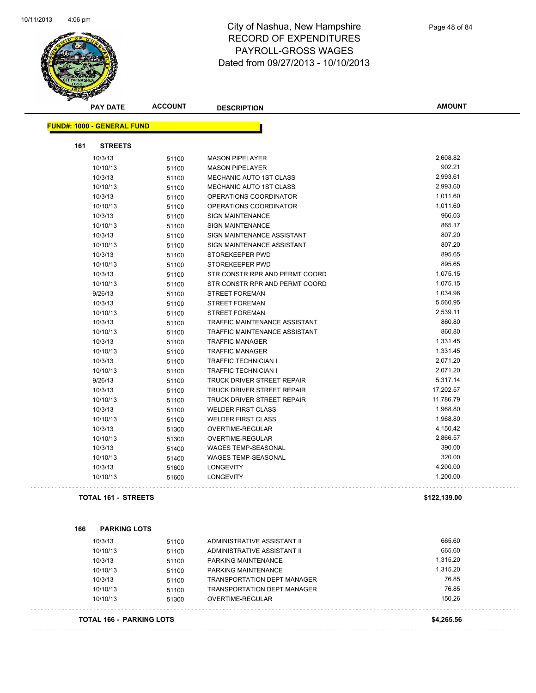

| <b>PAY DATE</b>                   | <b>ACCOUNT</b> | <b>DESCRIPTION</b>                              | <b>AMOUNT</b>    |
|-----------------------------------|----------------|-------------------------------------------------|------------------|
| <b>FUND#: 1000 - GENERAL FUND</b> |                |                                                 |                  |
| 161<br><b>STREETS</b>             |                |                                                 |                  |
| 10/3/13                           | 51100          | <b>MASON PIPELAYER</b>                          | 2,608.82         |
| 10/10/13                          | 51100          | <b>MASON PIPELAYER</b>                          | 902.21           |
| 10/3/13                           | 51100          | MECHANIC AUTO 1ST CLASS                         | 2,993.61         |
| 10/10/13                          | 51100          | MECHANIC AUTO 1ST CLASS                         | 2,993.60         |
| 10/3/13                           | 51100          | OPERATIONS COORDINATOR                          | 1,011.60         |
| 10/10/13                          | 51100          | OPERATIONS COORDINATOR                          | 1,011.60         |
| 10/3/13                           | 51100          | <b>SIGN MAINTENANCE</b>                         | 966.03           |
| 10/10/13                          | 51100          | <b>SIGN MAINTENANCE</b>                         | 865.17           |
| 10/3/13                           | 51100          | SIGN MAINTENANCE ASSISTANT                      | 807.20           |
| 10/10/13                          | 51100          | SIGN MAINTENANCE ASSISTANT                      | 807.20           |
| 10/3/13                           | 51100          | STOREKEEPER PWD                                 | 895.65           |
| 10/10/13                          | 51100          | STOREKEEPER PWD                                 | 895.65           |
| 10/3/13                           | 51100          | STR CONSTR RPR AND PERMT COORD                  | 1,075.15         |
| 10/10/13                          | 51100          | STR CONSTR RPR AND PERMT COORD                  | 1,075.15         |
| 9/26/13                           | 51100          | <b>STREET FOREMAN</b>                           | 1,034.96         |
| 10/3/13                           | 51100          | <b>STREET FOREMAN</b>                           | 5,560.95         |
| 10/10/13                          | 51100          | <b>STREET FOREMAN</b>                           | 2,539.11         |
| 10/3/13                           | 51100          | TRAFFIC MAINTENANCE ASSISTANT                   | 860.80           |
| 10/10/13                          | 51100          | TRAFFIC MAINTENANCE ASSISTANT                   | 860.80           |
| 10/3/13                           | 51100          | <b>TRAFFIC MANAGER</b>                          | 1,331.45         |
| 10/10/13                          | 51100          | <b>TRAFFIC MANAGER</b>                          | 1,331.45         |
| 10/3/13                           | 51100          | <b>TRAFFIC TECHNICIAN I</b>                     | 2,071.20         |
| 10/10/13                          | 51100          | <b>TRAFFIC TECHNICIAN I</b>                     | 2,071.20         |
| 9/26/13                           | 51100          | TRUCK DRIVER STREET REPAIR                      | 5,317.14         |
| 10/3/13                           | 51100          | TRUCK DRIVER STREET REPAIR                      | 17,202.57        |
| 10/10/13                          | 51100          | TRUCK DRIVER STREET REPAIR                      | 11,786.79        |
| 10/3/13                           | 51100          | <b>WELDER FIRST CLASS</b>                       | 1,968.80         |
| 10/10/13                          | 51100          | <b>WELDER FIRST CLASS</b>                       | 1,968.80         |
| 10/3/13                           | 51300          | OVERTIME-REGULAR                                | 4,150.42         |
| 10/10/13                          | 51300          | OVERTIME-REGULAR                                | 2,866.57         |
| 10/3/13                           | 51400          | WAGES TEMP-SEASONAL                             | 390.00           |
| 10/10/13                          | 51400          | <b>WAGES TEMP-SEASONAL</b>                      | 320.00           |
| 10/3/13                           | 51600          | <b>LONGEVITY</b>                                | 4,200.00         |
| 10/10/13                          | 51600          | <b>LONGEVITY</b>                                | 1,200.00         |
| TOTAL 161 - STREETS               |                |                                                 | \$122,139.00     |
|                                   |                |                                                 |                  |
| <b>PARKING LOTS</b><br>166        |                |                                                 |                  |
| 10/3/13                           | 51100          | ADMINISTRATIVE ASSISTANT II                     | 665.60<br>665.60 |
| 10/10/13                          | 51100          | ADMINISTRATIVE ASSISTANT II                     | 1,315.20         |
| 10/3/13                           | 51100          | PARKING MAINTENANCE                             | 1,315.20         |
| 10/10/13                          | 51100          | PARKING MAINTENANCE                             | 76.85            |
| 10/3/13                           | 51100          | TRANSPORTATION DEPT MANAGER                     | 76.85            |
| 10/10/13<br>10/10/13              | 51100<br>51300 | TRANSPORTATION DEPT MANAGER<br>OVERTIME-REGULAR | 150.26           |
|                                   |                |                                                 |                  |
| TOTAL 166 - PARKING LOTS          |                |                                                 | \$4,265.56       |
|                                   |                |                                                 |                  |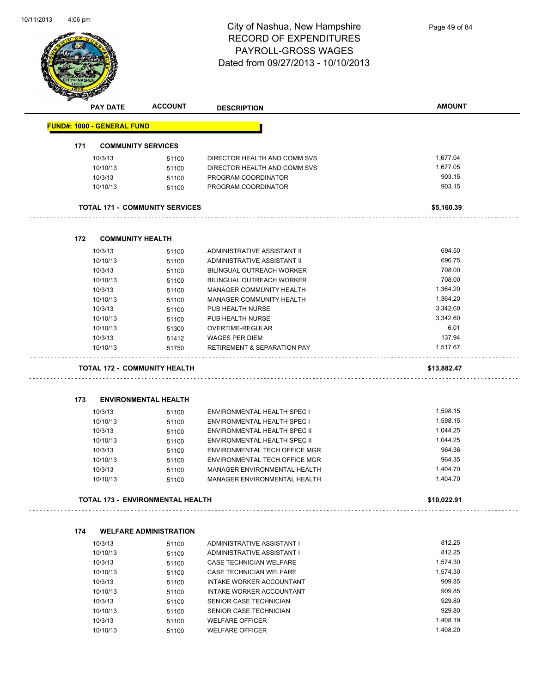

|     | <b>PAY DATE</b>                   | <b>ACCOUNT</b>                          | <b>DESCRIPTION</b>                     | <b>AMOUNT</b> |
|-----|-----------------------------------|-----------------------------------------|----------------------------------------|---------------|
|     | <b>FUND#: 1000 - GENERAL FUND</b> |                                         |                                        |               |
| 171 |                                   | <b>COMMUNITY SERVICES</b>               |                                        |               |
|     | 10/3/13                           | 51100                                   | DIRECTOR HEALTH AND COMM SVS           | 1,677.04      |
|     | 10/10/13                          | 51100                                   | DIRECTOR HEALTH AND COMM SVS           | 1,677.05      |
|     | 10/3/13                           | 51100                                   | PROGRAM COORDINATOR                    | 903.15        |
|     | 10/10/13                          | 51100                                   | PROGRAM COORDINATOR                    | 903.15        |
|     |                                   |                                         |                                        |               |
|     |                                   | <b>TOTAL 171 - COMMUNITY SERVICES</b>   |                                        | \$5,160.39    |
|     |                                   |                                         |                                        |               |
| 172 | <b>COMMUNITY HEALTH</b>           |                                         |                                        |               |
|     | 10/3/13                           | 51100                                   | ADMINISTRATIVE ASSISTANT II            | 694.50        |
|     | 10/10/13                          | 51100                                   | ADMINISTRATIVE ASSISTANT II            | 696.75        |
|     | 10/3/13                           | 51100                                   | <b>BILINGUAL OUTREACH WORKER</b>       | 708.00        |
|     | 10/10/13                          | 51100                                   | BILINGUAL OUTREACH WORKER              | 708.00        |
|     | 10/3/13                           | 51100                                   | MANAGER COMMUNITY HEALTH               | 1,364.20      |
|     | 10/10/13                          | 51100                                   | MANAGER COMMUNITY HEALTH               | 1,364.20      |
|     | 10/3/13                           | 51100                                   | PUB HEALTH NURSE                       | 3,342.60      |
|     | 10/10/13                          | 51100                                   | PUB HEALTH NURSE                       | 3,342.60      |
|     | 10/10/13                          | 51300                                   | OVERTIME-REGULAR                       | 6.01          |
|     | 10/3/13                           | 51412                                   | <b>WAGES PER DIEM</b>                  | 137.94        |
|     | 10/10/13                          | 51750                                   | <b>RETIREMENT &amp; SEPARATION PAY</b> | 1,517.67      |
|     |                                   | <b>TOTAL 172 - COMMUNITY HEALTH</b>     |                                        | \$13,882.47   |
|     |                                   |                                         |                                        |               |
| 173 |                                   | <b>ENVIRONMENTAL HEALTH</b>             |                                        |               |
|     | 10/3/13                           | 51100                                   | ENVIRONMENTAL HEALTH SPEC I            | 1,598.15      |
|     | 10/10/13                          | 51100                                   | ENVIRONMENTAL HEALTH SPEC I            | 1,598.15      |
|     | 10/3/13                           | 51100                                   | ENVIRONMENTAL HEALTH SPEC II           | 1,044.25      |
|     | 10/10/13                          | 51100                                   | ENVIRONMENTAL HEALTH SPEC II           | 1,044.25      |
|     | 10/3/13                           | 51100                                   | ENVIRONMENTAL TECH OFFICE MGR          | 964.36        |
|     | 10/10/13                          | 51100                                   | ENVIRONMENTAL TECH OFFICE MGR          | 964.35        |
|     | 10/3/13                           | 51100                                   | MANAGER ENVIRONMENTAL HEALTH           | 1,404.70      |
|     | 10/10/13                          | 51100                                   | MANAGER ENVIRONMENTAL HEALTH           | 1,404.70      |
|     |                                   | <b>TOTAL 173 - ENVIRONMENTAL HEALTH</b> |                                        | \$10,022.91   |
|     |                                   |                                         |                                        |               |
| 174 |                                   | <b>WELFARE ADMINISTRATION</b>           |                                        |               |
|     | 10/3/13                           | 51100                                   | ADMINISTRATIVE ASSISTANT I             | 812.25        |
|     | 10/10/13                          | 51100                                   | ADMINISTRATIVE ASSISTANT I             | 812.25        |
|     | 10/3/13                           | 51100                                   | CASE TECHNICIAN WELFARE                | 1,574.30      |
|     | 10/10/13                          | 51100                                   | CASE TECHNICIAN WELFARE                | 1,574.30      |
|     |                                   |                                         | <b>INTAKE WORKER ACCOUNTANT</b>        | 909.85        |
|     | 10/3/13                           | 51100                                   |                                        |               |
|     | 10/10/13                          | 51100                                   | INTAKE WORKER ACCOUNTANT               | 909.85        |
|     | 10/3/13                           | 51100                                   | SENIOR CASE TECHNICIAN                 | 929.80        |
|     | 10/10/13                          | 51100                                   | SENIOR CASE TECHNICIAN                 | 929.80        |
|     | 10/3/13                           | 51100                                   | <b>WELFARE OFFICER</b>                 | 1,408.19      |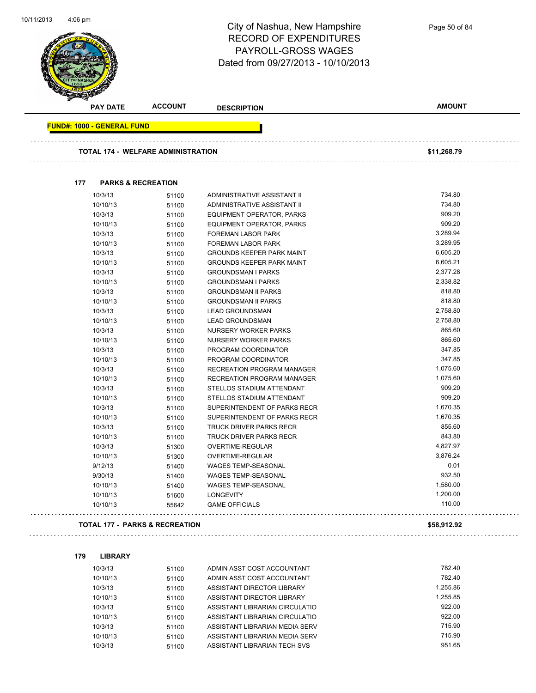

**PAY DATE ACCOUNT DESCRIPTION AMOUNT FUND#: 1000 - GENERAL FUND TOTAL 174 - WELFARE ADMINISTRATION \$11,268.79 177 PARKS & RECREATION** 10/3/13 51100 ADMINISTRATIVE ASSISTANT II 734.80 10/10/13 51100 ADMINISTRATIVE ASSISTANT II 734.80 10/3/13 51100 EQUIPMENT OPERATOR, PARKS 909.20 10/10/13 51100 EQUIPMENT OPERATOR, PARKS 909.20 10/3/13 51100 FOREMAN LABOR PARK 3,289.94 10/10/13 51100 FOREMAN LABOR PARK 3,289.95 10/3/13 51100 GROUNDS KEEPER PARK MAINT 6,605.20 10/10/13 51100 GROUNDS KEEPER PARK MAINT 6,605.21 10/3/13 51100 GROUNDSMAN I PARKS 2,377.28 10/10/13 51100 GROUNDSMAN I PARKS 2,338.82 10/3/13 51100 GROUNDSMAN II PARKS 818.80 10/10/13 51100 GROUNDSMAN II PARKS 818.80 10/3/13 51100 LEAD GROUNDSMAN 2,758.80 10/10/13 51100 LEAD GROUNDSMAN 2,758.80 10/3/13 51100 NURSERY WORKER PARKS 865.60 10/10/13 51100 NURSERY WORKER PARKS 865.60 10/3/13 51100 PROGRAM COORDINATOR 347.85 10/10/13 51100 PROGRAM COORDINATOR 347.85 10/3/13 51100 RECREATION PROGRAM MANAGER 1,075.60 10/10/13 51100 RECREATION PROGRAM MANAGER 1,075.60 10/3/13 51100 STELLOS STADIUM ATTENDANT 909.20 10/10/13 51100 STELLOS STADIUM ATTENDANT 909.20 10/3/13 51100 SUPERINTENDENT OF PARKS RECR 1,670.35 10/10/13 51100 SUPERINTENDENT OF PARKS RECR 1,670.35 10/3/13 51100 TRUCK DRIVER PARKS RECR 555.60 10/10/13 51100 TRUCK DRIVER PARKS RECR 843.80 10/3/13 51300 OVERTIME-REGULAR 4,827.97 10/10/13 51300 OVERTIME-REGULAR 3,876.24 9/12/13 51400 WAGES TEMP-SEASONAL 6.01 9/30/13 51400 WAGES TEMP-SEASONAL 932.50 10/10/13 51400 WAGES TEMP-SEASONAL 1.580.00 1,580.00 10/10/13 51600 LONGEVITY 1,200.00 10/10/13 55642 GAME OFFICIALS 110.00 **TOTAL 177 - PARKS & RECREATION \$58,912.92** 

#### **179 LIBRARY**

| 10/3/13  | 51100 | ADMIN ASST COST ACCOUNTANT     | 782.40   |
|----------|-------|--------------------------------|----------|
| 10/10/13 | 51100 | ADMIN ASST COST ACCOUNTANT     | 782.40   |
| 10/3/13  | 51100 | ASSISTANT DIRECTOR LIBRARY     | 1.255.86 |
| 10/10/13 | 51100 | ASSISTANT DIRECTOR LIBRARY     | 1.255.85 |
| 10/3/13  | 51100 | ASSISTANT LIBRARIAN CIRCULATIO | 922.00   |
| 10/10/13 | 51100 | ASSISTANT LIBRARIAN CIRCULATIO | 922.00   |
| 10/3/13  | 51100 | ASSISTANT LIBRARIAN MEDIA SERV | 715.90   |
| 10/10/13 | 51100 | ASSISTANT LIBRARIAN MEDIA SERV | 715.90   |
| 10/3/13  | 51100 | ASSISTANT LIBRARIAN TECH SVS   | 951.65   |
|          |       |                                |          |

Page 50 of 84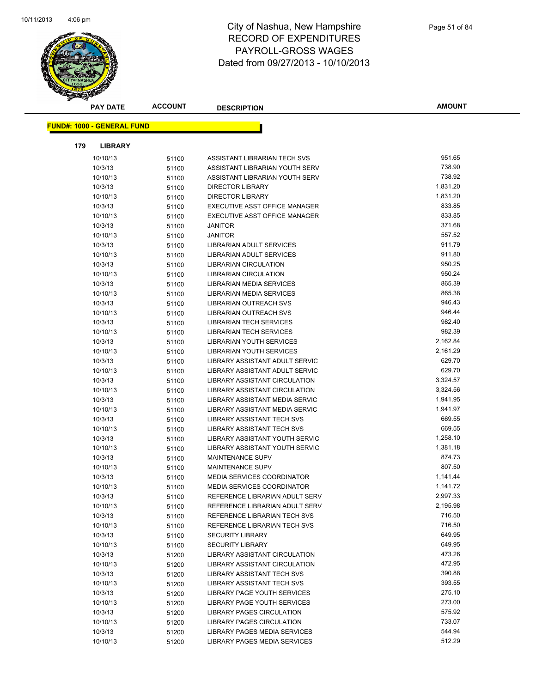

| <b>PAY DATE</b>                   | <b>ACCOUNT</b> | <b>DESCRIPTION</b>                | <b>AMOUNT</b>    |
|-----------------------------------|----------------|-----------------------------------|------------------|
| <b>FUND#: 1000 - GENERAL FUND</b> |                |                                   |                  |
|                                   |                |                                   |                  |
| 179<br><b>LIBRARY</b>             |                |                                   |                  |
| 10/10/13                          | 51100          | ASSISTANT LIBRARIAN TECH SVS      | 951.65           |
| 10/3/13                           | 51100          | ASSISTANT LIBRARIAN YOUTH SERV    | 738.90           |
| 10/10/13                          | 51100          | ASSISTANT LIBRARIAN YOUTH SERV    | 738.92           |
| 10/3/13                           | 51100          | <b>DIRECTOR LIBRARY</b>           | 1,831.20         |
| 10/10/13                          | 51100          | <b>DIRECTOR LIBRARY</b>           | 1,831.20         |
| 10/3/13                           | 51100          | EXECUTIVE ASST OFFICE MANAGER     | 833.85           |
| 10/10/13                          | 51100          | EXECUTIVE ASST OFFICE MANAGER     | 833.85           |
| 10/3/13                           | 51100          | <b>JANITOR</b>                    | 371.68           |
| 10/10/13                          | 51100          | <b>JANITOR</b>                    | 557.52           |
| 10/3/13                           | 51100          | LIBRARIAN ADULT SERVICES          | 911.79           |
| 10/10/13                          | 51100          | LIBRARIAN ADULT SERVICES          | 911.80           |
| 10/3/13                           | 51100          | <b>LIBRARIAN CIRCULATION</b>      | 950.25           |
| 10/10/13                          | 51100          | <b>LIBRARIAN CIRCULATION</b>      | 950.24           |
| 10/3/13                           | 51100          | LIBRARIAN MEDIA SERVICES          | 865.39           |
| 10/10/13                          | 51100          | <b>LIBRARIAN MEDIA SERVICES</b>   | 865.38           |
| 10/3/13                           | 51100          | <b>LIBRARIAN OUTREACH SVS</b>     | 946.43           |
| 10/10/13                          | 51100          | LIBRARIAN OUTREACH SVS            | 946.44           |
| 10/3/13                           | 51100          | LIBRARIAN TECH SERVICES           | 982.40           |
| 10/10/13                          | 51100          | <b>LIBRARIAN TECH SERVICES</b>    | 982.39           |
| 10/3/13                           | 51100          | LIBRARIAN YOUTH SERVICES          | 2,162.84         |
| 10/10/13                          | 51100          | LIBRARIAN YOUTH SERVICES          | 2,161.29         |
| 10/3/13                           | 51100          | LIBRARY ASSISTANT ADULT SERVIC    | 629.70           |
| 10/10/13                          | 51100          | LIBRARY ASSISTANT ADULT SERVIC    | 629.70           |
| 10/3/13                           | 51100          | LIBRARY ASSISTANT CIRCULATION     | 3,324.57         |
| 10/10/13                          | 51100          | LIBRARY ASSISTANT CIRCULATION     | 3,324.56         |
| 10/3/13                           | 51100          | LIBRARY ASSISTANT MEDIA SERVIC    | 1,941.95         |
| 10/10/13                          | 51100          | LIBRARY ASSISTANT MEDIA SERVIC    | 1,941.97         |
| 10/3/13                           | 51100          | LIBRARY ASSISTANT TECH SVS        | 669.55           |
| 10/10/13                          | 51100          | <b>LIBRARY ASSISTANT TECH SVS</b> | 669.55           |
| 10/3/13                           | 51100          | LIBRARY ASSISTANT YOUTH SERVIC    | 1,258.10         |
| 10/10/13                          | 51100          | LIBRARY ASSISTANT YOUTH SERVIC    | 1,381.18         |
| 10/3/13                           | 51100          | MAINTENANCE SUPV                  | 874.73           |
| 10/10/13                          | 51100          | <b>MAINTENANCE SUPV</b>           | 807.50           |
| 10/3/13                           | 51100          | <b>MEDIA SERVICES COORDINATOR</b> | 1,141.44         |
| 10/10/13                          | 51100          | MEDIA SERVICES COORDINATOR        | 1,141.72         |
| 10/3/13                           | 51100          | REFERENCE LIBRARIAN ADULT SERV    | 2,997.33         |
| 10/10/13                          | 51100          | REFERENCE LIBRARIAN ADULT SERV    | 2,195.98         |
| 10/3/13                           | 51100          | REFERENCE LIBRARIAN TECH SVS      | 716.50           |
| 10/10/13                          | 51100          | REFERENCE LIBRARIAN TECH SVS      | 716.50           |
| 10/3/13                           | 51100          | <b>SECURITY LIBRARY</b>           | 649.95           |
| 10/10/13                          | 51100          | <b>SECURITY LIBRARY</b>           | 649.95           |
| 10/3/13                           | 51200          | LIBRARY ASSISTANT CIRCULATION     | 473.26           |
| 10/10/13                          | 51200          | LIBRARY ASSISTANT CIRCULATION     | 472.95           |
| 10/3/13                           | 51200          | <b>LIBRARY ASSISTANT TECH SVS</b> | 390.88           |
| 10/10/13                          | 51200          | LIBRARY ASSISTANT TECH SVS        | 393.55           |
| 10/3/13                           | 51200          | LIBRARY PAGE YOUTH SERVICES       | 275.10           |
| 10/10/13                          | 51200          | LIBRARY PAGE YOUTH SERVICES       | 273.00<br>575.92 |
| 10/3/13                           | 51200          | LIBRARY PAGES CIRCULATION         |                  |
| 10/10/13                          | 51200          | LIBRARY PAGES CIRCULATION         | 733.07<br>544.94 |
| 10/3/13                           | 51200          | LIBRARY PAGES MEDIA SERVICES      | 512.29           |
| 10/10/13                          | 51200          | LIBRARY PAGES MEDIA SERVICES      |                  |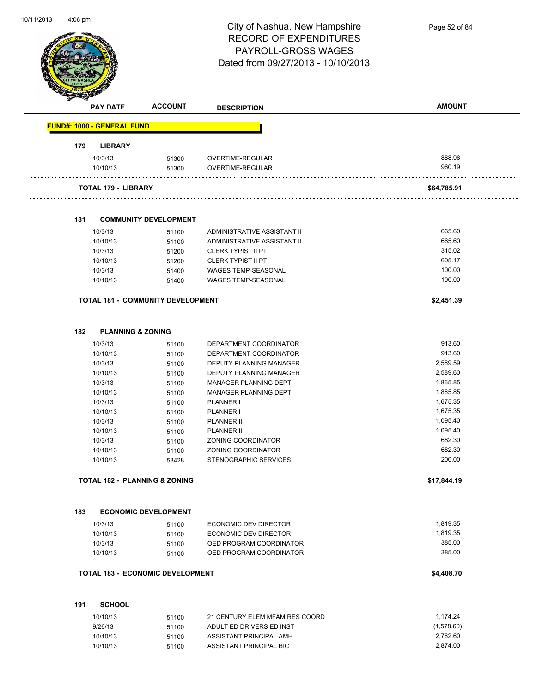

Page 52 of 84

|     | <b>PAY DATE</b>                   | <b>ACCOUNT</b>                           | <b>DESCRIPTION</b>                                | <b>AMOUNT</b>    |
|-----|-----------------------------------|------------------------------------------|---------------------------------------------------|------------------|
|     | <b>FUND#: 1000 - GENERAL FUND</b> |                                          |                                                   |                  |
| 179 | <b>LIBRARY</b>                    |                                          |                                                   |                  |
|     | 10/3/13                           | 51300                                    | OVERTIME-REGULAR                                  | 888.96           |
|     | 10/10/13                          | 51300                                    | OVERTIME-REGULAR                                  | 960.19           |
|     | <b>TOTAL 179 - LIBRARY</b>        |                                          |                                                   | \$64,785.91      |
|     |                                   |                                          |                                                   |                  |
| 181 | 10/3/13                           | <b>COMMUNITY DEVELOPMENT</b><br>51100    | ADMINISTRATIVE ASSISTANT II                       | 665.60           |
|     | 10/10/13                          | 51100                                    | ADMINISTRATIVE ASSISTANT II                       | 665.60           |
|     | 10/3/13                           | 51200                                    | <b>CLERK TYPIST II PT</b>                         | 315.02           |
|     | 10/10/13                          | 51200                                    | <b>CLERK TYPIST II PT</b>                         | 605.17           |
|     | 10/3/13                           | 51400                                    | <b>WAGES TEMP-SEASONAL</b>                        | 100.00           |
|     | 10/10/13                          | 51400                                    | <b>WAGES TEMP-SEASONAL</b>                        | 100.00           |
|     |                                   | <b>TOTAL 181 - COMMUNITY DEVELOPMENT</b> |                                                   | \$2,451.39       |
|     |                                   |                                          |                                                   |                  |
| 182 | <b>PLANNING &amp; ZONING</b>      |                                          |                                                   |                  |
|     | 10/3/13                           | 51100                                    | DEPARTMENT COORDINATOR                            | 913.60<br>913.60 |
|     | 10/10/13<br>10/3/13               | 51100                                    | DEPARTMENT COORDINATOR<br>DEPUTY PLANNING MANAGER | 2,589.59         |
|     | 10/10/13                          | 51100                                    |                                                   | 2,589.60         |
|     | 10/3/13                           | 51100                                    | DEPUTY PLANNING MANAGER<br>MANAGER PLANNING DEPT  | 1,865.85         |
|     | 10/10/13                          | 51100<br>51100                           | MANAGER PLANNING DEPT                             | 1,865.85         |
|     | 10/3/13                           | 51100                                    | PLANNER I                                         | 1,675.35         |
|     | 10/10/13                          | 51100                                    | PLANNER I                                         | 1,675.35         |
|     | 10/3/13                           | 51100                                    | <b>PLANNER II</b>                                 | 1,095.40         |
|     | 10/10/13                          | 51100                                    | <b>PLANNER II</b>                                 | 1,095.40         |
|     | 10/3/13                           | 51100                                    | ZONING COORDINATOR                                | 682.30           |
|     | 10/10/13                          | 51100                                    | ZONING COORDINATOR                                | 682.30           |
|     | 10/10/13                          | 53428                                    | STENOGRAPHIC SERVICES                             | 200.00           |
|     |                                   | <b>TOTAL 182 - PLANNING &amp; ZONING</b> |                                                   | \$17,844.19      |
| 183 |                                   | <b>ECONOMIC DEVELOPMENT</b>              |                                                   |                  |
|     | 10/3/13                           | 51100                                    | ECONOMIC DEV DIRECTOR                             | 1,819.35         |
|     | 10/10/13                          | 51100                                    | ECONOMIC DEV DIRECTOR                             | 1,819.35         |
|     | 10/3/13                           | 51100                                    | OED PROGRAM COORDINATOR                           | 385.00           |
|     | 10/10/13                          | 51100                                    | OED PROGRAM COORDINATOR                           | 385.00           |
|     |                                   | <b>TOTAL 183 - ECONOMIC DEVELOPMENT</b>  |                                                   | \$4,408.70       |
| 191 | <b>SCHOOL</b>                     |                                          |                                                   |                  |
|     | 10/10/13                          | 51100                                    | 21 CENTURY ELEM MFAM RES COORD                    | 1,174.24         |
|     | 9/26/13                           | 51100                                    | ADULT ED DRIVERS ED INST                          | (1,578.60)       |
|     | 10/10/13                          | 51100                                    | ASSISTANT PRINCIPAL AMH                           | 2,762.60         |
|     | 10/10/13                          | 51100                                    | ASSISTANT PRINCIPAL BIC                           | 2,874.00         |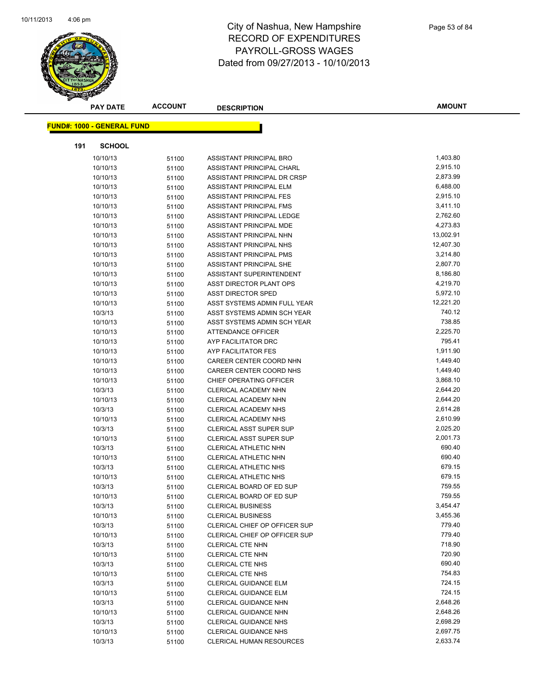

| <b>PAY DATE</b>                   | <b>ACCOUNT</b> | <b>DESCRIPTION</b>              | <b>AMOUNT</b> |
|-----------------------------------|----------------|---------------------------------|---------------|
| <b>FUND#: 1000 - GENERAL FUND</b> |                |                                 |               |
|                                   |                |                                 |               |
| 191<br><b>SCHOOL</b>              |                |                                 |               |
| 10/10/13                          | 51100          | <b>ASSISTANT PRINCIPAL BRO</b>  | 1,403.80      |
| 10/10/13                          | 51100          | ASSISTANT PRINCIPAL CHARL       | 2,915.10      |
| 10/10/13                          | 51100          | ASSISTANT PRINCIPAL DR CRSP     | 2,873.99      |
| 10/10/13                          | 51100          | ASSISTANT PRINCIPAL ELM         | 6,488.00      |
| 10/10/13                          | 51100          | ASSISTANT PRINCIPAL FES         | 2,915.10      |
| 10/10/13                          | 51100          | ASSISTANT PRINCIPAL FMS         | 3,411.10      |
| 10/10/13                          | 51100          | ASSISTANT PRINCIPAL LEDGE       | 2,762.60      |
| 10/10/13                          | 51100          | ASSISTANT PRINCIPAL MDE         | 4,273.83      |
| 10/10/13                          | 51100          | ASSISTANT PRINCIPAL NHN         | 13,002.91     |
| 10/10/13                          | 51100          | ASSISTANT PRINCIPAL NHS         | 12,407.30     |
| 10/10/13                          | 51100          | ASSISTANT PRINCIPAL PMS         | 3,214.80      |
| 10/10/13                          | 51100          | ASSISTANT PRINCIPAL SHE         | 2,807.70      |
| 10/10/13                          | 51100          | ASSISTANT SUPERINTENDENT        | 8,186.80      |
| 10/10/13                          | 51100          | ASST DIRECTOR PLANT OPS         | 4,219.70      |
| 10/10/13                          | 51100          | <b>ASST DIRECTOR SPED</b>       | 5,972.10      |
| 10/10/13                          | 51100          | ASST SYSTEMS ADMIN FULL YEAR    | 12,221.20     |
| 10/3/13                           | 51100          | ASST SYSTEMS ADMIN SCH YEAR     | 740.12        |
| 10/10/13                          | 51100          | ASST SYSTEMS ADMIN SCH YEAR     | 738.85        |
| 10/10/13                          | 51100          | ATTENDANCE OFFICER              | 2,225.70      |
| 10/10/13                          | 51100          | AYP FACILITATOR DRC             | 795.41        |
| 10/10/13                          | 51100          | AYP FACILITATOR FES             | 1,911.90      |
| 10/10/13                          | 51100          | CAREER CENTER COORD NHN         | 1,449.40      |
| 10/10/13                          | 51100          | CAREER CENTER COORD NHS         | 1,449.40      |
| 10/10/13                          | 51100          | CHIEF OPERATING OFFICER         | 3,868.10      |
| 10/3/13                           | 51100          | <b>CLERICAL ACADEMY NHN</b>     | 2,644.20      |
| 10/10/13                          | 51100          | CLERICAL ACADEMY NHN            | 2,644.20      |
| 10/3/13                           | 51100          | <b>CLERICAL ACADEMY NHS</b>     | 2,614.28      |
| 10/10/13                          | 51100          | <b>CLERICAL ACADEMY NHS</b>     | 2,610.99      |
| 10/3/13                           | 51100          | CLERICAL ASST SUPER SUP         | 2,025.20      |
| 10/10/13                          | 51100          | <b>CLERICAL ASST SUPER SUP</b>  | 2,001.73      |
| 10/3/13                           | 51100          | CLERICAL ATHLETIC NHN           | 690.40        |
| 10/10/13                          | 51100          | CLERICAL ATHLETIC NHN           | 690.40        |
| 10/3/13                           | 51100          | CLERICAL ATHLETIC NHS           | 679.15        |
| 10/10/13                          | 51100          | <b>CLERICAL ATHLETIC NHS</b>    | 679.15        |
| 10/3/13                           | 51100          | CLERICAL BOARD OF ED SUP        | 759.55        |
| 10/10/13                          | 51100          | CLERICAL BOARD OF ED SUP        | 759.55        |
| 10/3/13                           | 51100          | <b>CLERICAL BUSINESS</b>        | 3,454.47      |
| 10/10/13                          | 51100          | <b>CLERICAL BUSINESS</b>        | 3,455.36      |
| 10/3/13                           | 51100          | CLERICAL CHIEF OP OFFICER SUP   | 779.40        |
| 10/10/13                          | 51100          | CLERICAL CHIEF OP OFFICER SUP   | 779.40        |
| 10/3/13                           | 51100          | CLERICAL CTE NHN                | 718.90        |
| 10/10/13                          | 51100          | CLERICAL CTE NHN                | 720.90        |
| 10/3/13                           | 51100          | <b>CLERICAL CTE NHS</b>         | 690.40        |
| 10/10/13                          | 51100          | <b>CLERICAL CTE NHS</b>         | 754.83        |
| 10/3/13                           | 51100          | CLERICAL GUIDANCE ELM           | 724.15        |
| 10/10/13                          | 51100          | <b>CLERICAL GUIDANCE ELM</b>    | 724.15        |
| 10/3/13                           | 51100          | <b>CLERICAL GUIDANCE NHN</b>    | 2,648.26      |
| 10/10/13                          | 51100          | <b>CLERICAL GUIDANCE NHN</b>    | 2,648.26      |
| 10/3/13                           | 51100          | <b>CLERICAL GUIDANCE NHS</b>    | 2,698.29      |
| 10/10/13                          | 51100          | <b>CLERICAL GUIDANCE NHS</b>    | 2,697.75      |
| 10/3/13                           | 51100          | <b>CLERICAL HUMAN RESOURCES</b> | 2,633.74      |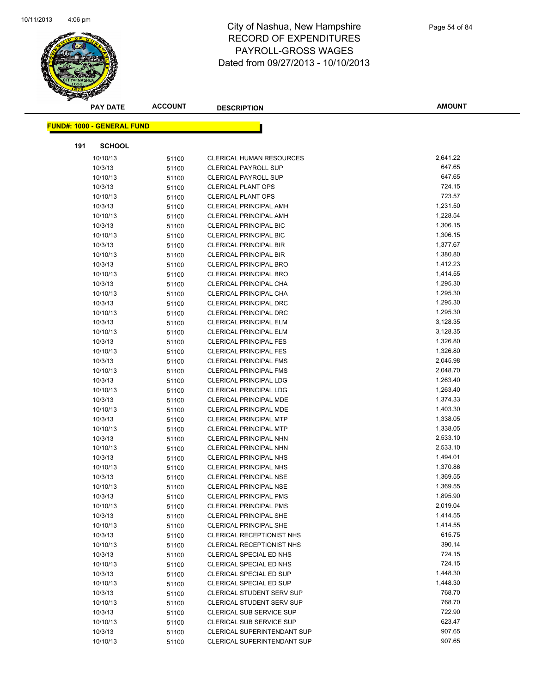

|     | <b>PAY DATE</b>                    | <b>ACCOUNT</b> | <b>DESCRIPTION</b>               | <b>AMOUNT</b> |
|-----|------------------------------------|----------------|----------------------------------|---------------|
|     | <u> FUND#: 1000 - GENERAL FUND</u> |                |                                  |               |
| 191 | <b>SCHOOL</b>                      |                |                                  |               |
|     | 10/10/13                           | 51100          | <b>CLERICAL HUMAN RESOURCES</b>  | 2,641.22      |
|     | 10/3/13                            | 51100          | <b>CLERICAL PAYROLL SUP</b>      | 647.65        |
|     | 10/10/13                           | 51100          | <b>CLERICAL PAYROLL SUP</b>      | 647.65        |
|     | 10/3/13                            | 51100          | <b>CLERICAL PLANT OPS</b>        | 724.15        |
|     | 10/10/13                           | 51100          | <b>CLERICAL PLANT OPS</b>        | 723.57        |
|     | 10/3/13                            | 51100          | <b>CLERICAL PRINCIPAL AMH</b>    | 1,231.50      |
|     | 10/10/13                           | 51100          | <b>CLERICAL PRINCIPAL AMH</b>    | 1,228.54      |
|     | 10/3/13                            | 51100          | <b>CLERICAL PRINCIPAL BIC</b>    | 1,306.15      |
|     | 10/10/13                           | 51100          | <b>CLERICAL PRINCIPAL BIC</b>    | 1,306.15      |
|     | 10/3/13                            | 51100          | <b>CLERICAL PRINCIPAL BIR</b>    | 1,377.67      |
|     | 10/10/13                           | 51100          | <b>CLERICAL PRINCIPAL BIR</b>    | 1,380.80      |
|     | 10/3/13                            | 51100          | <b>CLERICAL PRINCIPAL BRO</b>    | 1,412.23      |
|     | 10/10/13                           | 51100          | <b>CLERICAL PRINCIPAL BRO</b>    | 1,414.55      |
|     | 10/3/13                            | 51100          | CLERICAL PRINCIPAL CHA           | 1,295.30      |
|     | 10/10/13                           | 51100          | CLERICAL PRINCIPAL CHA           | 1,295.30      |
|     | 10/3/13                            | 51100          | <b>CLERICAL PRINCIPAL DRC</b>    | 1,295.30      |
|     | 10/10/13                           | 51100          | <b>CLERICAL PRINCIPAL DRC</b>    | 1,295.30      |
|     | 10/3/13                            | 51100          | <b>CLERICAL PRINCIPAL ELM</b>    | 3,128.35      |
|     | 10/10/13                           | 51100          | <b>CLERICAL PRINCIPAL ELM</b>    | 3,128.35      |
|     | 10/3/13                            | 51100          | <b>CLERICAL PRINCIPAL FES</b>    | 1,326.80      |
|     | 10/10/13                           | 51100          | <b>CLERICAL PRINCIPAL FES</b>    | 1,326.80      |
|     | 10/3/13                            | 51100          | <b>CLERICAL PRINCIPAL FMS</b>    | 2,045.98      |
|     | 10/10/13                           | 51100          | <b>CLERICAL PRINCIPAL FMS</b>    | 2,048.70      |
|     | 10/3/13                            | 51100          | <b>CLERICAL PRINCIPAL LDG</b>    | 1,263.40      |
|     | 10/10/13                           | 51100          | <b>CLERICAL PRINCIPAL LDG</b>    | 1,263.40      |
|     | 10/3/13                            | 51100          | CLERICAL PRINCIPAL MDE           | 1,374.33      |
|     | 10/10/13                           | 51100          | <b>CLERICAL PRINCIPAL MDE</b>    | 1,403.30      |
|     | 10/3/13                            | 51100          | <b>CLERICAL PRINCIPAL MTP</b>    | 1,338.05      |
|     | 10/10/13                           | 51100          | <b>CLERICAL PRINCIPAL MTP</b>    | 1,338.05      |
|     | 10/3/13                            | 51100          | <b>CLERICAL PRINCIPAL NHN</b>    | 2,533.10      |
|     | 10/10/13                           | 51100          | CLERICAL PRINCIPAL NHN           | 2,533.10      |
|     | 10/3/13                            | 51100          | <b>CLERICAL PRINCIPAL NHS</b>    | 1,494.01      |
|     | 10/10/13                           | 51100          | <b>CLERICAL PRINCIPAL NHS</b>    | 1,370.86      |
|     | 10/3/13                            | 51100          | <b>CLERICAL PRINCIPAL NSE</b>    | 1,369.55      |
|     | 10/10/13                           | 51100          | <b>CLERICAL PRINCIPAL NSE</b>    | 1,369.55      |
|     | 10/3/13                            | 51100          | <b>CLERICAL PRINCIPAL PMS</b>    | 1,895.90      |
|     | 10/10/13                           | 51100          | CLERICAL PRINCIPAL PMS           | 2,019.04      |
|     | 10/3/13                            | 51100          | <b>CLERICAL PRINCIPAL SHE</b>    | 1,414.55      |
|     | 10/10/13                           | 51100          | <b>CLERICAL PRINCIPAL SHE</b>    | 1,414.55      |
|     | 10/3/13                            | 51100          | CLERICAL RECEPTIONIST NHS        | 615.75        |
|     | 10/10/13                           | 51100          | CLERICAL RECEPTIONIST NHS        | 390.14        |
|     | 10/3/13                            | 51100          | CLERICAL SPECIAL ED NHS          | 724.15        |
|     | 10/10/13                           | 51100          | CLERICAL SPECIAL ED NHS          | 724.15        |
|     | 10/3/13                            | 51100          | CLERICAL SPECIAL ED SUP          | 1,448.30      |
|     | 10/10/13                           | 51100          | CLERICAL SPECIAL ED SUP          | 1,448.30      |
|     | 10/3/13                            | 51100          | <b>CLERICAL STUDENT SERV SUP</b> | 768.70        |
|     | 10/10/13                           | 51100          | CLERICAL STUDENT SERV SUP        | 768.70        |
|     | 10/3/13                            | 51100          | CLERICAL SUB SERVICE SUP         | 722.90        |
|     | 10/10/13                           | 51100          | <b>CLERICAL SUB SERVICE SUP</b>  | 623.47        |
|     | 10/3/13                            | 51100          | CLERICAL SUPERINTENDANT SUP      | 907.65        |
|     | 10/10/13                           | 51100          | CLERICAL SUPERINTENDANT SUP      | 907.65        |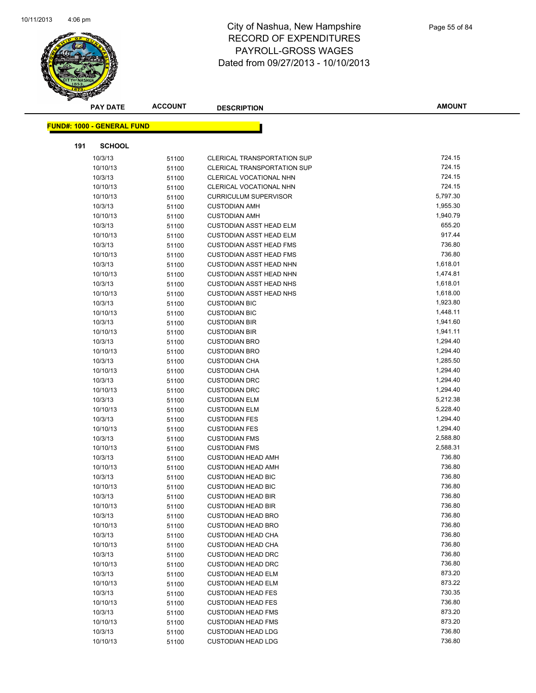

|     | <b>PAY DATE</b>                   | <b>ACCOUNT</b> | <b>DESCRIPTION</b>                 | <b>AMOUNT</b>    |
|-----|-----------------------------------|----------------|------------------------------------|------------------|
|     |                                   |                |                                    |                  |
|     | <b>FUND#: 1000 - GENERAL FUND</b> |                |                                    |                  |
| 191 | <b>SCHOOL</b>                     |                |                                    |                  |
|     | 10/3/13                           | 51100          | <b>CLERICAL TRANSPORTATION SUP</b> | 724.15           |
|     | 10/10/13                          | 51100          | CLERICAL TRANSPORTATION SUP        | 724.15           |
|     | 10/3/13                           | 51100          | CLERICAL VOCATIONAL NHN            | 724.15           |
|     | 10/10/13                          | 51100          | <b>CLERICAL VOCATIONAL NHN</b>     | 724.15           |
|     | 10/10/13                          | 51100          | <b>CURRICULUM SUPERVISOR</b>       | 5,797.30         |
|     | 10/3/13                           | 51100          | <b>CUSTODIAN AMH</b>               | 1,955.30         |
|     | 10/10/13                          | 51100          | <b>CUSTODIAN AMH</b>               | 1,940.79         |
|     | 10/3/13                           | 51100          | <b>CUSTODIAN ASST HEAD ELM</b>     | 655.20           |
|     | 10/10/13                          | 51100          | <b>CUSTODIAN ASST HEAD ELM</b>     | 917.44           |
|     | 10/3/13                           | 51100          | <b>CUSTODIAN ASST HEAD FMS</b>     | 736.80           |
|     | 10/10/13                          | 51100          | <b>CUSTODIAN ASST HEAD FMS</b>     | 736.80           |
|     | 10/3/13                           | 51100          | <b>CUSTODIAN ASST HEAD NHN</b>     | 1,618.01         |
|     | 10/10/13                          | 51100          | <b>CUSTODIAN ASST HEAD NHN</b>     | 1,474.81         |
|     | 10/3/13                           | 51100          | <b>CUSTODIAN ASST HEAD NHS</b>     | 1,618.01         |
|     | 10/10/13                          | 51100          | <b>CUSTODIAN ASST HEAD NHS</b>     | 1,618.00         |
|     | 10/3/13                           | 51100          | <b>CUSTODIAN BIC</b>               | 1,923.80         |
|     | 10/10/13                          | 51100          | <b>CUSTODIAN BIC</b>               | 1,448.11         |
|     | 10/3/13                           | 51100          | <b>CUSTODIAN BIR</b>               | 1,941.60         |
|     | 10/10/13                          | 51100          | <b>CUSTODIAN BIR</b>               | 1,941.11         |
|     | 10/3/13                           | 51100          | <b>CUSTODIAN BRO</b>               | 1,294.40         |
|     | 10/10/13                          | 51100          | <b>CUSTODIAN BRO</b>               | 1,294.40         |
|     | 10/3/13                           | 51100          | <b>CUSTODIAN CHA</b>               | 1,285.50         |
|     | 10/10/13                          | 51100          | <b>CUSTODIAN CHA</b>               | 1,294.40         |
|     | 10/3/13                           | 51100          | <b>CUSTODIAN DRC</b>               | 1,294.40         |
|     | 10/10/13                          | 51100          | <b>CUSTODIAN DRC</b>               | 1,294.40         |
|     | 10/3/13                           | 51100          | <b>CUSTODIAN ELM</b>               | 5,212.38         |
|     | 10/10/13                          | 51100          | <b>CUSTODIAN ELM</b>               | 5,228.40         |
|     | 10/3/13                           | 51100          | <b>CUSTODIAN FES</b>               | 1,294.40         |
|     | 10/10/13                          | 51100          | <b>CUSTODIAN FES</b>               | 1,294.40         |
|     | 10/3/13                           | 51100          | <b>CUSTODIAN FMS</b>               | 2,588.80         |
|     | 10/10/13                          | 51100          | <b>CUSTODIAN FMS</b>               | 2,588.31         |
|     | 10/3/13                           | 51100          | <b>CUSTODIAN HEAD AMH</b>          | 736.80           |
|     | 10/10/13                          | 51100          | <b>CUSTODIAN HEAD AMH</b>          | 736.80           |
|     | 10/3/13                           | 51100          | <b>CUSTODIAN HEAD BIC</b>          | 736.80           |
|     | 10/10/13                          | 51100          | <b>CUSTODIAN HEAD BIC</b>          | 736.80           |
|     | 10/3/13                           | 51100          | <b>CUSTODIAN HEAD BIR</b>          | 736.80           |
|     | 10/10/13                          | 51100          | <b>CUSTODIAN HEAD BIR</b>          | 736.80           |
|     | 10/3/13                           | 51100          | <b>CUSTODIAN HEAD BRO</b>          | 736.80           |
|     | 10/10/13                          | 51100          | <b>CUSTODIAN HEAD BRO</b>          | 736.80           |
|     | 10/3/13                           | 51100          | <b>CUSTODIAN HEAD CHA</b>          | 736.80           |
|     | 10/10/13                          | 51100          | <b>CUSTODIAN HEAD CHA</b>          | 736.80           |
|     | 10/3/13                           | 51100          | <b>CUSTODIAN HEAD DRC</b>          | 736.80           |
|     | 10/10/13                          | 51100          | <b>CUSTODIAN HEAD DRC</b>          | 736.80           |
|     | 10/3/13                           | 51100          | <b>CUSTODIAN HEAD ELM</b>          | 873.20           |
|     | 10/10/13                          | 51100          | <b>CUSTODIAN HEAD ELM</b>          | 873.22<br>730.35 |
|     | 10/3/13                           | 51100          | <b>CUSTODIAN HEAD FES</b>          | 736.80           |
|     | 10/10/13                          | 51100          | <b>CUSTODIAN HEAD FES</b>          | 873.20           |
|     | 10/3/13                           | 51100          | <b>CUSTODIAN HEAD FMS</b>          |                  |
|     | 10/10/13                          | 51100          | <b>CUSTODIAN HEAD FMS</b>          | 873.20<br>736.80 |
|     | 10/3/13                           | 51100          | <b>CUSTODIAN HEAD LDG</b>          | 736.80           |
|     | 10/10/13                          | 51100          | <b>CUSTODIAN HEAD LDG</b>          |                  |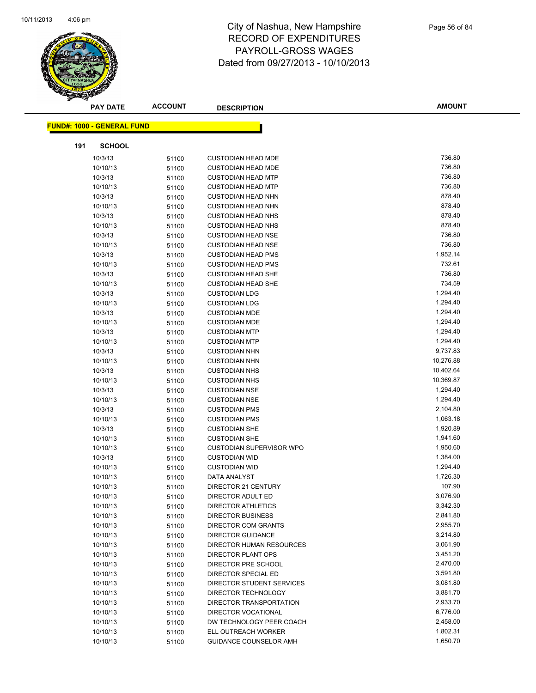

|     | <b>PAY DATE</b>                   | <b>ACCOUNT</b> | <b>DESCRIPTION</b>               | <b>AMOUNT</b> |
|-----|-----------------------------------|----------------|----------------------------------|---------------|
|     |                                   |                |                                  |               |
|     | <b>FUND#: 1000 - GENERAL FUND</b> |                |                                  |               |
| 191 | <b>SCHOOL</b>                     |                |                                  |               |
|     | 10/3/13                           | 51100          | <b>CUSTODIAN HEAD MDE</b>        | 736.80        |
|     | 10/10/13                          | 51100          | <b>CUSTODIAN HEAD MDE</b>        | 736.80        |
|     | 10/3/13                           | 51100          | <b>CUSTODIAN HEAD MTP</b>        | 736.80        |
|     | 10/10/13                          | 51100          | <b>CUSTODIAN HEAD MTP</b>        | 736.80        |
|     | 10/3/13                           | 51100          | <b>CUSTODIAN HEAD NHN</b>        | 878.40        |
|     | 10/10/13                          | 51100          | <b>CUSTODIAN HEAD NHN</b>        | 878.40        |
|     | 10/3/13                           | 51100          | <b>CUSTODIAN HEAD NHS</b>        | 878.40        |
|     | 10/10/13                          | 51100          | <b>CUSTODIAN HEAD NHS</b>        | 878.40        |
|     | 10/3/13                           | 51100          | <b>CUSTODIAN HEAD NSE</b>        | 736.80        |
|     | 10/10/13                          | 51100          | <b>CUSTODIAN HEAD NSE</b>        | 736.80        |
|     | 10/3/13                           | 51100          | <b>CUSTODIAN HEAD PMS</b>        | 1,952.14      |
|     | 10/10/13                          | 51100          | <b>CUSTODIAN HEAD PMS</b>        | 732.61        |
|     | 10/3/13                           | 51100          | <b>CUSTODIAN HEAD SHE</b>        | 736.80        |
|     | 10/10/13                          | 51100          | <b>CUSTODIAN HEAD SHE</b>        | 734.59        |
|     | 10/3/13                           | 51100          | <b>CUSTODIAN LDG</b>             | 1,294.40      |
|     | 10/10/13                          | 51100          | <b>CUSTODIAN LDG</b>             | 1,294.40      |
|     | 10/3/13                           | 51100          | <b>CUSTODIAN MDE</b>             | 1,294.40      |
|     | 10/10/13                          | 51100          | <b>CUSTODIAN MDE</b>             | 1,294.40      |
|     | 10/3/13                           | 51100          | <b>CUSTODIAN MTP</b>             | 1,294.40      |
|     | 10/10/13                          | 51100          | <b>CUSTODIAN MTP</b>             | 1,294.40      |
|     | 10/3/13                           | 51100          | <b>CUSTODIAN NHN</b>             | 9,737.83      |
|     | 10/10/13                          | 51100          | <b>CUSTODIAN NHN</b>             | 10,276.88     |
|     | 10/3/13                           | 51100          | <b>CUSTODIAN NHS</b>             | 10,402.64     |
|     | 10/10/13                          | 51100          | <b>CUSTODIAN NHS</b>             | 10,369.87     |
|     | 10/3/13                           | 51100          | <b>CUSTODIAN NSE</b>             | 1,294.40      |
|     | 10/10/13                          | 51100          | <b>CUSTODIAN NSE</b>             | 1,294.40      |
|     | 10/3/13                           | 51100          | <b>CUSTODIAN PMS</b>             | 2,104.80      |
|     | 10/10/13                          | 51100          | <b>CUSTODIAN PMS</b>             | 1,063.18      |
|     | 10/3/13                           | 51100          | <b>CUSTODIAN SHE</b>             | 1,920.89      |
|     | 10/10/13                          | 51100          | <b>CUSTODIAN SHE</b>             | 1,941.60      |
|     | 10/10/13                          | 51100          | <b>CUSTODIAN SUPERVISOR WPO</b>  | 1,950.60      |
|     | 10/3/13                           | 51100          | <b>CUSTODIAN WID</b>             | 1,384.00      |
|     | 10/10/13                          | 51100          | <b>CUSTODIAN WID</b>             | 1,294.40      |
|     | 10/10/13                          | 51100          | DATA ANALYST                     | 1,726.30      |
|     | 10/10/13                          | 51100          | DIRECTOR 21 CENTURY              | 107.90        |
|     | 10/10/13                          | 51100          | DIRECTOR ADULT ED                | 3,076.90      |
|     | 10/10/13                          | 51100          | <b>DIRECTOR ATHLETICS</b>        | 3,342.30      |
|     | 10/10/13                          | 51100          | <b>DIRECTOR BUSINESS</b>         | 2,841.80      |
|     | 10/10/13                          | 51100          | DIRECTOR COM GRANTS              | 2,955.70      |
|     | 10/10/13                          | 51100          | <b>DIRECTOR GUIDANCE</b>         | 3,214.80      |
|     | 10/10/13                          | 51100          | DIRECTOR HUMAN RESOURCES         | 3,061.90      |
|     | 10/10/13                          | 51100          | <b>DIRECTOR PLANT OPS</b>        | 3,451.20      |
|     | 10/10/13                          | 51100          | DIRECTOR PRE SCHOOL              | 2,470.00      |
|     | 10/10/13                          | 51100          | DIRECTOR SPECIAL ED              | 3,591.80      |
|     | 10/10/13                          | 51100          | <b>DIRECTOR STUDENT SERVICES</b> | 3,081.80      |
|     | 10/10/13                          | 51100          | DIRECTOR TECHNOLOGY              | 3,881.70      |
|     | 10/10/13                          | 51100          | DIRECTOR TRANSPORTATION          | 2,933.70      |
|     | 10/10/13                          | 51100          | DIRECTOR VOCATIONAL              | 6,776.00      |
|     | 10/10/13                          | 51100          | DW TECHNOLOGY PEER COACH         | 2,458.00      |
|     | 10/10/13                          | 51100          | ELL OUTREACH WORKER              | 1,802.31      |
|     | 10/10/13                          | 51100          | GUIDANCE COUNSELOR AMH           | 1,650.70      |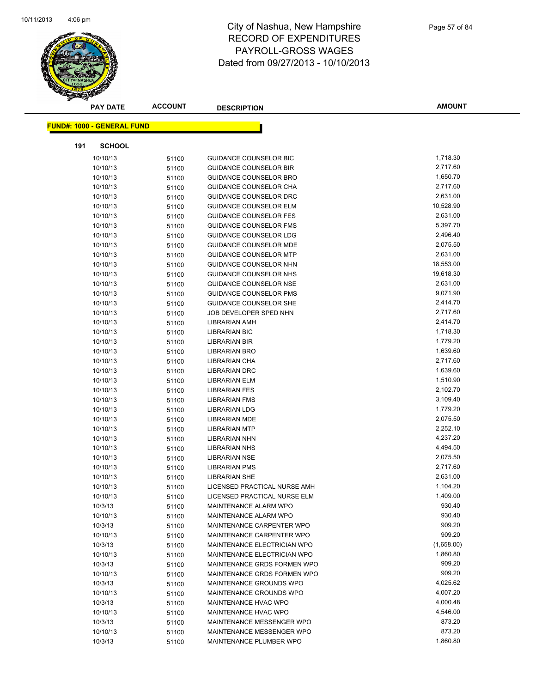

|     | <b>PAY DATE</b>                    | <b>ACCOUNT</b> | <b>DESCRIPTION</b>            | <b>AMOUNT</b> |
|-----|------------------------------------|----------------|-------------------------------|---------------|
|     | <u> FUND#: 1000 - GENERAL FUND</u> |                |                               |               |
|     |                                    |                |                               |               |
| 191 | <b>SCHOOL</b>                      |                |                               |               |
|     | 10/10/13                           | 51100          | <b>GUIDANCE COUNSELOR BIC</b> | 1,718.30      |
|     | 10/10/13                           | 51100          | <b>GUIDANCE COUNSELOR BIR</b> | 2,717.60      |
|     | 10/10/13                           | 51100          | GUIDANCE COUNSELOR BRO        | 1,650.70      |
|     | 10/10/13                           | 51100          | GUIDANCE COUNSELOR CHA        | 2,717.60      |
|     | 10/10/13                           | 51100          | <b>GUIDANCE COUNSELOR DRC</b> | 2,631.00      |
|     | 10/10/13                           | 51100          | <b>GUIDANCE COUNSELOR ELM</b> | 10,528.90     |
|     | 10/10/13                           | 51100          | <b>GUIDANCE COUNSELOR FES</b> | 2,631.00      |
|     | 10/10/13                           | 51100          | <b>GUIDANCE COUNSELOR FMS</b> | 5,397.70      |
|     | 10/10/13                           | 51100          | GUIDANCE COUNSELOR LDG        | 2,496.40      |
|     | 10/10/13                           | 51100          | <b>GUIDANCE COUNSELOR MDE</b> | 2,075.50      |
|     | 10/10/13                           | 51100          | <b>GUIDANCE COUNSELOR MTP</b> | 2,631.00      |
|     | 10/10/13                           | 51100          | GUIDANCE COUNSELOR NHN        | 18,553.00     |
|     | 10/10/13                           | 51100          | <b>GUIDANCE COUNSELOR NHS</b> | 19,618.30     |
|     | 10/10/13                           | 51100          | GUIDANCE COUNSELOR NSE        | 2,631.00      |
|     | 10/10/13                           | 51100          | <b>GUIDANCE COUNSELOR PMS</b> | 9,071.90      |
|     | 10/10/13                           | 51100          | GUIDANCE COUNSELOR SHE        | 2,414.70      |
|     | 10/10/13                           | 51100          | JOB DEVELOPER SPED NHN        | 2,717.60      |
|     | 10/10/13                           | 51100          | LIBRARIAN AMH                 | 2,414.70      |
|     | 10/10/13                           | 51100          | <b>LIBRARIAN BIC</b>          | 1,718.30      |
|     | 10/10/13                           | 51100          | LIBRARIAN BIR                 | 1,779.20      |
|     | 10/10/13                           | 51100          | <b>LIBRARIAN BRO</b>          | 1,639.60      |
|     | 10/10/13                           | 51100          | LIBRARIAN CHA                 | 2,717.60      |
|     | 10/10/13                           | 51100          | <b>LIBRARIAN DRC</b>          | 1,639.60      |
|     | 10/10/13                           | 51100          | <b>LIBRARIAN ELM</b>          | 1,510.90      |
|     | 10/10/13                           | 51100          | <b>LIBRARIAN FES</b>          | 2,102.70      |
|     | 10/10/13                           | 51100          | <b>LIBRARIAN FMS</b>          | 3,109.40      |
|     | 10/10/13                           | 51100          | <b>LIBRARIAN LDG</b>          | 1,779.20      |
|     | 10/10/13                           | 51100          | <b>LIBRARIAN MDE</b>          | 2,075.50      |
|     | 10/10/13                           | 51100          | <b>LIBRARIAN MTP</b>          | 2,252.10      |
|     | 10/10/13                           | 51100          | <b>LIBRARIAN NHN</b>          | 4,237.20      |
|     | 10/10/13                           | 51100          | <b>LIBRARIAN NHS</b>          | 4,494.50      |
|     | 10/10/13                           | 51100          | <b>LIBRARIAN NSE</b>          | 2,075.50      |
|     | 10/10/13                           | 51100          | <b>LIBRARIAN PMS</b>          | 2,717.60      |
|     | 10/10/13                           | 51100          | <b>LIBRARIAN SHE</b>          | 2,631.00      |
|     | 10/10/13                           | 51100          | LICENSED PRACTICAL NURSE AMH  | 1,104.20      |
|     | 10/10/13                           | 51100          | LICENSED PRACTICAL NURSE ELM  | 1,409.00      |
|     | 10/3/13                            | 51100          | MAINTENANCE ALARM WPO         | 930.40        |
|     | 10/10/13                           | 51100          | MAINTENANCE ALARM WPO         | 930.40        |
|     | 10/3/13                            | 51100          | MAINTENANCE CARPENTER WPO     | 909.20        |
|     | 10/10/13                           | 51100          | MAINTENANCE CARPENTER WPO     | 909.20        |
|     | 10/3/13                            | 51100          | MAINTENANCE ELECTRICIAN WPO   | (1,658.00)    |
|     | 10/10/13                           | 51100          | MAINTENANCE ELECTRICIAN WPO   | 1,860.80      |
|     | 10/3/13                            | 51100          | MAINTENANCE GRDS FORMEN WPO   | 909.20        |
|     | 10/10/13                           | 51100          | MAINTENANCE GRDS FORMEN WPO   | 909.20        |
|     | 10/3/13                            | 51100          | MAINTENANCE GROUNDS WPO       | 4,025.62      |
|     | 10/10/13                           | 51100          | MAINTENANCE GROUNDS WPO       | 4,007.20      |
|     | 10/3/13                            | 51100          | MAINTENANCE HVAC WPO          | 4,000.48      |
|     | 10/10/13                           | 51100          | <b>MAINTENANCE HVAC WPO</b>   | 4,546.00      |
|     | 10/3/13                            | 51100          | MAINTENANCE MESSENGER WPO     | 873.20        |
|     | 10/10/13                           | 51100          | MAINTENANCE MESSENGER WPO     | 873.20        |
|     | 10/3/13                            | 51100          | MAINTENANCE PLUMBER WPO       | 1,860.80      |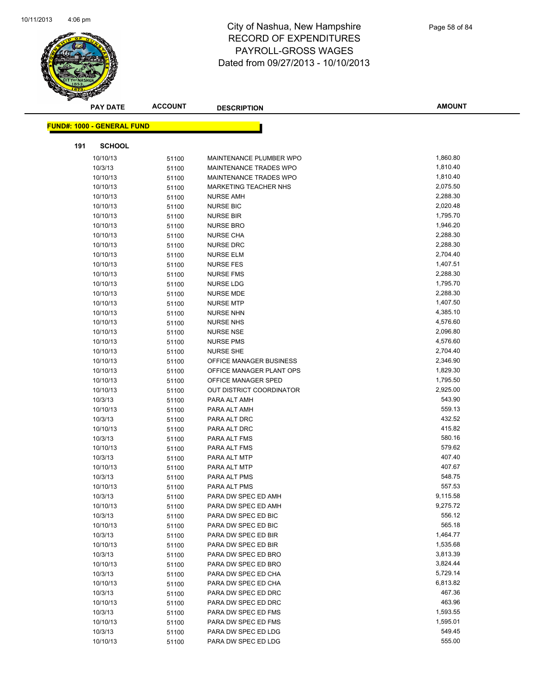

| <b>PAY DATE</b>                   | <b>ACCOUNT</b> | <b>DESCRIPTION</b>       | <b>AMOUNT</b> |
|-----------------------------------|----------------|--------------------------|---------------|
| <b>FUND#: 1000 - GENERAL FUND</b> |                |                          |               |
|                                   |                |                          |               |
| 191<br><b>SCHOOL</b>              |                |                          |               |
| 10/10/13                          | 51100          | MAINTENANCE PLUMBER WPO  | 1,860.80      |
| 10/3/13                           | 51100          | MAINTENANCE TRADES WPO   | 1,810.40      |
| 10/10/13                          | 51100          | MAINTENANCE TRADES WPO   | 1,810.40      |
| 10/10/13                          | 51100          | MARKETING TEACHER NHS    | 2,075.50      |
| 10/10/13                          | 51100          | <b>NURSE AMH</b>         | 2,288.30      |
| 10/10/13                          | 51100          | <b>NURSE BIC</b>         | 2,020.48      |
| 10/10/13                          | 51100          | <b>NURSE BIR</b>         | 1,795.70      |
| 10/10/13                          | 51100          | <b>NURSE BRO</b>         | 1,946.20      |
| 10/10/13                          | 51100          | <b>NURSE CHA</b>         | 2,288.30      |
| 10/10/13                          | 51100          | <b>NURSE DRC</b>         | 2,288.30      |
| 10/10/13                          | 51100          | <b>NURSE ELM</b>         | 2,704.40      |
| 10/10/13                          | 51100          | <b>NURSE FES</b>         | 1,407.51      |
| 10/10/13                          | 51100          | <b>NURSE FMS</b>         | 2,288.30      |
| 10/10/13                          | 51100          | <b>NURSE LDG</b>         | 1,795.70      |
| 10/10/13                          | 51100          | NURSE MDE                | 2,288.30      |
| 10/10/13                          | 51100          | <b>NURSE MTP</b>         | 1,407.50      |
| 10/10/13                          | 51100          | <b>NURSE NHN</b>         | 4,385.10      |
| 10/10/13                          | 51100          | <b>NURSE NHS</b>         | 4,576.60      |
| 10/10/13                          | 51100          | <b>NURSE NSE</b>         | 2,096.80      |
| 10/10/13                          | 51100          | <b>NURSE PMS</b>         | 4,576.60      |
| 10/10/13                          | 51100          | <b>NURSE SHE</b>         | 2,704.40      |
| 10/10/13                          | 51100          | OFFICE MANAGER BUSINESS  | 2,346.90      |
| 10/10/13                          | 51100          | OFFICE MANAGER PLANT OPS | 1,829.30      |
| 10/10/13                          | 51100          | OFFICE MANAGER SPED      | 1,795.50      |
| 10/10/13                          | 51100          | OUT DISTRICT COORDINATOR | 2,925.00      |
| 10/3/13                           | 51100          | PARA ALT AMH             | 543.90        |
| 10/10/13                          | 51100          | PARA ALT AMH             | 559.13        |
| 10/3/13                           | 51100          | PARA ALT DRC             | 432.52        |
| 10/10/13                          | 51100          | PARA ALT DRC             | 415.82        |
| 10/3/13                           | 51100          | PARA ALT FMS             | 580.16        |
| 10/10/13                          | 51100          | PARA ALT FMS             | 579.62        |
| 10/3/13                           | 51100          | PARA ALT MTP             | 407.40        |
| 10/10/13                          | 51100          | PARA ALT MTP             | 407.67        |
| 10/3/13                           | 51100          | PARA ALT PMS             | 548.75        |
| 10/10/13                          | 51100          | PARA ALT PMS             | 557.53        |
| 10/3/13                           | 51100          | PARA DW SPEC ED AMH      | 9,115.58      |
| 10/10/13                          | 51100          | PARA DW SPEC ED AMH      | 9,275.72      |
| 10/3/13                           | 51100          | PARA DW SPEC ED BIC      | 556.12        |
| 10/10/13                          | 51100          | PARA DW SPEC ED BIC      | 565.18        |
| 10/3/13                           | 51100          | PARA DW SPEC ED BIR      | 1,464.77      |
| 10/10/13                          | 51100          | PARA DW SPEC ED BIR      | 1,535.68      |
| 10/3/13                           | 51100          | PARA DW SPEC ED BRO      | 3,813.39      |
| 10/10/13                          | 51100          | PARA DW SPEC ED BRO      | 3,824.44      |
| 10/3/13                           | 51100          | PARA DW SPEC ED CHA      | 5,729.14      |
| 10/10/13                          | 51100          | PARA DW SPEC ED CHA      | 6,813.82      |
| 10/3/13                           | 51100          | PARA DW SPEC ED DRC      | 467.36        |
| 10/10/13                          | 51100          | PARA DW SPEC ED DRC      | 463.96        |
| 10/3/13                           | 51100          | PARA DW SPEC ED FMS      | 1,593.55      |
|                                   |                |                          |               |
| 10/10/13                          | 51100          | PARA DW SPEC ED FMS      | 1,595.01      |
| 10/3/13                           | 51100          | PARA DW SPEC ED LDG      | 549.45        |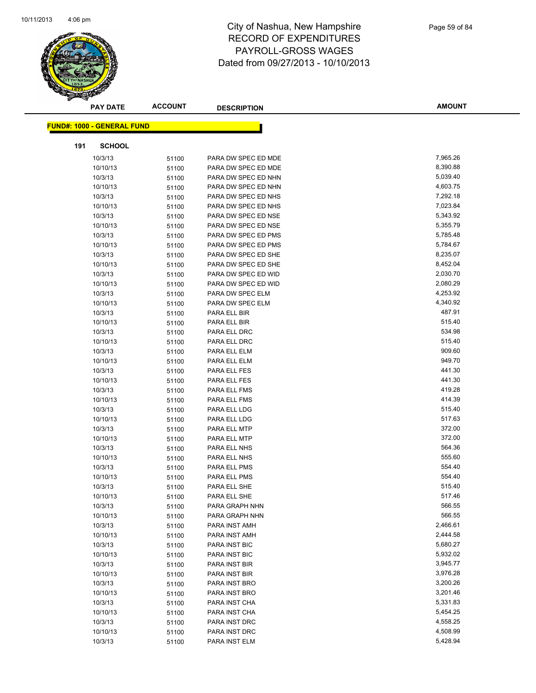

|     | <b>PAY DATE</b>                   | <b>ACCOUNT</b> | <b>DESCRIPTION</b>           | <b>AMOUNT</b>    |
|-----|-----------------------------------|----------------|------------------------------|------------------|
|     | <b>FUND#: 1000 - GENERAL FUND</b> |                |                              |                  |
|     |                                   |                |                              |                  |
| 191 | <b>SCHOOL</b>                     |                |                              |                  |
|     | 10/3/13                           | 51100          | PARA DW SPEC ED MDE          | 7,965.26         |
|     | 10/10/13                          | 51100          | PARA DW SPEC ED MDE          | 8,390.88         |
|     | 10/3/13                           | 51100          | PARA DW SPEC ED NHN          | 5,039.40         |
|     | 10/10/13                          | 51100          | PARA DW SPEC ED NHN          | 4,603.75         |
|     | 10/3/13                           | 51100          | PARA DW SPEC ED NHS          | 7,292.18         |
|     | 10/10/13                          | 51100          | PARA DW SPEC ED NHS          | 7,023.84         |
|     | 10/3/13                           | 51100          | PARA DW SPEC ED NSE          | 5,343.92         |
|     | 10/10/13                          | 51100          | PARA DW SPEC ED NSE          | 5,355.79         |
|     | 10/3/13                           | 51100          | PARA DW SPEC ED PMS          | 5,785.48         |
|     | 10/10/13                          | 51100          | PARA DW SPEC ED PMS          | 5,784.67         |
|     | 10/3/13                           | 51100          | PARA DW SPEC ED SHE          | 8,235.07         |
|     | 10/10/13                          | 51100          | PARA DW SPEC ED SHE          | 8,452.04         |
|     | 10/3/13                           | 51100          | PARA DW SPEC ED WID          | 2,030.70         |
|     | 10/10/13                          | 51100          | PARA DW SPEC ED WID          | 2,080.29         |
|     | 10/3/13                           | 51100          | PARA DW SPEC ELM             | 4,253.92         |
|     | 10/10/13                          | 51100          | PARA DW SPEC ELM             | 4,340.92         |
|     | 10/3/13                           | 51100          | PARA ELL BIR                 | 487.91           |
|     | 10/10/13                          | 51100          | PARA ELL BIR                 | 515.40           |
|     | 10/3/13                           | 51100          | PARA ELL DRC                 | 534.98           |
|     | 10/10/13                          | 51100          | PARA ELL DRC                 | 515.40           |
|     | 10/3/13                           | 51100          | PARA ELL ELM                 | 909.60           |
|     | 10/10/13                          | 51100          | PARA ELL ELM                 | 949.70           |
|     | 10/3/13                           | 51100          | PARA ELL FES                 | 441.30           |
|     | 10/10/13                          | 51100          | PARA ELL FES                 | 441.30           |
|     | 10/3/13                           | 51100          | PARA ELL FMS                 | 419.28           |
|     | 10/10/13                          | 51100          | PARA ELL FMS                 | 414.39           |
|     | 10/3/13                           | 51100          | PARA ELL LDG                 | 515.40           |
|     | 10/10/13                          | 51100          | PARA ELL LDG                 | 517.63           |
|     | 10/3/13                           | 51100          | PARA ELL MTP                 | 372.00           |
|     | 10/10/13                          | 51100          | PARA ELL MTP                 | 372.00<br>564.36 |
|     | 10/3/13                           | 51100          | PARA ELL NHS                 | 555.60           |
|     | 10/10/13                          | 51100          | PARA ELL NHS                 | 554.40           |
|     | 10/3/13<br>10/10/13               | 51100          | PARA ELL PMS<br>PARA ELL PMS | 554.40           |
|     | 10/3/13                           | 51100          | PARA ELL SHE                 | 515.40           |
|     | 10/10/13                          | 51100          | PARA ELL SHE                 | 517.46           |
|     | 10/3/13                           | 51100<br>51100 | PARA GRAPH NHN               | 566.55           |
|     | 10/10/13                          | 51100          | PARA GRAPH NHN               | 566.55           |
|     | 10/3/13                           | 51100          | PARA INST AMH                | 2,466.61         |
|     | 10/10/13                          | 51100          | PARA INST AMH                | 2,444.58         |
|     | 10/3/13                           | 51100          | PARA INST BIC                | 5,680.27         |
|     | 10/10/13                          | 51100          | PARA INST BIC                | 5,932.02         |
|     | 10/3/13                           | 51100          | PARA INST BIR                | 3,945.77         |
|     | 10/10/13                          | 51100          | PARA INST BIR                | 3,976.28         |
|     | 10/3/13                           | 51100          | PARA INST BRO                | 3,200.26         |
|     | 10/10/13                          | 51100          | PARA INST BRO                | 3,201.46         |
|     | 10/3/13                           | 51100          | PARA INST CHA                | 5,331.83         |
|     | 10/10/13                          | 51100          | PARA INST CHA                | 5,454.25         |
|     | 10/3/13                           | 51100          | PARA INST DRC                | 4,558.25         |
|     | 10/10/13                          | 51100          | PARA INST DRC                | 4,508.99         |
|     | 10/3/13                           | 51100          | PARA INST ELM                | 5,428.94         |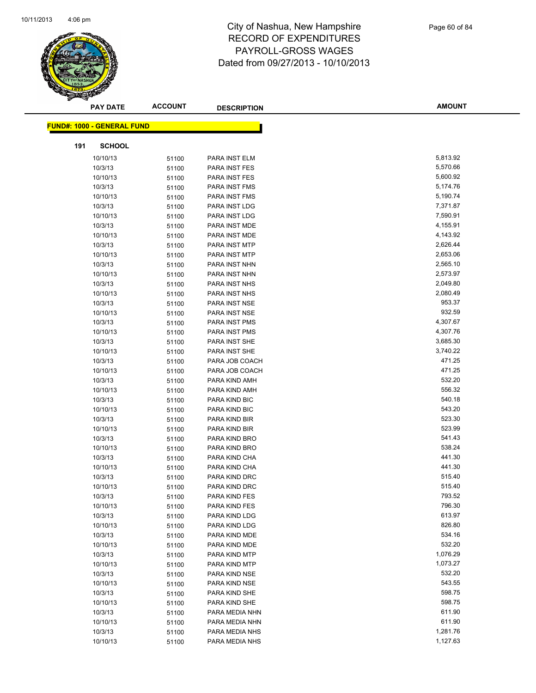

|     | <b>PAY DATE</b>                   | <b>ACCOUNT</b> | <b>DESCRIPTION</b> | <b>AMOUNT</b> |  |
|-----|-----------------------------------|----------------|--------------------|---------------|--|
|     | <b>FUND#: 1000 - GENERAL FUND</b> |                |                    |               |  |
|     |                                   |                |                    |               |  |
| 191 | <b>SCHOOL</b>                     |                |                    |               |  |
|     | 10/10/13                          | 51100          | PARA INST ELM      | 5,813.92      |  |
|     | 10/3/13                           | 51100          | PARA INST FES      | 5,570.66      |  |
|     | 10/10/13                          | 51100          | PARA INST FES      | 5,600.92      |  |
|     | 10/3/13                           | 51100          | PARA INST FMS      | 5,174.76      |  |
|     | 10/10/13                          | 51100          | PARA INST FMS      | 5,190.74      |  |
|     | 10/3/13                           | 51100          | PARA INST LDG      | 7,371.87      |  |
|     | 10/10/13                          | 51100          | PARA INST LDG      | 7,590.91      |  |
|     | 10/3/13                           | 51100          | PARA INST MDE      | 4,155.91      |  |
|     | 10/10/13                          | 51100          | PARA INST MDE      | 4,143.92      |  |
|     | 10/3/13                           | 51100          | PARA INST MTP      | 2,626.44      |  |
|     | 10/10/13                          | 51100          | PARA INST MTP      | 2,653.06      |  |
|     | 10/3/13                           | 51100          | PARA INST NHN      | 2,565.10      |  |
|     | 10/10/13                          | 51100          | PARA INST NHN      | 2,573.97      |  |
|     | 10/3/13                           | 51100          | PARA INST NHS      | 2,049.80      |  |
|     | 10/10/13                          | 51100          | PARA INST NHS      | 2,080.49      |  |
|     | 10/3/13                           | 51100          | PARA INST NSE      | 953.37        |  |
|     | 10/10/13                          | 51100          | PARA INST NSE      | 932.59        |  |
|     | 10/3/13                           | 51100          | PARA INST PMS      | 4,307.67      |  |
|     | 10/10/13                          | 51100          | PARA INST PMS      | 4,307.76      |  |
|     | 10/3/13                           | 51100          | PARA INST SHE      | 3,685.30      |  |
|     | 10/10/13                          | 51100          | PARA INST SHE      | 3,740.22      |  |
|     | 10/3/13                           | 51100          | PARA JOB COACH     | 471.25        |  |
|     | 10/10/13                          | 51100          | PARA JOB COACH     | 471.25        |  |
|     | 10/3/13                           | 51100          | PARA KIND AMH      | 532.20        |  |
|     | 10/10/13                          | 51100          | PARA KIND AMH      | 556.32        |  |
|     | 10/3/13                           | 51100          | PARA KIND BIC      | 540.18        |  |
|     | 10/10/13                          | 51100          | PARA KIND BIC      | 543.20        |  |
|     | 10/3/13                           | 51100          | PARA KIND BIR      | 523.30        |  |
|     | 10/10/13                          | 51100          | PARA KIND BIR      | 523.99        |  |
|     | 10/3/13                           | 51100          | PARA KIND BRO      | 541.43        |  |
|     | 10/10/13                          | 51100          | PARA KIND BRO      | 538.24        |  |
|     | 10/3/13                           | 51100          | PARA KIND CHA      | 441.30        |  |
|     | 10/10/13                          | 51100          | PARA KIND CHA      | 441.30        |  |
|     | 10/3/13                           | 51100          | PARA KIND DRC      | 515.40        |  |
|     | 10/10/13                          | 51100          | PARA KIND DRC      | 515.40        |  |
|     | 10/3/13                           | 51100          | PARA KIND FES      | 793.52        |  |
|     | 10/10/13                          | 51100          | PARA KIND FES      | 796.30        |  |
|     | 10/3/13                           | 51100          | PARA KIND LDG      | 613.97        |  |
|     | 10/10/13                          | 51100          | PARA KIND LDG      | 826.80        |  |
|     | 10/3/13                           | 51100          | PARA KIND MDE      | 534.16        |  |
|     | 10/10/13                          | 51100          | PARA KIND MDE      | 532.20        |  |
|     | 10/3/13                           | 51100          | PARA KIND MTP      | 1,076.29      |  |
|     | 10/10/13                          | 51100          | PARA KIND MTP      | 1,073.27      |  |
|     | 10/3/13                           | 51100          | PARA KIND NSE      | 532.20        |  |
|     | 10/10/13                          | 51100          | PARA KIND NSE      | 543.55        |  |
|     | 10/3/13                           | 51100          | PARA KIND SHE      | 598.75        |  |
|     | 10/10/13                          | 51100          | PARA KIND SHE      | 598.75        |  |
|     | 10/3/13                           | 51100          | PARA MEDIA NHN     | 611.90        |  |
|     | 10/10/13                          | 51100          | PARA MEDIA NHN     | 611.90        |  |
|     | 10/3/13                           | 51100          | PARA MEDIA NHS     | 1,281.76      |  |
|     | 10/10/13                          | 51100          | PARA MEDIA NHS     | 1,127.63      |  |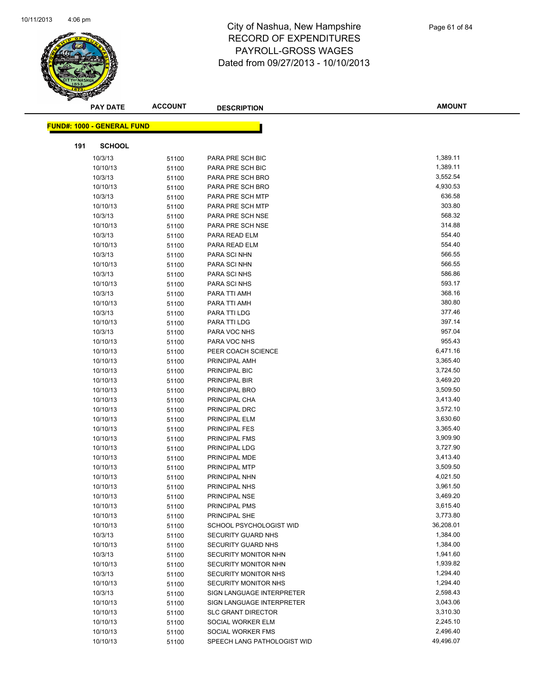

|     | <b>PAY DATE</b>                   | <b>ACCOUNT</b> | <b>DESCRIPTION</b>          | <b>AMOUNT</b>        |
|-----|-----------------------------------|----------------|-----------------------------|----------------------|
|     |                                   |                |                             |                      |
|     | <b>FUND#: 1000 - GENERAL FUND</b> |                |                             |                      |
| 191 | <b>SCHOOL</b>                     |                |                             |                      |
|     | 10/3/13                           | 51100          | PARA PRE SCH BIC            | 1,389.11             |
|     | 10/10/13                          | 51100          | PARA PRE SCH BIC            | 1,389.11             |
|     | 10/3/13                           | 51100          | PARA PRE SCH BRO            | 3,552.54             |
|     | 10/10/13                          | 51100          | PARA PRE SCH BRO            | 4,930.53             |
|     | 10/3/13                           | 51100          | PARA PRE SCH MTP            | 636.58               |
|     | 10/10/13                          | 51100          | PARA PRE SCH MTP            | 303.80               |
|     | 10/3/13                           | 51100          | PARA PRE SCH NSE            | 568.32               |
|     | 10/10/13                          | 51100          | PARA PRE SCH NSE            | 314.88               |
|     | 10/3/13                           | 51100          | PARA READ ELM               | 554.40               |
|     | 10/10/13                          | 51100          | PARA READ ELM               | 554.40               |
|     | 10/3/13                           | 51100          | PARA SCI NHN                | 566.55               |
|     | 10/10/13                          | 51100          | PARA SCI NHN                | 566.55               |
|     | 10/3/13                           | 51100          | PARA SCI NHS                | 586.86               |
|     | 10/10/13                          | 51100          | PARA SCI NHS                | 593.17               |
|     | 10/3/13                           | 51100          | PARA TTI AMH                | 368.16               |
|     | 10/10/13                          | 51100          | PARA TTI AMH                | 380.80               |
|     | 10/3/13                           | 51100          | PARA TTI LDG                | 377.46               |
|     | 10/10/13                          | 51100          | PARA TTI LDG                | 397.14               |
|     | 10/3/13                           | 51100          | PARA VOC NHS                | 957.04               |
|     | 10/10/13                          | 51100          | PARA VOC NHS                | 955.43               |
|     | 10/10/13                          | 51100          | PEER COACH SCIENCE          | 6,471.16             |
|     | 10/10/13                          | 51100          | PRINCIPAL AMH               | 3,365.40             |
|     | 10/10/13                          | 51100          | PRINCIPAL BIC               | 3,724.50             |
|     | 10/10/13                          | 51100          | PRINCIPAL BIR               | 3,469.20             |
|     | 10/10/13                          | 51100          | PRINCIPAL BRO               | 3,509.50             |
|     | 10/10/13                          | 51100          | PRINCIPAL CHA               | 3,413.40             |
|     | 10/10/13                          | 51100          | PRINCIPAL DRC               | 3,572.10             |
|     | 10/10/13                          | 51100          | PRINCIPAL ELM               | 3,630.60             |
|     | 10/10/13                          | 51100          | <b>PRINCIPAL FES</b>        | 3,365.40             |
|     | 10/10/13                          | 51100          | PRINCIPAL FMS               | 3,909.90             |
|     | 10/10/13                          | 51100          | PRINCIPAL LDG               | 3,727.90             |
|     | 10/10/13                          | 51100          | PRINCIPAL MDE               | 3,413.40             |
|     | 10/10/13                          | 51100          | PRINCIPAL MTP               | 3,509.50             |
|     | 10/10/13                          | 51100          | PRINCIPAL NHN               | 4,021.50             |
|     | 10/10/13                          | 51100          | PRINCIPAL NHS               | 3,961.50             |
|     | 10/10/13                          | 51100          | PRINCIPAL NSE               | 3,469.20             |
|     | 10/10/13                          | 51100          | PRINCIPAL PMS               | 3,615.40             |
|     | 10/10/13                          | 51100          | PRINCIPAL SHE               | 3,773.80             |
|     | 10/10/13                          | 51100          | SCHOOL PSYCHOLOGIST WID     | 36,208.01            |
|     | 10/3/13                           | 51100          | <b>SECURITY GUARD NHS</b>   | 1,384.00             |
|     | 10/10/13                          | 51100          | <b>SECURITY GUARD NHS</b>   | 1,384.00             |
|     | 10/3/13                           | 51100          | SECURITY MONITOR NHN        | 1,941.60             |
|     | 10/10/13                          | 51100          | SECURITY MONITOR NHN        | 1,939.82             |
|     | 10/3/13                           | 51100          | SECURITY MONITOR NHS        | 1,294.40             |
|     | 10/10/13                          | 51100          | <b>SECURITY MONITOR NHS</b> | 1,294.40             |
|     | 10/3/13                           | 51100          | SIGN LANGUAGE INTERPRETER   | 2,598.43             |
|     | 10/10/13                          | 51100          | SIGN LANGUAGE INTERPRETER   | 3,043.06             |
|     | 10/10/13                          | 51100          | <b>SLC GRANT DIRECTOR</b>   | 3,310.30             |
|     | 10/10/13                          | 51100          | SOCIAL WORKER ELM           | 2,245.10<br>2,496.40 |
|     | 10/10/13                          | 51100          | SOCIAL WORKER FMS           | 49,496.07            |
|     | 10/10/13                          | 51100          | SPEECH LANG PATHOLOGIST WID |                      |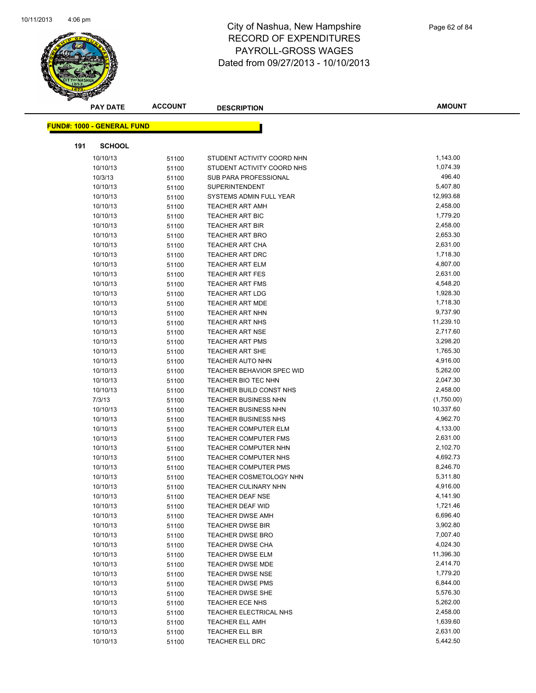

|     | <b>PAY DATE</b>                   | <b>ACCOUNT</b> | <b>DESCRIPTION</b>               | <b>AMOUNT</b> |
|-----|-----------------------------------|----------------|----------------------------------|---------------|
|     | <b>FUND#: 1000 - GENERAL FUND</b> |                |                                  |               |
|     |                                   |                |                                  |               |
| 191 | <b>SCHOOL</b>                     |                |                                  |               |
|     | 10/10/13                          | 51100          | STUDENT ACTIVITY COORD NHN       | 1,143.00      |
|     | 10/10/13                          | 51100          | STUDENT ACTIVITY COORD NHS       | 1,074.39      |
|     | 10/3/13                           | 51100          | SUB PARA PROFESSIONAL            | 496.40        |
|     | 10/10/13                          | 51100          | <b>SUPERINTENDENT</b>            | 5,407.80      |
|     | 10/10/13                          | 51100          | SYSTEMS ADMIN FULL YEAR          | 12,993.68     |
|     | 10/10/13                          | 51100          | <b>TEACHER ART AMH</b>           | 2,458.00      |
|     | 10/10/13                          | 51100          | <b>TEACHER ART BIC</b>           | 1,779.20      |
|     | 10/10/13                          | 51100          | <b>TEACHER ART BIR</b>           | 2,458.00      |
|     | 10/10/13                          | 51100          | <b>TEACHER ART BRO</b>           | 2,653.30      |
|     | 10/10/13                          | 51100          | <b>TEACHER ART CHA</b>           | 2,631.00      |
|     | 10/10/13                          | 51100          | <b>TEACHER ART DRC</b>           | 1,718.30      |
|     | 10/10/13                          | 51100          | <b>TEACHER ART ELM</b>           | 4,807.00      |
|     | 10/10/13                          | 51100          | <b>TEACHER ART FES</b>           | 2,631.00      |
|     | 10/10/13                          | 51100          | <b>TEACHER ART FMS</b>           | 4,548.20      |
|     | 10/10/13                          | 51100          | <b>TEACHER ART LDG</b>           | 1,928.30      |
|     | 10/10/13                          | 51100          | <b>TEACHER ART MDE</b>           | 1,718.30      |
|     | 10/10/13                          | 51100          | <b>TEACHER ART NHN</b>           | 9,737.90      |
|     | 10/10/13                          | 51100          | <b>TEACHER ART NHS</b>           | 11,239.10     |
|     | 10/10/13                          | 51100          | <b>TEACHER ART NSE</b>           | 2,717.60      |
|     | 10/10/13                          | 51100          | <b>TEACHER ART PMS</b>           | 3,298.20      |
|     | 10/10/13                          | 51100          | <b>TEACHER ART SHE</b>           | 1,765.30      |
|     | 10/10/13                          | 51100          | <b>TEACHER AUTO NHN</b>          | 4,916.00      |
|     | 10/10/13                          | 51100          | <b>TEACHER BEHAVIOR SPEC WID</b> | 5,262.00      |
|     | 10/10/13                          | 51100          | TEACHER BIO TEC NHN              | 2,047.30      |
|     | 10/10/13                          | 51100          | TEACHER BUILD CONST NHS          | 2,458.00      |
|     | 7/3/13                            | 51100          | <b>TEACHER BUSINESS NHN</b>      | (1,750.00)    |
|     | 10/10/13                          | 51100          | <b>TEACHER BUSINESS NHN</b>      | 10,337.60     |
|     | 10/10/13                          | 51100          | <b>TEACHER BUSINESS NHS</b>      | 4,962.70      |
|     | 10/10/13                          | 51100          | <b>TEACHER COMPUTER ELM</b>      | 4,133.00      |
|     | 10/10/13                          | 51100          | <b>TEACHER COMPUTER FMS</b>      | 2,631.00      |
|     | 10/10/13                          | 51100          | <b>TEACHER COMPUTER NHN</b>      | 2,102.70      |
|     | 10/10/13                          | 51100          | TEACHER COMPUTER NHS             | 4,692.73      |
|     | 10/10/13                          | 51100          | <b>TEACHER COMPUTER PMS</b>      | 8,246.70      |
|     | 10/10/13                          | 51100          | <b>TEACHER COSMETOLOGY NHN</b>   | 5,311.80      |
|     | 10/10/13                          | 51100          | <b>TEACHER CULINARY NHN</b>      | 4,916.00      |
|     | 10/10/13                          | 51100          | TEACHER DEAF NSE                 | 4,141.90      |
|     | 10/10/13                          | 51100          | <b>TEACHER DEAF WID</b>          | 1,721.46      |
|     | 10/10/13                          | 51100          | <b>TEACHER DWSE AMH</b>          | 6,696.40      |
|     | 10/10/13                          | 51100          | <b>TEACHER DWSE BIR</b>          | 3,902.80      |
|     | 10/10/13                          | 51100          | <b>TEACHER DWSE BRO</b>          | 7,007.40      |
|     | 10/10/13                          | 51100          | TEACHER DWSE CHA                 | 4,024.30      |
|     | 10/10/13                          | 51100          | TEACHER DWSE ELM                 | 11,396.30     |
|     | 10/10/13                          | 51100          | <b>TEACHER DWSE MDE</b>          | 2,414.70      |
|     | 10/10/13                          | 51100          | TEACHER DWSE NSE                 | 1,779.20      |
|     | 10/10/13                          | 51100          | <b>TEACHER DWSE PMS</b>          | 6,844.00      |
|     | 10/10/13                          | 51100          | TEACHER DWSE SHE                 | 5,576.30      |
|     | 10/10/13                          | 51100          | TEACHER ECE NHS                  | 5,262.00      |
|     | 10/10/13                          | 51100          | TEACHER ELECTRICAL NHS           | 2,458.00      |
|     | 10/10/13                          | 51100          | <b>TEACHER ELL AMH</b>           | 1,639.60      |
|     | 10/10/13                          | 51100          | TEACHER ELL BIR                  | 2,631.00      |
|     | 10/10/13                          | 51100          | TEACHER ELL DRC                  | 5,442.50      |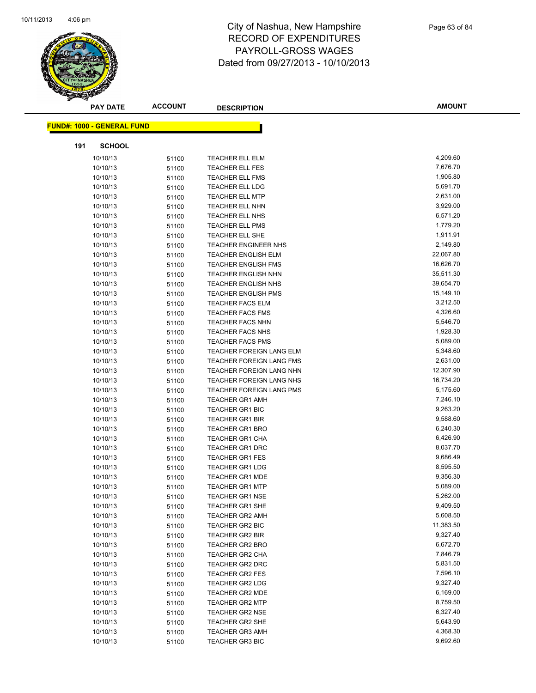

|     | <b>PAY DATE</b>                   | <b>ACCOUNT</b> | <b>DESCRIPTION</b>          | <b>AMOUNT</b> |
|-----|-----------------------------------|----------------|-----------------------------|---------------|
|     | <b>FUND#: 1000 - GENERAL FUND</b> |                |                             |               |
|     |                                   |                |                             |               |
| 191 | <b>SCHOOL</b>                     |                |                             |               |
|     | 10/10/13                          | 51100          | <b>TEACHER ELL ELM</b>      | 4,209.60      |
|     | 10/10/13                          | 51100          | <b>TEACHER ELL FES</b>      | 7,676.70      |
|     | 10/10/13                          | 51100          | <b>TEACHER ELL FMS</b>      | 1,905.80      |
|     | 10/10/13                          | 51100          | <b>TEACHER ELL LDG</b>      | 5,691.70      |
|     | 10/10/13                          | 51100          | <b>TEACHER ELL MTP</b>      | 2,631.00      |
|     | 10/10/13                          | 51100          | TEACHER ELL NHN             | 3,929.00      |
|     | 10/10/13                          | 51100          | TEACHER ELL NHS             | 6,571.20      |
|     | 10/10/13                          | 51100          | <b>TEACHER ELL PMS</b>      | 1,779.20      |
|     | 10/10/13                          | 51100          | <b>TEACHER ELL SHE</b>      | 1,911.91      |
|     | 10/10/13                          | 51100          | <b>TEACHER ENGINEER NHS</b> | 2,149.80      |
|     | 10/10/13                          | 51100          | <b>TEACHER ENGLISH ELM</b>  | 22,067.80     |
|     | 10/10/13                          | 51100          | <b>TEACHER ENGLISH FMS</b>  | 16,626.70     |
|     | 10/10/13                          | 51100          | <b>TEACHER ENGLISH NHN</b>  | 35,511.30     |
|     | 10/10/13                          | 51100          | <b>TEACHER ENGLISH NHS</b>  | 39,654.70     |
|     | 10/10/13                          | 51100          | <b>TEACHER ENGLISH PMS</b>  | 15,149.10     |
|     | 10/10/13                          | 51100          | <b>TEACHER FACS ELM</b>     | 3,212.50      |
|     | 10/10/13                          | 51100          | <b>TEACHER FACS FMS</b>     | 4,326.60      |
|     | 10/10/13                          | 51100          | <b>TEACHER FACS NHN</b>     | 5,546.70      |
|     | 10/10/13                          | 51100          | <b>TEACHER FACS NHS</b>     | 1,928.30      |
|     | 10/10/13                          | 51100          | <b>TEACHER FACS PMS</b>     | 5,089.00      |
|     | 10/10/13                          | 51100          | TEACHER FOREIGN LANG ELM    | 5,348.60      |
|     | 10/10/13                          | 51100          | TEACHER FOREIGN LANG FMS    | 2,631.00      |
|     | 10/10/13                          | 51100          | TEACHER FOREIGN LANG NHN    | 12,307.90     |
|     | 10/10/13                          | 51100          | TEACHER FOREIGN LANG NHS    | 16,734.20     |
|     | 10/10/13                          | 51100          | TEACHER FOREIGN LANG PMS    | 5,175.60      |
|     | 10/10/13                          | 51100          | <b>TEACHER GR1 AMH</b>      | 7,246.10      |
|     | 10/10/13                          | 51100          | <b>TEACHER GR1 BIC</b>      | 9,263.20      |
|     | 10/10/13                          | 51100          | <b>TEACHER GR1 BIR</b>      | 9,588.60      |
|     | 10/10/13                          | 51100          | <b>TEACHER GR1 BRO</b>      | 6,240.30      |
|     | 10/10/13                          | 51100          | <b>TEACHER GR1 CHA</b>      | 6,426.90      |
|     | 10/10/13                          | 51100          | TEACHER GR1 DRC             | 8,037.70      |
|     | 10/10/13                          | 51100          | <b>TEACHER GR1 FES</b>      | 9,686.49      |
|     | 10/10/13                          | 51100          | <b>TEACHER GR1 LDG</b>      | 8,595.50      |
|     | 10/10/13                          | 51100          | <b>TEACHER GR1 MDE</b>      | 9,356.30      |
|     | 10/10/13                          | 51100          | <b>TEACHER GR1 MTP</b>      | 5,089.00      |
|     | 10/10/13                          | 51100          | TEACHER GR1 NSE             | 5,262.00      |
|     | 10/10/13                          | 51100          | <b>TEACHER GR1 SHE</b>      | 9,409.50      |
|     | 10/10/13                          | 51100          | <b>TEACHER GR2 AMH</b>      | 5,608.50      |
|     | 10/10/13                          | 51100          | <b>TEACHER GR2 BIC</b>      | 11,383.50     |
|     | 10/10/13                          | 51100          | <b>TEACHER GR2 BIR</b>      | 9,327.40      |
|     | 10/10/13                          | 51100          | <b>TEACHER GR2 BRO</b>      | 6,672.70      |
|     | 10/10/13                          | 51100          | TEACHER GR2 CHA             | 7,846.79      |
|     | 10/10/13                          | 51100          | TEACHER GR2 DRC             | 5,831.50      |
|     | 10/10/13                          | 51100          | <b>TEACHER GR2 FES</b>      | 7,596.10      |
|     | 10/10/13                          | 51100          | <b>TEACHER GR2 LDG</b>      | 9,327.40      |
|     | 10/10/13                          | 51100          | <b>TEACHER GR2 MDE</b>      | 6,169.00      |
|     | 10/10/13                          | 51100          | <b>TEACHER GR2 MTP</b>      | 8,759.50      |
|     | 10/10/13                          | 51100          | TEACHER GR2 NSE             | 6,327.40      |
|     | 10/10/13                          | 51100          | <b>TEACHER GR2 SHE</b>      | 5,643.90      |
|     | 10/10/13                          | 51100          | <b>TEACHER GR3 AMH</b>      | 4,368.30      |
|     | 10/10/13                          | 51100          | <b>TEACHER GR3 BIC</b>      | 9,692.60      |
|     |                                   |                |                             |               |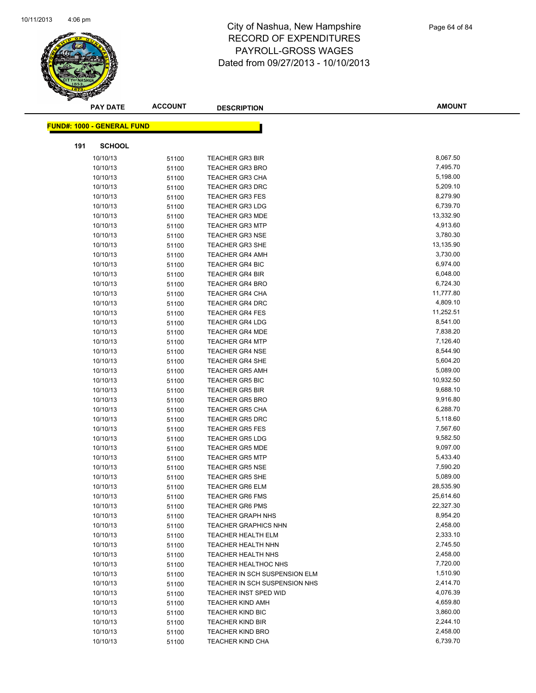

|     | <b>PAY DATE</b>                   | <b>ACCOUNT</b> | <b>DESCRIPTION</b>            | <b>AMOUNT</b> |
|-----|-----------------------------------|----------------|-------------------------------|---------------|
|     | <b>FUND#: 1000 - GENERAL FUND</b> |                |                               |               |
|     |                                   |                |                               |               |
| 191 | <b>SCHOOL</b>                     |                |                               |               |
|     | 10/10/13                          | 51100          | <b>TEACHER GR3 BIR</b>        | 8,067.50      |
|     | 10/10/13                          | 51100          | <b>TEACHER GR3 BRO</b>        | 7,495.70      |
|     | 10/10/13                          | 51100          | <b>TEACHER GR3 CHA</b>        | 5,198.00      |
|     | 10/10/13                          | 51100          | <b>TEACHER GR3 DRC</b>        | 5,209.10      |
|     | 10/10/13                          | 51100          | <b>TEACHER GR3 FES</b>        | 8,279.90      |
|     | 10/10/13                          | 51100          | <b>TEACHER GR3 LDG</b>        | 6,739.70      |
|     | 10/10/13                          | 51100          | <b>TEACHER GR3 MDE</b>        | 13,332.90     |
|     | 10/10/13                          | 51100          | <b>TEACHER GR3 MTP</b>        | 4,913.60      |
|     | 10/10/13                          | 51100          | <b>TEACHER GR3 NSE</b>        | 3,780.30      |
|     | 10/10/13                          | 51100          | <b>TEACHER GR3 SHE</b>        | 13,135.90     |
|     | 10/10/13                          | 51100          | <b>TEACHER GR4 AMH</b>        | 3,730.00      |
|     | 10/10/13                          | 51100          | <b>TEACHER GR4 BIC</b>        | 6,974.00      |
|     | 10/10/13                          | 51100          | <b>TEACHER GR4 BIR</b>        | 6,048.00      |
|     | 10/10/13                          | 51100          | <b>TEACHER GR4 BRO</b>        | 6,724.30      |
|     | 10/10/13                          | 51100          | <b>TEACHER GR4 CHA</b>        | 11,777.80     |
|     | 10/10/13                          | 51100          | <b>TEACHER GR4 DRC</b>        | 4,809.10      |
|     | 10/10/13                          | 51100          | <b>TEACHER GR4 FES</b>        | 11,252.51     |
|     | 10/10/13                          | 51100          | <b>TEACHER GR4 LDG</b>        | 8,541.00      |
|     | 10/10/13                          | 51100          | <b>TEACHER GR4 MDE</b>        | 7,838.20      |
|     | 10/10/13                          | 51100          | <b>TEACHER GR4 MTP</b>        | 7,126.40      |
|     | 10/10/13                          | 51100          | <b>TEACHER GR4 NSE</b>        | 8,544.90      |
|     | 10/10/13                          | 51100          | TEACHER GR4 SHE               | 5,604.20      |
|     | 10/10/13                          | 51100          | <b>TEACHER GR5 AMH</b>        | 5,089.00      |
|     | 10/10/13                          | 51100          | <b>TEACHER GR5 BIC</b>        | 10,932.50     |
|     | 10/10/13                          | 51100          | <b>TEACHER GR5 BIR</b>        | 9,688.10      |
|     | 10/10/13                          | 51100          | <b>TEACHER GR5 BRO</b>        | 9,916.80      |
|     | 10/10/13                          | 51100          | <b>TEACHER GR5 CHA</b>        | 6,288.70      |
|     | 10/10/13                          | 51100          | <b>TEACHER GR5 DRC</b>        | 5,118.60      |
|     | 10/10/13                          | 51100          | <b>TEACHER GR5 FES</b>        | 7,567.60      |
|     | 10/10/13                          | 51100          | <b>TEACHER GR5 LDG</b>        | 9,582.50      |
|     | 10/10/13                          | 51100          | <b>TEACHER GR5 MDE</b>        | 9,097.00      |
|     | 10/10/13                          | 51100          | <b>TEACHER GR5 MTP</b>        | 5,433.40      |
|     | 10/10/13                          | 51100          | <b>TEACHER GR5 NSE</b>        | 7,590.20      |
|     | 10/10/13                          | 51100          | <b>TEACHER GR5 SHE</b>        | 5,089.00      |
|     | 10/10/13                          | 51100          | <b>TEACHER GR6 ELM</b>        | 28,535.90     |
|     | 10/10/13                          | 51100          | TEACHER GR6 FMS               | 25,614.60     |
|     | 10/10/13                          | 51100          | <b>TEACHER GR6 PMS</b>        | 22,327.30     |
|     | 10/10/13                          | 51100          | <b>TEACHER GRAPH NHS</b>      | 8,954.20      |
|     | 10/10/13                          | 51100          | <b>TEACHER GRAPHICS NHN</b>   | 2,458.00      |
|     | 10/10/13                          | 51100          | <b>TEACHER HEALTH ELM</b>     | 2,333.10      |
|     | 10/10/13                          | 51100          | TEACHER HEALTH NHN            | 2,745.50      |
|     | 10/10/13                          | 51100          | <b>TEACHER HEALTH NHS</b>     | 2,458.00      |
|     | 10/10/13                          | 51100          | <b>TEACHER HEALTHOC NHS</b>   | 7,720.00      |
|     | 10/10/13                          | 51100          | TEACHER IN SCH SUSPENSION ELM | 1,510.90      |
|     | 10/10/13                          | 51100          | TEACHER IN SCH SUSPENSION NHS | 2,414.70      |
|     | 10/10/13                          | 51100          | TEACHER INST SPED WID         | 4,076.39      |
|     | 10/10/13                          | 51100          | <b>TEACHER KIND AMH</b>       | 4,659.80      |
|     | 10/10/13                          | 51100          | <b>TEACHER KIND BIC</b>       | 3,860.00      |
|     | 10/10/13                          | 51100          | <b>TEACHER KIND BIR</b>       | 2,244.10      |
|     | 10/10/13                          | 51100          | <b>TEACHER KIND BRO</b>       | 2,458.00      |
|     | 10/10/13                          | 51100          | <b>TEACHER KIND CHA</b>       | 6,739.70      |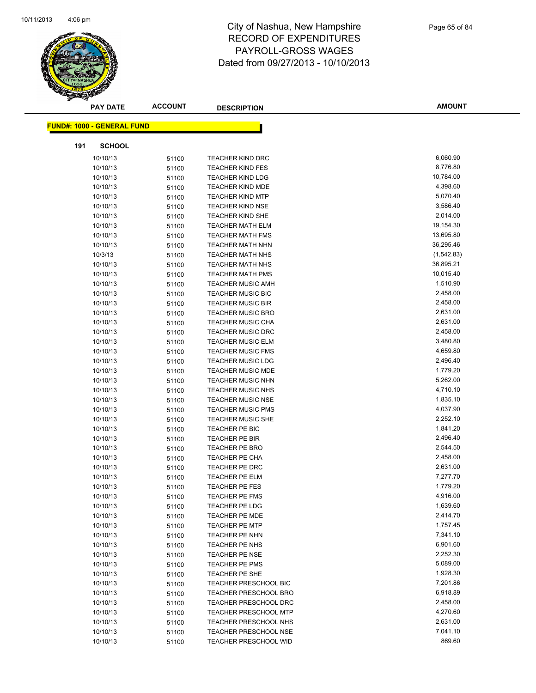

|     | <b>PAY DATE</b>                   | <b>ACCOUNT</b> | <b>DESCRIPTION</b>           | <b>AMOUNT</b> |
|-----|-----------------------------------|----------------|------------------------------|---------------|
|     |                                   |                |                              |               |
|     | <b>FUND#: 1000 - GENERAL FUND</b> |                |                              |               |
| 191 | <b>SCHOOL</b>                     |                |                              |               |
|     | 10/10/13                          | 51100          | <b>TEACHER KIND DRC</b>      | 6,060.90      |
|     | 10/10/13                          | 51100          | <b>TEACHER KIND FES</b>      | 8,776.80      |
|     | 10/10/13                          | 51100          | <b>TEACHER KIND LDG</b>      | 10,784.00     |
|     | 10/10/13                          | 51100          | <b>TEACHER KIND MDE</b>      | 4,398.60      |
|     | 10/10/13                          | 51100          | <b>TEACHER KIND MTP</b>      | 5,070.40      |
|     | 10/10/13                          | 51100          | <b>TEACHER KIND NSE</b>      | 3,586.40      |
|     | 10/10/13                          | 51100          | <b>TEACHER KIND SHE</b>      | 2,014.00      |
|     | 10/10/13                          | 51100          | <b>TEACHER MATH ELM</b>      | 19,154.30     |
|     | 10/10/13                          | 51100          | <b>TEACHER MATH FMS</b>      | 13,695.80     |
|     | 10/10/13                          | 51100          | <b>TEACHER MATH NHN</b>      | 36,295.46     |
|     | 10/3/13                           | 51100          | <b>TEACHER MATH NHS</b>      | (1, 542.83)   |
|     | 10/10/13                          | 51100          | <b>TEACHER MATH NHS</b>      | 36,895.21     |
|     | 10/10/13                          | 51100          | <b>TEACHER MATH PMS</b>      | 10,015.40     |
|     | 10/10/13                          | 51100          | <b>TEACHER MUSIC AMH</b>     | 1,510.90      |
|     | 10/10/13                          | 51100          | <b>TEACHER MUSIC BIC</b>     | 2,458.00      |
|     | 10/10/13                          | 51100          | <b>TEACHER MUSIC BIR</b>     | 2,458.00      |
|     | 10/10/13                          | 51100          | <b>TEACHER MUSIC BRO</b>     | 2,631.00      |
|     | 10/10/13                          | 51100          | <b>TEACHER MUSIC CHA</b>     | 2,631.00      |
|     | 10/10/13                          | 51100          | <b>TEACHER MUSIC DRC</b>     | 2,458.00      |
|     | 10/10/13                          | 51100          | <b>TEACHER MUSIC ELM</b>     | 3,480.80      |
|     | 10/10/13                          | 51100          | <b>TEACHER MUSIC FMS</b>     | 4,659.80      |
|     | 10/10/13                          | 51100          | <b>TEACHER MUSIC LDG</b>     | 2,496.40      |
|     | 10/10/13                          | 51100          | <b>TEACHER MUSIC MDE</b>     | 1,779.20      |
|     | 10/10/13                          | 51100          | <b>TEACHER MUSIC NHN</b>     | 5,262.00      |
|     | 10/10/13                          | 51100          | TEACHER MUSIC NHS            | 4,710.10      |
|     | 10/10/13                          | 51100          | <b>TEACHER MUSIC NSE</b>     | 1,835.10      |
|     | 10/10/13                          | 51100          | <b>TEACHER MUSIC PMS</b>     | 4,037.90      |
|     | 10/10/13                          | 51100          | <b>TEACHER MUSIC SHE</b>     | 2,252.10      |
|     | 10/10/13                          | 51100          | TEACHER PE BIC               | 1,841.20      |
|     | 10/10/13                          | 51100          | TEACHER PE BIR               | 2,496.40      |
|     | 10/10/13                          | 51100          | TEACHER PE BRO               | 2,544.50      |
|     | 10/10/13                          | 51100          | TEACHER PE CHA               | 2,458.00      |
|     | 10/10/13                          | 51100          | TEACHER PE DRC               | 2,631.00      |
|     | 10/10/13                          | 51100          | TEACHER PE ELM               | 7,277.70      |
|     | 10/10/13                          | 51100          | <b>TEACHER PE FES</b>        | 1,779.20      |
|     | 10/10/13                          | 51100          | TEACHER PE FMS               | 4,916.00      |
|     | 10/10/13                          | 51100          | TEACHER PE LDG               | 1,639.60      |
|     | 10/10/13                          | 51100          | <b>TEACHER PE MDE</b>        | 2,414.70      |
|     | 10/10/13                          | 51100          | <b>TEACHER PE MTP</b>        | 1,757.45      |
|     | 10/10/13                          | 51100          | TEACHER PE NHN               | 7,341.10      |
|     | 10/10/13                          | 51100          | TEACHER PE NHS               | 6,901.60      |
|     | 10/10/13                          | 51100          | TEACHER PE NSE               | 2,252.30      |
|     | 10/10/13                          | 51100          | TEACHER PE PMS               | 5,089.00      |
|     | 10/10/13                          | 51100          | TEACHER PE SHE               | 1,928.30      |
|     | 10/10/13                          | 51100          | TEACHER PRESCHOOL BIC        | 7,201.86      |
|     | 10/10/13                          | 51100          | <b>TEACHER PRESCHOOL BRO</b> | 6,918.89      |
|     | 10/10/13                          | 51100          | <b>TEACHER PRESCHOOL DRC</b> | 2,458.00      |
|     | 10/10/13                          | 51100          | TEACHER PRESCHOOL MTP        | 4,270.60      |
|     | 10/10/13                          | 51100          | TEACHER PRESCHOOL NHS        | 2,631.00      |
|     | 10/10/13                          | 51100          | <b>TEACHER PRESCHOOL NSE</b> | 7,041.10      |
|     | 10/10/13                          | 51100          | <b>TEACHER PRESCHOOL WID</b> | 869.60        |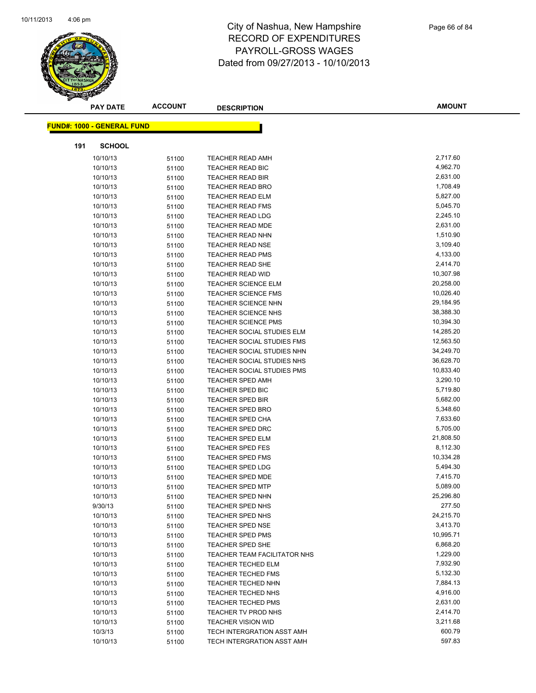

|     | <b>PAY DATE</b>                   | <b>ACCOUNT</b> | <b>DESCRIPTION</b>                  | <b>AMOUNT</b>        |
|-----|-----------------------------------|----------------|-------------------------------------|----------------------|
|     |                                   |                |                                     |                      |
|     | <b>FUND#: 1000 - GENERAL FUND</b> |                |                                     |                      |
| 191 | <b>SCHOOL</b>                     |                |                                     |                      |
|     | 10/10/13                          | 51100          | <b>TEACHER READ AMH</b>             | 2,717.60             |
|     | 10/10/13                          | 51100          | <b>TEACHER READ BIC</b>             | 4,962.70             |
|     | 10/10/13                          | 51100          | <b>TEACHER READ BIR</b>             | 2,631.00             |
|     | 10/10/13                          | 51100          | TEACHER READ BRO                    | 1,708.49             |
|     | 10/10/13                          | 51100          | <b>TEACHER READ ELM</b>             | 5,827.00             |
|     | 10/10/13                          | 51100          | <b>TEACHER READ FMS</b>             | 5,045.70             |
|     | 10/10/13                          | 51100          | <b>TEACHER READ LDG</b>             | 2,245.10             |
|     | 10/10/13                          | 51100          | <b>TEACHER READ MDE</b>             | 2,631.00             |
|     | 10/10/13                          | 51100          | <b>TEACHER READ NHN</b>             | 1,510.90             |
|     | 10/10/13                          | 51100          | <b>TEACHER READ NSE</b>             | 3,109.40             |
|     | 10/10/13                          | 51100          | <b>TEACHER READ PMS</b>             | 4,133.00             |
|     | 10/10/13                          | 51100          | TEACHER READ SHE                    | 2,414.70             |
|     | 10/10/13                          | 51100          | <b>TEACHER READ WID</b>             | 10,307.98            |
|     | 10/10/13                          | 51100          | <b>TEACHER SCIENCE ELM</b>          | 20,258.00            |
|     | 10/10/13                          | 51100          | <b>TEACHER SCIENCE FMS</b>          | 10,026.40            |
|     | 10/10/13                          | 51100          | <b>TEACHER SCIENCE NHN</b>          | 29,184.95            |
|     | 10/10/13                          | 51100          | TEACHER SCIENCE NHS                 | 38,388.30            |
|     | 10/10/13                          | 51100          | <b>TEACHER SCIENCE PMS</b>          | 10,394.30            |
|     | 10/10/13                          | 51100          | TEACHER SOCIAL STUDIES ELM          | 14,285.20            |
|     | 10/10/13                          | 51100          | TEACHER SOCIAL STUDIES FMS          | 12,563.50            |
|     | 10/10/13                          | 51100          | TEACHER SOCIAL STUDIES NHN          | 34,249.70            |
|     | 10/10/13                          | 51100          | TEACHER SOCIAL STUDIES NHS          | 36,628.70            |
|     | 10/10/13                          | 51100          | <b>TEACHER SOCIAL STUDIES PMS</b>   | 10,833.40            |
|     | 10/10/13                          | 51100          | <b>TEACHER SPED AMH</b>             | 3,290.10             |
|     | 10/10/13                          | 51100          | TEACHER SPED BIC                    | 5,719.80             |
|     | 10/10/13                          | 51100          | <b>TEACHER SPED BIR</b>             | 5,682.00             |
|     | 10/10/13                          | 51100          | <b>TEACHER SPED BRO</b>             | 5,348.60             |
|     | 10/10/13                          | 51100          | <b>TEACHER SPED CHA</b>             | 7,633.60             |
|     | 10/10/13                          | 51100          | <b>TEACHER SPED DRC</b>             | 5,705.00             |
|     | 10/10/13                          | 51100          | <b>TEACHER SPED ELM</b>             | 21,808.50            |
|     | 10/10/13                          | 51100          | <b>TEACHER SPED FES</b>             | 8,112.30             |
|     | 10/10/13                          | 51100          | <b>TEACHER SPED FMS</b>             | 10,334.28            |
|     | 10/10/13                          | 51100          | <b>TEACHER SPED LDG</b>             | 5,494.30             |
|     | 10/10/13                          | 51100          | <b>TEACHER SPED MDE</b>             | 7,415.70             |
|     | 10/10/13                          | 51100          | <b>TEACHER SPED MTP</b>             | 5,089.00             |
|     | 10/10/13                          | 51100          | TEACHER SPED NHN                    | 25,296.80            |
|     | 9/30/13                           | 51100          | TEACHER SPED NHS                    | 277.50               |
|     | 10/10/13                          | 51100          | TEACHER SPED NHS                    | 24,215.70            |
|     | 10/10/13                          | 51100          | <b>TEACHER SPED NSE</b>             | 3,413.70             |
|     | 10/10/13                          | 51100          | <b>TEACHER SPED PMS</b>             | 10,995.71            |
|     | 10/10/13                          | 51100          | TEACHER SPED SHE                    | 6,868.20             |
|     | 10/10/13                          | 51100          | <b>TEACHER TEAM FACILITATOR NHS</b> | 1,229.00             |
|     | 10/10/13                          | 51100          | TEACHER TECHED ELM                  | 7,932.90             |
|     | 10/10/13                          | 51100          | <b>TEACHER TECHED FMS</b>           | 5,132.30             |
|     | 10/10/13                          | 51100          | <b>TEACHER TECHED NHN</b>           | 7,884.13             |
|     | 10/10/13                          | 51100          | <b>TEACHER TECHED NHS</b>           | 4,916.00             |
|     | 10/10/13                          | 51100          | <b>TEACHER TECHED PMS</b>           | 2,631.00<br>2,414.70 |
|     | 10/10/13                          | 51100          | TEACHER TV PROD NHS                 |                      |
|     | 10/10/13                          | 51100          | <b>TEACHER VISION WID</b>           | 3,211.68             |
|     | 10/3/13                           | 51100          | TECH INTERGRATION ASST AMH          | 600.79               |
|     | 10/10/13                          | 51100          | TECH INTERGRATION ASST AMH          | 597.83               |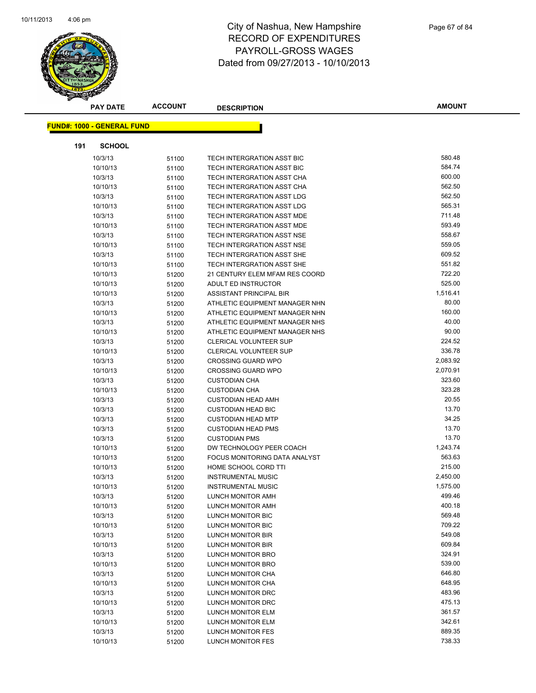

|     | <b>PAY DATE</b>                   | <b>ACCOUNT</b> | <b>DESCRIPTION</b>             | <b>AMOUNT</b> |
|-----|-----------------------------------|----------------|--------------------------------|---------------|
|     | <b>FUND#: 1000 - GENERAL FUND</b> |                |                                |               |
|     |                                   |                |                                |               |
| 191 | <b>SCHOOL</b>                     |                |                                |               |
|     | 10/3/13                           | 51100          | TECH INTERGRATION ASST BIC     | 580.48        |
|     | 10/10/13                          | 51100          | TECH INTERGRATION ASST BIC     | 584.74        |
|     | 10/3/13                           | 51100          | TECH INTERGRATION ASST CHA     | 600.00        |
|     | 10/10/13                          | 51100          | TECH INTERGRATION ASST CHA     | 562.50        |
|     | 10/3/13                           | 51100          | TECH INTERGRATION ASST LDG     | 562.50        |
|     | 10/10/13                          | 51100          | TECH INTERGRATION ASST LDG     | 565.31        |
|     | 10/3/13                           | 51100          | TECH INTERGRATION ASST MDE     | 711.48        |
|     | 10/10/13                          | 51100          | TECH INTERGRATION ASST MDE     | 593.49        |
|     | 10/3/13                           | 51100          | TECH INTERGRATION ASST NSE     | 558.67        |
|     | 10/10/13                          | 51100          | TECH INTERGRATION ASST NSE     | 559.05        |
|     | 10/3/13                           | 51100          | TECH INTERGRATION ASST SHE     | 609.52        |
|     | 10/10/13                          | 51100          | TECH INTERGRATION ASST SHE     | 551.82        |
|     | 10/10/13                          | 51200          | 21 CENTURY ELEM MFAM RES COORD | 722.20        |
|     | 10/10/13                          | 51200          | ADULT ED INSTRUCTOR            | 525.00        |
|     | 10/10/13                          | 51200          | ASSISTANT PRINCIPAL BIR        | 1,516.41      |
|     | 10/3/13                           | 51200          | ATHLETIC EQUIPMENT MANAGER NHN | 80.00         |
|     | 10/10/13                          | 51200          | ATHLETIC EQUIPMENT MANAGER NHN | 160.00        |
|     | 10/3/13                           | 51200          | ATHLETIC EQUIPMENT MANAGER NHS | 40.00         |
|     | 10/10/13                          | 51200          | ATHLETIC EQUIPMENT MANAGER NHS | 90.00         |
|     | 10/3/13                           | 51200          | <b>CLERICAL VOLUNTEER SUP</b>  | 224.52        |
|     | 10/10/13                          | 51200          | CLERICAL VOLUNTEER SUP         | 336.78        |
|     | 10/3/13                           | 51200          | <b>CROSSING GUARD WPO</b>      | 2,083.92      |
|     | 10/10/13                          | 51200          | <b>CROSSING GUARD WPO</b>      | 2,070.91      |
|     | 10/3/13                           | 51200          | <b>CUSTODIAN CHA</b>           | 323.60        |
|     | 10/10/13                          | 51200          | <b>CUSTODIAN CHA</b>           | 323.28        |
|     | 10/3/13                           | 51200          | <b>CUSTODIAN HEAD AMH</b>      | 20.55         |
|     | 10/3/13                           | 51200          | <b>CUSTODIAN HEAD BIC</b>      | 13.70         |
|     | 10/3/13                           | 51200          | <b>CUSTODIAN HEAD MTP</b>      | 34.25         |
|     | 10/3/13                           | 51200          | <b>CUSTODIAN HEAD PMS</b>      | 13.70         |
|     | 10/3/13                           | 51200          | <b>CUSTODIAN PMS</b>           | 13.70         |
|     | 10/10/13                          | 51200          | DW TECHNOLOGY PEER COACH       | 1,243.74      |
|     | 10/10/13                          | 51200          | FOCUS MONITORING DATA ANALYST  | 563.63        |
|     | 10/10/13                          | 51200          | HOME SCHOOL CORD TTI           | 215.00        |
|     | 10/3/13                           | 51200          | <b>INSTRUMENTAL MUSIC</b>      | 2,450.00      |
|     | 10/10/13                          | 51200          | <b>INSTRUMENTAL MUSIC</b>      | 1,575.00      |
|     | 10/3/13                           | 51200          | LUNCH MONITOR AMH              | 499.46        |
|     | 10/10/13                          | 51200          | LUNCH MONITOR AMH              | 400.18        |
|     | 10/3/13                           | 51200          | LUNCH MONITOR BIC              | 569.48        |
|     | 10/10/13                          | 51200          | LUNCH MONITOR BIC              | 709.22        |
|     | 10/3/13                           | 51200          | <b>LUNCH MONITOR BIR</b>       | 549.08        |
|     | 10/10/13                          | 51200          | LUNCH MONITOR BIR              | 609.84        |
|     | 10/3/13                           | 51200          | LUNCH MONITOR BRO              | 324.91        |
|     | 10/10/13                          | 51200          | LUNCH MONITOR BRO              | 539.00        |
|     | 10/3/13                           | 51200          | LUNCH MONITOR CHA              | 646.80        |
|     | 10/10/13                          | 51200          | LUNCH MONITOR CHA              | 648.95        |
|     | 10/3/13                           | 51200          | LUNCH MONITOR DRC              | 483.96        |
|     | 10/10/13                          | 51200          | LUNCH MONITOR DRC              | 475.13        |
|     | 10/3/13                           | 51200          | LUNCH MONITOR ELM              | 361.57        |
|     | 10/10/13                          | 51200          | LUNCH MONITOR ELM              | 342.61        |
|     | 10/3/13                           | 51200          | LUNCH MONITOR FES              | 889.35        |
|     | 10/10/13                          | 51200          | LUNCH MONITOR FES              | 738.33        |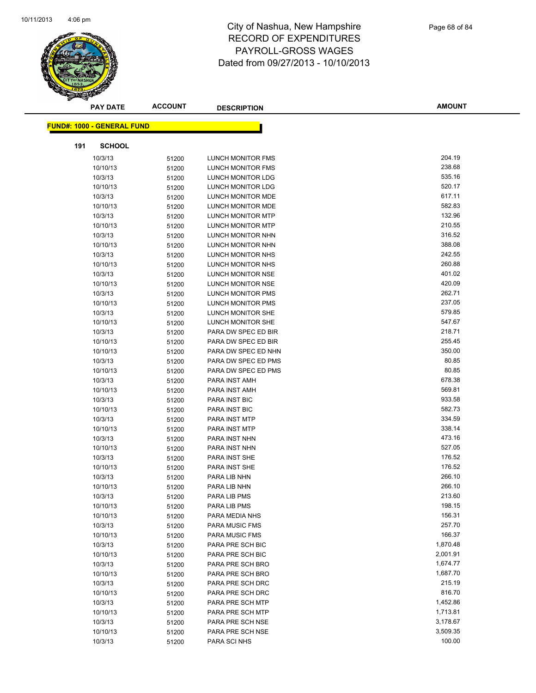

|                                   | <b>PAY DATE</b> | <b>ACCOUNT</b> | <b>DESCRIPTION</b>       | <b>AMOUNT</b> |
|-----------------------------------|-----------------|----------------|--------------------------|---------------|
|                                   |                 |                |                          |               |
| <b>FUND#: 1000 - GENERAL FUND</b> |                 |                |                          |               |
| 191                               | <b>SCHOOL</b>   |                |                          |               |
|                                   | 10/3/13         | 51200          | <b>LUNCH MONITOR FMS</b> | 204.19        |
|                                   | 10/10/13        | 51200          | LUNCH MONITOR FMS        | 238.68        |
|                                   | 10/3/13         | 51200          | LUNCH MONITOR LDG        | 535.16        |
|                                   | 10/10/13        | 51200          | LUNCH MONITOR LDG        | 520.17        |
|                                   | 10/3/13         | 51200          | LUNCH MONITOR MDE        | 617.11        |
|                                   | 10/10/13        | 51200          | LUNCH MONITOR MDE        | 582.83        |
|                                   | 10/3/13         | 51200          | <b>LUNCH MONITOR MTP</b> | 132.96        |
|                                   | 10/10/13        | 51200          | <b>LUNCH MONITOR MTP</b> | 210.55        |
|                                   | 10/3/13         | 51200          | LUNCH MONITOR NHN        | 316.52        |
|                                   | 10/10/13        | 51200          | LUNCH MONITOR NHN        | 388.08        |
|                                   | 10/3/13         | 51200          | LUNCH MONITOR NHS        | 242.55        |
|                                   | 10/10/13        | 51200          | LUNCH MONITOR NHS        | 260.88        |
|                                   | 10/3/13         | 51200          | LUNCH MONITOR NSE        | 401.02        |
|                                   | 10/10/13        | 51200          | <b>LUNCH MONITOR NSE</b> | 420.09        |
|                                   | 10/3/13         | 51200          | <b>LUNCH MONITOR PMS</b> | 262.71        |
|                                   | 10/10/13        | 51200          | <b>LUNCH MONITOR PMS</b> | 237.05        |
|                                   | 10/3/13         | 51200          | LUNCH MONITOR SHE        | 579.85        |
|                                   | 10/10/13        | 51200          | LUNCH MONITOR SHE        | 547.67        |
|                                   | 10/3/13         | 51200          | PARA DW SPEC ED BIR      | 218.71        |
|                                   | 10/10/13        | 51200          | PARA DW SPEC ED BIR      | 255.45        |
|                                   | 10/10/13        | 51200          | PARA DW SPEC ED NHN      | 350.00        |
|                                   | 10/3/13         | 51200          | PARA DW SPEC ED PMS      | 80.85         |
|                                   | 10/10/13        | 51200          | PARA DW SPEC ED PMS      | 80.85         |
|                                   | 10/3/13         | 51200          | PARA INST AMH            | 678.38        |
|                                   | 10/10/13        | 51200          | PARA INST AMH            | 569.81        |
|                                   | 10/3/13         | 51200          | PARA INST BIC            | 933.58        |
|                                   | 10/10/13        | 51200          | <b>PARA INST BIC</b>     | 582.73        |
|                                   | 10/3/13         | 51200          | <b>PARA INST MTP</b>     | 334.59        |
|                                   | 10/10/13        | 51200          | PARA INST MTP            | 338.14        |
|                                   | 10/3/13         | 51200          | PARA INST NHN            | 473.16        |
|                                   | 10/10/13        | 51200          | PARA INST NHN            | 527.05        |
|                                   | 10/3/13         | 51200          | PARA INST SHE            | 176.52        |
|                                   | 10/10/13        | 51200          | PARA INST SHE            | 176.52        |
|                                   | 10/3/13         | 51200          | PARA LIB NHN             | 266.10        |
|                                   | 10/10/13        | 51200          | PARA LIB NHN             | 266.10        |
|                                   | 10/3/13         | 51200          | PARA LIB PMS             | 213.60        |
|                                   | 10/10/13        | 51200          | PARA LIB PMS             | 198.15        |
|                                   | 10/10/13        | 51200          | PARA MEDIA NHS           | 156.31        |
|                                   | 10/3/13         | 51200          | <b>PARA MUSIC FMS</b>    | 257.70        |
|                                   | 10/10/13        | 51200          | PARA MUSIC FMS           | 166.37        |
|                                   | 10/3/13         | 51200          | PARA PRE SCH BIC         | 1,870.48      |
|                                   | 10/10/13        | 51200          | PARA PRE SCH BIC         | 2,001.91      |
|                                   | 10/3/13         | 51200          | PARA PRE SCH BRO         | 1,674.77      |
|                                   | 10/10/13        | 51200          | PARA PRE SCH BRO         | 1,687.70      |
|                                   | 10/3/13         | 51200          | PARA PRE SCH DRC         | 215.19        |
|                                   | 10/10/13        | 51200          | PARA PRE SCH DRC         | 816.70        |
|                                   | 10/3/13         | 51200          | PARA PRE SCH MTP         | 1,452.86      |
|                                   | 10/10/13        | 51200          | PARA PRE SCH MTP         | 1,713.81      |
|                                   | 10/3/13         | 51200          | PARA PRE SCH NSE         | 3,178.67      |
|                                   | 10/10/13        | 51200          | PARA PRE SCH NSE         | 3,509.35      |
|                                   | 10/3/13         | 51200          | PARA SCI NHS             | 100.00        |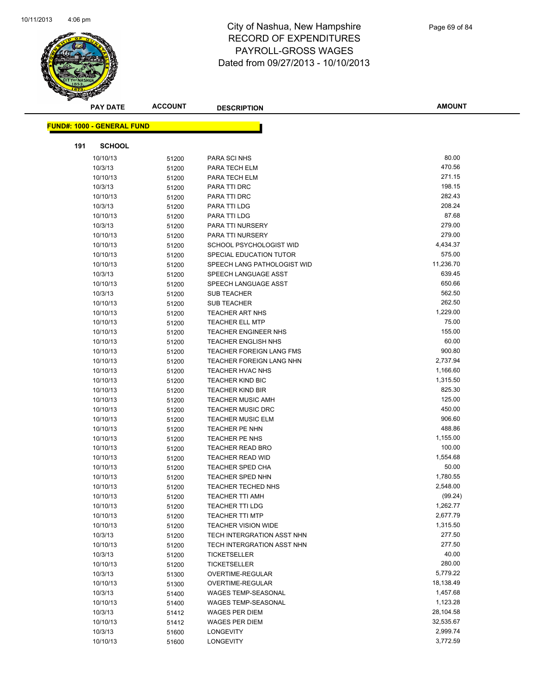

|     | <b>PAY DATE</b>                   | <b>ACCOUNT</b> | <b>DESCRIPTION</b>              | <b>AMOUNT</b> |
|-----|-----------------------------------|----------------|---------------------------------|---------------|
|     |                                   |                |                                 |               |
|     | <b>FUND#: 1000 - GENERAL FUND</b> |                |                                 |               |
| 191 | <b>SCHOOL</b>                     |                |                                 |               |
|     | 10/10/13                          | 51200          | PARA SCI NHS                    | 80.00         |
|     | 10/3/13                           | 51200          | PARA TECH ELM                   | 470.56        |
|     | 10/10/13                          | 51200          | PARA TECH ELM                   | 271.15        |
|     | 10/3/13                           | 51200          | PARA TTI DRC                    | 198.15        |
|     | 10/10/13                          | 51200          | PARA TTI DRC                    | 282.43        |
|     | 10/3/13                           | 51200          | PARA TTI LDG                    | 208.24        |
|     | 10/10/13                          | 51200          | PARA TTI LDG                    | 87.68         |
|     | 10/3/13                           | 51200          | PARA TTI NURSERY                | 279.00        |
|     | 10/10/13                          | 51200          | PARA TTI NURSERY                | 279.00        |
|     | 10/10/13                          | 51200          | SCHOOL PSYCHOLOGIST WID         | 4,434.37      |
|     | 10/10/13                          | 51200          | SPECIAL EDUCATION TUTOR         | 575.00        |
|     | 10/10/13                          | 51200          | SPEECH LANG PATHOLOGIST WID     | 11,236.70     |
|     | 10/3/13                           | 51200          | SPEECH LANGUAGE ASST            | 639.45        |
|     | 10/10/13                          | 51200          | SPEECH LANGUAGE ASST            | 650.66        |
|     | 10/3/13                           | 51200          | <b>SUB TEACHER</b>              | 562.50        |
|     | 10/10/13                          | 51200          | <b>SUB TEACHER</b>              | 262.50        |
|     | 10/10/13                          | 51200          | <b>TEACHER ART NHS</b>          | 1,229.00      |
|     | 10/10/13                          | 51200          | <b>TEACHER ELL MTP</b>          | 75.00         |
|     | 10/10/13                          | 51200          | <b>TEACHER ENGINEER NHS</b>     | 155.00        |
|     | 10/10/13                          | 51200          | <b>TEACHER ENGLISH NHS</b>      | 60.00         |
|     | 10/10/13                          | 51200          | TEACHER FOREIGN LANG FMS        | 900.80        |
|     | 10/10/13                          | 51200          | <b>TEACHER FOREIGN LANG NHN</b> | 2,737.94      |
|     | 10/10/13                          | 51200          | <b>TEACHER HVAC NHS</b>         | 1,166.60      |
|     | 10/10/13                          | 51200          | <b>TEACHER KIND BIC</b>         | 1,315.50      |
|     | 10/10/13                          | 51200          | <b>TEACHER KIND BIR</b>         | 825.30        |
|     | 10/10/13                          | 51200          | <b>TEACHER MUSIC AMH</b>        | 125.00        |
|     | 10/10/13                          | 51200          | <b>TEACHER MUSIC DRC</b>        | 450.00        |
|     | 10/10/13                          | 51200          | <b>TEACHER MUSIC ELM</b>        | 906.60        |
|     | 10/10/13                          | 51200          | TEACHER PE NHN                  | 488.86        |
|     | 10/10/13                          | 51200          | TEACHER PE NHS                  | 1,155.00      |
|     | 10/10/13                          | 51200          | <b>TEACHER READ BRO</b>         | 100.00        |
|     | 10/10/13                          | 51200          | <b>TEACHER READ WID</b>         | 1,554.68      |
|     | 10/10/13                          | 51200          | <b>TEACHER SPED CHA</b>         | 50.00         |
|     | 10/10/13                          | 51200          | <b>TEACHER SPED NHN</b>         | 1,780.55      |
|     | 10/10/13                          | 51200          | <b>TEACHER TECHED NHS</b>       | 2,548.00      |
|     | 10/10/13                          | 51200          | TEACHER TTI AMH                 | (99.24)       |
|     | 10/10/13                          | 51200          | <b>TEACHER TTI LDG</b>          | 1,262.77      |
|     | 10/10/13                          | 51200          | <b>TEACHER TTI MTP</b>          | 2,677.79      |
|     | 10/10/13                          | 51200          | <b>TEACHER VISION WIDE</b>      | 1,315.50      |
|     | 10/3/13                           | 51200          | TECH INTERGRATION ASST NHN      | 277.50        |
|     | 10/10/13                          | 51200          | TECH INTERGRATION ASST NHN      | 277.50        |
|     | 10/3/13                           | 51200          | TICKETSELLER                    | 40.00         |
|     | 10/10/13                          | 51200          | TICKETSELLER                    | 280.00        |
|     | 10/3/13                           | 51300          | OVERTIME-REGULAR                | 5,779.22      |
|     | 10/10/13                          | 51300          | OVERTIME-REGULAR                | 18,138.49     |
|     | 10/3/13                           | 51400          | WAGES TEMP-SEASONAL             | 1,457.68      |
|     | 10/10/13                          | 51400          | <b>WAGES TEMP-SEASONAL</b>      | 1,123.28      |
|     | 10/3/13                           | 51412          | <b>WAGES PER DIEM</b>           | 28,104.58     |
|     | 10/10/13                          | 51412          | <b>WAGES PER DIEM</b>           | 32,535.67     |
|     | 10/3/13                           | 51600          | LONGEVITY                       | 2,999.74      |
|     | 10/10/13                          | 51600          | LONGEVITY                       | 3,772.59      |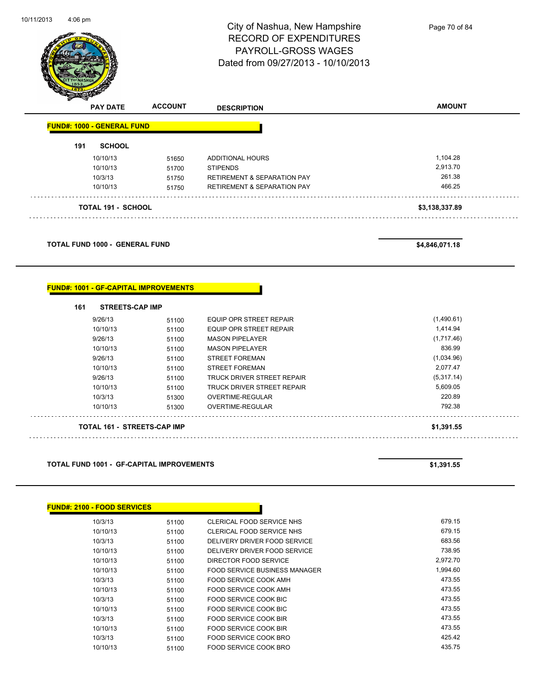

Page 70 of 84

| s<br>$\tilde{\phantom{a}}$ | <b>PAY DATE</b>                   | <b>ACCOUNT</b> | <b>DESCRIPTION</b>                     | <b>AMOUNT</b>  |
|----------------------------|-----------------------------------|----------------|----------------------------------------|----------------|
|                            | <b>FUND#: 1000 - GENERAL FUND</b> |                |                                        |                |
| 191                        | <b>SCHOOL</b>                     |                |                                        |                |
|                            | 10/10/13                          | 51650          | ADDITIONAL HOURS                       | 1,104.28       |
|                            | 10/10/13                          | 51700          | <b>STIPENDS</b>                        | 2.913.70       |
|                            | 10/3/13                           | 51750          | <b>RETIREMENT &amp; SEPARATION PAY</b> | 261.38         |
|                            | 10/10/13                          | 51750          | <b>RETIREMENT &amp; SEPARATION PAY</b> | 466.25         |
|                            | <b>TOTAL 191 - SCHOOL</b>         |                |                                        | \$3,138,337.89 |

**TOTAL FUND 1000 - GENERAL FUND \$4,846,071.18** 

#### **FUND#: 1001 - GF-CAPITAL IMPROVEMENTS**

| 161 | <b>STREETS-CAP IMP</b>             |       |                                   |            |
|-----|------------------------------------|-------|-----------------------------------|------------|
|     | 9/26/13                            | 51100 | EQUIP OPR STREET REPAIR           | (1,490.61) |
|     | 10/10/13                           | 51100 | <b>EQUIP OPR STREET REPAIR</b>    | 1,414.94   |
|     | 9/26/13                            | 51100 | <b>MASON PIPELAYER</b>            | (1,717.46) |
|     | 10/10/13                           | 51100 | <b>MASON PIPELAYER</b>            | 836.99     |
|     | 9/26/13                            | 51100 | <b>STREET FOREMAN</b>             | (1,034.96) |
|     | 10/10/13                           | 51100 | <b>STREET FOREMAN</b>             | 2.077.47   |
|     | 9/26/13                            | 51100 | <b>TRUCK DRIVER STREET REPAIR</b> | (5,317.14) |
|     | 10/10/13                           | 51100 | TRUCK DRIVER STREET REPAIR        | 5,609.05   |
|     | 10/3/13                            | 51300 | OVERTIME-REGULAR                  | 220.89     |
|     | 10/10/13                           | 51300 | OVERTIME-REGULAR                  | 792.38     |
|     | <b>TOTAL 161 - STREETS-CAP IMP</b> |       |                                   | \$1.391.55 |

#### **TOTAL FUND 1001 - GF-CAPITAL IMPROVEMENTS \$1,391.55**

| <b>FUND#: 2100 - FOOD SERVICES</b> |       |                                      |          |
|------------------------------------|-------|--------------------------------------|----------|
| 10/3/13                            | 51100 | CLERICAL FOOD SERVICE NHS            | 679.15   |
| 10/10/13                           | 51100 | CLERICAL FOOD SERVICE NHS            | 679.15   |
| 10/3/13                            | 51100 | DELIVERY DRIVER FOOD SERVICE         | 683.56   |
| 10/10/13                           | 51100 | DELIVERY DRIVER FOOD SERVICE         | 738.95   |
| 10/10/13                           | 51100 | DIRECTOR FOOD SERVICE                | 2,972.70 |
| 10/10/13                           | 51100 | <b>FOOD SERVICE BUSINESS MANAGER</b> | 1,994.60 |
| 10/3/13                            | 51100 | FOOD SERVICE COOK AMH                | 473.55   |
| 10/10/13                           | 51100 | <b>FOOD SERVICE COOK AMH</b>         | 473.55   |
| 10/3/13                            | 51100 | FOOD SERVICE COOK BIC                | 473.55   |
| 10/10/13                           | 51100 | FOOD SERVICE COOK BIC                | 473.55   |
| 10/3/13                            | 51100 | FOOD SERVICE COOK BIR                | 473.55   |
| 10/10/13                           | 51100 | FOOD SERVICE COOK BIR                | 473.55   |
| 10/3/13                            | 51100 | FOOD SERVICE COOK BRO                | 425.42   |
| 10/10/13                           | 51100 | FOOD SERVICE COOK BRO                | 435.75   |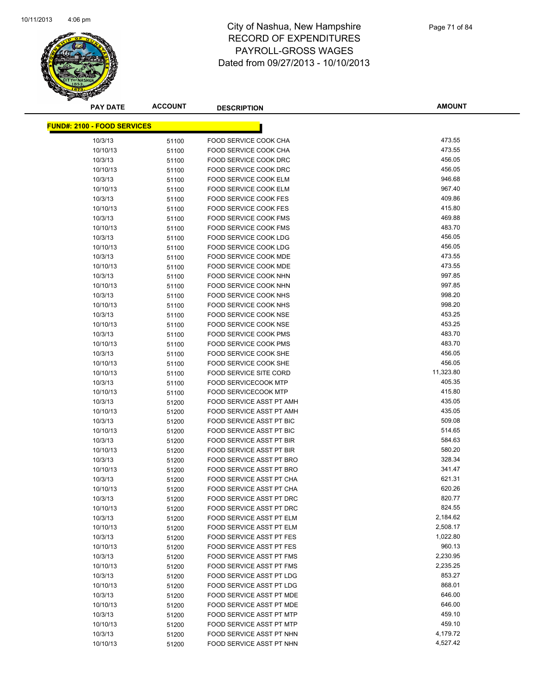

| <b>PAY DATE</b>                    | <b>ACCOUNT</b> | <b>DESCRIPTION</b>              | <b>AMOUNT</b>      |
|------------------------------------|----------------|---------------------------------|--------------------|
| <b>FUND#: 2100 - FOOD SERVICES</b> |                |                                 |                    |
|                                    |                |                                 |                    |
| 10/3/13                            | 51100          | FOOD SERVICE COOK CHA           | 473.55             |
| 10/10/13                           | 51100          | <b>FOOD SERVICE COOK CHA</b>    | 473.55             |
| 10/3/13                            | 51100          | FOOD SERVICE COOK DRC           | 456.05             |
| 10/10/13                           | 51100          | FOOD SERVICE COOK DRC           | 456.05             |
| 10/3/13                            | 51100          | FOOD SERVICE COOK ELM           | 946.68             |
| 10/10/13                           | 51100          | FOOD SERVICE COOK ELM           | 967.40             |
| 10/3/13                            | 51100          | <b>FOOD SERVICE COOK FES</b>    | 409.86             |
| 10/10/13                           | 51100          | FOOD SERVICE COOK FES           | 415.80             |
| 10/3/13                            | 51100          | FOOD SERVICE COOK FMS           | 469.88             |
| 10/10/13                           | 51100          | <b>FOOD SERVICE COOK FMS</b>    | 483.70             |
| 10/3/13                            | 51100          | FOOD SERVICE COOK LDG           | 456.05             |
| 10/10/13                           | 51100          | FOOD SERVICE COOK LDG           | 456.05             |
| 10/3/13                            | 51100          | <b>FOOD SERVICE COOK MDE</b>    | 473.55             |
| 10/10/13                           | 51100          | FOOD SERVICE COOK MDE           | 473.55             |
| 10/3/13                            | 51100          | FOOD SERVICE COOK NHN           | 997.85             |
| 10/10/13                           | 51100          | FOOD SERVICE COOK NHN           | 997.85             |
| 10/3/13                            | 51100          | FOOD SERVICE COOK NHS           | 998.20             |
| 10/10/13                           | 51100          | FOOD SERVICE COOK NHS           | 998.20             |
| 10/3/13                            | 51100          | FOOD SERVICE COOK NSE           | 453.25             |
| 10/10/13                           | 51100          | FOOD SERVICE COOK NSE           | 453.25             |
| 10/3/13                            | 51100          | <b>FOOD SERVICE COOK PMS</b>    | 483.70             |
| 10/10/13                           | 51100          | FOOD SERVICE COOK PMS           | 483.70             |
| 10/3/13                            | 51100          | FOOD SERVICE COOK SHE           | 456.05             |
| 10/10/13                           | 51100          | FOOD SERVICE COOK SHE           | 456.05             |
| 10/10/13                           | 51100          | <b>FOOD SERVICE SITE CORD</b>   | 11,323.80          |
| 10/3/13                            | 51100          | <b>FOOD SERVICECOOK MTP</b>     | 405.35             |
| 10/10/13                           | 51100          | <b>FOOD SERVICECOOK MTP</b>     | 415.80             |
| 10/3/13                            | 51200          | FOOD SERVICE ASST PT AMH        | 435.05             |
| 10/10/13                           | 51200          | FOOD SERVICE ASST PT AMH        | 435.05             |
| 10/3/13                            | 51200          | FOOD SERVICE ASST PT BIC        | 509.08             |
| 10/10/13                           | 51200          | FOOD SERVICE ASST PT BIC        | 514.65             |
| 10/3/13                            | 51200          | FOOD SERVICE ASST PT BIR        | 584.63             |
| 10/10/13                           | 51200          | FOOD SERVICE ASST PT BIR        | 580.20             |
| 10/3/13                            | 51200          | FOOD SERVICE ASST PT BRO        | 328.34             |
| 10/10/13                           | 51200          | FOOD SERVICE ASST PT BRO        | 341.47             |
| 10/3/13                            | 51200          | FOOD SERVICE ASST PT CHA        | 621.31             |
| 10/10/13                           | 51200          | FOOD SERVICE ASST PT CHA        | 620.26             |
| 10/3/13                            | 51200          | FOOD SERVICE ASST PT DRC        | 820.77             |
| 10/10/13                           | 51200          | <b>FOOD SERVICE ASST PT DRC</b> | 824.55             |
| 10/3/13                            | 51200          | FOOD SERVICE ASST PT ELM        | 2,184.62           |
| 10/10/13                           | 51200          | FOOD SERVICE ASST PT ELM        | 2,508.17           |
| 10/3/13                            | 51200          | <b>FOOD SERVICE ASST PT FES</b> | 1,022.80           |
| 10/10/13                           | 51200          | <b>FOOD SERVICE ASST PT FES</b> | 960.13             |
| 10/3/13                            | 51200          | FOOD SERVICE ASST PT FMS        | 2,230.95           |
| 10/10/13                           | 51200          | FOOD SERVICE ASST PT FMS        | 2,235.25           |
| 10/3/13                            | 51200          | FOOD SERVICE ASST PT LDG        | 853.27             |
| 10/10/13                           | 51200          | FOOD SERVICE ASST PT LDG        | 868.01             |
| 10/3/13                            | 51200          | FOOD SERVICE ASST PT MDE        | 646.00             |
| 10/10/13                           | 51200          | FOOD SERVICE ASST PT MDE        | 646.00             |
| 10/3/13                            | 51200          | FOOD SERVICE ASST PT MTP        | 459.10             |
| 10/10/13                           | 51200          | FOOD SERVICE ASST PT MTP        | 459.10<br>4,179.72 |
| 10/3/13                            | 51200          | FOOD SERVICE ASST PT NHN        | 4,527.42           |
| 10/10/13                           | 51200          | FOOD SERVICE ASST PT NHN        |                    |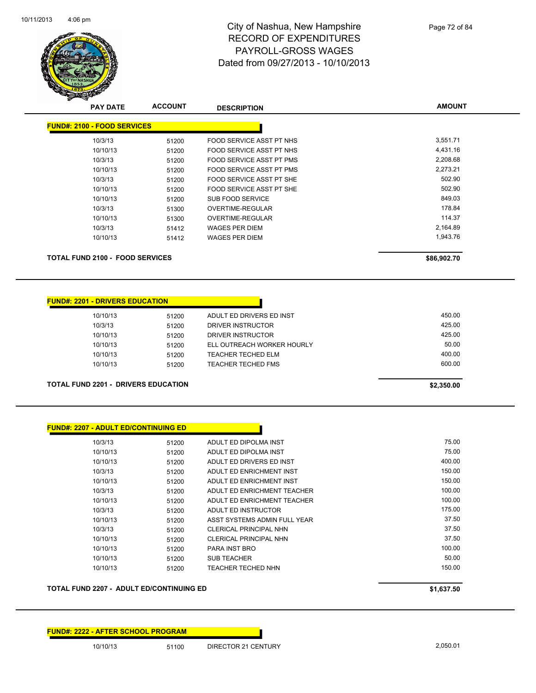

| <b>PAY DATE</b>                        | <b>ACCOUNT</b> | <b>DESCRIPTION</b>              | <b>AMOUNT</b> |
|----------------------------------------|----------------|---------------------------------|---------------|
| <b>FUND#: 2100 - FOOD SERVICES</b>     |                |                                 |               |
| 10/3/13                                | 51200          | FOOD SERVICE ASST PT NHS        | 3,551.71      |
| 10/10/13                               | 51200          | <b>FOOD SERVICE ASST PT NHS</b> | 4,431.16      |
| 10/3/13                                | 51200          | FOOD SERVICE ASST PT PMS        | 2,208.68      |
| 10/10/13                               | 51200          | FOOD SERVICE ASST PT PMS        | 2,273.21      |
| 10/3/13                                | 51200          | FOOD SERVICE ASST PT SHE        | 502.90        |
| 10/10/13                               | 51200          | FOOD SERVICE ASST PT SHE        | 502.90        |
| 10/10/13                               | 51200          | SUB FOOD SERVICE                | 849.03        |
| 10/3/13                                | 51300          | <b>OVERTIME-REGULAR</b>         | 178.84        |
| 10/10/13                               | 51300          | OVERTIME-REGULAR                | 114.37        |
| 10/3/13                                | 51412          | <b>WAGES PER DIEM</b>           | 2,164.89      |
| 10/10/13                               | 51412          | <b>WAGES PER DIEM</b>           | 1,943.76      |
| <b>TOTAL FUND 2100 - FOOD SERVICES</b> | \$86,902.70    |                                 |               |

#### **FUND#: 2201 - DRIVERS EDUCATION**

| 10/10/13 | 51200 | ADULT ED DRIVERS ED INST   | 450.00 |
|----------|-------|----------------------------|--------|
| 10/3/13  | 51200 | DRIVER INSTRUCTOR          | 425.00 |
| 10/10/13 | 51200 | DRIVER INSTRUCTOR          | 425.00 |
| 10/10/13 | 51200 | ELL OUTREACH WORKER HOURLY | 50.00  |
| 10/10/13 | 51200 | TEACHER TECHED ELM         | 400.00 |
| 10/10/13 | 51200 | <b>TEACHER TECHED FMS</b>  | 600.00 |
|          |       |                            |        |
|          |       |                            |        |

П

**TOTAL FUND 2201 - DRIVERS EDUCATION \$2,350.00** 

| <b>FUND#: 2207 - ADULT ED/CONTINUING ED</b> |       |                               |        |
|---------------------------------------------|-------|-------------------------------|--------|
| 10/3/13                                     | 51200 | ADULT ED DIPOLMA INST         | 75.00  |
| 10/10/13                                    | 51200 | ADULT ED DIPOLMA INST         | 75.00  |
| 10/10/13                                    | 51200 | ADULT ED DRIVERS ED INST      | 400.00 |
| 10/3/13                                     | 51200 | ADULT ED ENRICHMENT INST      | 150.00 |
| 10/10/13                                    | 51200 | ADULT ED ENRICHMENT INST      | 150.00 |
| 10/3/13                                     | 51200 | ADULT ED ENRICHMENT TEACHER   | 100.00 |
| 10/10/13                                    | 51200 | ADULT ED ENRICHMENT TEACHER   | 100.00 |
| 10/3/13                                     | 51200 | ADULT ED INSTRUCTOR           | 175.00 |
| 10/10/13                                    | 51200 | ASST SYSTEMS ADMIN FULL YEAR  | 37.50  |
| 10/3/13                                     | 51200 | <b>CLERICAL PRINCIPAL NHN</b> | 37.50  |
| 10/10/13                                    | 51200 | <b>CLERICAL PRINCIPAL NHN</b> | 37.50  |
| 10/10/13                                    | 51200 | <b>PARA INST BRO</b>          | 100.00 |
| 10/10/13                                    | 51200 | <b>SUB TEACHER</b>            | 50.00  |
| 10/10/13                                    | 51200 | TEACHER TECHED NHN            | 150.00 |

**TOTAL FUND 2207 - ADULT ED/CONTINUING ED \$1,637.50** 

**FUND#: 2222 - AFTER SCHOOL PROGRAM**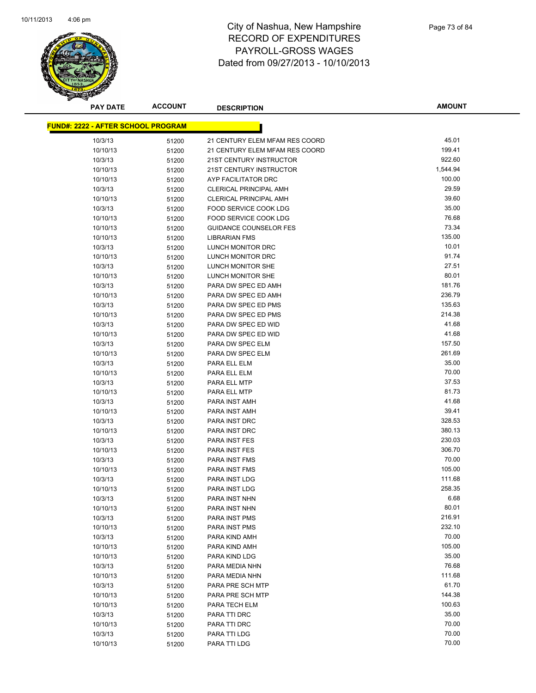

| <b>PAY DATE</b>                           | <b>ACCOUNT</b> | <b>DESCRIPTION</b>                                             | <b>AMOUNT</b>   |
|-------------------------------------------|----------------|----------------------------------------------------------------|-----------------|
| <b>FUND#: 2222 - AFTER SCHOOL PROGRAM</b> |                |                                                                |                 |
|                                           |                |                                                                |                 |
| 10/3/13                                   | 51200          | 21 CENTURY ELEM MFAM RES COORD                                 | 45.01           |
| 10/10/13                                  | 51200          | 21 CENTURY ELEM MFAM RES COORD                                 | 199.41          |
| 10/3/13                                   | 51200          | 21ST CENTURY INSTRUCTOR                                        | 922.60          |
| 10/10/13                                  | 51200          | 21ST CENTURY INSTRUCTOR                                        | 1,544.94        |
| 10/10/13                                  | 51200          | AYP FACILITATOR DRC                                            | 100.00<br>29.59 |
| 10/3/13                                   | 51200          | <b>CLERICAL PRINCIPAL AMH</b><br><b>CLERICAL PRINCIPAL AMH</b> | 39.60           |
| 10/10/13                                  | 51200          |                                                                | 35.00           |
| 10/3/13                                   | 51200          | FOOD SERVICE COOK LDG                                          | 76.68           |
| 10/10/13                                  | 51200          | FOOD SERVICE COOK LDG<br><b>GUIDANCE COUNSELOR FES</b>         | 73.34           |
| 10/10/13                                  | 51200          |                                                                | 135.00          |
| 10/10/13<br>10/3/13                       | 51200          | <b>LIBRARIAN FMS</b><br>LUNCH MONITOR DRC                      | 10.01           |
| 10/10/13                                  | 51200          | LUNCH MONITOR DRC                                              | 91.74           |
| 10/3/13                                   | 51200          | LUNCH MONITOR SHE                                              | 27.51           |
| 10/10/13                                  | 51200<br>51200 | LUNCH MONITOR SHE                                              | 80.01           |
| 10/3/13                                   |                | PARA DW SPEC ED AMH                                            | 181.76          |
| 10/10/13                                  | 51200<br>51200 | PARA DW SPEC ED AMH                                            | 236.79          |
| 10/3/13                                   | 51200          | PARA DW SPEC ED PMS                                            | 135.63          |
| 10/10/13                                  | 51200          | PARA DW SPEC ED PMS                                            | 214.38          |
| 10/3/13                                   | 51200          | PARA DW SPEC ED WID                                            | 41.68           |
| 10/10/13                                  | 51200          | PARA DW SPEC ED WID                                            | 41.68           |
| 10/3/13                                   | 51200          | PARA DW SPEC ELM                                               | 157.50          |
| 10/10/13                                  | 51200          | PARA DW SPEC ELM                                               | 261.69          |
| 10/3/13                                   | 51200          | PARA ELL ELM                                                   | 35.00           |
| 10/10/13                                  | 51200          | PARA ELL ELM                                                   | 70.00           |
| 10/3/13                                   | 51200          | PARA ELL MTP                                                   | 37.53           |
| 10/10/13                                  | 51200          | PARA ELL MTP                                                   | 81.73           |
| 10/3/13                                   | 51200          | PARA INST AMH                                                  | 41.68           |
| 10/10/13                                  | 51200          | PARA INST AMH                                                  | 39.41           |
| 10/3/13                                   | 51200          | PARA INST DRC                                                  | 328.53          |
| 10/10/13                                  | 51200          | PARA INST DRC                                                  | 380.13          |
| 10/3/13                                   | 51200          | <b>PARA INST FES</b>                                           | 230.03          |
| 10/10/13                                  | 51200          | <b>PARA INST FES</b>                                           | 306.70          |
| 10/3/13                                   | 51200          | <b>PARA INST FMS</b>                                           | 70.00           |
| 10/10/13                                  | 51200          | PARA INST FMS                                                  | 105.00          |
| 10/3/13                                   | 51200          | PARA INST LDG                                                  | 111.68          |
| 10/10/13                                  | 51200          | PARA INST LDG                                                  | 258.35          |
| 10/3/13                                   | 51200          | PARA INST NHN                                                  | 6.68            |
| 10/10/13                                  | 51200          | PARA INST NHN                                                  | 80.01           |
| 10/3/13                                   | 51200          | PARA INST PMS                                                  | 216.91          |
| 10/10/13                                  | 51200          | PARA INST PMS                                                  | 232.10          |
| 10/3/13                                   | 51200          | PARA KIND AMH                                                  | 70.00           |
| 10/10/13                                  | 51200          | PARA KIND AMH                                                  | 105.00          |
| 10/10/13                                  | 51200          | PARA KIND LDG                                                  | 35.00           |
| 10/3/13                                   | 51200          | PARA MEDIA NHN                                                 | 76.68           |
| 10/10/13                                  | 51200          | PARA MEDIA NHN                                                 | 111.68          |
| 10/3/13                                   | 51200          | PARA PRE SCH MTP                                               | 61.70           |
| 10/10/13                                  | 51200          | PARA PRE SCH MTP                                               | 144.38          |
| 10/10/13                                  | 51200          | PARA TECH ELM                                                  | 100.63          |
| 10/3/13                                   | 51200          | PARA TTI DRC                                                   | 35.00           |
| 10/10/13                                  | 51200          | PARA TTI DRC                                                   | 70.00           |
| 10/3/13                                   | 51200          | PARA TTI LDG                                                   | 70.00           |
| 10/10/13                                  | 51200          | PARA TTI LDG                                                   | 70.00           |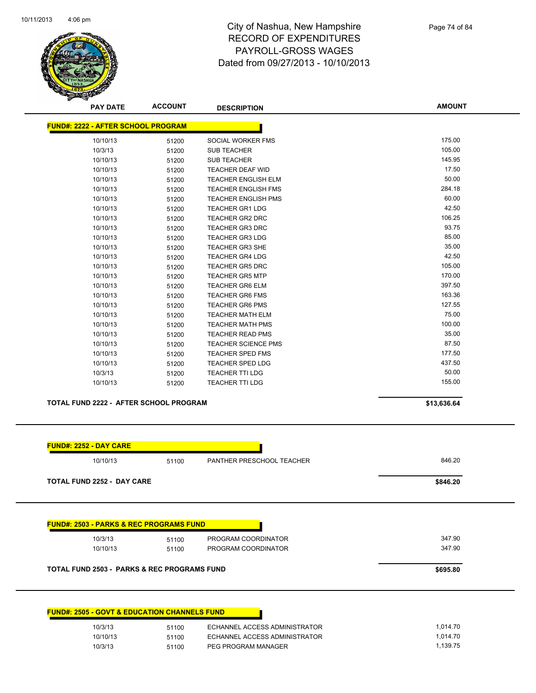

Page 74 of 84

| <b>PAY DATE</b>               | <b>ACCOUNT</b>                                | <b>DESCRIPTION</b>         | <b>AMOUNT</b> |
|-------------------------------|-----------------------------------------------|----------------------------|---------------|
|                               | <b>FUND#: 2222 - AFTER SCHOOL PROGRAM</b>     |                            |               |
| 10/10/13                      | 51200                                         | SOCIAL WORKER FMS          | 175.00        |
| 10/3/13                       | 51200                                         | <b>SUB TEACHER</b>         | 105.00        |
| 10/10/13                      | 51200                                         | <b>SUB TEACHER</b>         | 145.95        |
| 10/10/13                      | 51200                                         | <b>TEACHER DEAF WID</b>    | 17.50         |
| 10/10/13                      | 51200                                         | <b>TEACHER ENGLISH ELM</b> | 50.00         |
| 10/10/13                      | 51200                                         | <b>TEACHER ENGLISH FMS</b> | 284.18        |
| 10/10/13                      | 51200                                         | <b>TEACHER ENGLISH PMS</b> | 60.00         |
| 10/10/13                      | 51200                                         | <b>TEACHER GR1 LDG</b>     | 42.50         |
| 10/10/13                      | 51200                                         | <b>TEACHER GR2 DRC</b>     | 106.25        |
| 10/10/13                      | 51200                                         | <b>TEACHER GR3 DRC</b>     | 93.75         |
| 10/10/13                      | 51200                                         | <b>TEACHER GR3 LDG</b>     | 85.00         |
| 10/10/13                      | 51200                                         | <b>TEACHER GR3 SHE</b>     | 35.00         |
| 10/10/13                      | 51200                                         | <b>TEACHER GR4 LDG</b>     | 42.50         |
| 10/10/13                      | 51200                                         | <b>TEACHER GR5 DRC</b>     | 105.00        |
| 10/10/13                      | 51200                                         | <b>TEACHER GR5 MTP</b>     | 170.00        |
| 10/10/13                      | 51200                                         | <b>TEACHER GR6 ELM</b>     | 397.50        |
| 10/10/13                      | 51200                                         | <b>TEACHER GR6 FMS</b>     | 163.36        |
| 10/10/13                      | 51200                                         | <b>TEACHER GR6 PMS</b>     | 127.55        |
| 10/10/13                      | 51200                                         | <b>TEACHER MATH ELM</b>    | 75.00         |
| 10/10/13                      | 51200                                         | <b>TEACHER MATH PMS</b>    | 100.00        |
| 10/10/13                      | 51200                                         | <b>TEACHER READ PMS</b>    | 35.00         |
| 10/10/13                      | 51200                                         | <b>TEACHER SCIENCE PMS</b> | 87.50         |
| 10/10/13                      | 51200                                         | <b>TEACHER SPED FMS</b>    | 177.50        |
| 10/10/13                      | 51200                                         | <b>TEACHER SPED LDG</b>    | 437.50        |
| 10/3/13                       | 51200                                         | <b>TEACHER TTI LDG</b>     | 50.00         |
| 10/10/13                      | 51200                                         | <b>TEACHER TTI LDG</b>     | 155.00        |
|                               | <b>TOTAL FUND 2222 - AFTER SCHOOL PROGRAM</b> |                            | \$13,636.64   |
| <b>FUND#: 2252 - DAY CARE</b> |                                               |                            |               |
|                               |                                               |                            |               |
| 10/10/13                      | 51100                                         | PANTHER PRESCHOOL TEACHER  | 846.20        |

**TOTAL FUND 2252 - DAY CARE \$846.20** 

| 10/3/13                                                | 51100 | PROGRAM COORDINATOR | 347.90   |
|--------------------------------------------------------|-------|---------------------|----------|
| 10/10/13                                               | 51100 | PROGRAM COORDINATOR | 347.90   |
| <b>TOTAL FUND 2503 - PARKS &amp; REC PROGRAMS FUND</b> |       |                     | \$695.80 |

| <b>FUND#: 2505 - GOVT &amp; EDUCATION CHANNELS FUND</b> |       |                               |          |
|---------------------------------------------------------|-------|-------------------------------|----------|
| 10/3/13                                                 | 51100 | ECHANNEL ACCESS ADMINISTRATOR | 1.014.70 |
| 10/10/13                                                | 51100 | ECHANNEL ACCESS ADMINISTRATOR | 1.014.70 |
| 10/3/13                                                 | 51100 | PEG PROGRAM MANAGER           | 1.139.75 |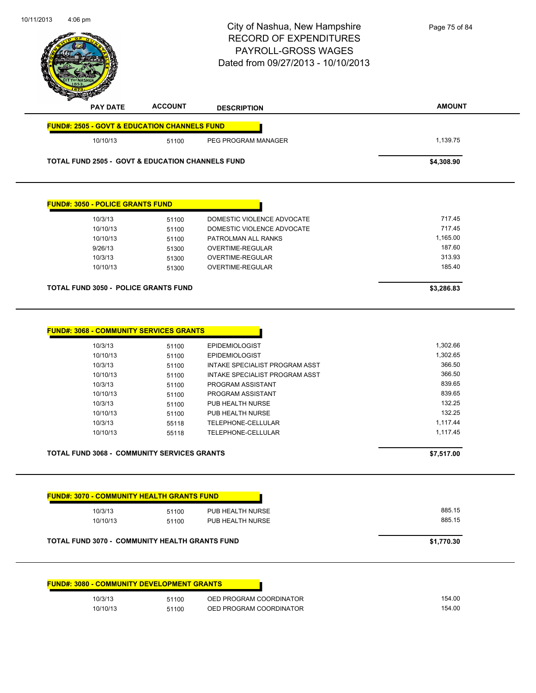|                                                                                                                                                                                                                |                | City of Nashua, New Hampshire<br><b>RECORD OF EXPENDITURES</b><br>PAYROLL-GROSS WAGES<br>Dated from 09/27/2013 - 10/10/2013 | Page 75 of 84    |
|----------------------------------------------------------------------------------------------------------------------------------------------------------------------------------------------------------------|----------------|-----------------------------------------------------------------------------------------------------------------------------|------------------|
| <b>PAY DATE</b>                                                                                                                                                                                                | <b>ACCOUNT</b> | <b>DESCRIPTION</b>                                                                                                          | <b>AMOUNT</b>    |
| <b>FUND#: 2505 - GOVT &amp; EDUCATION CHANNELS FUND</b>                                                                                                                                                        |                |                                                                                                                             |                  |
| 10/10/13                                                                                                                                                                                                       | 51100          | PEG PROGRAM MANAGER                                                                                                         | 1,139.75         |
| <b>TOTAL FUND 2505 - GOVT &amp; EDUCATION CHANNELS FUND</b>                                                                                                                                                    |                |                                                                                                                             | \$4,308.90       |
| <b>FUND#: 3050 - POLICE GRANTS FUND</b>                                                                                                                                                                        |                |                                                                                                                             |                  |
| 10/3/13                                                                                                                                                                                                        | 51100          | DOMESTIC VIOLENCE ADVOCATE                                                                                                  | 717.45           |
| 10/10/13                                                                                                                                                                                                       | 51100          | DOMESTIC VIOLENCE ADVOCATE                                                                                                  | 717.45           |
| 10/10/13                                                                                                                                                                                                       | 51100          | PATROLMAN ALL RANKS                                                                                                         | 1,165.00         |
| 9/26/13                                                                                                                                                                                                        | 51300          | OVERTIME-REGULAR                                                                                                            | 187.60           |
| 10/3/13                                                                                                                                                                                                        | 51300          | <b>OVERTIME-REGULAR</b>                                                                                                     | 313.93           |
| 10/10/13                                                                                                                                                                                                       | 51300          | OVERTIME-REGULAR                                                                                                            | 185.40           |
| <b>TOTAL FUND 3050 - POLICE GRANTS FUND</b>                                                                                                                                                                    |                |                                                                                                                             | \$3,286.83       |
|                                                                                                                                                                                                                |                |                                                                                                                             |                  |
| 10/3/13                                                                                                                                                                                                        | 51100          | <b>EPIDEMIOLOGIST</b>                                                                                                       | 1,302.66         |
| <b>FUND#: 3068 - COMMUNITY SERVICES GRANTS</b><br>10/10/13                                                                                                                                                     | 51100          | <b>EPIDEMIOLOGIST</b>                                                                                                       | 1,302.65         |
| 10/3/13                                                                                                                                                                                                        | 51100          | INTAKE SPECIALIST PROGRAM ASST                                                                                              | 366.50           |
| 10/10/13                                                                                                                                                                                                       | 51100          | INTAKE SPECIALIST PROGRAM ASST                                                                                              | 366.50           |
| 10/3/13                                                                                                                                                                                                        | 51100          | PROGRAM ASSISTANT                                                                                                           | 839.65           |
| 10/10/13                                                                                                                                                                                                       | 51100          | PROGRAM ASSISTANT                                                                                                           | 839.65           |
| 10/3/13                                                                                                                                                                                                        | 51100          | PUB HEALTH NURSE                                                                                                            | 132.25           |
| 10/10/13                                                                                                                                                                                                       | 51100          | PUB HEALTH NURSE                                                                                                            | 132.25           |
| 10/3/13                                                                                                                                                                                                        | 55118          | TELEPHONE-CELLULAR                                                                                                          | 1,117.44         |
| 10/10/13                                                                                                                                                                                                       | 55118          | TELEPHONE-CELLULAR                                                                                                          | 1,117.45         |
|                                                                                                                                                                                                                |                |                                                                                                                             | \$7,517.00       |
|                                                                                                                                                                                                                |                |                                                                                                                             |                  |
| 10/3/13                                                                                                                                                                                                        |                | PUB HEALTH NURSE                                                                                                            | 885.15           |
| 10/10/13                                                                                                                                                                                                       | 51100<br>51100 | PUB HEALTH NURSE                                                                                                            | 885.15           |
|                                                                                                                                                                                                                |                |                                                                                                                             | \$1,770.30       |
|                                                                                                                                                                                                                |                |                                                                                                                             |                  |
| <b>TOTAL FUND 3068 - COMMUNITY SERVICES GRANTS</b><br><b>FUND#: 3070 - COMMUNITY HEALTH GRANTS FUND</b><br>TOTAL FUND 3070 - COMMUNITY HEALTH GRANTS FUND<br><b>FUND#: 3080 - COMMUNITY DEVELOPMENT GRANTS</b> |                |                                                                                                                             |                  |
| 10/3/13                                                                                                                                                                                                        | 51100          | OED PROGRAM COORDINATOR                                                                                                     | 154.00<br>154.00 |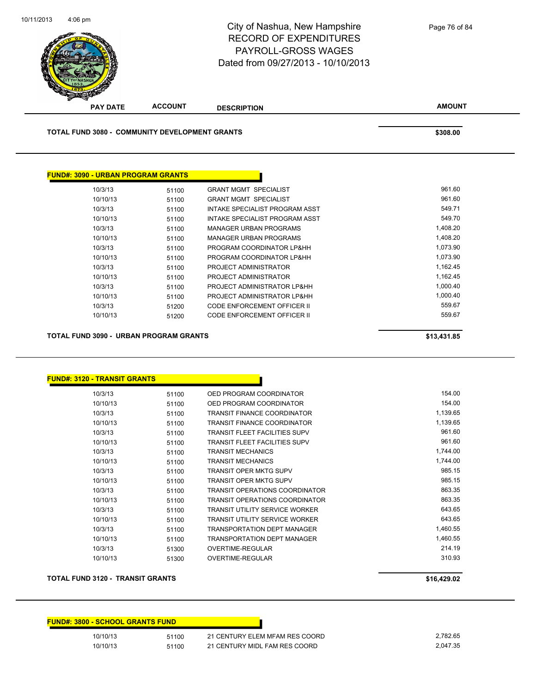

| 10/3/13  | 51100 | <b>GRANT MGMT SPECIALIST</b>       | 961.60   |
|----------|-------|------------------------------------|----------|
| 10/10/13 | 51100 | <b>GRANT MGMT SPECIALIST</b>       | 961.60   |
| 10/3/13  | 51100 | INTAKE SPECIALIST PROGRAM ASST     | 549.71   |
| 10/10/13 | 51100 | INTAKE SPECIALIST PROGRAM ASST     | 549.70   |
| 10/3/13  | 51100 | <b>MANAGER URBAN PROGRAMS</b>      | 1,408.20 |
| 10/10/13 | 51100 | <b>MANAGER URBAN PROGRAMS</b>      | 1,408.20 |
| 10/3/13  | 51100 | PROGRAM COORDINATOR LP&HH          | 1,073.90 |
| 10/10/13 | 51100 | PROGRAM COORDINATOR LP&HH          | 1,073.90 |
| 10/3/13  | 51100 | PROJECT ADMINISTRATOR              | 1,162.45 |
| 10/10/13 | 51100 | PROJECT ADMINISTRATOR              | 1,162.45 |
| 10/3/13  | 51100 | PROJECT ADMINISTRATOR LP&HH        | 1,000.40 |
| 10/10/13 | 51100 | PROJECT ADMINISTRATOR LP&HH        | 1,000.40 |
| 10/3/13  | 51200 | <b>CODE ENFORCEMENT OFFICER II</b> | 559.67   |
| 10/10/13 | 51200 | CODE ENFORCEMENT OFFICER II        | 559.67   |

**TOTAL FUND 3090 - URBAN PROGRAM GRANTS \$13,431.85** 

### **FUND#: 3120 - TRANSIT GRANTS** 10/3/13 51100 OED PROGRAM COORDINATOR 154.00 10/10/13 51100 OED PROGRAM COORDINATOR 154.00 10/3/13 51100 TRANSIT FINANCE COORDINATOR 1,139.65 10/10/13 51100 TRANSIT FINANCE COORDINATOR 1,139.65 10/3/13 51100 TRANSIT FLEET FACILITIES SUPV 961.60 10/10/13 51100 TRANSIT FLEET FACILITIES SUPV 961.60 10/3/13 51100 TRANSIT MECHANICS 1,744.00 10/10/13 51100 TRANSIT MECHANICS 1,744.00 10/3/13 51100 TRANSIT OPER MKTG SUPV 985.15 10/10/13 51100 TRANSIT OPER MKTG SUPV 985.15 10/3/13 51100 TRANSIT OPERATIONS COORDINATOR 863.35 10/10/13 51100 TRANSIT OPERATIONS COORDINATOR 863.35 10/3/13 51100 TRANSIT UTILITY SERVICE WORKER 643.65 10/10/13 51100 TRANSIT UTILITY SERVICE WORKER 643.65 10/3/13 51100 TRANSPORTATION DEPT MANAGER 1,460.55 10/10/13 51100 TRANSPORTATION DEPT MANAGER 1,460.55 10/3/13 51300 OVERTIME-REGULAR 214.19 10/10/13 51300 OVERTIME-REGULAR 310.93

#### **TOTAL FUND 3120 - TRANSIT GRANTS \$16,429.02**

| <b>FUND#: 3800 - SCHOOL GRANTS FUND</b> |       |                                |          |
|-----------------------------------------|-------|--------------------------------|----------|
| 10/10/13                                | 51100 | 21 CENTURY ELEM MFAM RES COORD | 2,782.65 |
| 10/10/13                                | 51100 | 21 CENTURY MIDL FAM RES COORD  | 2.047.35 |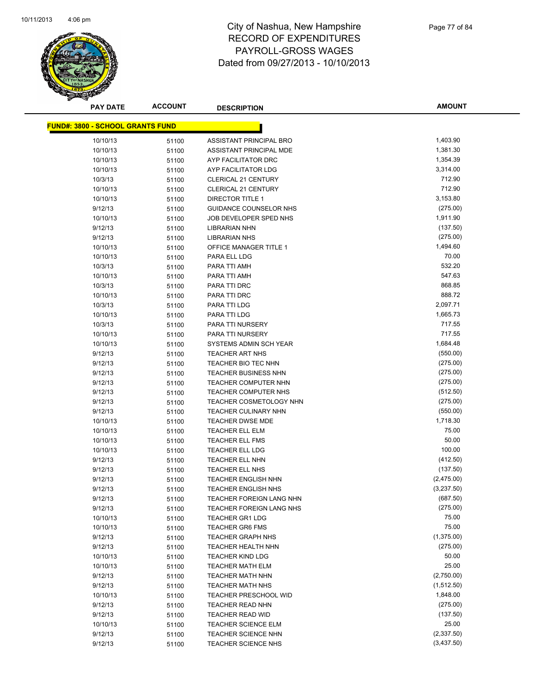

| <b>PAY DATE</b>                         | <b>ACCOUNT</b> | <b>DESCRIPTION</b>             | <b>AMOUNT</b> |
|-----------------------------------------|----------------|--------------------------------|---------------|
| <b>FUND#: 3800 - SCHOOL GRANTS FUND</b> |                |                                |               |
| 10/10/13                                |                | ASSISTANT PRINCIPAL BRO        | 1,403.90      |
| 10/10/13                                | 51100<br>51100 | ASSISTANT PRINCIPAL MDE        | 1,381.30      |
| 10/10/13                                |                | AYP FACILITATOR DRC            | 1,354.39      |
| 10/10/13                                | 51100          | AYP FACILITATOR LDG            | 3,314.00      |
| 10/3/13                                 | 51100          | <b>CLERICAL 21 CENTURY</b>     | 712.90        |
| 10/10/13                                | 51100          | <b>CLERICAL 21 CENTURY</b>     | 712.90        |
| 10/10/13                                | 51100          | DIRECTOR TITLE 1               | 3,153.80      |
| 9/12/13                                 | 51100          | <b>GUIDANCE COUNSELOR NHS</b>  | (275.00)      |
|                                         | 51100          | JOB DEVELOPER SPED NHS         | 1,911.90      |
| 10/10/13<br>9/12/13                     | 51100          | LIBRARIAN NHN                  | (137.50)      |
| 9/12/13                                 | 51100          |                                | (275.00)      |
|                                         | 51100          | <b>LIBRARIAN NHS</b>           | 1,494.60      |
| 10/10/13                                | 51100          | OFFICE MANAGER TITLE 1         | 70.00         |
| 10/10/13                                | 51100          | PARA ELL LDG                   | 532.20        |
| 10/3/13                                 | 51100          | PARA TTI AMH                   | 547.63        |
| 10/10/13                                | 51100          | PARA TTI AMH                   | 868.85        |
| 10/3/13                                 | 51100          | PARA TTI DRC                   | 888.72        |
| 10/10/13                                | 51100          | PARA TTI DRC                   |               |
| 10/3/13                                 | 51100          | PARA TTI LDG                   | 2,097.71      |
| 10/10/13                                | 51100          | PARA TTI LDG                   | 1,665.73      |
| 10/3/13                                 | 51100          | PARA TTI NURSERY               | 717.55        |
| 10/10/13                                | 51100          | PARA TTI NURSERY               | 717.55        |
| 10/10/13                                | 51100          | SYSTEMS ADMIN SCH YEAR         | 1,684.48      |
| 9/12/13                                 | 51100          | <b>TEACHER ART NHS</b>         | (550.00)      |
| 9/12/13                                 | 51100          | TEACHER BIO TEC NHN            | (275.00)      |
| 9/12/13                                 | 51100          | <b>TEACHER BUSINESS NHN</b>    | (275.00)      |
| 9/12/13                                 | 51100          | <b>TEACHER COMPUTER NHN</b>    | (275.00)      |
| 9/12/13                                 | 51100          | TEACHER COMPUTER NHS           | (512.50)      |
| 9/12/13                                 | 51100          | <b>TEACHER COSMETOLOGY NHN</b> | (275.00)      |
| 9/12/13                                 | 51100          | <b>TEACHER CULINARY NHN</b>    | (550.00)      |
| 10/10/13                                | 51100          | <b>TEACHER DWSE MDE</b>        | 1,718.30      |
| 10/10/13                                | 51100          | <b>TEACHER ELL ELM</b>         | 75.00         |
| 10/10/13                                | 51100          | <b>TEACHER ELL FMS</b>         | 50.00         |
| 10/10/13                                | 51100          | <b>TEACHER ELL LDG</b>         | 100.00        |
| 9/12/13                                 | 51100          | TEACHER ELL NHN                | (412.50)      |
| 9/12/13                                 | 51100          | <b>TEACHER ELL NHS</b>         | (137.50)      |
| 9/12/13                                 | 51100          | <b>TEACHER ENGLISH NHN</b>     | (2,475.00)    |
| 9/12/13                                 | 51100          | <b>TEACHER ENGLISH NHS</b>     | (3,237.50)    |
| 9/12/13                                 | 51100          | TEACHER FOREIGN LANG NHN       | (687.50)      |
| 9/12/13                                 | 51100          | TEACHER FOREIGN LANG NHS       | (275.00)      |
| 10/10/13                                | 51100          | <b>TEACHER GR1 LDG</b>         | 75.00         |
| 10/10/13                                | 51100          | <b>TEACHER GR6 FMS</b>         | 75.00         |
| 9/12/13                                 | 51100          | <b>TEACHER GRAPH NHS</b>       | (1,375.00)    |
| 9/12/13                                 | 51100          | TEACHER HEALTH NHN             | (275.00)      |
| 10/10/13                                | 51100          | <b>TEACHER KIND LDG</b>        | 50.00         |
| 10/10/13                                | 51100          | <b>TEACHER MATH ELM</b>        | 25.00         |
| 9/12/13                                 | 51100          | <b>TEACHER MATH NHN</b>        | (2,750.00)    |
| 9/12/13                                 | 51100          | TEACHER MATH NHS               | (1,512.50)    |
| 10/10/13                                | 51100          | <b>TEACHER PRESCHOOL WID</b>   | 1,848.00      |
| 9/12/13                                 | 51100          | <b>TEACHER READ NHN</b>        | (275.00)      |
| 9/12/13                                 | 51100          | TEACHER READ WID               | (137.50)      |
| 10/10/13                                | 51100          | <b>TEACHER SCIENCE ELM</b>     | 25.00         |
| 9/12/13                                 | 51100          | TEACHER SCIENCE NHN            | (2,337.50)    |
| 9/12/13                                 | 51100          | <b>TEACHER SCIENCE NHS</b>     | (3,437.50)    |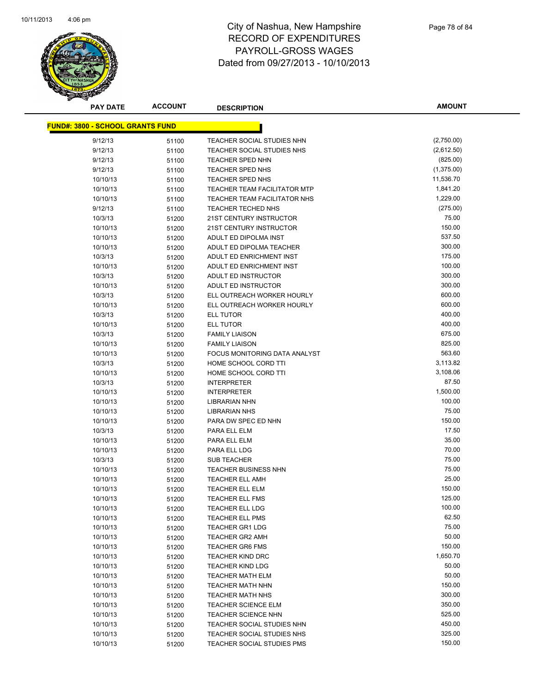

| <b>PAY DATE</b>                         | <b>ACCOUNT</b> | <b>DESCRIPTION</b>                  | <b>AMOUNT</b> |
|-----------------------------------------|----------------|-------------------------------------|---------------|
| <b>FUND#: 3800 - SCHOOL GRANTS FUND</b> |                |                                     |               |
|                                         |                |                                     |               |
| 9/12/13                                 | 51100          | TEACHER SOCIAL STUDIES NHN          | (2,750.00)    |
| 9/12/13                                 | 51100          | TEACHER SOCIAL STUDIES NHS          | (2,612.50)    |
| 9/12/13                                 | 51100          | <b>TEACHER SPED NHN</b>             | (825.00)      |
| 9/12/13                                 | 51100          | TEACHER SPED NHS                    | (1,375.00)    |
| 10/10/13                                | 51100          | TEACHER SPED NHS                    | 11,536.70     |
| 10/10/13                                | 51100          | <b>TEACHER TEAM FACILITATOR MTP</b> | 1,841.20      |
| 10/10/13                                | 51100          | TEACHER TEAM FACILITATOR NHS        | 1,229.00      |
| 9/12/13                                 | 51100          | <b>TEACHER TECHED NHS</b>           | (275.00)      |
| 10/3/13                                 | 51200          | 21ST CENTURY INSTRUCTOR             | 75.00         |
| 10/10/13                                | 51200          | 21ST CENTURY INSTRUCTOR             | 150.00        |
| 10/10/13                                | 51200          | ADULT ED DIPOLMA INST               | 537.50        |
| 10/10/13                                | 51200          | ADULT ED DIPOLMA TEACHER            | 300.00        |
| 10/3/13                                 | 51200          | ADULT ED ENRICHMENT INST            | 175.00        |
| 10/10/13                                | 51200          | ADULT ED ENRICHMENT INST            | 100.00        |
| 10/3/13                                 | 51200          | ADULT ED INSTRUCTOR                 | 300.00        |
| 10/10/13                                | 51200          | ADULT ED INSTRUCTOR                 | 300.00        |
| 10/3/13                                 | 51200          | ELL OUTREACH WORKER HOURLY          | 600.00        |
| 10/10/13                                | 51200          | ELL OUTREACH WORKER HOURLY          | 600.00        |
| 10/3/13                                 | 51200          | ELL TUTOR                           | 400.00        |
| 10/10/13                                | 51200          | <b>ELL TUTOR</b>                    | 400.00        |
| 10/3/13                                 | 51200          | <b>FAMILY LIAISON</b>               | 675.00        |
| 10/10/13                                | 51200          | <b>FAMILY LIAISON</b>               | 825.00        |
| 10/10/13                                | 51200          | FOCUS MONITORING DATA ANALYST       | 563.60        |
| 10/3/13                                 | 51200          | HOME SCHOOL CORD TTI                | 3,113.82      |
| 10/10/13                                | 51200          | HOME SCHOOL CORD TTI                | 3,108.06      |
| 10/3/13                                 | 51200          | <b>INTERPRETER</b>                  | 87.50         |
| 10/10/13                                | 51200          | <b>INTERPRETER</b>                  | 1,500.00      |
| 10/10/13                                | 51200          | LIBRARIAN NHN                       | 100.00        |
| 10/10/13                                | 51200          | <b>LIBRARIAN NHS</b>                | 75.00         |
| 10/10/13                                | 51200          | PARA DW SPEC ED NHN                 | 150.00        |
| 10/3/13                                 | 51200          | PARA ELL ELM                        | 17.50         |
| 10/10/13                                | 51200          | PARA ELL ELM                        | 35.00         |
| 10/10/13                                | 51200          | PARA ELL LDG                        | 70.00         |
| 10/3/13                                 | 51200          | <b>SUB TEACHER</b>                  | 75.00         |
| 10/10/13                                | 51200          | <b>TEACHER BUSINESS NHN</b>         | 75.00         |
| 10/10/13                                | 51200          | <b>TEACHER ELL AMH</b>              | 25.00         |
| 10/10/13                                | 51200          | <b>TEACHER ELL ELM</b>              | 150.00        |
| 10/10/13                                | 51200          | <b>TEACHER ELL FMS</b>              | 125.00        |
| 10/10/13                                | 51200          | TEACHER ELL LDG                     | 100.00        |
| 10/10/13                                | 51200          | <b>TEACHER ELL PMS</b>              | 62.50         |
| 10/10/13                                | 51200          | <b>TEACHER GR1 LDG</b>              | 75.00         |
| 10/10/13                                | 51200          | <b>TEACHER GR2 AMH</b>              | 50.00         |
| 10/10/13                                | 51200          | <b>TEACHER GR6 FMS</b>              | 150.00        |
| 10/10/13                                | 51200          | <b>TEACHER KIND DRC</b>             | 1,650.70      |
| 10/10/13                                | 51200          | <b>TEACHER KIND LDG</b>             | 50.00         |
| 10/10/13                                | 51200          | <b>TEACHER MATH ELM</b>             | 50.00         |
| 10/10/13                                | 51200          | <b>TEACHER MATH NHN</b>             | 150.00        |
| 10/10/13                                | 51200          | <b>TEACHER MATH NHS</b>             | 300.00        |
| 10/10/13                                | 51200          | TEACHER SCIENCE ELM                 | 350.00        |
| 10/10/13                                | 51200          | <b>TEACHER SCIENCE NHN</b>          | 525.00        |
| 10/10/13                                | 51200          | TEACHER SOCIAL STUDIES NHN          | 450.00        |
| 10/10/13                                | 51200          | TEACHER SOCIAL STUDIES NHS          | 325.00        |
| 10/10/13                                | 51200          | TEACHER SOCIAL STUDIES PMS          | 150.00        |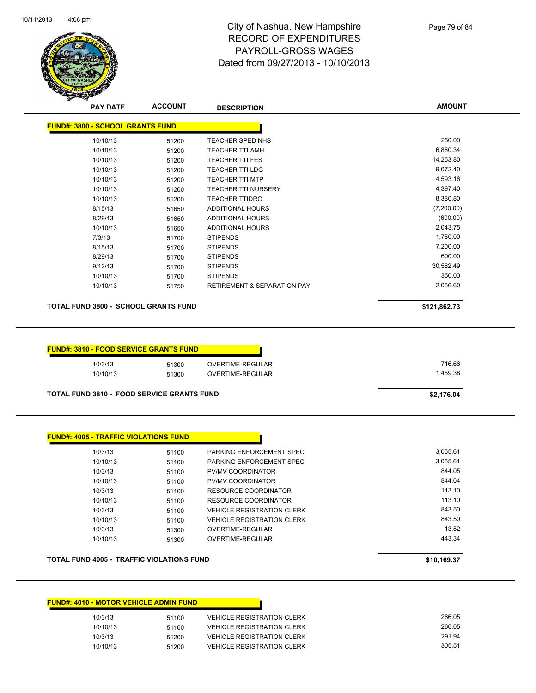

Page 79 of 84

| <b>PAY DATE</b>                                   | <b>ACCOUNT</b> | <b>DESCRIPTION</b>                     | <b>AMOUNT</b> |
|---------------------------------------------------|----------------|----------------------------------------|---------------|
| <b>FUND#: 3800 - SCHOOL GRANTS FUND</b>           |                |                                        |               |
| 10/10/13                                          | 51200          | TEACHER SPED NHS                       | 250.00        |
| 10/10/13                                          | 51200          | <b>TEACHER TTI AMH</b>                 | 6,860.34      |
| 10/10/13                                          | 51200          | <b>TEACHER TTI FES</b>                 | 14,253.80     |
| 10/10/13                                          | 51200          | <b>TEACHER TTI LDG</b>                 | 9,072.40      |
| 10/10/13                                          | 51200          | <b>TEACHER TTI MTP</b>                 | 4,593.16      |
| 10/10/13                                          | 51200          | <b>TEACHER TTI NURSERY</b>             | 4,397.40      |
| 10/10/13                                          | 51200          | <b>TEACHER TTIDRC</b>                  | 8,380.80      |
| 8/15/13                                           | 51650          | ADDITIONAL HOURS                       | (7,200.00)    |
| 8/29/13                                           | 51650          | ADDITIONAL HOURS                       | (600.00)      |
| 10/10/13                                          | 51650          | <b>ADDITIONAL HOURS</b>                | 2,043.75      |
| 7/3/13                                            | 51700          | <b>STIPENDS</b>                        | 1,750.00      |
| 8/15/13                                           | 51700          | <b>STIPENDS</b>                        | 7,200.00      |
| 8/29/13                                           | 51700          | <b>STIPENDS</b>                        | 600.00        |
| 9/12/13                                           | 51700          | <b>STIPENDS</b>                        | 30,562.49     |
| 10/10/13                                          | 51700          | <b>STIPENDS</b>                        | 350.00        |
| 10/10/13                                          | 51750          | <b>RETIREMENT &amp; SEPARATION PAY</b> | 2,056.60      |
| <b>TOTAL FUND 3800 - SCHOOL GRANTS FUND</b>       |                |                                        | \$121,862.73  |
| <b>FUND#: 3810 - FOOD SERVICE GRANTS FUND</b>     |                |                                        |               |
| 10/3/13                                           |                | OVERTIME-REGULAR                       | 716.66        |
|                                                   | 51300          |                                        | 1,459.38      |
| 10/10/13                                          | 51300          | OVERTIME-REGULAR                       |               |
| <b>TOTAL FUND 3810 - FOOD SERVICE GRANTS FUND</b> |                |                                        | \$2,176.04    |
|                                                   |                |                                        |               |

| 10/3/13  | 51100 | PARKING ENFORCEMENT SPEC          | 3,055.61 |
|----------|-------|-----------------------------------|----------|
| 10/10/13 | 51100 | PARKING ENFORCEMENT SPEC          | 3.055.61 |
| 10/3/13  | 51100 | PV/MV COORDINATOR                 | 844.05   |
| 10/10/13 | 51100 | PV/MV COORDINATOR                 | 844.04   |
| 10/3/13  | 51100 | RESOURCE COORDINATOR              | 113.10   |
| 10/10/13 | 51100 | RESOURCE COORDINATOR              | 113.10   |
| 10/3/13  | 51100 | <b>VEHICLE REGISTRATION CLERK</b> | 843.50   |
| 10/10/13 | 51100 | <b>VEHICLE REGISTRATION CLERK</b> | 843.50   |
| 10/3/13  | 51300 | OVERTIME-REGULAR                  | 13.52    |
| 10/10/13 | 51300 | OVERTIME-REGULAR                  | 443.34   |

### **TOTAL FUND 4005 - TRAFFIC VIOLATIONS FUND \$10,169.37**

| <b>FUND#: 4010 - MOTOR VEHICLE ADMIN FUND</b> |       |                                   |
|-----------------------------------------------|-------|-----------------------------------|
| 10/3/13                                       | 51100 | <b>VEHICLE REGISTRATION CLERK</b> |
| 10/10/13                                      | 51100 | <b>VEHICLE REGISTRATION CLERK</b> |
| 10/3/13                                       | 51200 | <b>VEHICLE REGISTRATION CLERK</b> |
| 10/10/13                                      | 51200 | <b>VEHICLE REGISTRATION CLERK</b> |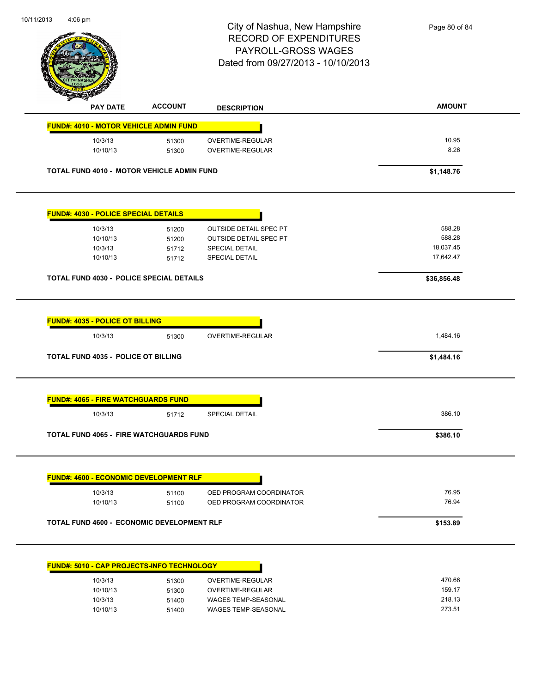|                                                   |                | City of Nashua, New Hampshire<br><b>RECORD OF EXPENDITURES</b><br>PAYROLL-GROSS WAGES<br>Dated from 09/27/2013 - 10/10/2013 | Page 80 of 84          |
|---------------------------------------------------|----------------|-----------------------------------------------------------------------------------------------------------------------------|------------------------|
| <b>PAY DATE</b>                                   | <b>ACCOUNT</b> | <b>DESCRIPTION</b>                                                                                                          | <b>AMOUNT</b>          |
| <b>FUND#: 4010 - MOTOR VEHICLE ADMIN FUND</b>     |                |                                                                                                                             |                        |
| 10/3/13<br>10/10/13                               | 51300<br>51300 | OVERTIME-REGULAR<br>OVERTIME-REGULAR                                                                                        | 10.95<br>8.26          |
| <b>TOTAL FUND 4010 - MOTOR VEHICLE ADMIN FUND</b> |                |                                                                                                                             | \$1,148.76             |
| <b>FUND#: 4030 - POLICE SPECIAL DETAILS</b>       |                |                                                                                                                             |                        |
| 10/3/13                                           | 51200          | <b>OUTSIDE DETAIL SPEC PT</b>                                                                                               | 588.28                 |
| 10/10/13                                          | 51200          | <b>OUTSIDE DETAIL SPEC PT</b>                                                                                               | 588.28                 |
| 10/3/13<br>10/10/13                               | 51712<br>51712 | SPECIAL DETAIL<br><b>SPECIAL DETAIL</b>                                                                                     | 18,037.45<br>17,642.47 |
| <b>TOTAL FUND 4030 - POLICE SPECIAL DETAILS</b>   |                |                                                                                                                             | \$36,856.48            |
| <b>FUND#: 4035 - POLICE OT BILLING</b><br>10/3/13 | 51300          | OVERTIME-REGULAR                                                                                                            | 1,484.16               |
| TOTAL FUND 4035 - POLICE OT BILLING               |                |                                                                                                                             | \$1,484.16             |
| <b>FUND#: 4065 - FIRE WATCHGUARDS FUND</b>        |                |                                                                                                                             |                        |
| 10/3/13                                           | 51712          | <b>SPECIAL DETAIL</b>                                                                                                       | 386.10                 |
| <b>TOTAL FUND 4065 - FIRE WATCHGUARDS FUND</b>    |                |                                                                                                                             | \$386.10               |
| <b>FUND#: 4600 - ECONOMIC DEVELOPMENT RLF</b>     |                |                                                                                                                             |                        |
| 10/3/13                                           | 51100          | OED PROGRAM COORDINATOR                                                                                                     | 76.95                  |
| 10/10/13                                          | 51100          | OED PROGRAM COORDINATOR                                                                                                     | 76.94                  |
| <b>TOTAL FUND 4600 - ECONOMIC DEVELOPMENT RLF</b> |                |                                                                                                                             | \$153.89               |

| 10/3/13<br>51300  | OVERTIME-REGULAR           |
|-------------------|----------------------------|
| 10/10/13<br>51300 | OVERTIME-REGULAR           |
| 10/3/13<br>51400  | <b>WAGES TEMP-SEASONAL</b> |
| 10/10/13<br>51400 | <b>WAGES TEMP-SEASONAL</b> |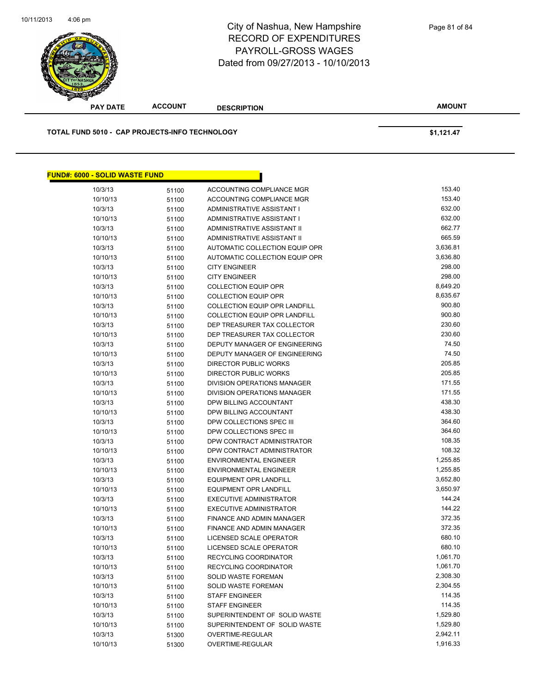

**AMOUNT PAY DATE ACCOUNT DESCRIPTION TOTAL FUND 5010 - CAP PROJECTS-INFO TECHNOLOGY \$1,121.47 FUND#: 6000 - SOLID WASTE FUND**

| 10/3/13  | 51100 | ACCOUNTING COMPLIANCE MGR            | 153.40   |
|----------|-------|--------------------------------------|----------|
| 10/10/13 | 51100 | ACCOUNTING COMPLIANCE MGR            | 153.40   |
| 10/3/13  | 51100 | ADMINISTRATIVE ASSISTANT I           | 632.00   |
| 10/10/13 | 51100 | ADMINISTRATIVE ASSISTANT I           | 632.00   |
| 10/3/13  | 51100 | ADMINISTRATIVE ASSISTANT II          | 662.77   |
| 10/10/13 | 51100 | ADMINISTRATIVE ASSISTANT II          | 665.59   |
| 10/3/13  | 51100 | AUTOMATIC COLLECTION EQUIP OPR       | 3,636.81 |
| 10/10/13 | 51100 | AUTOMATIC COLLECTION EQUIP OPR       | 3,636.80 |
| 10/3/13  | 51100 | <b>CITY ENGINEER</b>                 | 298.00   |
| 10/10/13 | 51100 | <b>CITY ENGINEER</b>                 | 298.00   |
| 10/3/13  | 51100 | <b>COLLECTION EQUIP OPR</b>          | 8,649.20 |
| 10/10/13 | 51100 | <b>COLLECTION EQUIP OPR</b>          | 8,635.67 |
| 10/3/13  | 51100 | <b>COLLECTION EQUIP OPR LANDFILL</b> | 900.80   |
| 10/10/13 | 51100 | <b>COLLECTION EQUIP OPR LANDFILL</b> | 900.80   |
| 10/3/13  | 51100 | DEP TREASURER TAX COLLECTOR          | 230.60   |
| 10/10/13 | 51100 | DEP TREASURER TAX COLLECTOR          | 230.60   |
| 10/3/13  | 51100 | DEPUTY MANAGER OF ENGINEERING        | 74.50    |
| 10/10/13 | 51100 | DEPUTY MANAGER OF ENGINEERING        | 74.50    |
| 10/3/13  | 51100 | DIRECTOR PUBLIC WORKS                | 205.85   |
| 10/10/13 | 51100 | <b>DIRECTOR PUBLIC WORKS</b>         | 205.85   |
| 10/3/13  | 51100 | DIVISION OPERATIONS MANAGER          | 171.55   |
| 10/10/13 | 51100 | <b>DIVISION OPERATIONS MANAGER</b>   | 171.55   |
| 10/3/13  | 51100 | DPW BILLING ACCOUNTANT               | 438.30   |
| 10/10/13 | 51100 | DPW BILLING ACCOUNTANT               | 438.30   |
| 10/3/13  | 51100 | DPW COLLECTIONS SPEC III             | 364.60   |
| 10/10/13 | 51100 | DPW COLLECTIONS SPEC III             | 364.60   |
| 10/3/13  | 51100 | DPW CONTRACT ADMINISTRATOR           | 108.35   |
| 10/10/13 | 51100 | DPW CONTRACT ADMINISTRATOR           | 108.32   |
| 10/3/13  | 51100 | <b>ENVIRONMENTAL ENGINEER</b>        | 1,255.85 |
| 10/10/13 | 51100 | <b>ENVIRONMENTAL ENGINEER</b>        | 1,255.85 |
| 10/3/13  | 51100 | <b>EQUIPMENT OPR LANDFILL</b>        | 3,652.80 |
| 10/10/13 | 51100 | <b>EQUIPMENT OPR LANDFILL</b>        | 3,650.97 |
| 10/3/13  | 51100 | <b>EXECUTIVE ADMINISTRATOR</b>       | 144.24   |
| 10/10/13 | 51100 | <b>EXECUTIVE ADMINISTRATOR</b>       | 144.22   |
| 10/3/13  | 51100 | FINANCE AND ADMIN MANAGER            | 372.35   |
| 10/10/13 | 51100 | FINANCE AND ADMIN MANAGER            | 372.35   |
| 10/3/13  | 51100 | LICENSED SCALE OPERATOR              | 680.10   |
| 10/10/13 | 51100 | LICENSED SCALE OPERATOR              | 680.10   |
| 10/3/13  | 51100 | <b>RECYCLING COORDINATOR</b>         | 1,061.70 |
| 10/10/13 | 51100 | <b>RECYCLING COORDINATOR</b>         | 1,061.70 |
| 10/3/13  | 51100 | SOLID WASTE FOREMAN                  | 2,308.30 |
| 10/10/13 | 51100 | SOLID WASTE FOREMAN                  | 2,304.55 |
| 10/3/13  | 51100 | <b>STAFF ENGINEER</b>                | 114.35   |
| 10/10/13 | 51100 | <b>STAFF ENGINEER</b>                | 114.35   |
| 10/3/13  | 51100 | SUPERINTENDENT OF SOLID WASTE        | 1,529.80 |
| 10/10/13 | 51100 | SUPERINTENDENT OF SOLID WASTE        | 1,529.80 |
| 10/3/13  | 51300 | OVERTIME-REGULAR                     | 2,942.11 |
| 10/10/13 | 51300 | OVERTIME-REGULAR                     | 1,916.33 |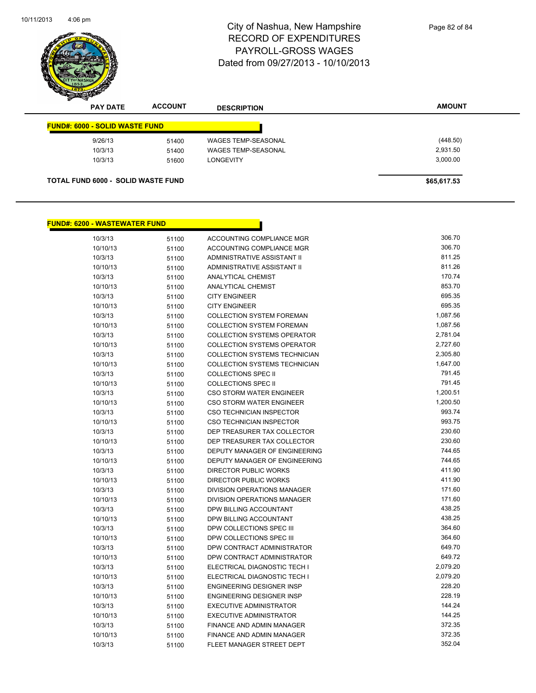

| <b>PAY DATE</b>                           | <b>ACCOUNT</b> | <b>DESCRIPTION</b>         | <b>AMOUNT</b> |
|-------------------------------------------|----------------|----------------------------|---------------|
| <b>FUND#: 6000 - SOLID WASTE FUND</b>     |                |                            |               |
| 9/26/13                                   | 51400          | <b>WAGES TEMP-SEASONAL</b> | (448.50)      |
| 10/3/13                                   | 51400          | <b>WAGES TEMP-SEASONAL</b> | 2,931.50      |
| 10/3/13                                   | 51600          | <b>LONGEVITY</b>           | 3,000.00      |
| <b>TOTAL FUND 6000 - SOLID WASTE FUND</b> |                |                            | \$65,617.53   |

# **FUND#: 6200 - WASTEWATER FUND**

| 10/3/13  | 51100 | ACCOUNTING COMPLIANCE MGR            | 306.70   |
|----------|-------|--------------------------------------|----------|
| 10/10/13 | 51100 | ACCOUNTING COMPLIANCE MGR            | 306.70   |
| 10/3/13  | 51100 | ADMINISTRATIVE ASSISTANT II          | 811.25   |
| 10/10/13 | 51100 | ADMINISTRATIVE ASSISTANT II          | 811.26   |
| 10/3/13  | 51100 | ANALYTICAL CHEMIST                   | 170.74   |
| 10/10/13 | 51100 | <b>ANALYTICAL CHEMIST</b>            | 853.70   |
| 10/3/13  | 51100 | <b>CITY ENGINEER</b>                 | 695.35   |
| 10/10/13 | 51100 | <b>CITY ENGINEER</b>                 | 695.35   |
| 10/3/13  | 51100 | <b>COLLECTION SYSTEM FOREMAN</b>     | 1,087.56 |
| 10/10/13 | 51100 | <b>COLLECTION SYSTEM FOREMAN</b>     | 1,087.56 |
| 10/3/13  | 51100 | <b>COLLECTION SYSTEMS OPERATOR</b>   | 2,781.04 |
| 10/10/13 | 51100 | <b>COLLECTION SYSTEMS OPERATOR</b>   | 2,727.60 |
| 10/3/13  | 51100 | COLLECTION SYSTEMS TECHNICIAN        | 2,305.80 |
| 10/10/13 | 51100 | COLLECTION SYSTEMS TECHNICIAN        | 1,647.00 |
| 10/3/13  | 51100 | <b>COLLECTIONS SPEC II</b>           | 791.45   |
| 10/10/13 | 51100 | <b>COLLECTIONS SPEC II</b>           | 791.45   |
| 10/3/13  | 51100 | CSO STORM WATER ENGINEER             | 1,200.51 |
| 10/10/13 | 51100 | CSO STORM WATER ENGINEER             | 1,200.50 |
| 10/3/13  | 51100 | <b>CSO TECHNICIAN INSPECTOR</b>      | 993.74   |
| 10/10/13 | 51100 | CSO TECHNICIAN INSPECTOR             | 993.75   |
| 10/3/13  | 51100 | DEP TREASURER TAX COLLECTOR          | 230.60   |
| 10/10/13 | 51100 | DEP TREASURER TAX COLLECTOR          | 230.60   |
| 10/3/13  | 51100 | DEPUTY MANAGER OF ENGINEERING        | 744.65   |
| 10/10/13 | 51100 | <b>DEPUTY MANAGER OF ENGINEERING</b> | 744.65   |
| 10/3/13  | 51100 | <b>DIRECTOR PUBLIC WORKS</b>         | 411.90   |
| 10/10/13 | 51100 | <b>DIRECTOR PUBLIC WORKS</b>         | 411.90   |
| 10/3/13  | 51100 | DIVISION OPERATIONS MANAGER          | 171.60   |
| 10/10/13 | 51100 | <b>DIVISION OPERATIONS MANAGER</b>   | 171.60   |
| 10/3/13  | 51100 | DPW BILLING ACCOUNTANT               | 438.25   |
| 10/10/13 | 51100 | DPW BILLING ACCOUNTANT               | 438.25   |
| 10/3/13  | 51100 | DPW COLLECTIONS SPEC III             | 364.60   |
| 10/10/13 | 51100 | DPW COLLECTIONS SPEC III             | 364.60   |
| 10/3/13  | 51100 | DPW CONTRACT ADMINISTRATOR           | 649.70   |
| 10/10/13 | 51100 | DPW CONTRACT ADMINISTRATOR           | 649.72   |
| 10/3/13  | 51100 | ELECTRICAL DIAGNOSTIC TECH I         | 2,079.20 |
| 10/10/13 | 51100 | ELECTRICAL DIAGNOSTIC TECH I         | 2,079.20 |
| 10/3/13  | 51100 | <b>ENGINEERING DESIGNER INSP</b>     | 228.20   |
| 10/10/13 | 51100 | <b>ENGINEERING DESIGNER INSP</b>     | 228.19   |
| 10/3/13  | 51100 | <b>EXECUTIVE ADMINISTRATOR</b>       | 144.24   |
| 10/10/13 | 51100 | <b>EXECUTIVE ADMINISTRATOR</b>       | 144.25   |
| 10/3/13  | 51100 | <b>FINANCE AND ADMIN MANAGER</b>     | 372.35   |
| 10/10/13 | 51100 | <b>FINANCE AND ADMIN MANAGER</b>     | 372.35   |
| 10/3/13  | 51100 | FLEET MANAGER STREET DEPT            | 352.04   |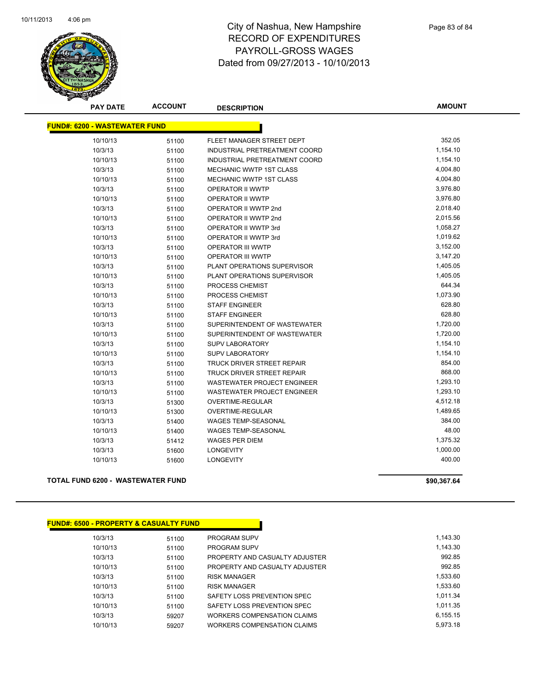

| <b>PAY DATE</b>                      | <b>ACCOUNT</b> | <b>DESCRIPTION</b>                 | <b>AMOUNT</b> |
|--------------------------------------|----------------|------------------------------------|---------------|
| <b>FUND#: 6200 - WASTEWATER FUND</b> |                |                                    |               |
|                                      |                |                                    |               |
| 10/10/13                             | 51100          | FLEET MANAGER STREET DEPT          | 352.05        |
| 10/3/13                              | 51100          | INDUSTRIAL PRETREATMENT COORD      | 1,154.10      |
| 10/10/13                             | 51100          | INDUSTRIAL PRETREATMENT COORD      | 1,154.10      |
| 10/3/13                              | 51100          | <b>MECHANIC WWTP 1ST CLASS</b>     | 4,004.80      |
| 10/10/13                             | 51100          | <b>MECHANIC WWTP 1ST CLASS</b>     | 4,004.80      |
| 10/3/13                              | 51100          | OPERATOR II WWTP                   | 3,976.80      |
| 10/10/13                             | 51100          | <b>OPERATOR II WWTP</b>            | 3,976.80      |
| 10/3/13                              | 51100          | OPERATOR II WWTP 2nd               | 2,018.40      |
| 10/10/13                             | 51100          | OPERATOR II WWTP 2nd               | 2,015.56      |
| 10/3/13                              | 51100          | OPERATOR II WWTP 3rd               | 1,058.27      |
| 10/10/13                             | 51100          | OPERATOR II WWTP 3rd               | 1,019.62      |
| 10/3/13                              | 51100          | <b>OPERATOR III WWTP</b>           | 3,152.00      |
| 10/10/13                             | 51100          | <b>OPERATOR III WWTP</b>           | 3,147.20      |
| 10/3/13                              | 51100          | PLANT OPERATIONS SUPERVISOR        | 1,405.05      |
| 10/10/13                             | 51100          | PLANT OPERATIONS SUPERVISOR        | 1,405.05      |
| 10/3/13                              | 51100          | PROCESS CHEMIST                    | 644.34        |
| 10/10/13                             | 51100          | PROCESS CHEMIST                    | 1,073.90      |
| 10/3/13                              | 51100          | <b>STAFF ENGINEER</b>              | 628.80        |
| 10/10/13                             | 51100          | <b>STAFF ENGINEER</b>              | 628.80        |
| 10/3/13                              | 51100          | SUPERINTENDENT OF WASTEWATER       | 1,720.00      |
| 10/10/13                             | 51100          | SUPERINTENDENT OF WASTEWATER       | 1,720.00      |
| 10/3/13                              | 51100          | <b>SUPV LABORATORY</b>             | 1,154.10      |
| 10/10/13                             | 51100          | <b>SUPV LABORATORY</b>             | 1,154.10      |
| 10/3/13                              | 51100          | TRUCK DRIVER STREET REPAIR         | 854.00        |
| 10/10/13                             | 51100          | TRUCK DRIVER STREET REPAIR         | 868.00        |
| 10/3/13                              | 51100          | WASTEWATER PROJECT ENGINEER        | 1,293.10      |
| 10/10/13                             | 51100          | <b>WASTEWATER PROJECT ENGINEER</b> | 1,293.10      |
| 10/3/13                              | 51300          | OVERTIME-REGULAR                   | 4,512.18      |
| 10/10/13                             | 51300          | <b>OVERTIME-REGULAR</b>            | 1,489.65      |
| 10/3/13                              | 51400          | <b>WAGES TEMP-SEASONAL</b>         | 384.00        |
| 10/10/13                             | 51400          | <b>WAGES TEMP-SEASONAL</b>         | 48.00         |
| 10/3/13                              | 51412          | <b>WAGES PER DIEM</b>              | 1,375.32      |
| 10/3/13                              | 51600          | <b>LONGEVITY</b>                   | 1,000.00      |
| 10/10/13                             | 51600          | <b>LONGEVITY</b>                   | 400.00        |

### **TOTAL FUND 6200 - WASTEWATER FUND \$90,367.64**

| <b>FUND#: 6500 - PROPERTY &amp; CASUALTY FUND</b> |       |                                    |
|---------------------------------------------------|-------|------------------------------------|
| 10/3/13                                           | 51100 | <b>PROGRAM SUPV</b>                |
| 10/10/13                                          | 51100 | <b>PROGRAM SUPV</b>                |
| 10/3/13                                           | 51100 | PROPERTY AND CASUALTY ADJUSTER     |
| 10/10/13                                          | 51100 | PROPERTY AND CASUALTY ADJUSTER     |
| 10/3/13                                           | 51100 | <b>RISK MANAGER</b>                |
| 10/10/13                                          | 51100 | <b>RISK MANAGER</b>                |
| 10/3/13                                           | 51100 | SAFETY LOSS PREVENTION SPEC        |
| 10/10/13                                          | 51100 | SAFETY LOSS PREVENTION SPEC        |
| 10/3/13                                           | 59207 | <b>WORKERS COMPENSATION CLAIMS</b> |
| 10/10/13                                          | 59207 | WORKERS COMPENSATION CLAIMS        |